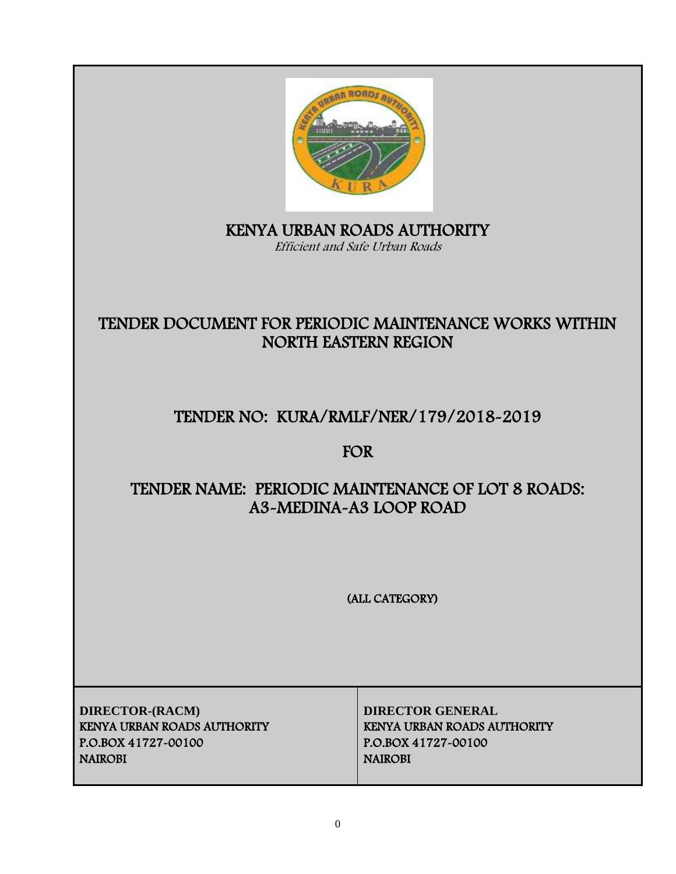

## i KENYA URBAN ROADS AUTHORITY Efficient and Safe Urban Roads

# TENDER DOCUMENT FOR PERIODIC MAINTENANCE WORKS WITHIN NORTH EASTERN REGION

# TENDER NO: KURA/RMLF/NER/179/2018-2019

# FOR

# TENDER NAME: PERIODIC MAINTENANCE OF LOT 8 ROADS: A3-MEDINA-A3 LOOP ROAD

(ALL CATEGORY)

**DIRECTOR-(RACM) DIRECTOR GENERAL** KENYA URBAN ROADS AUTHORITY KENYA URBAN ROADS AUTHORITY P.O.BOX 41727-00100 P.O.BOX 41727-00100 NAIROBI NAIROBI NAIROBI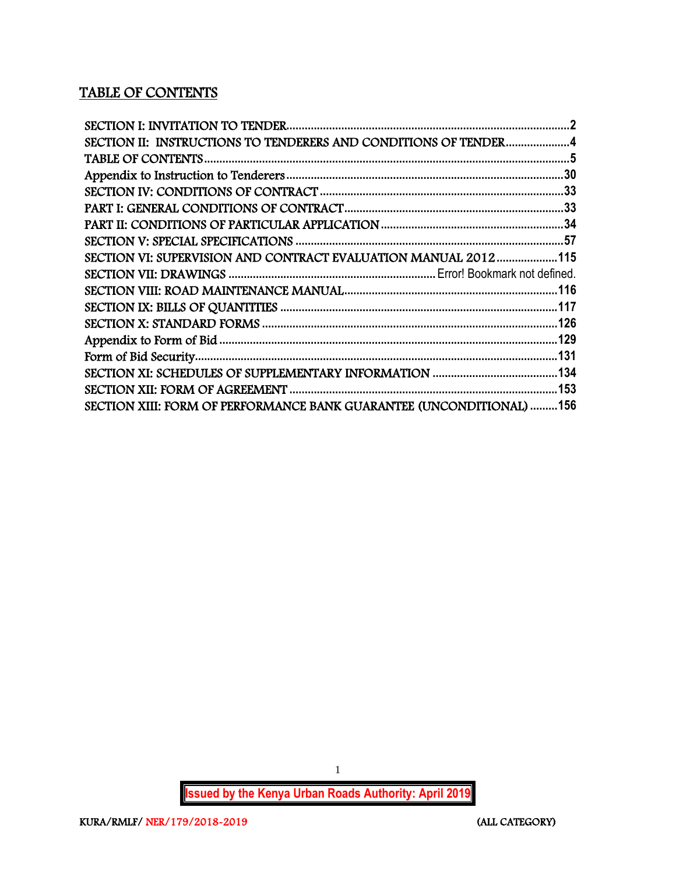## TABLE OF CONTENTS

| SECTION II: INSTRUCTIONS TO TENDERERS AND CONDITIONS OF TENDER4      |  |
|----------------------------------------------------------------------|--|
|                                                                      |  |
|                                                                      |  |
|                                                                      |  |
|                                                                      |  |
|                                                                      |  |
|                                                                      |  |
| SECTION VI: SUPERVISION AND CONTRACT EVALUATION MANUAL 2012115       |  |
|                                                                      |  |
|                                                                      |  |
|                                                                      |  |
|                                                                      |  |
|                                                                      |  |
|                                                                      |  |
|                                                                      |  |
|                                                                      |  |
| SECTION XIII: FORM OF PERFORMANCE BANK GUARANTEE (UNCONDITIONAL) 156 |  |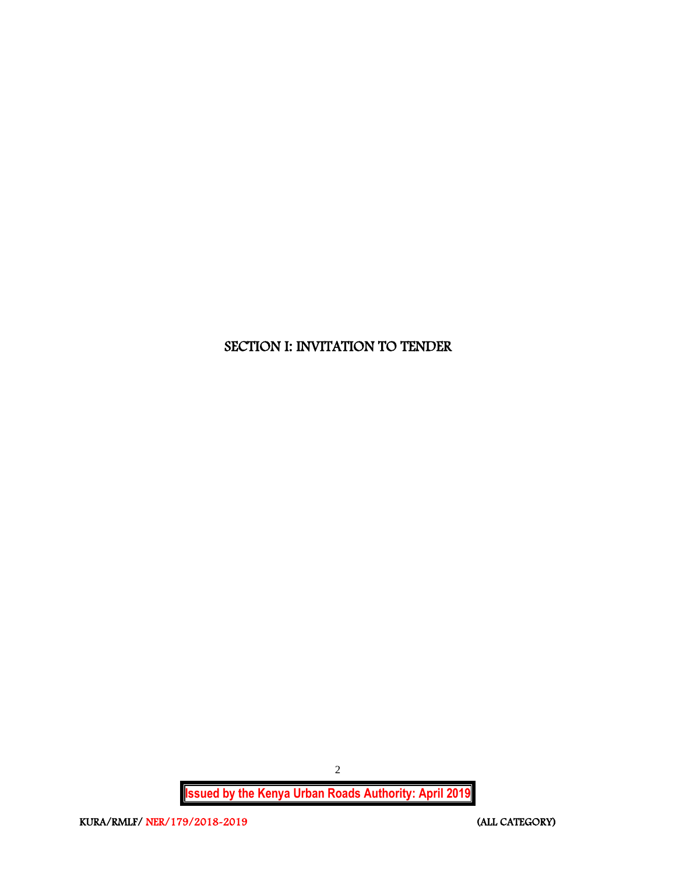## <span id="page-2-0"></span>SECTION I: INVITATION TO TENDER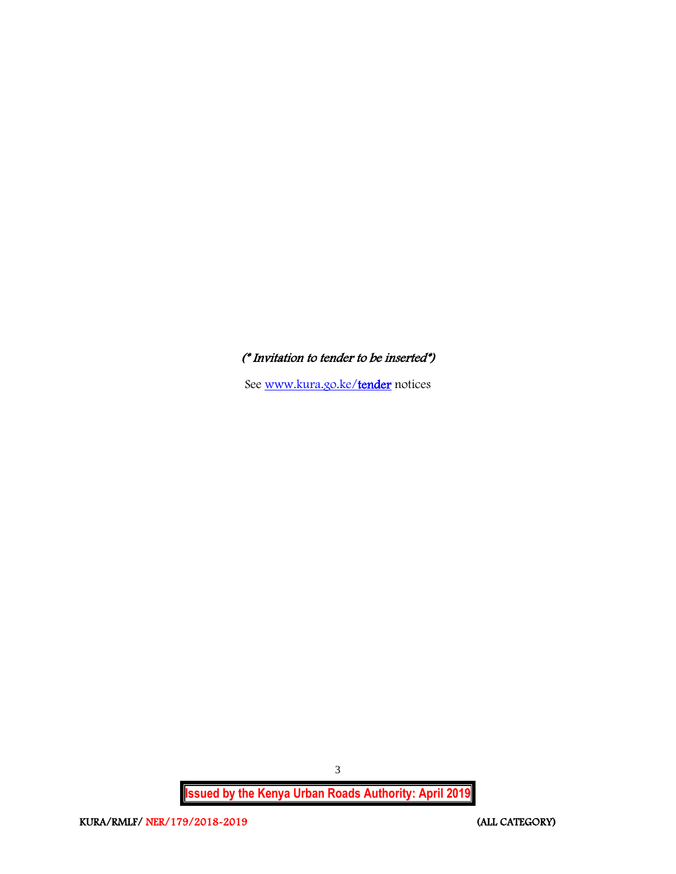## (\* Invitation to tender to be inserted\*)

See [www.kura.go.ke/tender](http://www.kura.go.ke/tender) notices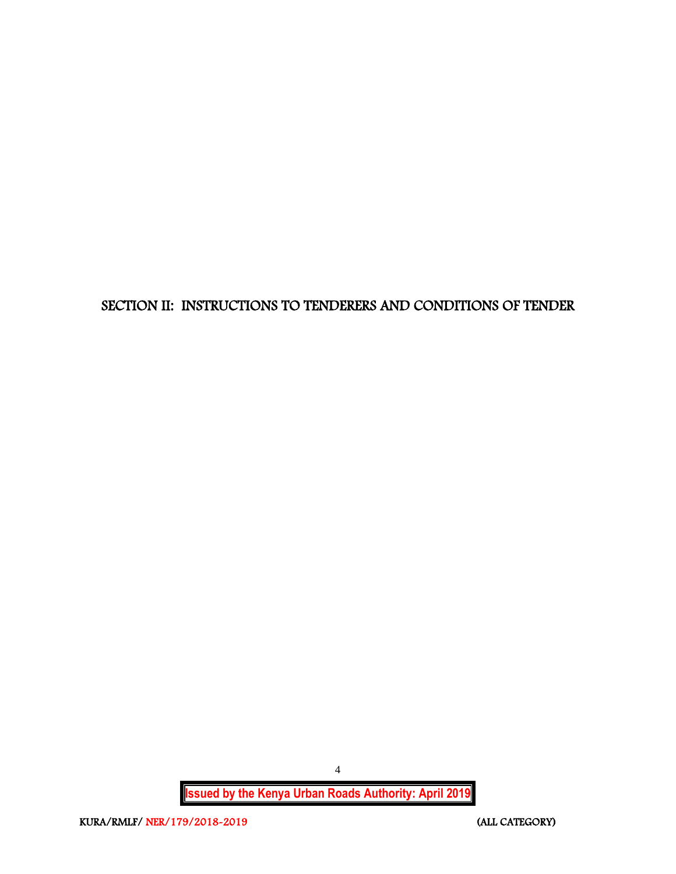<span id="page-4-0"></span>SECTION II: INSTRUCTIONS TO TENDERERS AND CONDITIONS OF TENDER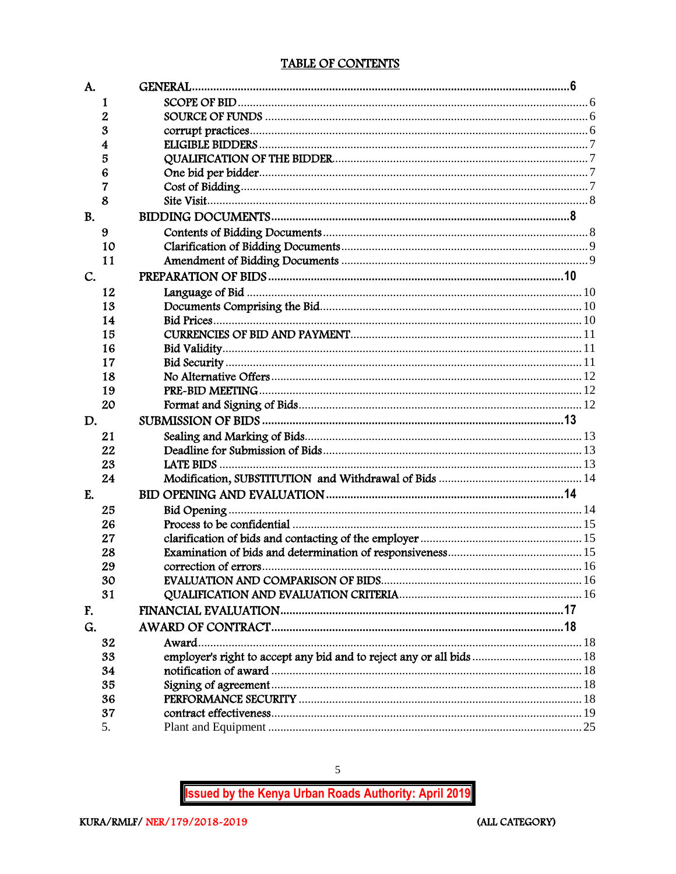## TABLE OF CONTENTS

<span id="page-5-0"></span>

| A.        |    |                                                                      |  |
|-----------|----|----------------------------------------------------------------------|--|
|           | 1  |                                                                      |  |
|           | 2  |                                                                      |  |
|           | 3  |                                                                      |  |
|           | 4  |                                                                      |  |
|           | 5  |                                                                      |  |
|           | 6  |                                                                      |  |
|           | 7  |                                                                      |  |
|           | 8  |                                                                      |  |
| <b>B.</b> |    |                                                                      |  |
|           | 9  |                                                                      |  |
|           | 10 |                                                                      |  |
|           | 11 |                                                                      |  |
| C.        |    |                                                                      |  |
|           | 12 |                                                                      |  |
|           | 13 |                                                                      |  |
|           | 14 |                                                                      |  |
|           | 15 |                                                                      |  |
|           | 16 |                                                                      |  |
|           | 17 |                                                                      |  |
|           | 18 |                                                                      |  |
|           | 19 |                                                                      |  |
|           | 20 |                                                                      |  |
| D.        |    |                                                                      |  |
|           | 21 |                                                                      |  |
|           | 22 |                                                                      |  |
|           | 23 |                                                                      |  |
|           | 24 |                                                                      |  |
| E.        |    |                                                                      |  |
|           | 25 |                                                                      |  |
|           | 26 |                                                                      |  |
|           | 27 |                                                                      |  |
|           | 28 |                                                                      |  |
|           | 29 |                                                                      |  |
|           | 30 |                                                                      |  |
|           | 31 |                                                                      |  |
| F.        |    |                                                                      |  |
| G.        |    |                                                                      |  |
|           | 32 | Award                                                                |  |
|           | 33 | employer's right to accept any bid and to reject any or all bids  18 |  |
|           | 34 |                                                                      |  |
|           | 35 |                                                                      |  |
|           | 36 |                                                                      |  |
|           | 37 |                                                                      |  |
|           | 5. |                                                                      |  |

**Issued by the Kenya Urban Roads Authority: April 2019** 

 $\mathfrak{S}$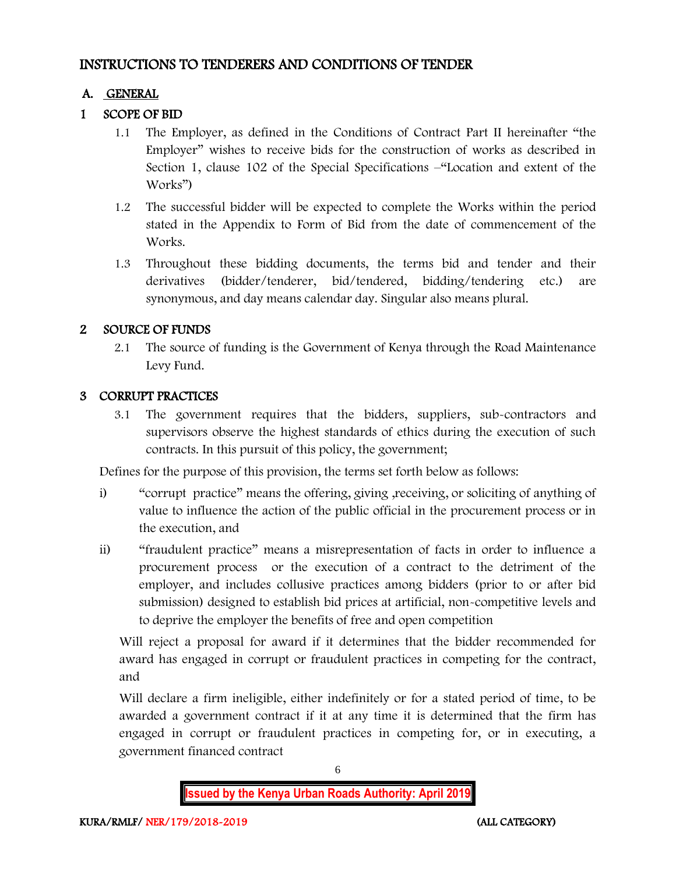## INSTRUCTIONS TO TENDERERS AND CONDITIONS OF TENDER

## A. GENERAL

## 1 SCOPE OF BID

- 1.1 The Employer, as defined in the Conditions of Contract Part II hereinafter "the Employer" wishes to receive bids for the construction of works as described in Section 1, clause 102 of the Special Specifications –"Location and extent of the Works")
- 1.2 The successful bidder will be expected to complete the Works within the period stated in the Appendix to Form of Bid from the date of commencement of the Works.
- 1.3 Throughout these bidding documents, the terms bid and tender and their derivatives (bidder/tenderer, bid/tendered, bidding/tendering etc.) are synonymous, and day means calendar day. Singular also means plural.

## 2 SOURCE OF FUNDS

2.1 The source of funding is the Government of Kenya through the Road Maintenance Levy Fund.

## 3 CORRUPT PRACTICES

3.1 The government requires that the bidders, suppliers, sub-contractors and supervisors observe the highest standards of ethics during the execution of such contracts. In this pursuit of this policy, the government;

Defines for the purpose of this provision, the terms set forth below as follows:

- i) "corrupt practice" means the offering, giving ,receiving, or soliciting of anything of value to influence the action of the public official in the procurement process or in the execution, and
- ii) "fraudulent practice" means a misrepresentation of facts in order to influence a procurement process or the execution of a contract to the detriment of the employer, and includes collusive practices among bidders (prior to or after bid submission) designed to establish bid prices at artificial, non-competitive levels and to deprive the employer the benefits of free and open competition

Will reject a proposal for award if it determines that the bidder recommended for award has engaged in corrupt or fraudulent practices in competing for the contract, and

Will declare a firm ineligible, either indefinitely or for a stated period of time, to be awarded a government contract if it at any time it is determined that the firm has engaged in corrupt or fraudulent practices in competing for, or in executing, a government financed contract

6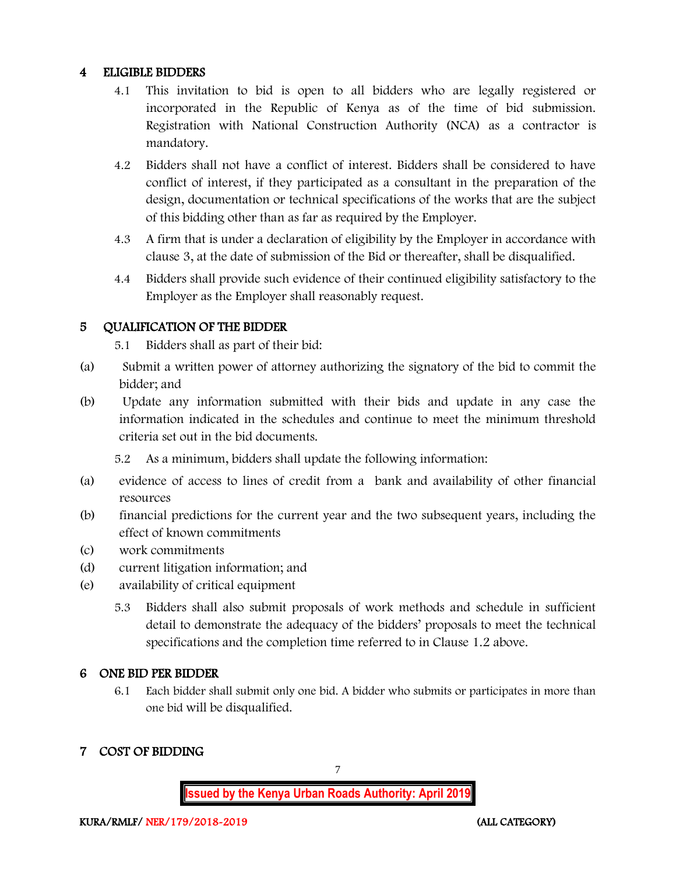#### 4 ELIGIBLE BIDDERS

- 4.1 This invitation to bid is open to all bidders who are legally registered or incorporated in the Republic of Kenya as of the time of bid submission. Registration with National Construction Authority (NCA) as a contractor is mandatory.
- 4.2 Bidders shall not have a conflict of interest. Bidders shall be considered to have conflict of interest, if they participated as a consultant in the preparation of the design, documentation or technical specifications of the works that are the subject of this bidding other than as far as required by the Employer.
- 4.3 A firm that is under a declaration of eligibility by the Employer in accordance with clause 3, at the date of submission of the Bid or thereafter, shall be disqualified.
- 4.4 Bidders shall provide such evidence of their continued eligibility satisfactory to the Employer as the Employer shall reasonably request.

## 5 QUALIFICATION OF THE BIDDER

5.1 Bidders shall as part of their bid:

- (a) Submit a written power of attorney authorizing the signatory of the bid to commit the bidder; and
- (b) Update any information submitted with their bids and update in any case the information indicated in the schedules and continue to meet the minimum threshold criteria set out in the bid documents.

5.2 As a minimum, bidders shall update the following information:

- (a) evidence of access to lines of credit from a bank and availability of other financial resources
- (b) financial predictions for the current year and the two subsequent years, including the effect of known commitments
- (c) work commitments
- (d) current litigation information; and
- (e) availability of critical equipment
	- 5.3 Bidders shall also submit proposals of work methods and schedule in sufficient detail to demonstrate the adequacy of the bidders' proposals to meet the technical specifications and the completion time referred to in Clause 1.2 above.

## 6 ONE BID PER BIDDER

6.1 Each bidder shall submit only one bid. A bidder who submits or participates in more than one bid will be disqualified.

## 7 COST OF BIDDING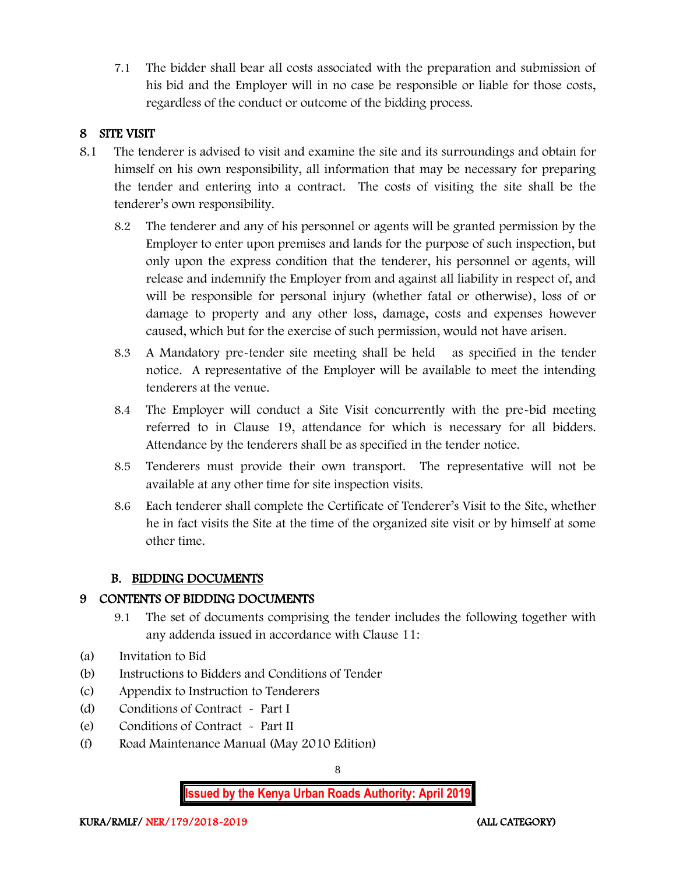7.1 The bidder shall bear all costs associated with the preparation and submission of his bid and the Employer will in no case be responsible or liable for those costs, regardless of the conduct or outcome of the bidding process.

## 8 SITE VISIT

- 8.1 The tenderer is advised to visit and examine the site and its surroundings and obtain for himself on his own responsibility, all information that may be necessary for preparing the tender and entering into a contract. The costs of visiting the site shall be the tenderer's own responsibility.
	- 8.2 The tenderer and any of his personnel or agents will be granted permission by the Employer to enter upon premises and lands for the purpose of such inspection, but only upon the express condition that the tenderer, his personnel or agents, will release and indemnify the Employer from and against all liability in respect of, and will be responsible for personal injury (whether fatal or otherwise), loss of or damage to property and any other loss, damage, costs and expenses however caused, which but for the exercise of such permission, would not have arisen.
	- 8.3 A Mandatory pre-tender site meeting shall be held as specified in the tender notice. A representative of the Employer will be available to meet the intending tenderers at the venue.
	- 8.4 The Employer will conduct a Site Visit concurrently with the pre-bid meeting referred to in Clause 19, attendance for which is necessary for all bidders. Attendance by the tenderers shall be as specified in the tender notice.
	- 8.5 Tenderers must provide their own transport. The representative will not be available at any other time for site inspection visits.
	- 8.6 Each tenderer shall complete the Certificate of Tenderer's Visit to the Site, whether he in fact visits the Site at the time of the organized site visit or by himself at some other time.

## B. BIDDING DOCUMENTS

## 9 CONTENTS OF BIDDING DOCUMENTS

- 9.1 The set of documents comprising the tender includes the following together with any addenda issued in accordance with Clause 11:
- (a) Invitation to Bid
- (b) Instructions to Bidders and Conditions of Tender
- (c) Appendix to Instruction to Tenderers
- (d) Conditions of Contract Part I
- (e) Conditions of Contract Part II
- (f) Road Maintenance Manual (May 2010 Edition)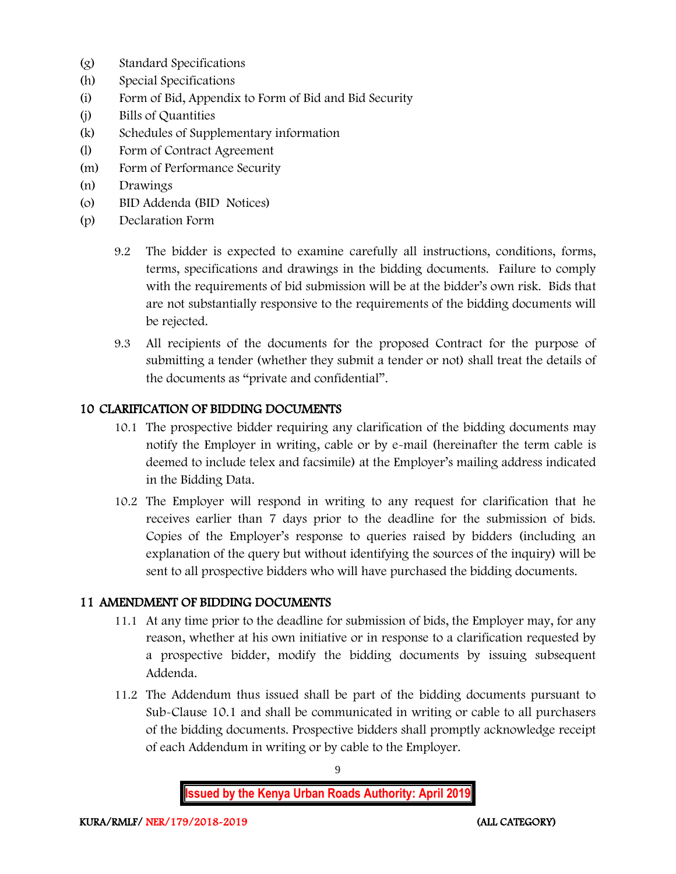- (g) Standard Specifications
- (h) Special Specifications
- (i) Form of Bid, Appendix to Form of Bid and Bid Security
- (j) Bills of Quantities
- (k) Schedules of Supplementary information
- (l) Form of Contract Agreement
- (m) Form of Performance Security
- (n) Drawings
- (o) BID Addenda (BID Notices)
- (p) Declaration Form
	- 9.2 The bidder is expected to examine carefully all instructions, conditions, forms, terms, specifications and drawings in the bidding documents. Failure to comply with the requirements of bid submission will be at the bidder's own risk. Bids that are not substantially responsive to the requirements of the bidding documents will be rejected.
	- 9.3 All recipients of the documents for the proposed Contract for the purpose of submitting a tender (whether they submit a tender or not) shall treat the details of the documents as "private and confidential".

#### 10 CLARIFICATION OF BIDDING DOCUMENTS

- 10.1 The prospective bidder requiring any clarification of the bidding documents may notify the Employer in writing, cable or by e-mail (hereinafter the term cable is deemed to include telex and facsimile) at the Employer's mailing address indicated in the Bidding Data.
- 10.2 The Employer will respond in writing to any request for clarification that he receives earlier than 7 days prior to the deadline for the submission of bids. Copies of the Employer's response to queries raised by bidders (including an explanation of the query but without identifying the sources of the inquiry) will be sent to all prospective bidders who will have purchased the bidding documents.

#### 11 AMENDMENT OF BIDDING DOCUMENTS

- 11.1 At any time prior to the deadline for submission of bids, the Employer may, for any reason, whether at his own initiative or in response to a clarification requested by a prospective bidder, modify the bidding documents by issuing subsequent Addenda.
- 11.2 The Addendum thus issued shall be part of the bidding documents pursuant to Sub-Clause 10.1 and shall be communicated in writing or cable to all purchasers of the bidding documents. Prospective bidders shall promptly acknowledge receipt of each Addendum in writing or by cable to the Employer.

9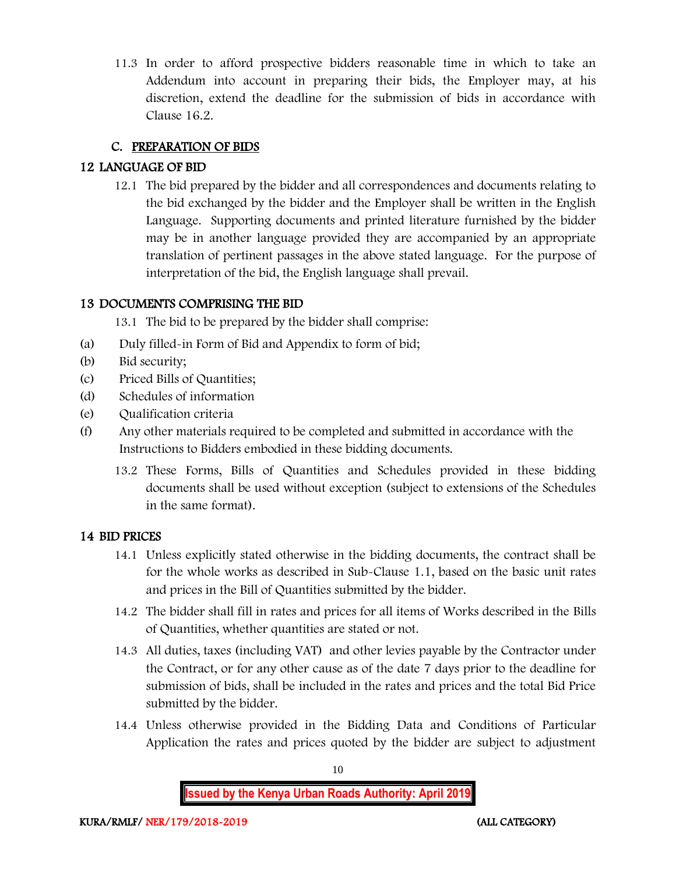11.3 In order to afford prospective bidders reasonable time in which to take an Addendum into account in preparing their bids, the Employer may, at his discretion, extend the deadline for the submission of bids in accordance with Clause 16.2.

## C. PREPARATION OF BIDS

## 12 LANGUAGE OF BID

12.1 The bid prepared by the bidder and all correspondences and documents relating to the bid exchanged by the bidder and the Employer shall be written in the English Language. Supporting documents and printed literature furnished by the bidder may be in another language provided they are accompanied by an appropriate translation of pertinent passages in the above stated language. For the purpose of interpretation of the bid, the English language shall prevail.

## 13 DOCUMENTS COMPRISING THE BID

13.1 The bid to be prepared by the bidder shall comprise:

- (a) Duly filled-in Form of Bid and Appendix to form of bid;
- (b) Bid security;
- (c) Priced Bills of Quantities;
- (d) Schedules of information
- (e) Qualification criteria
- (f) Any other materials required to be completed and submitted in accordance with the Instructions to Bidders embodied in these bidding documents.
	- 13.2 These Forms, Bills of Quantities and Schedules provided in these bidding documents shall be used without exception (subject to extensions of the Schedules in the same format).

#### 14 BID PRICES

- 14.1 Unless explicitly stated otherwise in the bidding documents, the contract shall be for the whole works as described in Sub-Clause 1.1, based on the basic unit rates and prices in the Bill of Quantities submitted by the bidder.
- 14.2 The bidder shall fill in rates and prices for all items of Works described in the Bills of Quantities, whether quantities are stated or not.
- 14.3 All duties, taxes (including VAT) and other levies payable by the Contractor under the Contract, or for any other cause as of the date 7 days prior to the deadline for submission of bids, shall be included in the rates and prices and the total Bid Price submitted by the bidder.
- 14.4 Unless otherwise provided in the Bidding Data and Conditions of Particular Application the rates and prices quoted by the bidder are subject to adjustment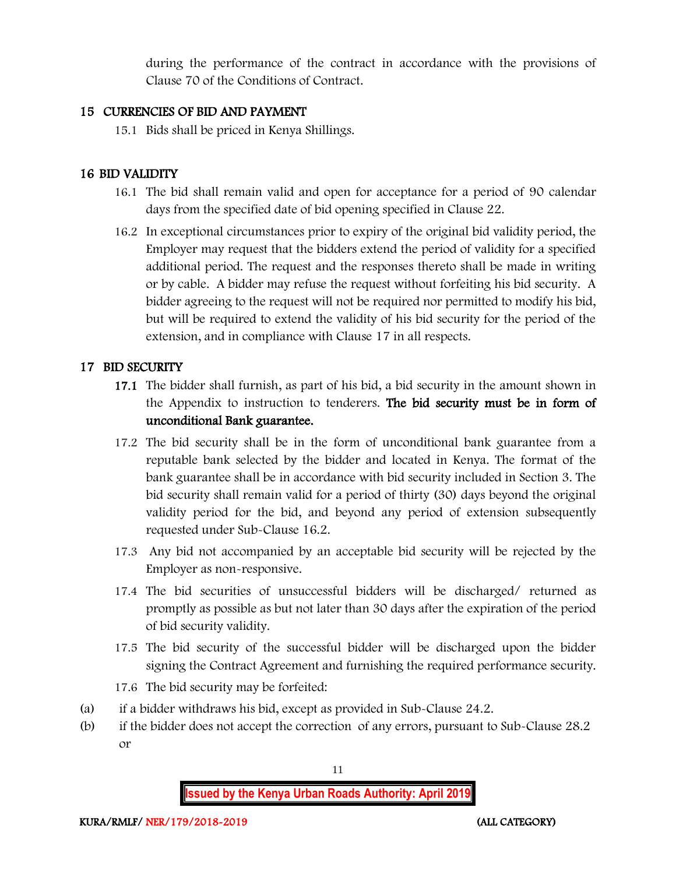during the performance of the contract in accordance with the provisions of Clause 70 of the Conditions of Contract.

#### 15 CURRENCIES OF BID AND PAYMENT

15.1 Bids shall be priced in Kenya Shillings.

## 16 BID VALIDITY

- 16.1 The bid shall remain valid and open for acceptance for a period of 90 calendar days from the specified date of bid opening specified in Clause 22.
- 16.2 In exceptional circumstances prior to expiry of the original bid validity period, the Employer may request that the bidders extend the period of validity for a specified additional period. The request and the responses thereto shall be made in writing or by cable. A bidder may refuse the request without forfeiting his bid security. A bidder agreeing to the request will not be required nor permitted to modify his bid, but will be required to extend the validity of his bid security for the period of the extension, and in compliance with Clause 17 in all respects.

## 17 BID SECURITY

- 17.1 The bidder shall furnish, as part of his bid, a bid security in the amount shown in the Appendix to instruction to tenderers. The bid security must be in form of unconditional Bank guarantee.
- 17.2 The bid security shall be in the form of unconditional bank guarantee from a reputable bank selected by the bidder and located in Kenya. The format of the bank guarantee shall be in accordance with bid security included in Section 3. The bid security shall remain valid for a period of thirty (30) days beyond the original validity period for the bid, and beyond any period of extension subsequently requested under Sub-Clause 16.2.
- 17.3 Any bid not accompanied by an acceptable bid security will be rejected by the Employer as non-responsive.
- 17.4 The bid securities of unsuccessful bidders will be discharged/ returned as promptly as possible as but not later than 30 days after the expiration of the period of bid security validity.
- 17.5 The bid security of the successful bidder will be discharged upon the bidder signing the Contract Agreement and furnishing the required performance security.
- 17.6 The bid security may be forfeited:
- (a) if a bidder withdraws his bid, except as provided in Sub-Clause 24.2.
- (b) if the bidder does not accept the correction of any errors, pursuant to Sub-Clause 28.2 or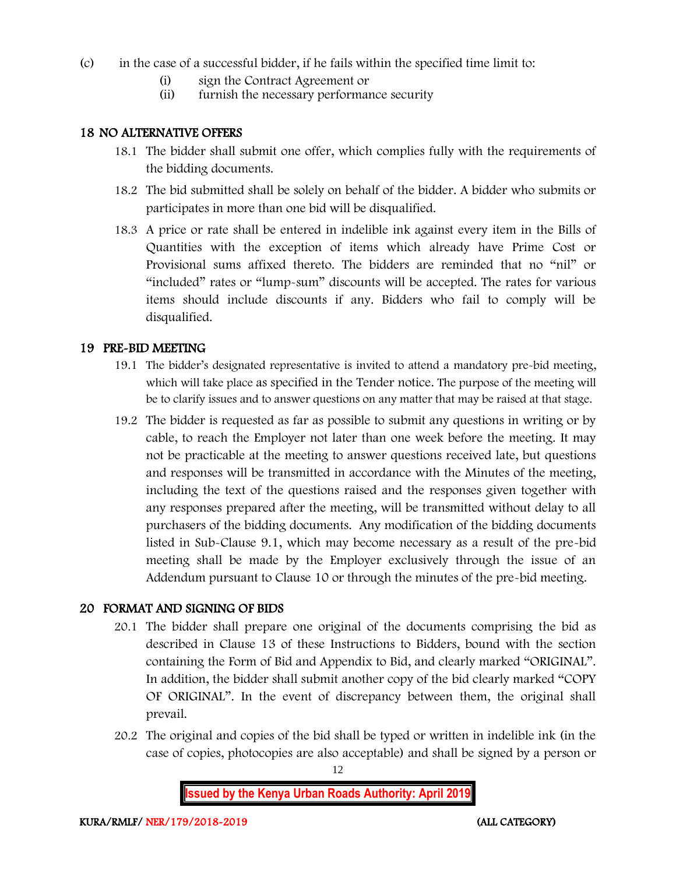- (c) in the case of a successful bidder, if he fails within the specified time limit to:
	- (i) sign the Contract Agreement or
	- (ii) furnish the necessary performance security

#### 18 NO ALTERNATIVE OFFERS

- 18.1 The bidder shall submit one offer, which complies fully with the requirements of the bidding documents.
- 18.2 The bid submitted shall be solely on behalf of the bidder. A bidder who submits or participates in more than one bid will be disqualified.
- 18.3 A price or rate shall be entered in indelible ink against every item in the Bills of Quantities with the exception of items which already have Prime Cost or Provisional sums affixed thereto. The bidders are reminded that no "nil" or "included" rates or "lump-sum" discounts will be accepted. The rates for various items should include discounts if any. Bidders who fail to comply will be disqualified.

#### 19 PRE-BID MEETING

- 19.1 The bidder's designated representative is invited to attend a mandatory pre-bid meeting, which will take place as specified in the Tender notice. The purpose of the meeting will be to clarify issues and to answer questions on any matter that may be raised at that stage.
- 19.2 The bidder is requested as far as possible to submit any questions in writing or by cable, to reach the Employer not later than one week before the meeting. It may not be practicable at the meeting to answer questions received late, but questions and responses will be transmitted in accordance with the Minutes of the meeting, including the text of the questions raised and the responses given together with any responses prepared after the meeting, will be transmitted without delay to all purchasers of the bidding documents. Any modification of the bidding documents listed in Sub-Clause 9.1, which may become necessary as a result of the pre-bid meeting shall be made by the Employer exclusively through the issue of an Addendum pursuant to Clause 10 or through the minutes of the pre-bid meeting.

#### 20 FORMAT AND SIGNING OF BIDS

- 20.1 The bidder shall prepare one original of the documents comprising the bid as described in Clause 13 of these Instructions to Bidders, bound with the section containing the Form of Bid and Appendix to Bid, and clearly marked "ORIGINAL". In addition, the bidder shall submit another copy of the bid clearly marked "COPY OF ORIGINAL". In the event of discrepancy between them, the original shall prevail.
- 20.2 The original and copies of the bid shall be typed or written in indelible ink (in the case of copies, photocopies are also acceptable) and shall be signed by a person or

12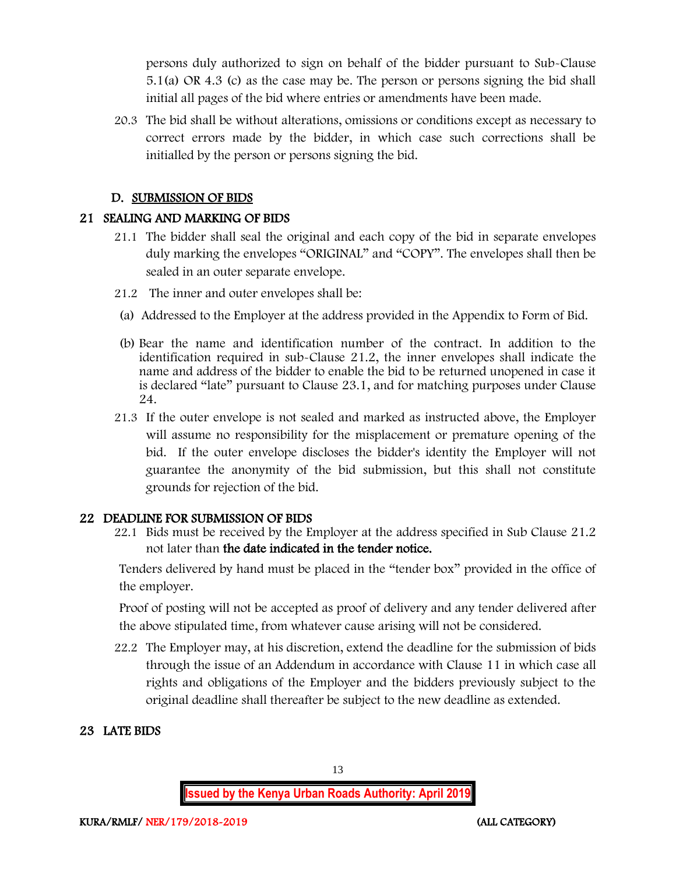persons duly authorized to sign on behalf of the bidder pursuant to Sub-Clause 5.1(a) OR 4.3 (c) as the case may be. The person or persons signing the bid shall initial all pages of the bid where entries or amendments have been made.

20.3 The bid shall be without alterations, omissions or conditions except as necessary to correct errors made by the bidder, in which case such corrections shall be initialled by the person or persons signing the bid.

#### D. SUBMISSION OF BIDS

## 21 SEALING AND MARKING OF BIDS

- 21.1 The bidder shall seal the original and each copy of the bid in separate envelopes duly marking the envelopes "ORIGINAL" and "COPY". The envelopes shall then be sealed in an outer separate envelope.
- 21.2 The inner and outer envelopes shall be:
- (a) Addressed to the Employer at the address provided in the Appendix to Form of Bid.
- (b) Bear the name and identification number of the contract. In addition to the identification required in sub-Clause 21.2, the inner envelopes shall indicate the name and address of the bidder to enable the bid to be returned unopened in case it is declared "late" pursuant to Clause 23.1, and for matching purposes under Clause 24.
- 21.3 If the outer envelope is not sealed and marked as instructed above, the Employer will assume no responsibility for the misplacement or premature opening of the bid. If the outer envelope discloses the bidder's identity the Employer will not guarantee the anonymity of the bid submission, but this shall not constitute grounds for rejection of the bid.

#### 22 DEADLINE FOR SUBMISSION OF BIDS

22.1 Bids must be received by the Employer at the address specified in Sub Clause 21.2 not later than the date indicated in the tender notice.

Tenders delivered by hand must be placed in the "tender box" provided in the office of the employer.

Proof of posting will not be accepted as proof of delivery and any tender delivered after the above stipulated time, from whatever cause arising will not be considered.

22.2 The Employer may, at his discretion, extend the deadline for the submission of bids through the issue of an Addendum in accordance with Clause 11 in which case all rights and obligations of the Employer and the bidders previously subject to the original deadline shall thereafter be subject to the new deadline as extended.

## 23 LATE BIDS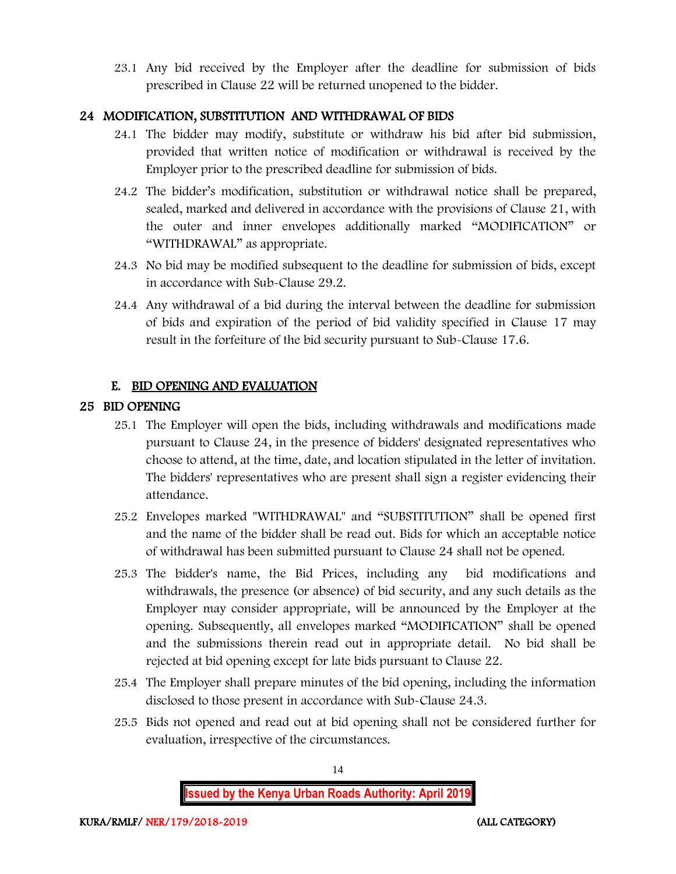23.1 Any bid received by the Employer after the deadline for submission of bids prescribed in Clause 22 will be returned unopened to the bidder.

## 24 MODIFICATION, SUBSTITUTION AND WITHDRAWAL OF BIDS

- 24.1 The bidder may modify, substitute or withdraw his bid after bid submission, provided that written notice of modification or withdrawal is received by the Employer prior to the prescribed deadline for submission of bids.
- 24.2 The bidder's modification, substitution or withdrawal notice shall be prepared, sealed, marked and delivered in accordance with the provisions of Clause 21, with the outer and inner envelopes additionally marked "MODIFICATION" or "WITHDRAWAL" as appropriate.
- 24.3 No bid may be modified subsequent to the deadline for submission of bids, except in accordance with Sub-Clause 29.2.
- 24.4 Any withdrawal of a bid during the interval between the deadline for submission of bids and expiration of the period of bid validity specified in Clause 17 may result in the forfeiture of the bid security pursuant to Sub-Clause 17.6.

## E. BID OPENING AND EVALUATION

## 25 BID OPENING

- 25.1 The Employer will open the bids, including withdrawals and modifications made pursuant to Clause 24, in the presence of bidders' designated representatives who choose to attend, at the time, date, and location stipulated in the letter of invitation. The bidders' representatives who are present shall sign a register evidencing their attendance.
- 25.2 Envelopes marked "WITHDRAWAL" and "SUBSTITUTION" shall be opened first and the name of the bidder shall be read out. Bids for which an acceptable notice of withdrawal has been submitted pursuant to Clause 24 shall not be opened.
- 25.3 The bidder's name, the Bid Prices, including any bid modifications and withdrawals, the presence (or absence) of bid security, and any such details as the Employer may consider appropriate, will be announced by the Employer at the opening. Subsequently, all envelopes marked "MODIFICATION" shall be opened and the submissions therein read out in appropriate detail. No bid shall be rejected at bid opening except for late bids pursuant to Clause 22.
- 25.4 The Employer shall prepare minutes of the bid opening, including the information disclosed to those present in accordance with Sub-Clause 24.3.
- 25.5 Bids not opened and read out at bid opening shall not be considered further for evaluation, irrespective of the circumstances.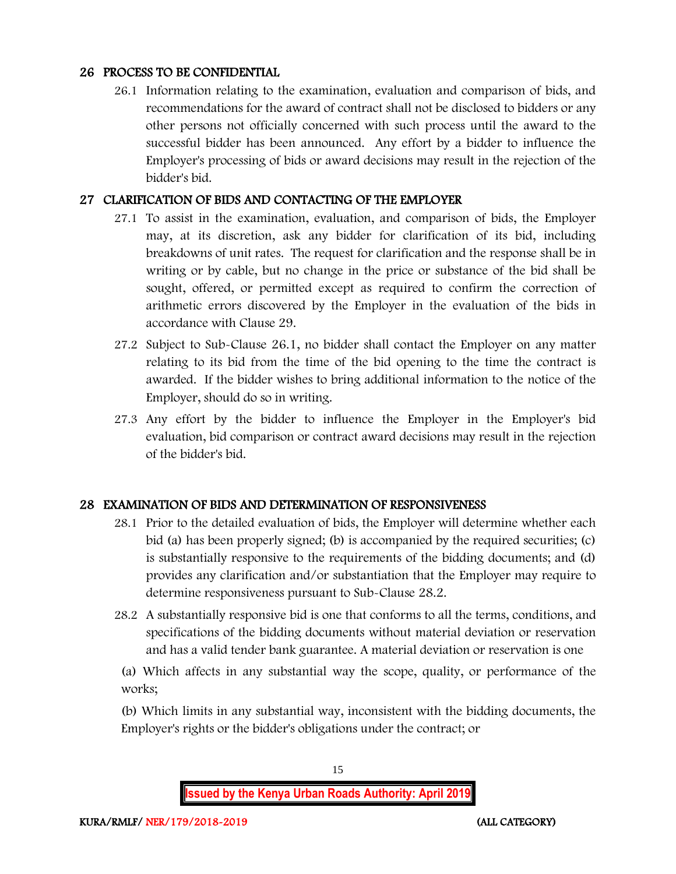#### 26 PROCESS TO BE CONFIDENTIAL

26.1 Information relating to the examination, evaluation and comparison of bids, and recommendations for the award of contract shall not be disclosed to bidders or any other persons not officially concerned with such process until the award to the successful bidder has been announced. Any effort by a bidder to influence the Employer's processing of bids or award decisions may result in the rejection of the bidder's bid.

#### 27 CLARIFICATION OF BIDS AND CONTACTING OF THE EMPLOYER

- 27.1 To assist in the examination, evaluation, and comparison of bids, the Employer may, at its discretion, ask any bidder for clarification of its bid, including breakdowns of unit rates. The request for clarification and the response shall be in writing or by cable, but no change in the price or substance of the bid shall be sought, offered, or permitted except as required to confirm the correction of arithmetic errors discovered by the Employer in the evaluation of the bids in accordance with Clause 29.
- 27.2 Subject to Sub-Clause 26.1, no bidder shall contact the Employer on any matter relating to its bid from the time of the bid opening to the time the contract is awarded. If the bidder wishes to bring additional information to the notice of the Employer, should do so in writing.
- 27.3 Any effort by the bidder to influence the Employer in the Employer's bid evaluation, bid comparison or contract award decisions may result in the rejection of the bidder's bid.

#### 28 EXAMINATION OF BIDS AND DETERMINATION OF RESPONSIVENESS

- 28.1 Prior to the detailed evaluation of bids, the Employer will determine whether each bid (a) has been properly signed; (b) is accompanied by the required securities; (c) is substantially responsive to the requirements of the bidding documents; and (d) provides any clarification and/or substantiation that the Employer may require to determine responsiveness pursuant to Sub-Clause 28.2.
- 28.2 A substantially responsive bid is one that conforms to all the terms, conditions, and specifications of the bidding documents without material deviation or reservation and has a valid tender bank guarantee. A material deviation or reservation is one

(a) Which affects in any substantial way the scope, quality, or performance of the works;

(b) Which limits in any substantial way, inconsistent with the bidding documents, the Employer's rights or the bidder's obligations under the contract; or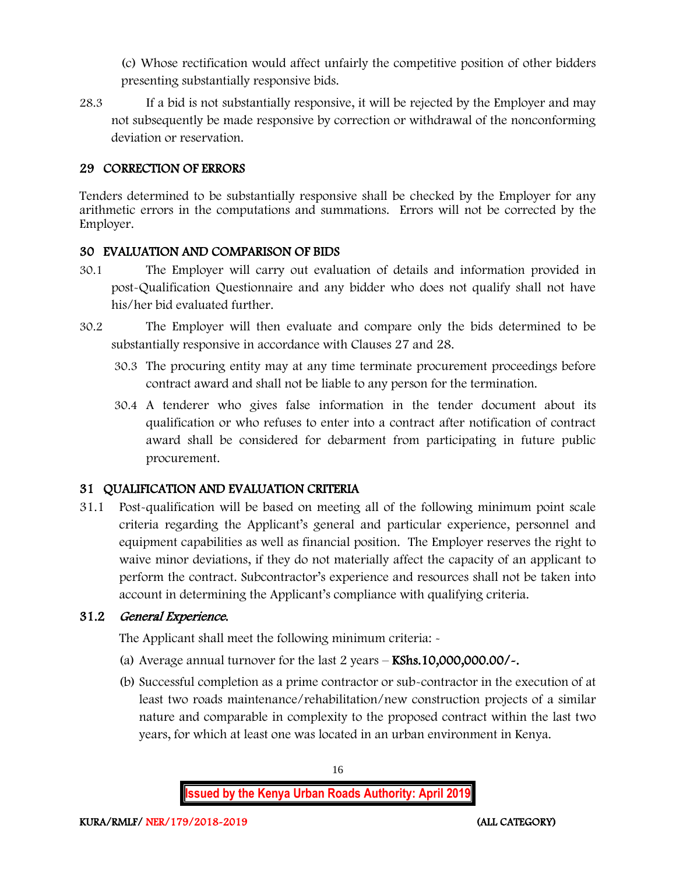(c) Whose rectification would affect unfairly the competitive position of other bidders presenting substantially responsive bids.

28.3 If a bid is not substantially responsive, it will be rejected by the Employer and may not subsequently be made responsive by correction or withdrawal of the nonconforming deviation or reservation.

#### 29 CORRECTION OF ERRORS

Tenders determined to be substantially responsive shall be checked by the Employer for any arithmetic errors in the computations and summations. Errors will not be corrected by the Employer.

## 30 EVALUATION AND COMPARISON OF BIDS

- 30.1 The Employer will carry out evaluation of details and information provided in post-Qualification Questionnaire and any bidder who does not qualify shall not have his/her bid evaluated further.
- 30.2 The Employer will then evaluate and compare only the bids determined to be substantially responsive in accordance with Clauses 27 and 28.
	- 30.3 The procuring entity may at any time terminate procurement proceedings before contract award and shall not be liable to any person for the termination.
	- 30.4 A tenderer who gives false information in the tender document about its qualification or who refuses to enter into a contract after notification of contract award shall be considered for debarment from participating in future public procurement.

## 31 QUALIFICATION AND EVALUATION CRITERIA

31.1 Post-qualification will be based on meeting all of the following minimum point scale criteria regarding the Applicant's general and particular experience, personnel and equipment capabilities as well as financial position. The Employer reserves the right to waive minor deviations, if they do not materially affect the capacity of an applicant to perform the contract. Subcontractor's experience and resources shall not be taken into account in determining the Applicant's compliance with qualifying criteria.

## 31.2 General Experience.

The Applicant shall meet the following minimum criteria: -

- (a) Average annual turnover for the last  $2$  years  $-$  KShs.10,000,000.00/ $\sim$ .
- (b) Successful completion as a prime contractor or sub-contractor in the execution of at least two roads maintenance/rehabilitation/new construction projects of a similar nature and comparable in complexity to the proposed contract within the last two years, for which at least one was located in an urban environment in Kenya.

**Issued by the Kenya Urban Roads Authority: April 2019**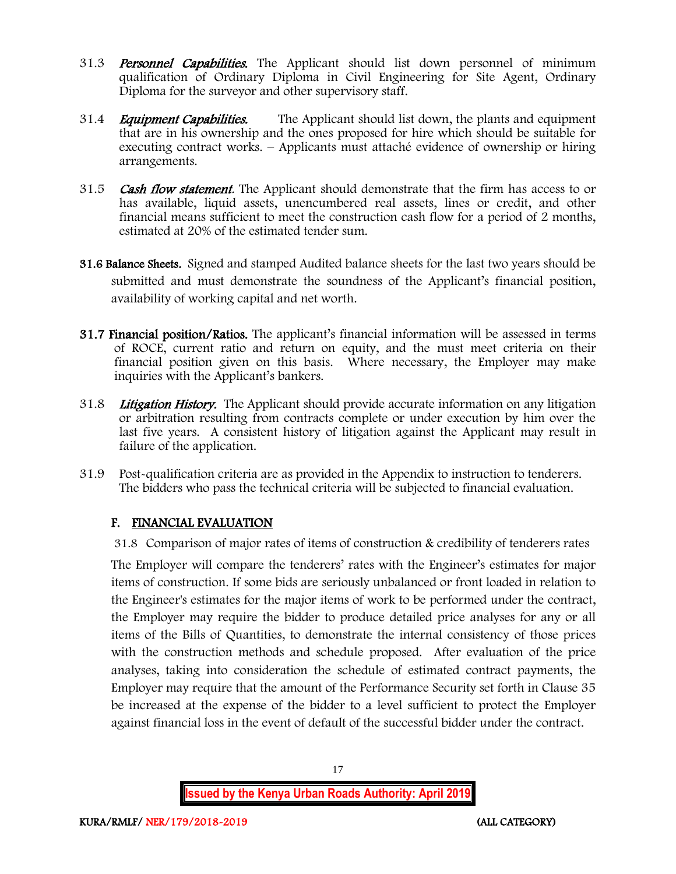- 31.3 **Personnel Capabilities.** The Applicant should list down personnel of minimum qualification of Ordinary Diploma in Civil Engineering for Site Agent, Ordinary Diploma for the surveyor and other supervisory staff.
- 31.4 *Equipment Capabilities.* The Applicant should list down, the plants and equipment that are in his ownership and the ones proposed for hire which should be suitable for executing contract works. – Applicants must attaché evidence of ownership or hiring arrangements.
- 31.5 **Cash flow statement**. The Applicant should demonstrate that the firm has access to or has available, liquid assets, unencumbered real assets, lines or credit, and other financial means sufficient to meet the construction cash flow for a period of 2 months, estimated at 20% of the estimated tender sum.
- 31.6 Balance Sheets. Signed and stamped Audited balance sheets for the last two years should be submitted and must demonstrate the soundness of the Applicant's financial position, availability of working capital and net worth.
- 31.7 Financial position/Ratios. The applicant's financial information will be assessed in terms of ROCE, current ratio and return on equity, and the must meet criteria on their financial position given on this basis. Where necessary, the Employer may make inquiries with the Applicant's bankers.
- 31.8 Litigation History. The Applicant should provide accurate information on any litigation or arbitration resulting from contracts complete or under execution by him over the last five years. A consistent history of litigation against the Applicant may result in failure of the application.
- 31.9 Post-qualification criteria are as provided in the Appendix to instruction to tenderers. The bidders who pass the technical criteria will be subjected to financial evaluation.

## F. FINANCIAL EVALUATION

31.8 Comparison of major rates of items of construction & credibility of tenderers rates

The Employer will compare the tenderers' rates with the Engineer's estimates for major items of construction. If some bids are seriously unbalanced or front loaded in relation to the Engineer's estimates for the major items of work to be performed under the contract, the Employer may require the bidder to produce detailed price analyses for any or all items of the Bills of Quantities, to demonstrate the internal consistency of those prices with the construction methods and schedule proposed. After evaluation of the price analyses, taking into consideration the schedule of estimated contract payments, the Employer may require that the amount of the Performance Security set forth in Clause 35 be increased at the expense of the bidder to a level sufficient to protect the Employer against financial loss in the event of default of the successful bidder under the contract.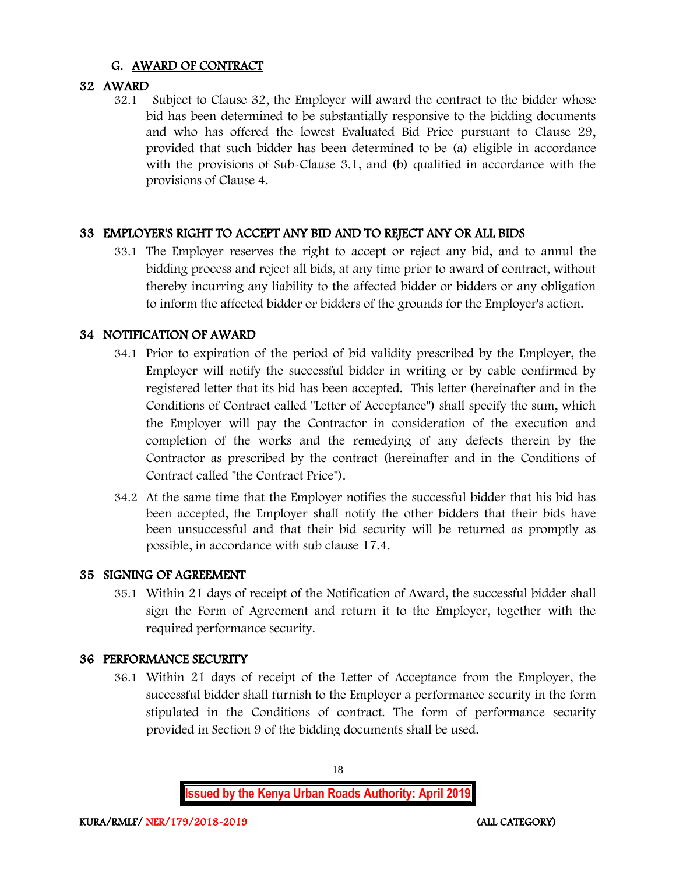## G. AWARD OF CONTRACT

## 32 AWARD

32.1 Subject to Clause 32, the Employer will award the contract to the bidder whose bid has been determined to be substantially responsive to the bidding documents and who has offered the lowest Evaluated Bid Price pursuant to Clause 29, provided that such bidder has been determined to be (a) eligible in accordance with the provisions of Sub-Clause 3.1, and (b) qualified in accordance with the provisions of Clause 4.

## 33 EMPLOYER'S RIGHT TO ACCEPT ANY BID AND TO REJECT ANY OR ALL BIDS

33.1 The Employer reserves the right to accept or reject any bid, and to annul the bidding process and reject all bids, at any time prior to award of contract, without thereby incurring any liability to the affected bidder or bidders or any obligation to inform the affected bidder or bidders of the grounds for the Employer's action.

#### 34 NOTIFICATION OF AWARD

- 34.1 Prior to expiration of the period of bid validity prescribed by the Employer, the Employer will notify the successful bidder in writing or by cable confirmed by registered letter that its bid has been accepted. This letter (hereinafter and in the Conditions of Contract called "Letter of Acceptance") shall specify the sum, which the Employer will pay the Contractor in consideration of the execution and completion of the works and the remedying of any defects therein by the Contractor as prescribed by the contract (hereinafter and in the Conditions of Contract called "the Contract Price").
- 34.2 At the same time that the Employer notifies the successful bidder that his bid has been accepted, the Employer shall notify the other bidders that their bids have been unsuccessful and that their bid security will be returned as promptly as possible, in accordance with sub clause 17.4.

#### 35 SIGNING OF AGREEMENT

35.1 Within 21 days of receipt of the Notification of Award, the successful bidder shall sign the Form of Agreement and return it to the Employer, together with the required performance security.

#### 36 PERFORMANCE SECURITY

36.1 Within 21 days of receipt of the Letter of Acceptance from the Employer, the successful bidder shall furnish to the Employer a performance security in the form stipulated in the Conditions of contract. The form of performance security provided in Section 9 of the bidding documents shall be used.

**Issued by the Kenya Urban Roads Authority: April 2019**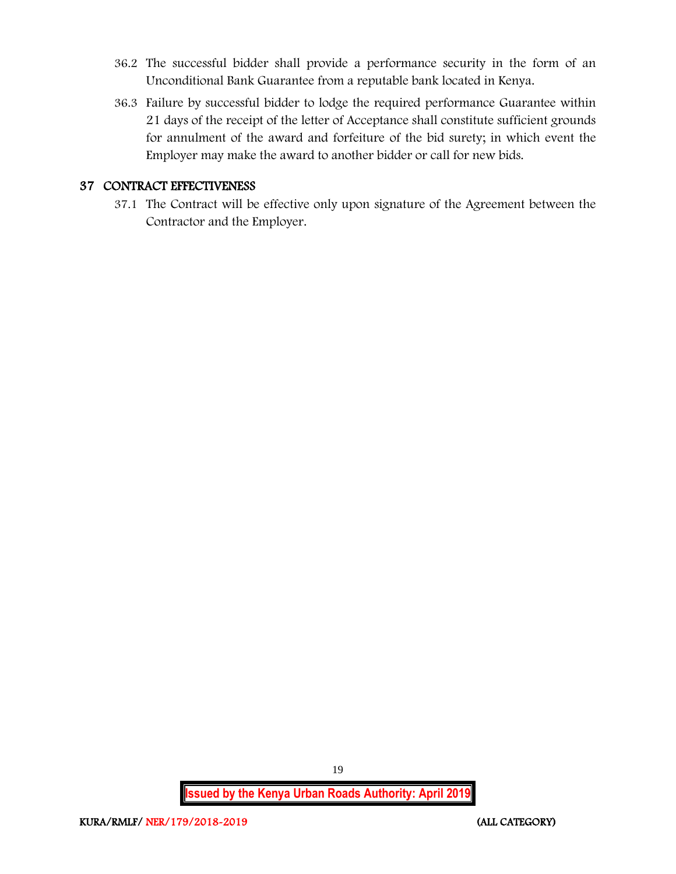- 36.2 The successful bidder shall provide a performance security in the form of an Unconditional Bank Guarantee from a reputable bank located in Kenya.
- 36.3 Failure by successful bidder to lodge the required performance Guarantee within 21 days of the receipt of the letter of Acceptance shall constitute sufficient grounds for annulment of the award and forfeiture of the bid surety; in which event the Employer may make the award to another bidder or call for new bids.

#### 37 CONTRACT EFFECTIVENESS

37.1 The Contract will be effective only upon signature of the Agreement between the Contractor and the Employer.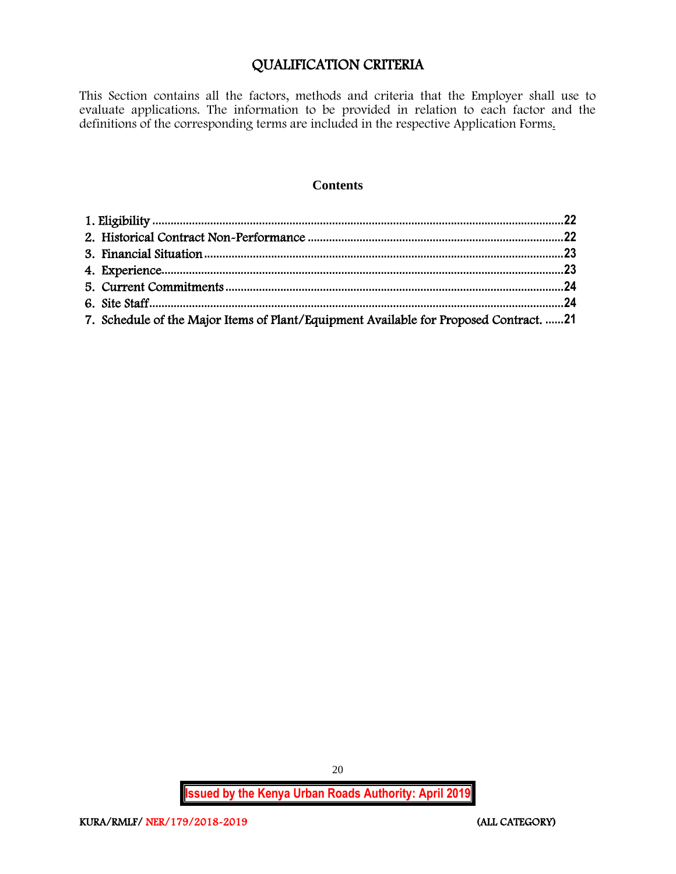## QUALIFICATION CRITERIA

This Section contains all the factors, methods and criteria that the Employer shall use to evaluate applications. The information to be provided in relation to each factor and the definitions of the corresponding terms are included in the respective Application Forms.

#### **Contents**

| 7. Schedule of the Major Items of Plant/Equipment Available for Proposed Contract. 21 |  |
|---------------------------------------------------------------------------------------|--|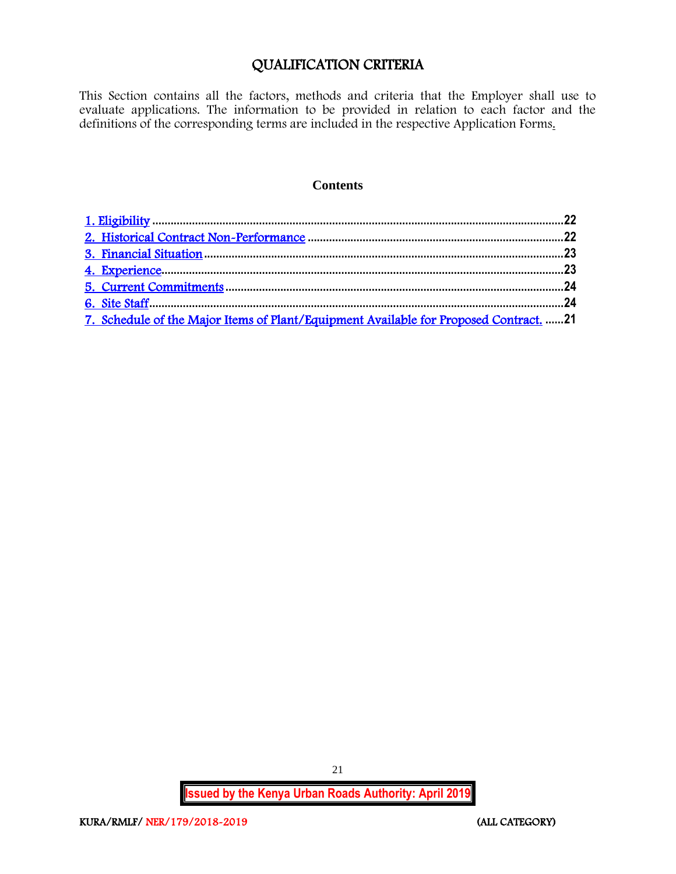## QUALIFICATION CRITERIA

<span id="page-21-0"></span>This Section contains all the factors, methods and criteria that the Employer shall use to evaluate applications. The information to be provided in relation to each factor and the definitions of the corresponding terms are included in the respective Application Forms.

#### **Contents**

| 7. Schedule of the Major Items of Plant/Equipment Available for Proposed Contract. 21 |  |
|---------------------------------------------------------------------------------------|--|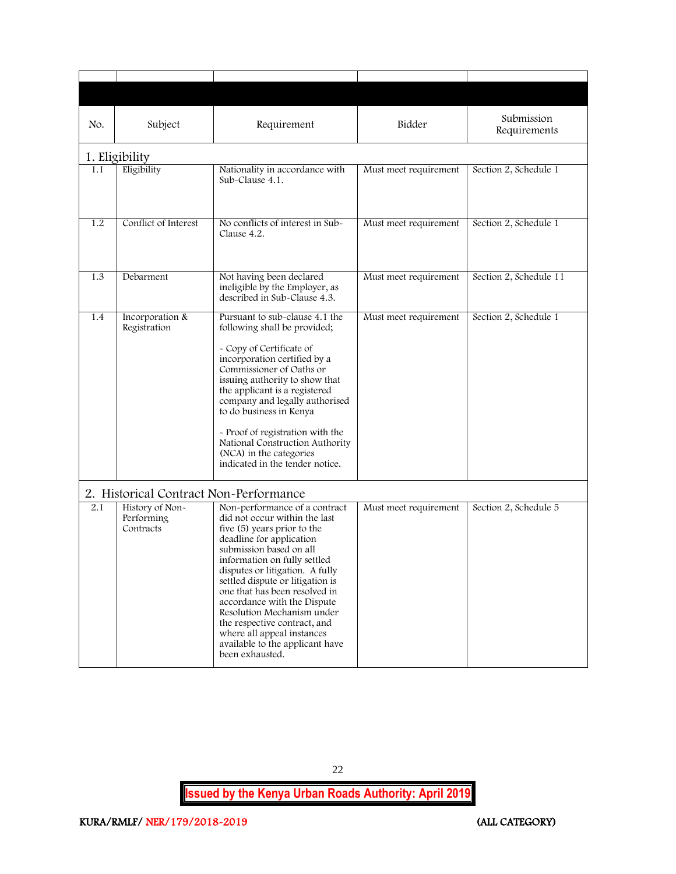<span id="page-22-1"></span><span id="page-22-0"></span>

| No.<br>Subject<br>Requirement          |                                                                  |                                                                                                                                                                                                                                                                                                                                                                                                                                                                               | Bidder                | Submission<br>Requirements |  |
|----------------------------------------|------------------------------------------------------------------|-------------------------------------------------------------------------------------------------------------------------------------------------------------------------------------------------------------------------------------------------------------------------------------------------------------------------------------------------------------------------------------------------------------------------------------------------------------------------------|-----------------------|----------------------------|--|
|                                        | 1. Eligibility                                                   |                                                                                                                                                                                                                                                                                                                                                                                                                                                                               |                       |                            |  |
| 1.1                                    | Eligibility<br>Nationality in accordance with<br>Sub-Clause 4.1. |                                                                                                                                                                                                                                                                                                                                                                                                                                                                               | Must meet requirement | Section 2, Schedule 1      |  |
| 1.2                                    | Conflict of Interest                                             | No conflicts of interest in Sub-<br>Clause 4.2.                                                                                                                                                                                                                                                                                                                                                                                                                               | Must meet requirement | Section 2, Schedule 1      |  |
| 1.3                                    | Debarment                                                        | Not having been declared<br>ineligible by the Employer, as<br>described in Sub-Clause 4.3.                                                                                                                                                                                                                                                                                                                                                                                    | Must meet requirement | Section 2, Schedule 11     |  |
| 1.4                                    | Incorporation &<br>Registration                                  | Pursuant to sub-clause 4.1 the<br>following shall be provided;<br>- Copy of Certificate of<br>incorporation certified by a<br>Commissioner of Oaths or<br>issuing authority to show that<br>the applicant is a registered<br>company and legally authorised<br>to do business in Kenya<br>- Proof of registration with the<br>National Construction Authority<br>(NCA) in the categories<br>indicated in the tender notice.                                                   | Must meet requirement | Section 2, Schedule 1      |  |
| 2. Historical Contract Non-Performance |                                                                  |                                                                                                                                                                                                                                                                                                                                                                                                                                                                               |                       |                            |  |
| 2.1                                    | History of Non-<br>Performing<br>Contracts                       | Non-performance of a contract<br>did not occur within the last<br>five (5) years prior to the<br>deadline for application<br>submission based on all<br>information on fully settled<br>disputes or litigation. A fully<br>settled dispute or litigation is<br>one that has been resolved in<br>accordance with the Dispute<br>Resolution Mechanism under<br>the respective contract, and<br>where all appeal instances<br>available to the applicant have<br>been exhausted. | Must meet requirement | Section 2, Schedule 5      |  |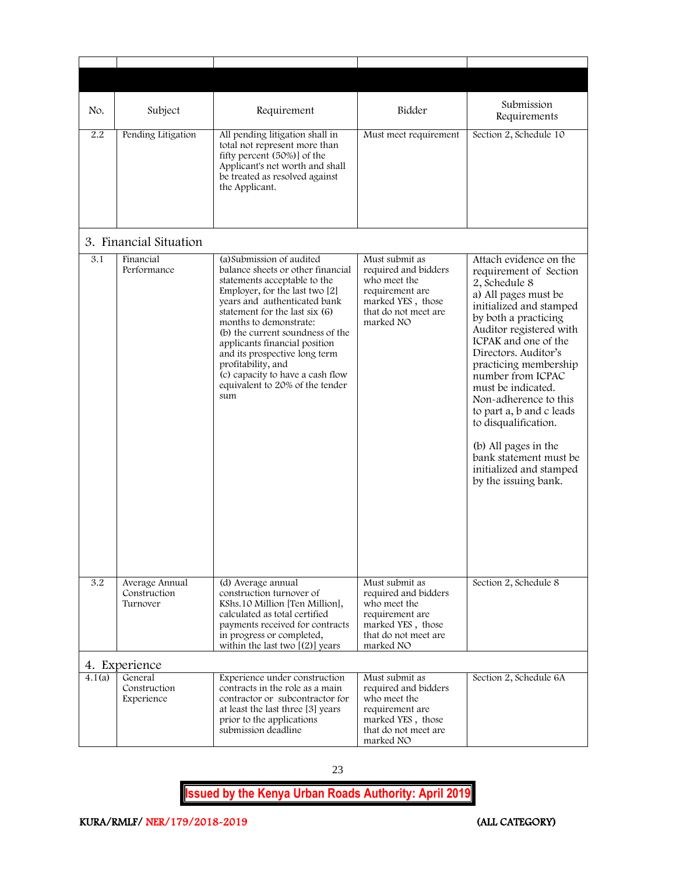<span id="page-23-1"></span><span id="page-23-0"></span>

| No.    | Subject                                    | Requirement                                                                                                                                                                                                                                                                                                                                                                                                                              | Bidder                                                                                                                              | Submission<br>Requirements                                                                                                                                                                                                                                                                                                                                                                                                                                                    |
|--------|--------------------------------------------|------------------------------------------------------------------------------------------------------------------------------------------------------------------------------------------------------------------------------------------------------------------------------------------------------------------------------------------------------------------------------------------------------------------------------------------|-------------------------------------------------------------------------------------------------------------------------------------|-------------------------------------------------------------------------------------------------------------------------------------------------------------------------------------------------------------------------------------------------------------------------------------------------------------------------------------------------------------------------------------------------------------------------------------------------------------------------------|
| 2.2    | Pending Litigation                         | All pending litigation shall in<br>total not represent more than<br>fifty percent (50%) of the<br>Applicant's net worth and shall<br>be treated as resolved against<br>the Applicant.                                                                                                                                                                                                                                                    | Must meet requirement                                                                                                               | Section 2, Schedule 10                                                                                                                                                                                                                                                                                                                                                                                                                                                        |
|        | 3. Financial Situation                     |                                                                                                                                                                                                                                                                                                                                                                                                                                          |                                                                                                                                     |                                                                                                                                                                                                                                                                                                                                                                                                                                                                               |
| 3.1    | Financial<br>Performance                   | (a) Submission of audited<br>balance sheets or other financial<br>statements acceptable to the<br>Employer, for the last two [2]<br>years and authenticated bank<br>statement for the last six $(6)$<br>months to demonstrate:<br>(b) the current soundness of the<br>applicants financial position<br>and its prospective long term<br>profitability, and<br>(c) capacity to have a cash flow<br>equivalent to 20% of the tender<br>sum | Must submit as<br>required and bidders<br>who meet the<br>requirement are<br>marked YES, those<br>that do not meet are<br>marked NO | Attach evidence on the<br>requirement of Section<br>2, Schedule 8<br>a) All pages must be<br>initialized and stamped<br>by both a practicing<br>Auditor registered with<br>ICPAK and one of the<br>Directors. Auditor's<br>practicing membership<br>number from ICPAC<br>must be indicated.<br>Non-adherence to this<br>to part a, b and c leads<br>to disqualification.<br>(b) All pages in the<br>bank statement must be<br>initialized and stamped<br>by the issuing bank. |
| 3.2    | Average Annual<br>Construction<br>Turnover | (d) Average annual<br>construction turnover of<br>KShs. 10 Million [Ten Million],<br>calculated as total certified<br>payments received for contracts<br>in progress or completed,<br>within the last two $[(2)]$ years                                                                                                                                                                                                                  | Must submit as<br>required and bidders<br>who meet the<br>requirement are<br>marked YES, those<br>that do not meet are<br>marked NO | Section 2, Schedule 8                                                                                                                                                                                                                                                                                                                                                                                                                                                         |
|        | 4. Experience                              |                                                                                                                                                                                                                                                                                                                                                                                                                                          |                                                                                                                                     |                                                                                                                                                                                                                                                                                                                                                                                                                                                                               |
| 4.1(a) | General<br>Construction<br>Experience      | Experience under construction<br>contracts in the role as a main<br>contractor or subcontractor for<br>at least the last three [3] years<br>prior to the applications<br>submission deadline                                                                                                                                                                                                                                             | Must submit as<br>required and bidders<br>who meet the<br>requirement are<br>marked YES, those<br>that do not meet are<br>marked NO | Section 2, Schedule 6A                                                                                                                                                                                                                                                                                                                                                                                                                                                        |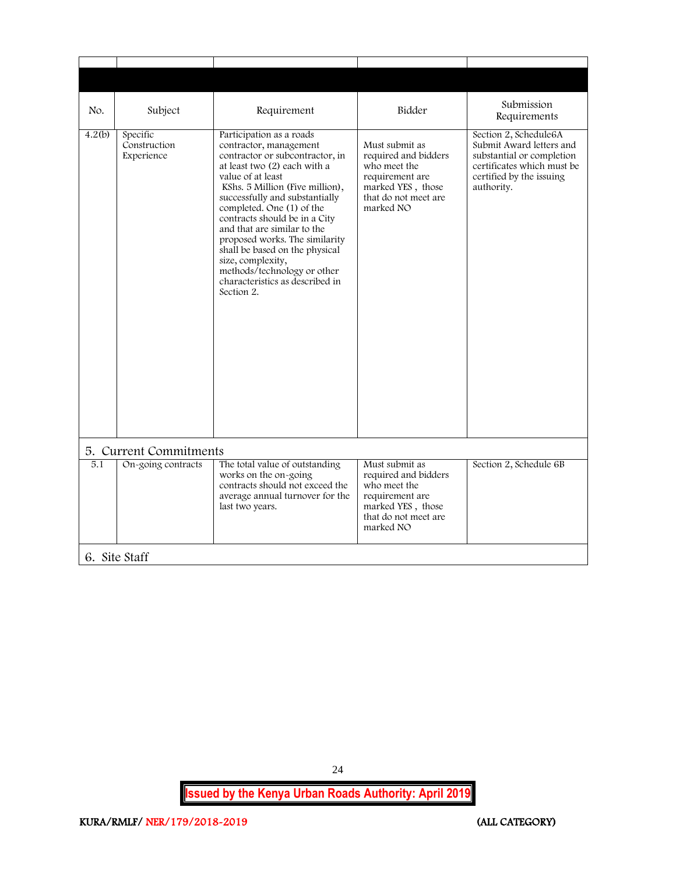<span id="page-24-1"></span><span id="page-24-0"></span>

| No.                                                                                                                                                                                                                                                                                                                                                                                                                                                                                                                                                                                                                                | Subject       | Requirement                                                                                                                         | Bidder                                                                                                                                                 | Submission<br>Requirements |
|------------------------------------------------------------------------------------------------------------------------------------------------------------------------------------------------------------------------------------------------------------------------------------------------------------------------------------------------------------------------------------------------------------------------------------------------------------------------------------------------------------------------------------------------------------------------------------------------------------------------------------|---------------|-------------------------------------------------------------------------------------------------------------------------------------|--------------------------------------------------------------------------------------------------------------------------------------------------------|----------------------------|
| Specific<br>4.2(b)<br>Participation as a roads<br>Construction<br>contractor, management<br>Experience<br>contractor or subcontractor, in<br>at least two (2) each with a<br>value of at least<br>KShs. 5 Million (Five million),<br>successfully and substantially<br>completed. One (1) of the<br>contracts should be in a City<br>and that are similar to the<br>proposed works. The similarity<br>shall be based on the physical<br>size, complexity,<br>methods/technology or other<br>characteristics as described in<br>Section 2.<br>5. Current Commitments<br>On-going contracts<br>The total value of outstanding<br>5.1 |               | Must submit as<br>required and bidders<br>who meet the<br>requirement are<br>marked YES, those<br>that do not meet are<br>marked NO | Section 2, Schedule6A<br>Submit Award letters and<br>substantial or completion<br>certificates which must be<br>certified by the issuing<br>authority. |                            |
|                                                                                                                                                                                                                                                                                                                                                                                                                                                                                                                                                                                                                                    |               |                                                                                                                                     |                                                                                                                                                        |                            |
|                                                                                                                                                                                                                                                                                                                                                                                                                                                                                                                                                                                                                                    |               | works on the on-going<br>contracts should not exceed the<br>average annual turnover for the<br>last two years.                      | Must submit as<br>required and bidders<br>who meet the<br>requirement are<br>marked YES, those<br>that do not meet are<br>marked NO                    | Section 2, Schedule 6B     |
|                                                                                                                                                                                                                                                                                                                                                                                                                                                                                                                                                                                                                                    | 6. Site Staff |                                                                                                                                     |                                                                                                                                                        |                            |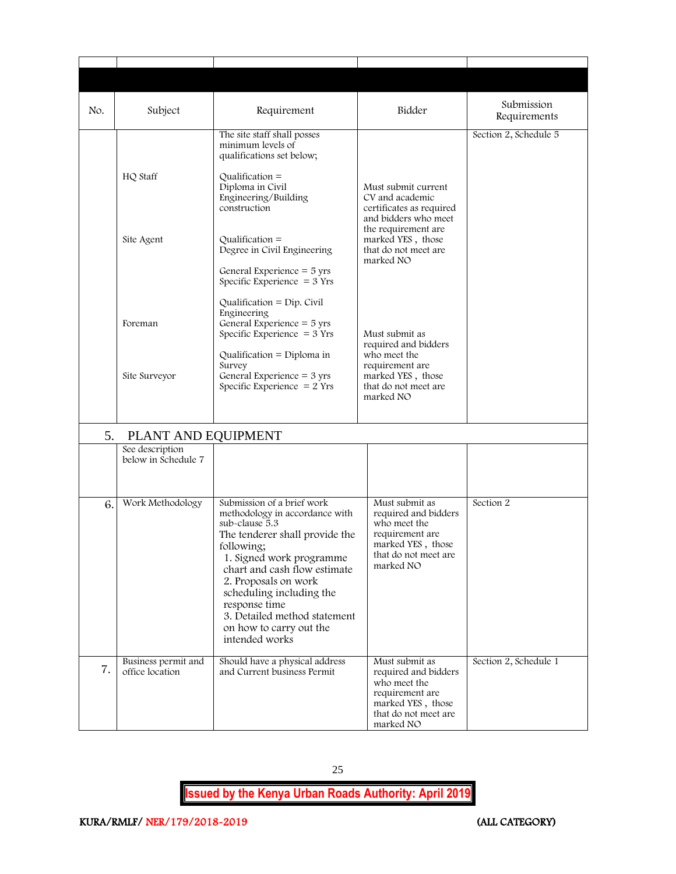| No.                       | Subject                                | Requirement                                                                                                                                                                                                                                                                                                                                  | Bidder                                                                                                                                               | Submission<br>Requirements |  |
|---------------------------|----------------------------------------|----------------------------------------------------------------------------------------------------------------------------------------------------------------------------------------------------------------------------------------------------------------------------------------------------------------------------------------------|------------------------------------------------------------------------------------------------------------------------------------------------------|----------------------------|--|
|                           | HQ Staff                               | The site staff shall posses<br>minimum levels of<br>qualifications set below;<br>Qualification $=$<br>Diploma in Civil                                                                                                                                                                                                                       | Must submit current                                                                                                                                  | Section 2, Schedule 5      |  |
|                           | Site Agent                             | Engineering/Building<br>construction<br>Qualification $=$<br>Degree in Civil Engineering<br>General Experience $=$ 5 yrs<br>Specific Experience $=$ 3 Yrs                                                                                                                                                                                    | CV and academic<br>certificates as required<br>and bidders who meet<br>the requirement are<br>marked YES, those<br>that do not meet are<br>marked NO |                            |  |
|                           | Foreman                                | Qualification = $Dip$ . Civil<br>Engineering<br>General Experience $=$ 5 yrs<br>Specific Experience $=$ 3 Yrs                                                                                                                                                                                                                                | Must submit as<br>required and bidders                                                                                                               |                            |  |
|                           | Site Surveyor                          | Qualification = Diploma in<br>Survey<br>General Experience = 3 yrs<br>Specific Experience $= 2$ Yrs                                                                                                                                                                                                                                          | who meet the<br>requirement are<br>marked YES, those<br>that do not meet are<br>marked NO                                                            |                            |  |
| PLANT AND EQUIPMENT<br>5. |                                        |                                                                                                                                                                                                                                                                                                                                              |                                                                                                                                                      |                            |  |
|                           | See description<br>below in Schedule 7 |                                                                                                                                                                                                                                                                                                                                              |                                                                                                                                                      |                            |  |
| 6.                        | Work Methodology                       | Submission of a brief work<br>methodology in accordance with<br>sub-clause 5.3<br>The tenderer shall provide the<br>following;<br>1. Signed work programme<br>chart and cash flow estimate<br>2. Proposals on work<br>scheduling including the<br>response time<br>3. Detailed method statement<br>on how to carry out the<br>intended works | Must submit as<br>required and bidders<br>who meet the<br>requirement are<br>marked YES, those<br>that do not meet are<br>marked NO                  | Section 2                  |  |
| 7.                        | Business permit and<br>office location | Should have a physical address<br>and Current business Permit                                                                                                                                                                                                                                                                                | Must submit as<br>required and bidders<br>who meet the<br>requirement are<br>marked YES, those<br>that do not meet are<br>marked NO                  | Section 2, Schedule 1      |  |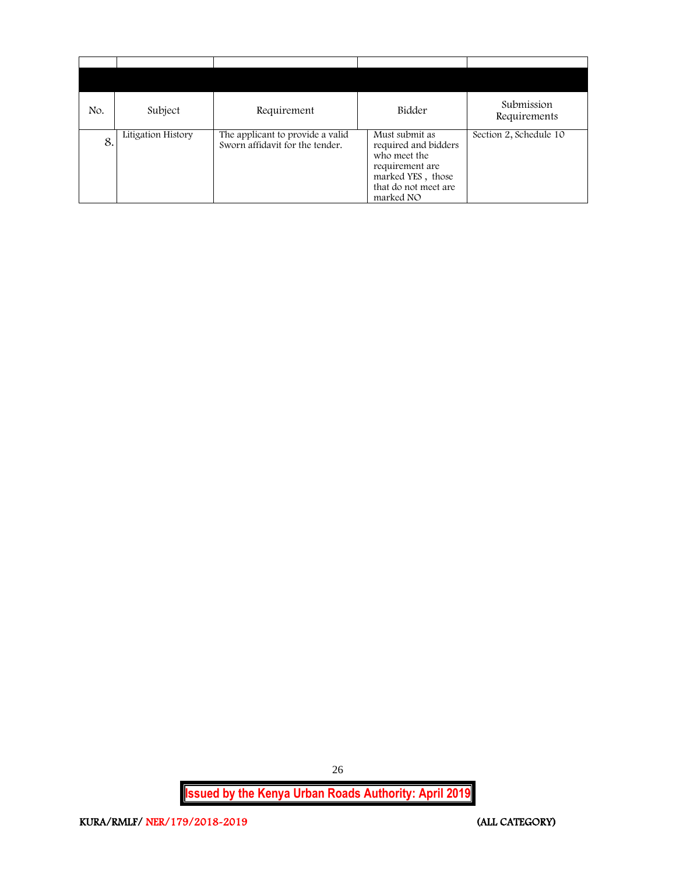| No. | Subject            | Requirement                                                         | Bidder                                                                                                                              | Submission<br>Requirements |
|-----|--------------------|---------------------------------------------------------------------|-------------------------------------------------------------------------------------------------------------------------------------|----------------------------|
| 8.  | Litigation History | The applicant to provide a valid<br>Sworn affidavit for the tender. | Must submit as<br>required and bidders<br>who meet the<br>requirement are<br>marked YES, those<br>that do not meet are<br>marked NO | Section 2, Schedule 10     |

**Issued by the Kenya Urban Roads Authority: April 2019**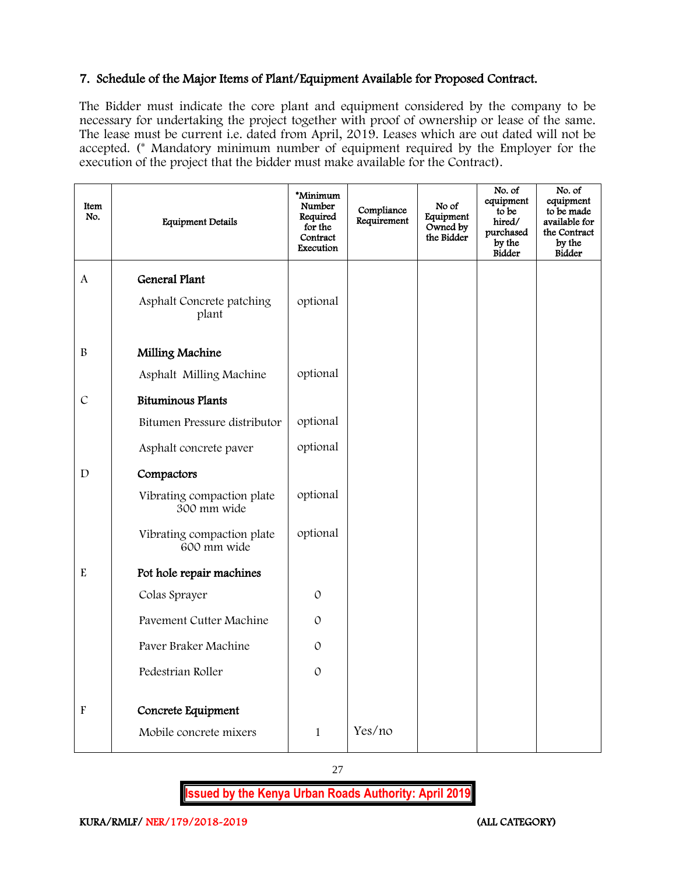#### 7. Schedule of the Major Items of Plant/Equipment Available for Proposed Contract.

The Bidder must indicate the core plant and equipment considered by the company to be necessary for undertaking the project together with proof of ownership or lease of the same. The lease must be current i.e. dated from April, 2019. Leases which are out dated will not be accepted. (\* Mandatory minimum number of equipment required by the Employer for the execution of the project that the bidder must make available for the Contract).

| Item<br>No.               | <b>Equipment Details</b>                  | *Minimum<br>Number<br>Required<br>for the<br>Contract<br>Execution | Compliance<br>Requirement | No of<br>Equipment<br>Owned by<br>the Bidder | No. of<br>equipment<br>to be<br>hired/<br>purchased<br>by the<br><b>Bidder</b> | No. of<br>equipment<br>to be made<br>available for<br>the Contract<br>by the<br>Bidder |
|---------------------------|-------------------------------------------|--------------------------------------------------------------------|---------------------------|----------------------------------------------|--------------------------------------------------------------------------------|----------------------------------------------------------------------------------------|
| $\mathbf{A}$              | <b>General Plant</b>                      |                                                                    |                           |                                              |                                                                                |                                                                                        |
|                           | Asphalt Concrete patching<br>plant        | optional                                                           |                           |                                              |                                                                                |                                                                                        |
| $\, {\bf B}$              | Milling Machine                           |                                                                    |                           |                                              |                                                                                |                                                                                        |
|                           | Asphalt Milling Machine                   | optional                                                           |                           |                                              |                                                                                |                                                                                        |
| $\mathcal{C}$             | <b>Bituminous Plants</b>                  |                                                                    |                           |                                              |                                                                                |                                                                                        |
|                           | Bitumen Pressure distributor              | optional                                                           |                           |                                              |                                                                                |                                                                                        |
|                           | Asphalt concrete paver                    | optional                                                           |                           |                                              |                                                                                |                                                                                        |
| $\mathbf D$               | Compactors                                |                                                                    |                           |                                              |                                                                                |                                                                                        |
|                           | Vibrating compaction plate<br>300 mm wide | optional                                                           |                           |                                              |                                                                                |                                                                                        |
|                           | Vibrating compaction plate<br>600 mm wide | optional                                                           |                           |                                              |                                                                                |                                                                                        |
| $\mathbf E$               | Pot hole repair machines                  |                                                                    |                           |                                              |                                                                                |                                                                                        |
|                           | Colas Sprayer                             | $\mathcal{O}$                                                      |                           |                                              |                                                                                |                                                                                        |
|                           | Pavement Cutter Machine                   | $\mathcal{O}$                                                      |                           |                                              |                                                                                |                                                                                        |
|                           | Paver Braker Machine                      | $\mathcal{O}$                                                      |                           |                                              |                                                                                |                                                                                        |
|                           | Pedestrian Roller                         | $\mathcal{O}$                                                      |                           |                                              |                                                                                |                                                                                        |
| $\boldsymbol{\mathrm{F}}$ | Concrete Equipment                        |                                                                    |                           |                                              |                                                                                |                                                                                        |
|                           | Mobile concrete mixers                    | $\mathbf{1}$                                                       | Yes/no                    |                                              |                                                                                |                                                                                        |

27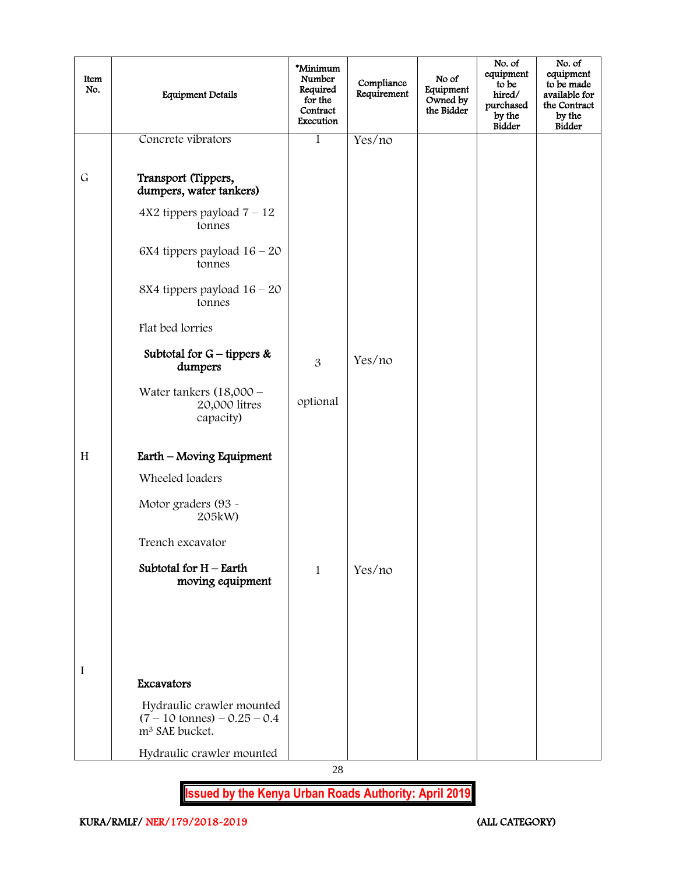| Concrete vibrators<br>Yes/no<br>$\mathbf{1}$<br>$\mathsf G$<br>Transport (Tippers,<br>dumpers, water tankers)<br>$4X2$ tippers payload $7 - 12$<br>tonnes<br>6X4 tippers payload $16 - 20$<br>tonnes<br>8X4 tippers payload $16 - 20$<br>tonnes<br>Flat bed lorries<br>Subtotal for $G$ – tippers &<br>Yes/no<br>3<br>dumpers<br>Water tankers $(18,000 -$<br>optional<br>20,000 litres<br>capacity)<br>H<br>Earth - Moving Equipment<br>Wheeled loaders<br>Motor graders (93 ~<br>205kW)<br>Trench excavator<br>Subtotal for $H$ – Earth<br>Yes/no<br>1<br>moving equipment<br>$\mathbf I$ | Item<br>No. | <b>Equipment Details</b> | *Minimum<br>Number<br>Required<br>for the<br>Contract<br>Execution | Compliance<br>Requirement | No of<br>Equipment<br>Owned by<br>the Bidder | No. of<br>equipment<br>to be<br>hired/<br>purchased<br>by the<br>Bidder | No. of<br>equipment<br>to be made<br>available for<br>the Contract<br>by the<br><b>Bidder</b> |
|---------------------------------------------------------------------------------------------------------------------------------------------------------------------------------------------------------------------------------------------------------------------------------------------------------------------------------------------------------------------------------------------------------------------------------------------------------------------------------------------------------------------------------------------------------------------------------------------|-------------|--------------------------|--------------------------------------------------------------------|---------------------------|----------------------------------------------|-------------------------------------------------------------------------|-----------------------------------------------------------------------------------------------|
|                                                                                                                                                                                                                                                                                                                                                                                                                                                                                                                                                                                             |             |                          |                                                                    |                           |                                              |                                                                         |                                                                                               |
|                                                                                                                                                                                                                                                                                                                                                                                                                                                                                                                                                                                             |             |                          |                                                                    |                           |                                              |                                                                         |                                                                                               |
|                                                                                                                                                                                                                                                                                                                                                                                                                                                                                                                                                                                             |             |                          |                                                                    |                           |                                              |                                                                         |                                                                                               |
|                                                                                                                                                                                                                                                                                                                                                                                                                                                                                                                                                                                             |             |                          |                                                                    |                           |                                              |                                                                         |                                                                                               |
|                                                                                                                                                                                                                                                                                                                                                                                                                                                                                                                                                                                             |             |                          |                                                                    |                           |                                              |                                                                         |                                                                                               |
|                                                                                                                                                                                                                                                                                                                                                                                                                                                                                                                                                                                             |             |                          |                                                                    |                           |                                              |                                                                         |                                                                                               |
|                                                                                                                                                                                                                                                                                                                                                                                                                                                                                                                                                                                             |             |                          |                                                                    |                           |                                              |                                                                         |                                                                                               |
|                                                                                                                                                                                                                                                                                                                                                                                                                                                                                                                                                                                             |             |                          |                                                                    |                           |                                              |                                                                         |                                                                                               |
|                                                                                                                                                                                                                                                                                                                                                                                                                                                                                                                                                                                             |             |                          |                                                                    |                           |                                              |                                                                         |                                                                                               |
|                                                                                                                                                                                                                                                                                                                                                                                                                                                                                                                                                                                             |             |                          |                                                                    |                           |                                              |                                                                         |                                                                                               |
|                                                                                                                                                                                                                                                                                                                                                                                                                                                                                                                                                                                             |             |                          |                                                                    |                           |                                              |                                                                         |                                                                                               |
|                                                                                                                                                                                                                                                                                                                                                                                                                                                                                                                                                                                             |             |                          |                                                                    |                           |                                              |                                                                         |                                                                                               |
|                                                                                                                                                                                                                                                                                                                                                                                                                                                                                                                                                                                             |             |                          |                                                                    |                           |                                              |                                                                         |                                                                                               |
|                                                                                                                                                                                                                                                                                                                                                                                                                                                                                                                                                                                             |             |                          |                                                                    |                           |                                              |                                                                         |                                                                                               |
|                                                                                                                                                                                                                                                                                                                                                                                                                                                                                                                                                                                             |             |                          |                                                                    |                           |                                              |                                                                         |                                                                                               |
|                                                                                                                                                                                                                                                                                                                                                                                                                                                                                                                                                                                             |             |                          |                                                                    |                           |                                              |                                                                         |                                                                                               |
|                                                                                                                                                                                                                                                                                                                                                                                                                                                                                                                                                                                             |             | Excavators               |                                                                    |                           |                                              |                                                                         |                                                                                               |
| Hydraulic crawler mounted<br>$(7 - 10 \text{ tonnes}) - 0.25 - 0.4$<br>m <sup>3</sup> SAE bucket.                                                                                                                                                                                                                                                                                                                                                                                                                                                                                           |             |                          |                                                                    |                           |                                              |                                                                         |                                                                                               |
| Hydraulic crawler mounted<br>28                                                                                                                                                                                                                                                                                                                                                                                                                                                                                                                                                             |             |                          |                                                                    |                           |                                              |                                                                         |                                                                                               |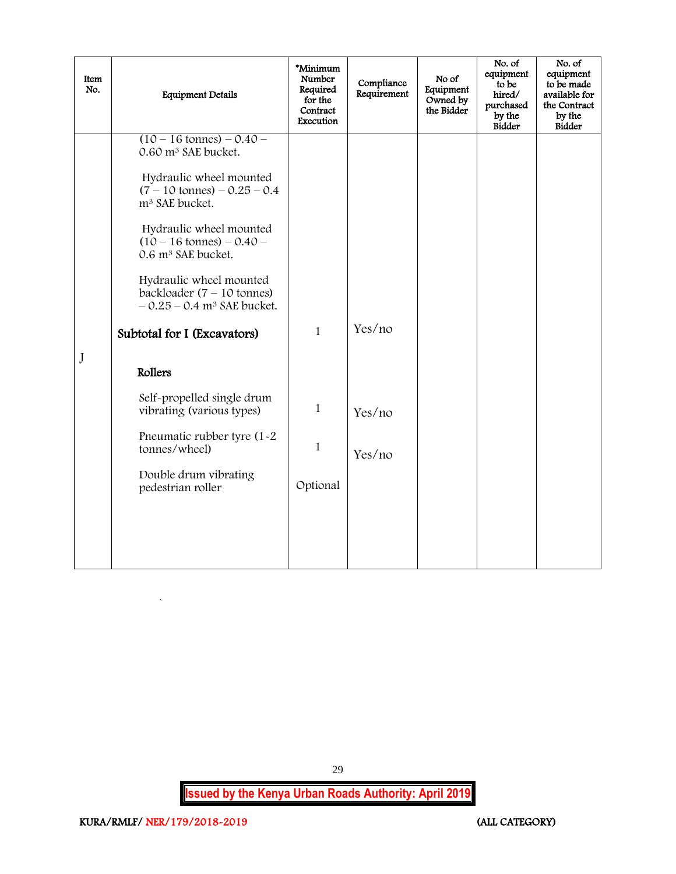| Item<br>No. | <b>Equipment Details</b>                                                                                                                                                                                                                                                                                                                                                                                                                                                                                                                                                               | *Minimum<br>Number<br>Required<br>for the<br>Contract<br>Execution | Compliance<br>Requirement  | No of<br>Equipment<br>Owned by<br>the Bidder | No. of<br>equipment<br>to be<br>hired/<br>purchased<br>by the<br>Bidder | No. of<br>equipment<br>to be made<br>available for<br>the Contract<br>by the<br>Bidder |
|-------------|----------------------------------------------------------------------------------------------------------------------------------------------------------------------------------------------------------------------------------------------------------------------------------------------------------------------------------------------------------------------------------------------------------------------------------------------------------------------------------------------------------------------------------------------------------------------------------------|--------------------------------------------------------------------|----------------------------|----------------------------------------------|-------------------------------------------------------------------------|----------------------------------------------------------------------------------------|
| J           | $(10 - 16 \text{ tonnes}) - 0.40 -$<br>0.60 m <sup>3</sup> SAE bucket.<br>Hydraulic wheel mounted<br>$(7 - 10 \text{ tonnes}) - 0.25 - 0.4$<br>m <sup>3</sup> SAE bucket.<br>Hydraulic wheel mounted<br>$(10 - 16 \text{ tonnes}) - 0.40 -$<br>0.6 m <sup>3</sup> SAE bucket.<br>Hydraulic wheel mounted<br>backloader $(7 - 10$ tonnes)<br>$-0.25 - 0.4$ m <sup>3</sup> SAE bucket.<br>Subtotal for I (Excavators)<br>Rollers<br>Self-propelled single drum<br>vibrating (various types)<br>Pneumatic rubber tyre (1-2<br>tonnes/wheel)<br>Double drum vibrating<br>pedestrian roller | $\mathbf{1}$<br>$\mathbf{1}$<br>$\mathbf{1}$<br>Optional           | Yes/no<br>Yes/no<br>Yes/no |                                              |                                                                         |                                                                                        |

<span id="page-29-0"></span>29

**Issued by the Kenya Urban Roads Authority: April 2019**

 $\hat{\mathbf{v}}$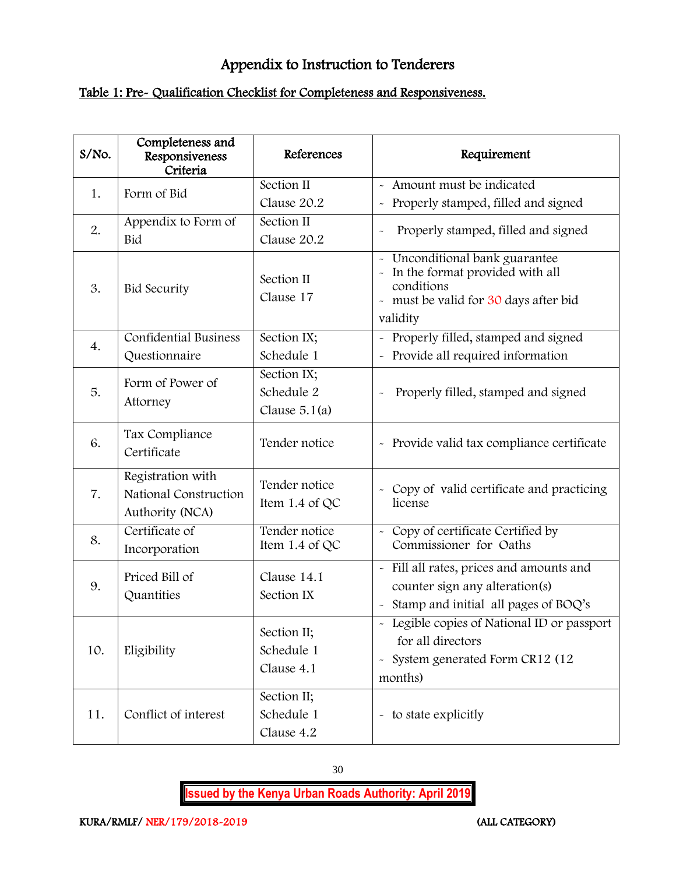# Appendix to Instruction to Tenderers

## Table 1: Pre- Qualification Checklist for Completeness and Responsiveness.

| S/No. | Completeness and<br>Responsiveness<br>Criteria                | References                                   | Requirement                                                                                                                                                |
|-------|---------------------------------------------------------------|----------------------------------------------|------------------------------------------------------------------------------------------------------------------------------------------------------------|
| 1.    | Form of Bid                                                   | Section II<br>Clause 20.2                    | - Amount must be indicated<br>Properly stamped, filled and signed                                                                                          |
| 2.    | Appendix to Form of<br>Bid                                    | Section II<br>Clause 20.2                    | Properly stamped, filled and signed<br>$\ddot{\phantom{0}}$                                                                                                |
| 3.    | <b>Bid Security</b>                                           | Section II<br>Clause 17                      | Unconditional bank guarantee<br>$\ddot{\phantom{0}}$<br>In the format provided with all<br>conditions<br>- must be valid for 30 days after bid<br>validity |
| 4.    | <b>Confidential Business</b><br>Questionnaire                 | Section IX;<br>Schedule 1                    | - Properly filled, stamped and signed<br>- Provide all required information                                                                                |
| 5.    | Form of Power of<br>Attorney                                  | Section IX;<br>Schedule 2<br>Clause $5.1(a)$ | Properly filled, stamped and signed                                                                                                                        |
| 6.    | Tax Compliance<br>Certificate                                 | Tender notice                                | - Provide valid tax compliance certificate                                                                                                                 |
| 7.    | Registration with<br>National Construction<br>Authority (NCA) | Tender notice<br>Item 1.4 of QC              | Copy of valid certificate and practicing<br>$\sim$<br>license                                                                                              |
| 8.    | Certificate of<br>Incorporation                               | Tender notice<br>Item 1.4 of QC              | - Copy of certificate Certified by<br>Commissioner for Oaths                                                                                               |
| 9.    | Priced Bill of<br>Quantities                                  | Clause 14.1<br>Section IX                    | - Fill all rates, prices and amounts and<br>counter sign any alteration(s)<br>Stamp and initial all pages of BOQ's                                         |
| 10.   | Eligibility                                                   | Section II;<br>Schedule 1<br>Clause 4.1      | - Legible copies of National ID or passport<br>for all directors<br>System generated Form CR12 (12<br>$\widetilde{\phantom{m}}$<br>months)                 |
| 11.   | Conflict of interest                                          | Section II;<br>Schedule 1<br>Clause 4.2      | - to state explicitly                                                                                                                                      |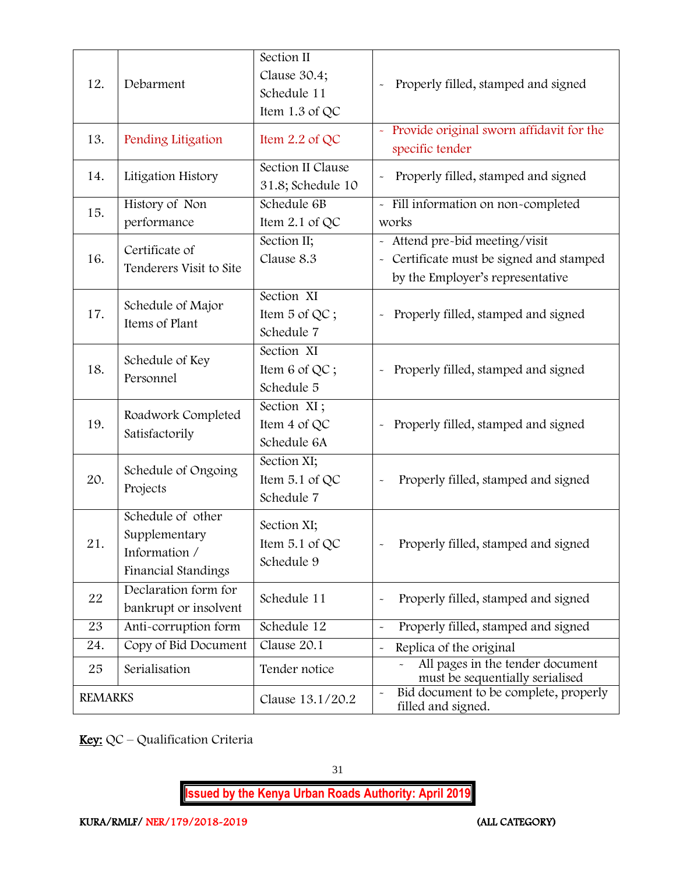| 12.            | Debarment                                                                  | Section II<br>Clause 30.4;<br>Schedule 11<br>Item 1.3 of QC | Properly filled, stamped and signed                                                                          |
|----------------|----------------------------------------------------------------------------|-------------------------------------------------------------|--------------------------------------------------------------------------------------------------------------|
| 13.            | Pending Litigation                                                         | Item 2.2 of QC                                              | - Provide original sworn affidavit for the<br>specific tender                                                |
| 14.            | Litigation History                                                         | Section II Clause<br>31.8; Schedule 10                      | Properly filled, stamped and signed                                                                          |
| 15.            | History of Non<br>performance                                              | Schedule 6B<br>Item 2.1 of QC                               | - Fill information on non-completed<br>works                                                                 |
| 16.            | Certificate of<br>Tenderers Visit to Site                                  | Section II;<br>Clause 8.3                                   | - Attend pre-bid meeting/visit<br>Certificate must be signed and stamped<br>by the Employer's representative |
| 17.            | Schedule of Major<br>Items of Plant                                        | Section XI<br>Item 5 of QC;<br>Schedule 7                   | Properly filled, stamped and signed<br>$\ddot{\phantom{0}}$                                                  |
| 18.            | Schedule of Key<br>Personnel                                               | Section XI<br>Item 6 of QC;<br>Schedule 5                   | Properly filled, stamped and signed                                                                          |
| 19.            | Roadwork Completed<br>Satisfactorily                                       | Section XI;<br>Item 4 of QC<br>Schedule 6A                  | Properly filled, stamped and signed                                                                          |
| 20.            | Schedule of Ongoing<br>Projects                                            | Section XI;<br>Item 5.1 of QC<br>Schedule 7                 | Properly filled, stamped and signed<br>$\ddot{\phantom{0}}$                                                  |
| 21.            | Schedule of other<br>Supplementary<br>Information /<br>Financial Standings | Section XI;<br>Item 5.1 of QC<br>Schedule 9                 | Properly filled, stamped and signed                                                                          |
| 22             | Declaration form for<br>bankrupt or insolvent                              | Schedule 11                                                 | Properly filled, stamped and signed<br>$\ddot{\phantom{0}}$                                                  |
| 23             | Anti-corruption form                                                       | Schedule 12                                                 | Properly filled, stamped and signed<br>$\tilde{}$                                                            |
| 24.            | Copy of Bid Document                                                       | Clause 20.1                                                 | Replica of the original<br>$\tilde{}$                                                                        |
| 25             | Serialisation                                                              | Tender notice                                               | All pages in the tender document<br>must be sequentially serialised                                          |
| <b>REMARKS</b> |                                                                            | Clause 13.1/20.2                                            | Bid document to be complete, properly<br>$\tilde{}$<br>filled and signed.                                    |

Key: QC - Qualification Criteria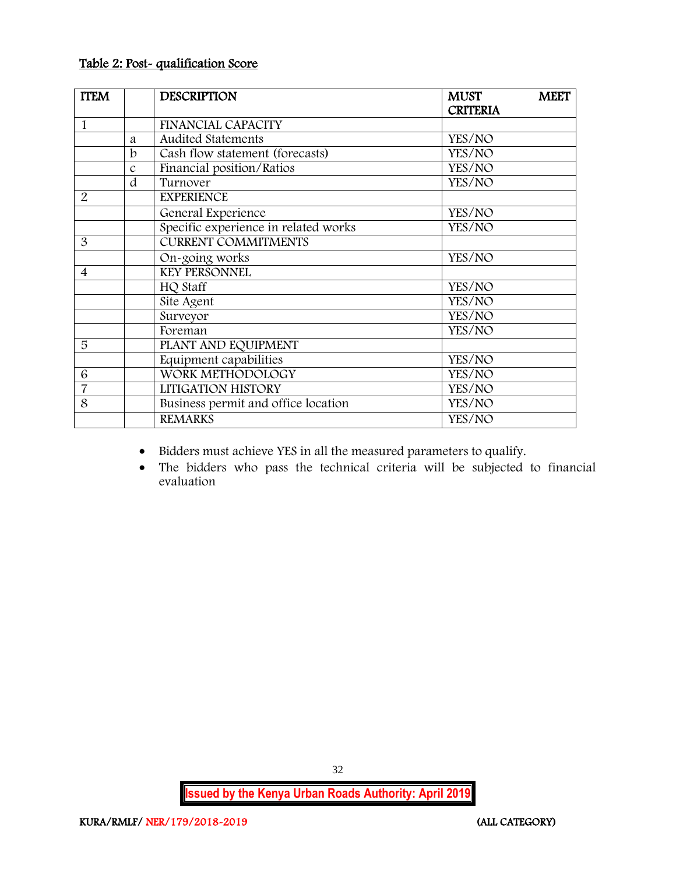#### Table 2: Post- qualification Score

| <b>ITEM</b>    |               | <b>DESCRIPTION</b>                   | <b>MUST</b>     | <b>MEET</b> |
|----------------|---------------|--------------------------------------|-----------------|-------------|
|                |               |                                      | <b>CRITERIA</b> |             |
| $\mathbf{1}$   |               | <b>FINANCIAL CAPACITY</b>            |                 |             |
|                | a             | <b>Audited Statements</b>            | YES/NO          |             |
|                | b             | Cash flow statement (forecasts)      | YES/NO          |             |
|                | $\mathcal{C}$ | Financial position/Ratios            | YES/NO          |             |
|                | d             | Turnover                             | YES/NO          |             |
| $\overline{2}$ |               | <b>EXPERIENCE</b>                    |                 |             |
|                |               | General Experience                   | YES/NO          |             |
|                |               | Specific experience in related works | YES/NO          |             |
| 3              |               | <b>CURRENT COMMITMENTS</b>           |                 |             |
|                |               | On-going works                       | YES/NO          |             |
| $\overline{4}$ |               | <b>KEY PERSONNEL</b>                 |                 |             |
|                |               | HQ Staff                             | YES/NO          |             |
|                |               | Site Agent                           | YES/NO          |             |
|                |               | Surveyor                             | YES/NO          |             |
|                |               | Foreman                              | YES/NO          |             |
| 5              |               | PLANT AND EQUIPMENT                  |                 |             |
|                |               | Equipment capabilities               | YES/NO          |             |
| 6              |               | WORK METHODOLOGY                     | YES/NO          |             |
| $\overline{7}$ |               | LITIGATION HISTORY                   | YES/NO          |             |
| 8              |               | Business permit and office location  | YES/NO          |             |
|                |               | <b>REMARKS</b>                       | YES/NO          |             |

Bidders must achieve YES in all the measured parameters to qualify.

 The bidders who pass the technical criteria will be subjected to financial evaluation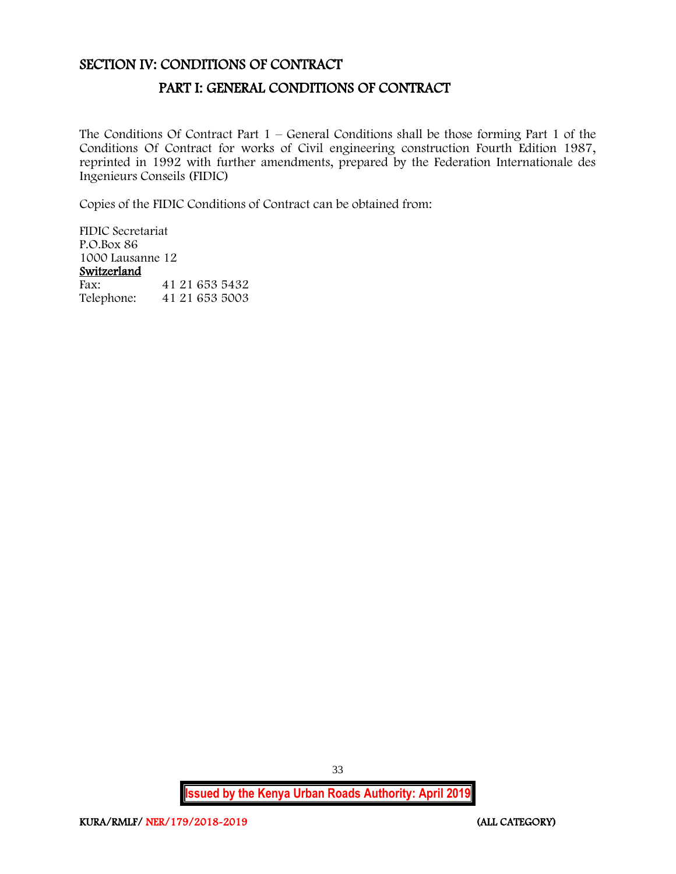## <span id="page-33-1"></span><span id="page-33-0"></span>SECTION IV: CONDITIONS OF CONTRACT

## PART I: GENERAL CONDITIONS OF CONTRACT

The Conditions Of Contract Part  $1$  – General Conditions shall be those forming Part 1 of the Conditions Of Contract for works of Civil engineering construction Fourth Edition 1987, reprinted in 1992 with further amendments, prepared by the Federation Internationale des Ingenieurs Conseils (FIDIC)

Copies of the FIDIC Conditions of Contract can be obtained from:

FIDIC Secretariat P.O.Box 86 1000 Lausanne 12 Switzerland<br>Fax: Fax: 41 21 653 5432<br>Telephone: 41 21 653 5003 Telephone: 41 21 653 5003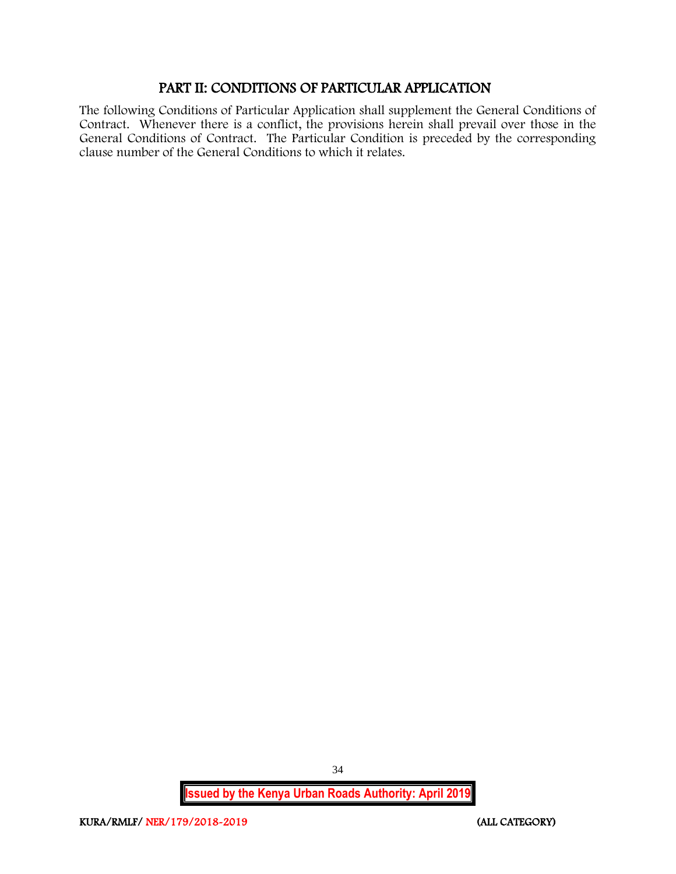## PART II: CONDITIONS OF PARTICULAR APPLICATION

<span id="page-34-0"></span>The following Conditions of Particular Application shall supplement the General Conditions of Contract. Whenever there is a conflict, the provisions herein shall prevail over those in the General Conditions of Contract. The Particular Condition is preceded by the corresponding clause number of the General Conditions to which it relates.

**Issued by the Kenya Urban Roads Authority: April 2019**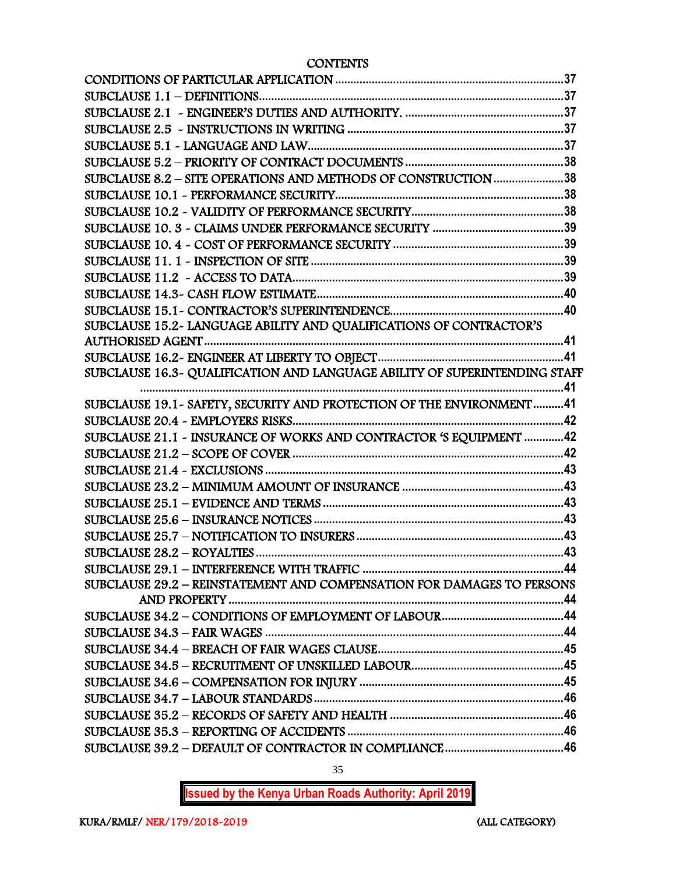**CONTENTS** 

| SUBCLAUSE 8.2 - SITE OPERATIONS AND METHODS OF CONSTRUCTION 38             |
|----------------------------------------------------------------------------|
|                                                                            |
|                                                                            |
|                                                                            |
|                                                                            |
|                                                                            |
|                                                                            |
|                                                                            |
|                                                                            |
| SUBCLAUSE 15.2- LANGUAGE ABILITY AND QUALIFICATIONS OF CONTRACTOR'S        |
|                                                                            |
|                                                                            |
| SUBCLAUSE 16.3~ QUALIFICATION AND LANGUAGE ABILITY OF SUPERINTENDING STAFF |
|                                                                            |
| SUBCLAUSE 19.1 - SAFETY, SECURITY AND PROTECTION OF THE ENVIRONMENT41      |
| SUBCLAUSE 21.1 - INSURANCE OF WORKS AND CONTRACTOR 'S EQUIPMENT 42         |
|                                                                            |
|                                                                            |
|                                                                            |
|                                                                            |
|                                                                            |
|                                                                            |
|                                                                            |
|                                                                            |
| SUBCLAUSE 29.2 - REINSTATEMENT AND COMPENSATION FOR DAMAGES TO PERSONS     |
|                                                                            |
|                                                                            |
|                                                                            |
|                                                                            |
|                                                                            |
|                                                                            |
|                                                                            |
|                                                                            |
|                                                                            |
|                                                                            |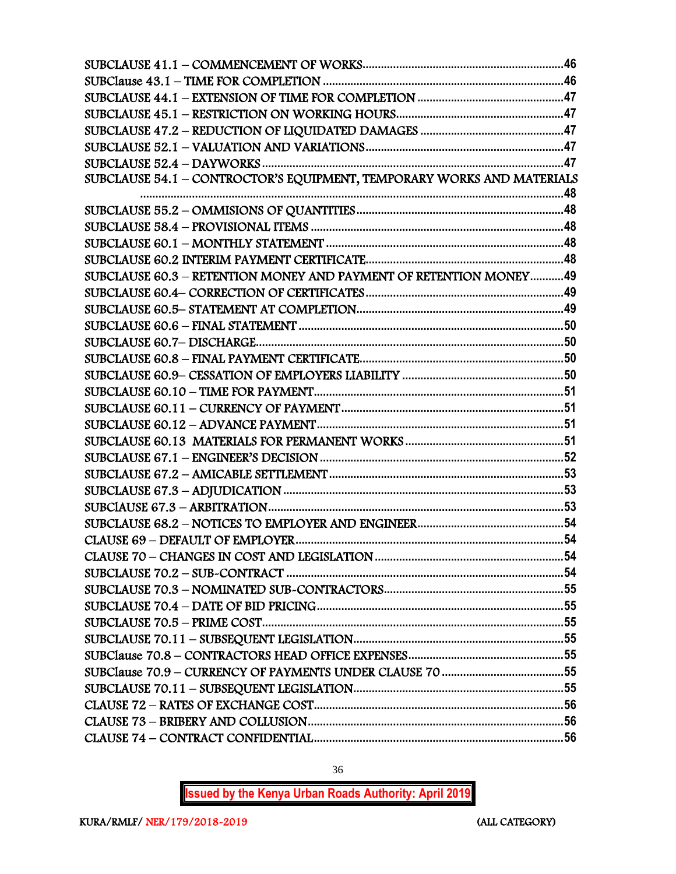| SUBCLAUSE 54.1 - CONTROCTOR'S EQUIPMENT, TEMPORARY WORKS AND MATERIALS |  |
|------------------------------------------------------------------------|--|
|                                                                        |  |
|                                                                        |  |
|                                                                        |  |
|                                                                        |  |
|                                                                        |  |
| SUBCLAUSE 60.3 - RETENTION MONEY AND PAYMENT OF RETENTION MONEY49      |  |
|                                                                        |  |
|                                                                        |  |
|                                                                        |  |
|                                                                        |  |
|                                                                        |  |
|                                                                        |  |
|                                                                        |  |
|                                                                        |  |
|                                                                        |  |
|                                                                        |  |
|                                                                        |  |
|                                                                        |  |
|                                                                        |  |
|                                                                        |  |
|                                                                        |  |
|                                                                        |  |
|                                                                        |  |
|                                                                        |  |
|                                                                        |  |
|                                                                        |  |
|                                                                        |  |
|                                                                        |  |
|                                                                        |  |
|                                                                        |  |
|                                                                        |  |
|                                                                        |  |
|                                                                        |  |
|                                                                        |  |

**Issued by the Kenya Urban Roads Authority: April 2019**

36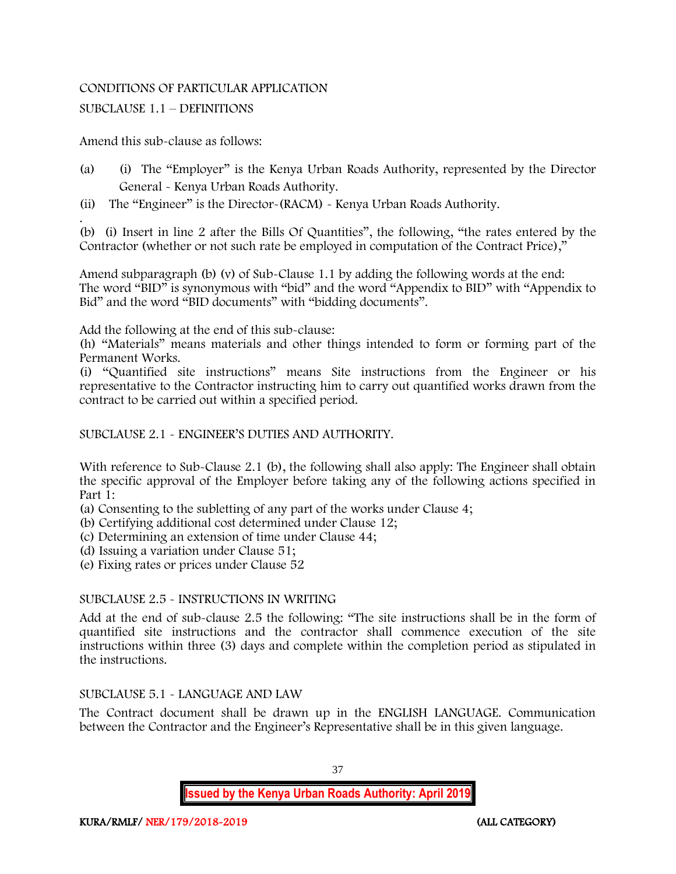# CONDITIONS OF PARTICULAR APPLICATION

# SUBCLAUSE 1.1 – DEFINITIONS

Amend this sub-clause as follows:

- (a) (i) The "Employer" is the Kenya Urban Roads Authority, represented by the Director General - Kenya Urban Roads Authority.
- (ii) The "Engineer" is the Director-(RACM) Kenya Urban Roads Authority.

. (b) (i) Insert in line 2 after the Bills Of Quantities", the following, "the rates entered by the Contractor (whether or not such rate be employed in computation of the Contract Price),"

Amend subparagraph (b) (v) of Sub-Clause 1.1 by adding the following words at the end: The word "BID" is synonymous with "bid" and the word "Appendix to BID" with "Appendix to Bid" and the word "BID documents" with "bidding documents".

Add the following at the end of this sub-clause:

(h) "Materials" means materials and other things intended to form or forming part of the Permanent Works.

(i) "Quantified site instructions" means Site instructions from the Engineer or his representative to the Contractor instructing him to carry out quantified works drawn from the contract to be carried out within a specified period.

SUBCLAUSE 2.1 - ENGINEER'S DUTIES AND AUTHORITY.

With reference to Sub-Clause 2.1 (b), the following shall also apply: The Engineer shall obtain the specific approval of the Employer before taking any of the following actions specified in Part 1:

- (a) Consenting to the subletting of any part of the works under Clause 4;
- (b) Certifying additional cost determined under Clause 12;
- (c) Determining an extension of time under Clause 44;
- (d) Issuing a variation under Clause 51;
- (e) Fixing rates or prices under Clause 52

# SUBCLAUSE 2.5 - INSTRUCTIONS IN WRITING

Add at the end of sub-clause 2.5 the following: "The site instructions shall be in the form of quantified site instructions and the contractor shall commence execution of the site instructions within three (3) days and complete within the completion period as stipulated in the instructions.

# SUBCLAUSE 5.1 - LANGUAGE AND LAW

The Contract document shall be drawn up in the ENGLISH LANGUAGE. Communication between the Contractor and the Engineer's Representative shall be in this given language.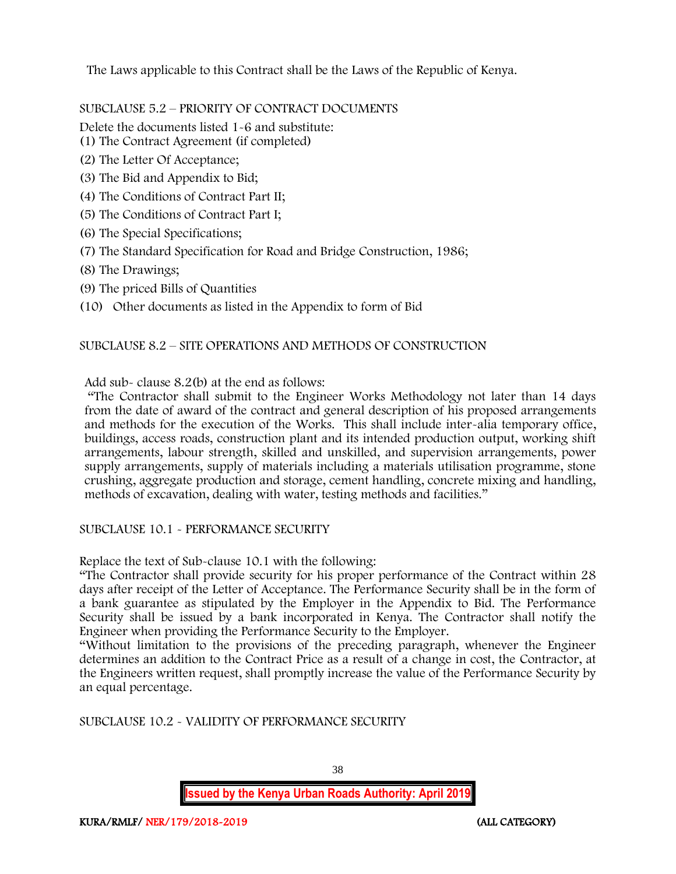The Laws applicable to this Contract shall be the Laws of the Republic of Kenya.

SUBCLAUSE 5.2 – PRIORITY OF CONTRACT DOCUMENTS

Delete the documents listed 1-6 and substitute:

- (1) The Contract Agreement (if completed)
- (2) The Letter Of Acceptance;
- (3) The Bid and Appendix to Bid;
- (4) The Conditions of Contract Part II;
- (5) The Conditions of Contract Part I;
- (6) The Special Specifications;
- (7) The Standard Specification for Road and Bridge Construction, 1986;
- (8) The Drawings;
- (9) The priced Bills of Quantities
- (10) Other documents as listed in the Appendix to form of Bid

# SUBCLAUSE 8.2 – SITE OPERATIONS AND METHODS OF CONSTRUCTION

Add sub- clause 8.2(b) at the end as follows:

"The Contractor shall submit to the Engineer Works Methodology not later than 14 days from the date of award of the contract and general description of his proposed arrangements and methods for the execution of the Works. This shall include inter-alia temporary office, buildings, access roads, construction plant and its intended production output, working shift arrangements, labour strength, skilled and unskilled, and supervision arrangements, power supply arrangements, supply of materials including a materials utilisation programme, stone crushing, aggregate production and storage, cement handling, concrete mixing and handling, methods of excavation, dealing with water, testing methods and facilities."

SUBCLAUSE 10.1 - PERFORMANCE SECURITY

Replace the text of Sub-clause 10.1 with the following:

"The Contractor shall provide security for his proper performance of the Contract within 28 days after receipt of the Letter of Acceptance. The Performance Security shall be in the form of a bank guarantee as stipulated by the Employer in the Appendix to Bid. The Performance Security shall be issued by a bank incorporated in Kenya. The Contractor shall notify the Engineer when providing the Performance Security to the Employer.

"Without limitation to the provisions of the preceding paragraph, whenever the Engineer determines an addition to the Contract Price as a result of a change in cost, the Contractor, at the Engineers written request, shall promptly increase the value of the Performance Security by an equal percentage.

SUBCLAUSE 10.2 - VALIDITY OF PERFORMANCE SECURITY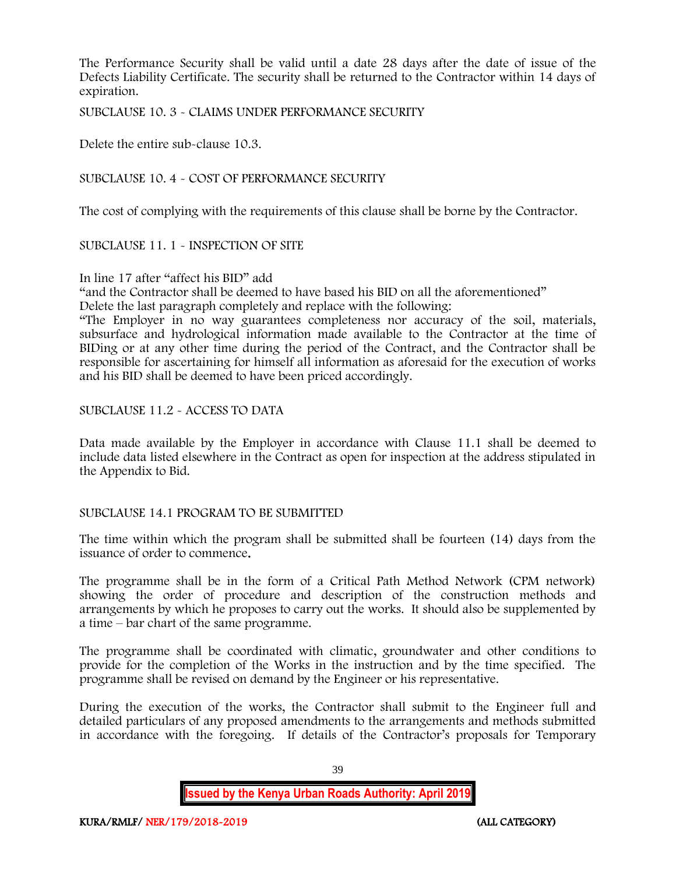The Performance Security shall be valid until a date 28 days after the date of issue of the Defects Liability Certificate. The security shall be returned to the Contractor within 14 days of expiration.

SUBCLAUSE 10. 3 - CLAIMS UNDER PERFORMANCE SECURITY

Delete the entire sub-clause 10.3.

SUBCLAUSE 10. 4 - COST OF PERFORMANCE SECURITY

The cost of complying with the requirements of this clause shall be borne by the Contractor.

SUBCLAUSE 11. 1 - INSPECTION OF SITE

In line 17 after "affect his BID" add

"and the Contractor shall be deemed to have based his BID on all the aforementioned"

Delete the last paragraph completely and replace with the following:

"The Employer in no way guarantees completeness nor accuracy of the soil, materials, subsurface and hydrological information made available to the Contractor at the time of BIDing or at any other time during the period of the Contract, and the Contractor shall be responsible for ascertaining for himself all information as aforesaid for the execution of works and his BID shall be deemed to have been priced accordingly.

SUBCLAUSE 11.2 - ACCESS TO DATA

Data made available by the Employer in accordance with Clause 11.1 shall be deemed to include data listed elsewhere in the Contract as open for inspection at the address stipulated in the Appendix to Bid.

#### SUBCLAUSE 14.1 PROGRAM TO BE SUBMITTED

The time within which the program shall be submitted shall be fourteen (14) days from the issuance of order to commence.

The programme shall be in the form of a Critical Path Method Network (CPM network) showing the order of procedure and description of the construction methods and arrangements by which he proposes to carry out the works. It should also be supplemented by a time – bar chart of the same programme.

The programme shall be coordinated with climatic, groundwater and other conditions to provide for the completion of the Works in the instruction and by the time specified. The programme shall be revised on demand by the Engineer or his representative.

During the execution of the works, the Contractor shall submit to the Engineer full and detailed particulars of any proposed amendments to the arrangements and methods submitted in accordance with the foregoing. If details of the Contractor's proposals for Temporary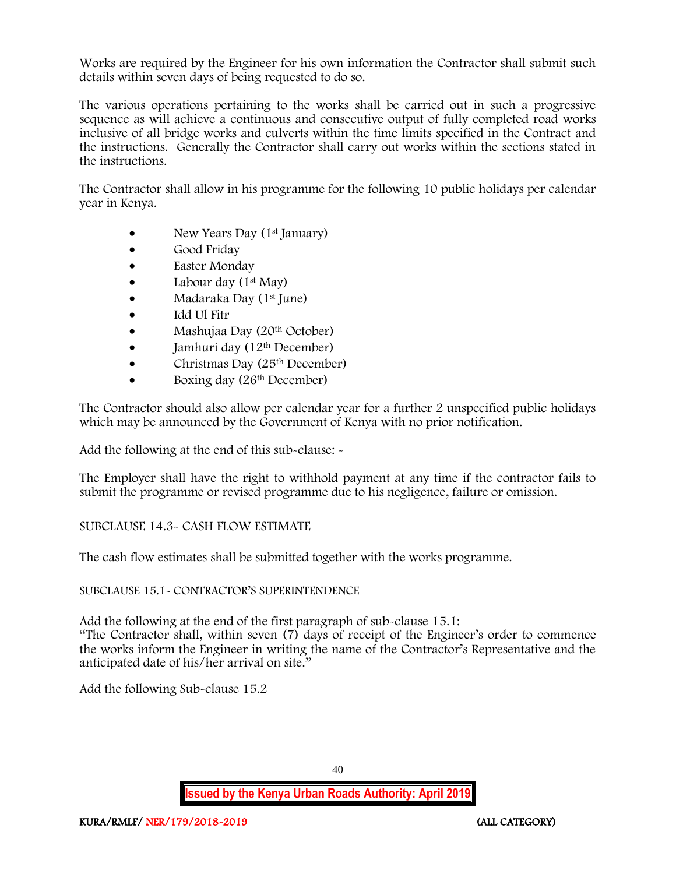Works are required by the Engineer for his own information the Contractor shall submit such details within seven days of being requested to do so.

The various operations pertaining to the works shall be carried out in such a progressive sequence as will achieve a continuous and consecutive output of fully completed road works inclusive of all bridge works and culverts within the time limits specified in the Contract and the instructions. Generally the Contractor shall carry out works within the sections stated in the instructions.

The Contractor shall allow in his programme for the following 10 public holidays per calendar year in Kenya.

- New Years Day (1<sup>st</sup> January)
- Good Friday
- Easter Monday
- Labour day  $(1<sup>st</sup>$  May)
- Madaraka Day (1<sup>st</sup> June)
- Idd Ul Fitr
- Mashujaa Day (20<sup>th</sup> October)
- Jamhuri day  $(12<sup>th</sup> December)$
- Christmas Day  $(25<sup>th</sup> December)$
- Boxing day (26<sup>th</sup> December)

The Contractor should also allow per calendar year for a further 2 unspecified public holidays which may be announced by the Government of Kenya with no prior notification.

Add the following at the end of this sub-clause: -

The Employer shall have the right to withhold payment at any time if the contractor fails to submit the programme or revised programme due to his negligence, failure or omission.

# SUBCLAUSE 14.3- CASH FLOW ESTIMATE

The cash flow estimates shall be submitted together with the works programme.

# SUBCLAUSE 15.1- CONTRACTOR'S SUPERINTENDENCE

Add the following at the end of the first paragraph of sub-clause 15.1:

"The Contractor shall, within seven (7) days of receipt of the Engineer's order to commence the works inform the Engineer in writing the name of the Contractor's Representative and the anticipated date of his/her arrival on site."

Add the following Sub-clause 15.2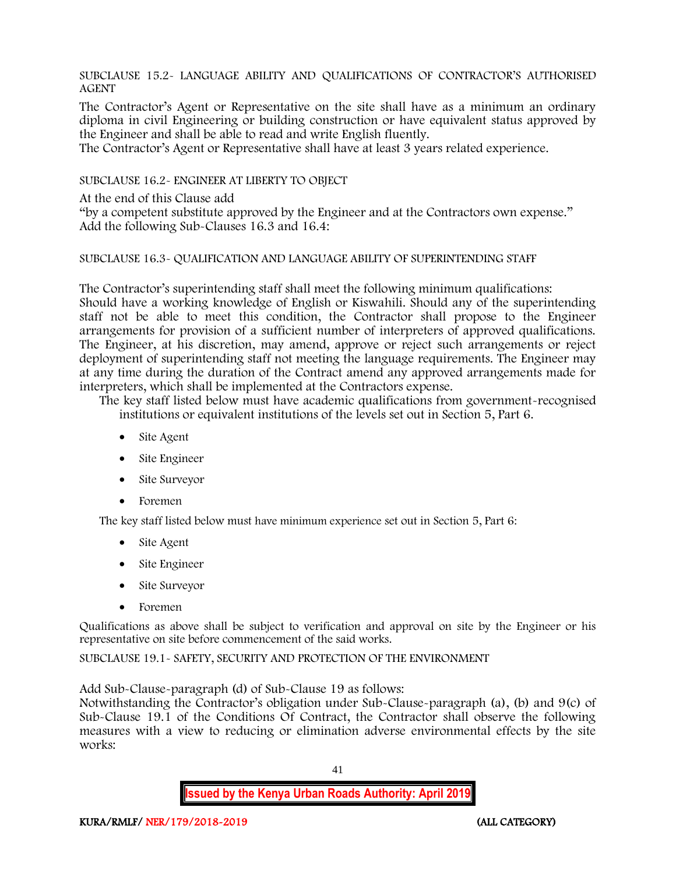SUBCLAUSE 15.2- LANGUAGE ABILITY AND QUALIFICATIONS OF CONTRACTOR'S AUTHORISED AGENT

The Contractor's Agent or Representative on the site shall have as a minimum an ordinary diploma in civil Engineering or building construction or have equivalent status approved by the Engineer and shall be able to read and write English fluently.

The Contractor's Agent or Representative shall have at least 3 years related experience.

SUBCLAUSE 16.2- ENGINEER AT LIBERTY TO OBJECT

At the end of this Clause add

"by a competent substitute approved by the Engineer and at the Contractors own expense." Add the following Sub-Clauses 16.3 and 16.4:

#### SUBCLAUSE 16.3- QUALIFICATION AND LANGUAGE ABILITY OF SUPERINTENDING STAFF

The Contractor's superintending staff shall meet the following minimum qualifications: Should have a working knowledge of English or Kiswahili. Should any of the superintending staff not be able to meet this condition, the Contractor shall propose to the Engineer arrangements for provision of a sufficient number of interpreters of approved qualifications. The Engineer, at his discretion, may amend, approve or reject such arrangements or reject deployment of superintending staff not meeting the language requirements. The Engineer may at any time during the duration of the Contract amend any approved arrangements made for interpreters, which shall be implemented at the Contractors expense.

The key staff listed below must have academic qualifications from government-recognised institutions or equivalent institutions of the levels set out in Section 5, Part 6.

- Site Agent
- Site Engineer
- Site Surveyor
- Foremen

The key staff listed below must have minimum experience set out in Section 5, Part 6:

- Site Agent
- Site Engineer
- Site Surveyor
- Foremen

Qualifications as above shall be subject to verification and approval on site by the Engineer or his representative on site before commencement of the said works.

SUBCLAUSE 19.1- SAFETY, SECURITY AND PROTECTION OF THE ENVIRONMENT

Add Sub-Clause-paragraph (d) of Sub-Clause 19 as follows:

Notwithstanding the Contractor's obligation under Sub-Clause-paragraph (a), (b) and 9(c) of Sub-Clause 19.1 of the Conditions Of Contract, the Contractor shall observe the following measures with a view to reducing or elimination adverse environmental effects by the site works: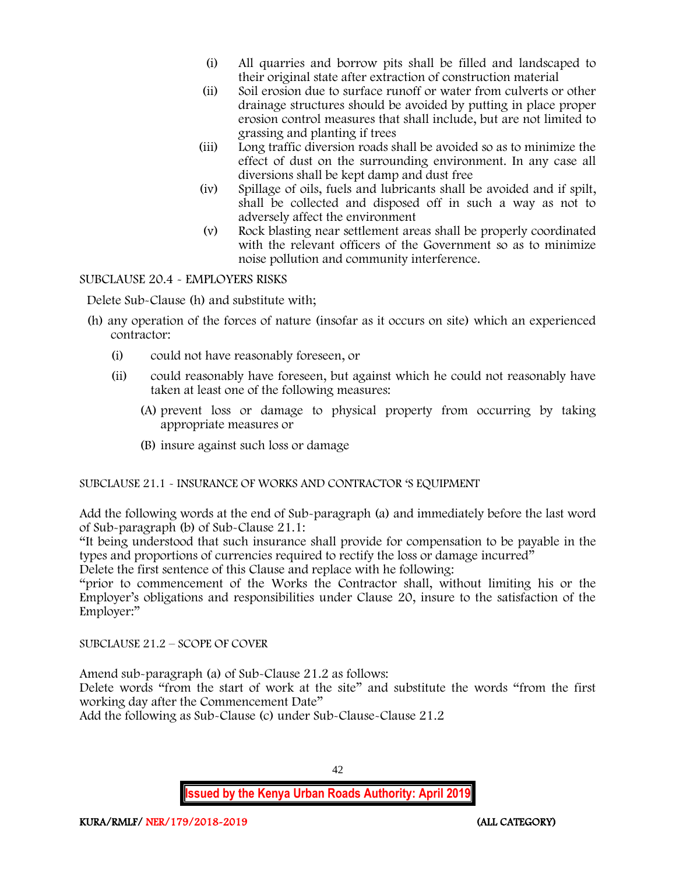- (i) All quarries and borrow pits shall be filled and landscaped to their original state after extraction of construction material
- (ii) Soil erosion due to surface runoff or water from culverts or other drainage structures should be avoided by putting in place proper erosion control measures that shall include, but are not limited to grassing and planting if trees
- (iii) Long traffic diversion roads shall be avoided so as to minimize the effect of dust on the surrounding environment. In any case all diversions shall be kept damp and dust free
- (iv) Spillage of oils, fuels and lubricants shall be avoided and if spilt, shall be collected and disposed off in such a way as not to adversely affect the environment
- (v) Rock blasting near settlement areas shall be properly coordinated with the relevant officers of the Government so as to minimize noise pollution and community interference.

SUBCLAUSE 20.4 - EMPLOYERS RISKS

Delete Sub-Clause (h) and substitute with;

- (h) any operation of the forces of nature (insofar as it occurs on site) which an experienced contractor:
	- (i) could not have reasonably foreseen, or
	- (ii) could reasonably have foreseen, but against which he could not reasonably have taken at least one of the following measures:
		- (A) prevent loss or damage to physical property from occurring by taking appropriate measures or
		- (B) insure against such loss or damage

SUBCLAUSE 21.1 - INSURANCE OF WORKS AND CONTRACTOR 'S EQUIPMENT

Add the following words at the end of Sub-paragraph (a) and immediately before the last word of Sub-paragraph (b) of Sub-Clause 21.1:

"It being understood that such insurance shall provide for compensation to be payable in the types and proportions of currencies required to rectify the loss or damage incurred"

Delete the first sentence of this Clause and replace with he following:

"prior to commencement of the Works the Contractor shall, without limiting his or the Employer's obligations and responsibilities under Clause 20, insure to the satisfaction of the Employer:"

SUBCLAUSE 21.2 – SCOPE OF COVER

Amend sub-paragraph (a) of Sub-Clause 21.2 as follows:

Delete words "from the start of work at the site" and substitute the words "from the first working day after the Commencement Date"

Add the following as Sub-Clause (c) under Sub-Clause-Clause 21.2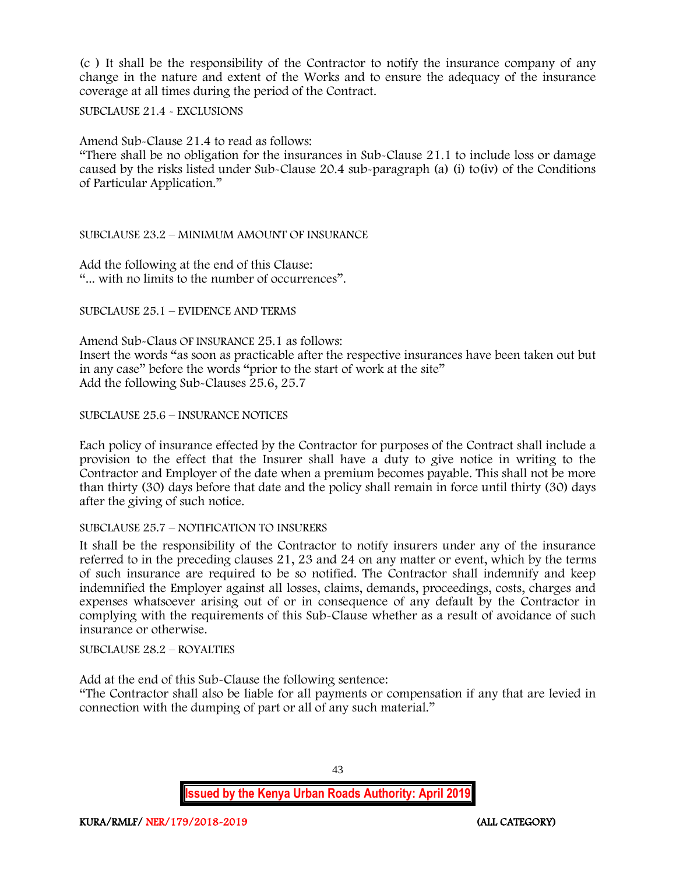(c ) It shall be the responsibility of the Contractor to notify the insurance company of any change in the nature and extent of the Works and to ensure the adequacy of the insurance coverage at all times during the period of the Contract.

SUBCLAUSE 21.4 - EXCLUSIONS

Amend Sub-Clause 21.4 to read as follows:

"There shall be no obligation for the insurances in Sub-Clause 21.1 to include loss or damage caused by the risks listed under Sub-Clause 20.4 sub-paragraph (a) (i) to(iv) of the Conditions of Particular Application."

#### SUBCLAUSE 23.2 – MINIMUM AMOUNT OF INSURANCE

Add the following at the end of this Clause: "... with no limits to the number of occurrences".

SUBCLAUSE 25.1 – EVIDENCE AND TERMS

Amend Sub-Claus OF INSURANCE 25.1 as follows: Insert the words "as soon as practicable after the respective insurances have been taken out but in any case" before the words "prior to the start of work at the site" Add the following Sub-Clauses 25.6, 25.7

#### SUBCLAUSE 25.6 – INSURANCE NOTICES

Each policy of insurance effected by the Contractor for purposes of the Contract shall include a provision to the effect that the Insurer shall have a duty to give notice in writing to the Contractor and Employer of the date when a premium becomes payable. This shall not be more than thirty (30) days before that date and the policy shall remain in force until thirty (30) days after the giving of such notice.

#### SUBCLAUSE 25.7 – NOTIFICATION TO INSURERS

It shall be the responsibility of the Contractor to notify insurers under any of the insurance referred to in the preceding clauses 21, 23 and 24 on any matter or event, which by the terms of such insurance are required to be so notified. The Contractor shall indemnify and keep indemnified the Employer against all losses, claims, demands, proceedings, costs, charges and expenses whatsoever arising out of or in consequence of any default by the Contractor in complying with the requirements of this Sub-Clause whether as a result of avoidance of such insurance or otherwise.

SUBCLAUSE 28.2 – ROYALTIES

Add at the end of this Sub-Clause the following sentence:

"The Contractor shall also be liable for all payments or compensation if any that are levied in connection with the dumping of part or all of any such material."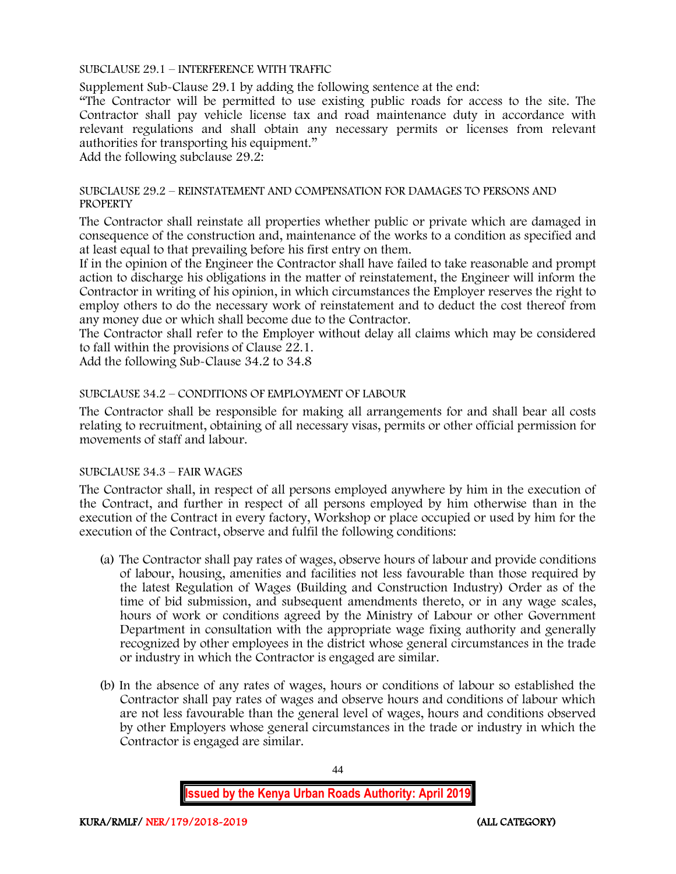SUBCLAUSE 29.1 – INTERFERENCE WITH TRAFFIC

Supplement Sub-Clause 29.1 by adding the following sentence at the end:

"The Contractor will be permitted to use existing public roads for access to the site. The Contractor shall pay vehicle license tax and road maintenance duty in accordance with relevant regulations and shall obtain any necessary permits or licenses from relevant authorities for transporting his equipment."

Add the following subclause 29.2:

#### SUBCLAUSE 29.2 – REINSTATEMENT AND COMPENSATION FOR DAMAGES TO PERSONS AND **PROPERTY**

The Contractor shall reinstate all properties whether public or private which are damaged in consequence of the construction and, maintenance of the works to a condition as specified and at least equal to that prevailing before his first entry on them.

If in the opinion of the Engineer the Contractor shall have failed to take reasonable and prompt action to discharge his obligations in the matter of reinstatement, the Engineer will inform the Contractor in writing of his opinion, in which circumstances the Employer reserves the right to employ others to do the necessary work of reinstatement and to deduct the cost thereof from any money due or which shall become due to the Contractor.

The Contractor shall refer to the Employer without delay all claims which may be considered to fall within the provisions of Clause 22.1.

Add the following Sub-Clause 34.2 to 34.8

#### SUBCLAUSE 34.2 – CONDITIONS OF EMPLOYMENT OF LABOUR

The Contractor shall be responsible for making all arrangements for and shall bear all costs relating to recruitment, obtaining of all necessary visas, permits or other official permission for movements of staff and labour.

#### SUBCLAUSE 34.3 – FAIR WAGES

The Contractor shall, in respect of all persons employed anywhere by him in the execution of the Contract, and further in respect of all persons employed by him otherwise than in the execution of the Contract in every factory, Workshop or place occupied or used by him for the execution of the Contract, observe and fulfil the following conditions:

- (a) The Contractor shall pay rates of wages, observe hours of labour and provide conditions of labour, housing, amenities and facilities not less favourable than those required by the latest Regulation of Wages (Building and Construction Industry) Order as of the time of bid submission, and subsequent amendments thereto, or in any wage scales, hours of work or conditions agreed by the Ministry of Labour or other Government Department in consultation with the appropriate wage fixing authority and generally recognized by other employees in the district whose general circumstances in the trade or industry in which the Contractor is engaged are similar.
- (b) In the absence of any rates of wages, hours or conditions of labour so established the Contractor shall pay rates of wages and observe hours and conditions of labour which are not less favourable than the general level of wages, hours and conditions observed by other Employers whose general circumstances in the trade or industry in which the Contractor is engaged are similar.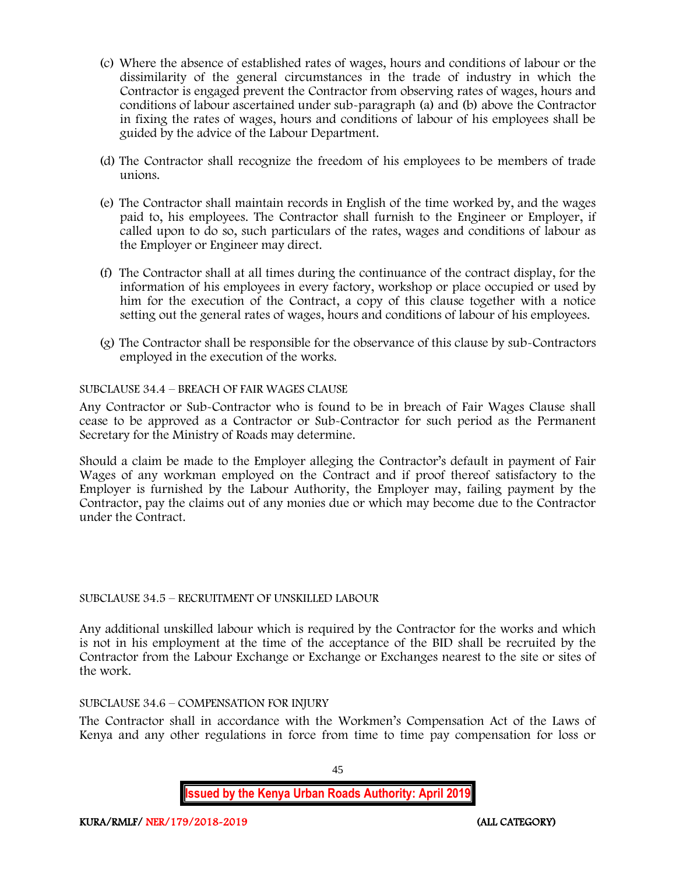- (c) Where the absence of established rates of wages, hours and conditions of labour or the dissimilarity of the general circumstances in the trade of industry in which the Contractor is engaged prevent the Contractor from observing rates of wages, hours and conditions of labour ascertained under sub-paragraph (a) and (b) above the Contractor in fixing the rates of wages, hours and conditions of labour of his employees shall be guided by the advice of the Labour Department.
- (d) The Contractor shall recognize the freedom of his employees to be members of trade unions.
- (e) The Contractor shall maintain records in English of the time worked by, and the wages paid to, his employees. The Contractor shall furnish to the Engineer or Employer, if called upon to do so, such particulars of the rates, wages and conditions of labour as the Employer or Engineer may direct.
- (f) The Contractor shall at all times during the continuance of the contract display, for the information of his employees in every factory, workshop or place occupied or used by him for the execution of the Contract, a copy of this clause together with a notice setting out the general rates of wages, hours and conditions of labour of his employees.
- (g) The Contractor shall be responsible for the observance of this clause by sub-Contractors employed in the execution of the works.

#### SUBCLAUSE 34.4 – BREACH OF FAIR WAGES CLAUSE

Any Contractor or Sub-Contractor who is found to be in breach of Fair Wages Clause shall cease to be approved as a Contractor or Sub-Contractor for such period as the Permanent Secretary for the Ministry of Roads may determine.

Should a claim be made to the Employer alleging the Contractor's default in payment of Fair Wages of any workman employed on the Contract and if proof thereof satisfactory to the Employer is furnished by the Labour Authority, the Employer may, failing payment by the Contractor, pay the claims out of any monies due or which may become due to the Contractor under the Contract.

#### SUBCLAUSE 34.5 – RECRUITMENT OF UNSKILLED LABOUR

Any additional unskilled labour which is required by the Contractor for the works and which is not in his employment at the time of the acceptance of the BID shall be recruited by the Contractor from the Labour Exchange or Exchange or Exchanges nearest to the site or sites of the work.

#### SUBCLAUSE 34.6 – COMPENSATION FOR INJURY

The Contractor shall in accordance with the Workmen's Compensation Act of the Laws of Kenya and any other regulations in force from time to time pay compensation for loss or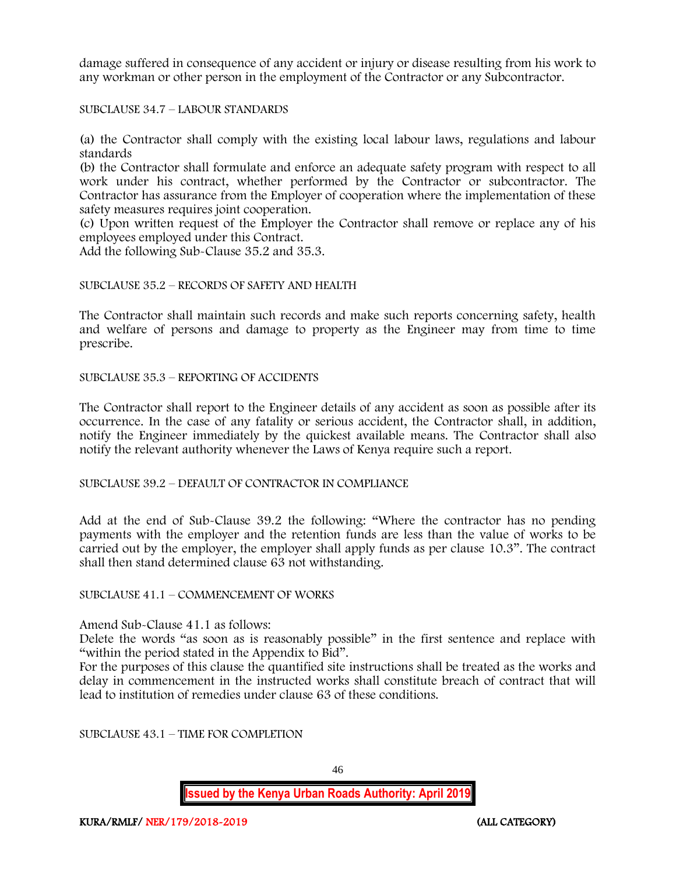damage suffered in consequence of any accident or injury or disease resulting from his work to any workman or other person in the employment of the Contractor or any Subcontractor.

SUBCLAUSE 34.7 – LABOUR STANDARDS

(a) the Contractor shall comply with the existing local labour laws, regulations and labour standards

(b) the Contractor shall formulate and enforce an adequate safety program with respect to all work under his contract, whether performed by the Contractor or subcontractor. The Contractor has assurance from the Employer of cooperation where the implementation of these safety measures requires joint cooperation.

(c) Upon written request of the Employer the Contractor shall remove or replace any of his employees employed under this Contract.

Add the following Sub-Clause 35.2 and 35.3.

#### SUBCLAUSE 35.2 – RECORDS OF SAFETY AND HEALTH

The Contractor shall maintain such records and make such reports concerning safety, health and welfare of persons and damage to property as the Engineer may from time to time prescribe.

SUBCLAUSE 35.3 – REPORTING OF ACCIDENTS

The Contractor shall report to the Engineer details of any accident as soon as possible after its occurrence. In the case of any fatality or serious accident, the Contractor shall, in addition, notify the Engineer immediately by the quickest available means. The Contractor shall also notify the relevant authority whenever the Laws of Kenya require such a report.

SUBCLAUSE 39.2 – DEFAULT OF CONTRACTOR IN COMPLIANCE

Add at the end of Sub-Clause 39.2 the following: "Where the contractor has no pending payments with the employer and the retention funds are less than the value of works to be carried out by the employer, the employer shall apply funds as per clause 10.3". The contract shall then stand determined clause 63 not withstanding.

SUBCLAUSE 41.1 – COMMENCEMENT OF WORKS

Amend Sub-Clause 41.1 as follows:

Delete the words "as soon as is reasonably possible" in the first sentence and replace with "within the period stated in the Appendix to Bid".

For the purposes of this clause the quantified site instructions shall be treated as the works and delay in commencement in the instructed works shall constitute breach of contract that will lead to institution of remedies under clause 63 of these conditions.

SUBCLAUSE 43.1 – TIME FOR COMPLETION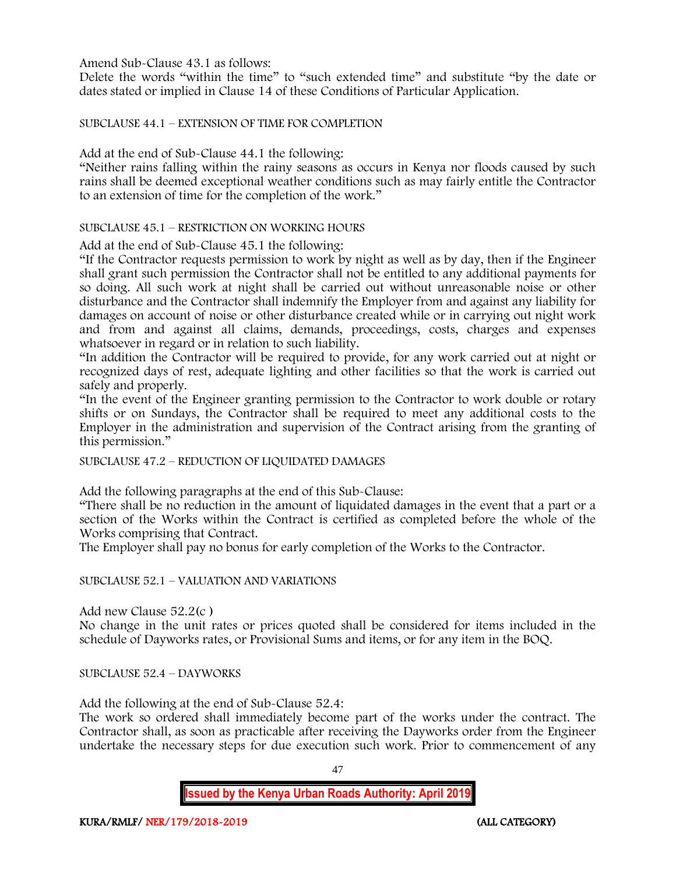Amend Sub-Clause 43.1 as follows:

Delete the words "within the time" to "such extended time" and substitute "by the date or dates stated or implied in Clause 14 of these Conditions of Particular Application.

SUBCLAUSE 44.1 – EXTENSION OF TIME FOR COMPLETION

Add at the end of Sub-Clause 44.1 the following:

"Neither rains falling within the rainy seasons as occurs in Kenya nor floods caused by such rains shall be deemed exceptional weather conditions such as may fairly entitle the Contractor to an extension of time for the completion of the work."

SUBCLAUSE 45.1 – RESTRICTION ON WORKING HOURS

Add at the end of Sub-Clause 45.1 the following:

"If the Contractor requests permission to work by night as well as by day, then if the Engineer shall grant such permission the Contractor shall not be entitled to any additional payments for so doing. All such work at night shall be carried out without unreasonable noise or other disturbance and the Contractor shall indemnify the Employer from and against any liability for damages on account of noise or other disturbance created while or in carrying out night work and from and against all claims, demands, proceedings, costs, charges and expenses whatsoever in regard or in relation to such liability.

"In addition the Contractor will be required to provide, for any work carried out at night or recognized days of rest, adequate lighting and other facilities so that the work is carried out safely and properly.

"In the event of the Engineer granting permission to the Contractor to work double or rotary shifts or on Sundays, the Contractor shall be required to meet any additional costs to the Employer in the administration and supervision of the Contract arising from the granting of this permission."

SUBCLAUSE 47.2 – REDUCTION OF LIQUIDATED DAMAGES

Add the following paragraphs at the end of this Sub-Clause:

"There shall be no reduction in the amount of liquidated damages in the event that a part or a section of the Works within the Contract is certified as completed before the whole of the Works comprising that Contract.

The Employer shall pay no bonus for early completion of the Works to the Contractor.

SUBCLAUSE 52.1 – VALUATION AND VARIATIONS

Add new Clause 52.2(c )

No change in the unit rates or prices quoted shall be considered for items included in the schedule of Dayworks rates, or Provisional Sums and items, or for any item in the BOQ.

SUBCLAUSE 52.4 – DAYWORKS

Add the following at the end of Sub-Clause 52.4:

The work so ordered shall immediately become part of the works under the contract. The Contractor shall, as soon as practicable after receiving the Dayworks order from the Engineer undertake the necessary steps for due execution such work. Prior to commencement of any

47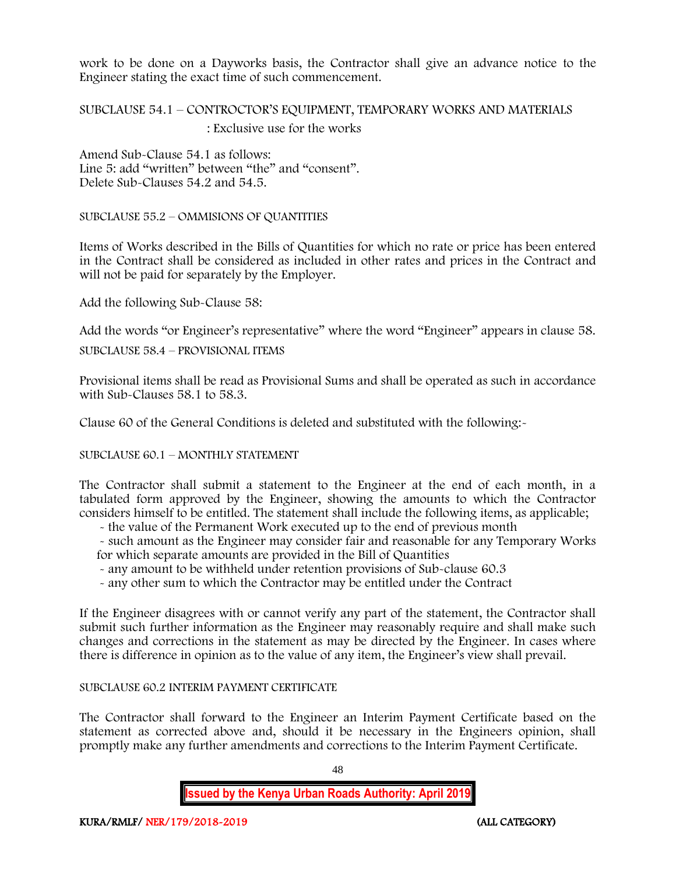work to be done on a Dayworks basis, the Contractor shall give an advance notice to the Engineer stating the exact time of such commencement.

# SUBCLAUSE 54.1 – CONTROCTOR'S EQUIPMENT, TEMPORARY WORKS AND MATERIALS : Exclusive use for the works

Amend Sub-Clause 54.1 as follows: Line 5: add "written" between "the" and "consent". Delete Sub-Clauses 54.2 and 54.5.

SUBCLAUSE 55.2 – OMMISIONS OF QUANTITIES

Items of Works described in the Bills of Quantities for which no rate or price has been entered in the Contract shall be considered as included in other rates and prices in the Contract and will not be paid for separately by the Employer.

Add the following Sub-Clause 58:

Add the words "or Engineer's representative" where the word "Engineer" appears in clause 58.

SUBCLAUSE 58.4 – PROVISIONAL ITEMS

Provisional items shall be read as Provisional Sums and shall be operated as such in accordance with Sub-Clauses 58.1 to 58.3.

Clause 60 of the General Conditions is deleted and substituted with the following:-

SUBCLAUSE 60.1 – MONTHLY STATEMENT

The Contractor shall submit a statement to the Engineer at the end of each month, in a tabulated form approved by the Engineer, showing the amounts to which the Contractor considers himself to be entitled. The statement shall include the following items, as applicable;

- the value of the Permanent Work executed up to the end of previous month

- such amount as the Engineer may consider fair and reasonable for any Temporary Works for which separate amounts are provided in the Bill of Quantities

- any amount to be withheld under retention provisions of Sub-clause 60.3
- any other sum to which the Contractor may be entitled under the Contract

If the Engineer disagrees with or cannot verify any part of the statement, the Contractor shall submit such further information as the Engineer may reasonably require and shall make such changes and corrections in the statement as may be directed by the Engineer. In cases where there is difference in opinion as to the value of any item, the Engineer's view shall prevail.

#### SUBCLAUSE 60.2 INTERIM PAYMENT CERTIFICATE

The Contractor shall forward to the Engineer an Interim Payment Certificate based on the statement as corrected above and, should it be necessary in the Engineers opinion, shall promptly make any further amendments and corrections to the Interim Payment Certificate.

48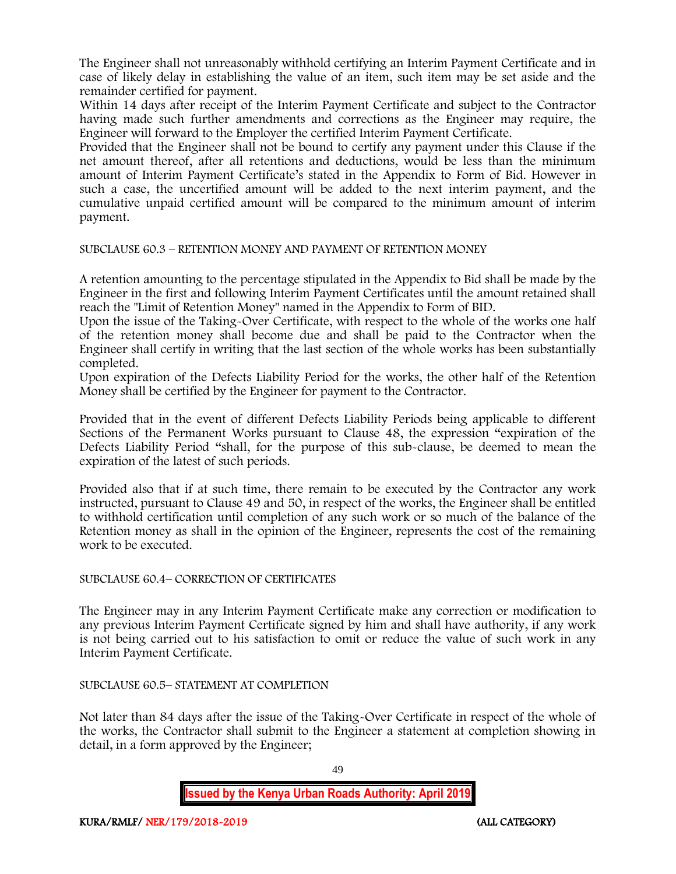The Engineer shall not unreasonably withhold certifying an Interim Payment Certificate and in case of likely delay in establishing the value of an item, such item may be set aside and the remainder certified for payment.

Within 14 days after receipt of the Interim Payment Certificate and subject to the Contractor having made such further amendments and corrections as the Engineer may require, the Engineer will forward to the Employer the certified Interim Payment Certificate.

Provided that the Engineer shall not be bound to certify any payment under this Clause if the net amount thereof, after all retentions and deductions, would be less than the minimum amount of Interim Payment Certificate's stated in the Appendix to Form of Bid. However in such a case, the uncertified amount will be added to the next interim payment, and the cumulative unpaid certified amount will be compared to the minimum amount of interim payment.

SUBCLAUSE 60.3 – RETENTION MONEY AND PAYMENT OF RETENTION MONEY

A retention amounting to the percentage stipulated in the Appendix to Bid shall be made by the Engineer in the first and following Interim Payment Certificates until the amount retained shall reach the "Limit of Retention Money" named in the Appendix to Form of BID.

Upon the issue of the Taking-Over Certificate, with respect to the whole of the works one half of the retention money shall become due and shall be paid to the Contractor when the Engineer shall certify in writing that the last section of the whole works has been substantially completed.

Upon expiration of the Defects Liability Period for the works, the other half of the Retention Money shall be certified by the Engineer for payment to the Contractor.

Provided that in the event of different Defects Liability Periods being applicable to different Sections of the Permanent Works pursuant to Clause 48, the expression "expiration of the Defects Liability Period "shall, for the purpose of this sub-clause, be deemed to mean the expiration of the latest of such periods.

Provided also that if at such time, there remain to be executed by the Contractor any work instructed, pursuant to Clause 49 and 50, in respect of the works, the Engineer shall be entitled to withhold certification until completion of any such work or so much of the balance of the Retention money as shall in the opinion of the Engineer, represents the cost of the remaining work to be executed.

SUBCLAUSE 60.4– CORRECTION OF CERTIFICATES

The Engineer may in any Interim Payment Certificate make any correction or modification to any previous Interim Payment Certificate signed by him and shall have authority, if any work is not being carried out to his satisfaction to omit or reduce the value of such work in any Interim Payment Certificate.

SUBCLAUSE 60.5– STATEMENT AT COMPLETION

Not later than 84 days after the issue of the Taking-Over Certificate in respect of the whole of the works, the Contractor shall submit to the Engineer a statement at completion showing in detail, in a form approved by the Engineer;

49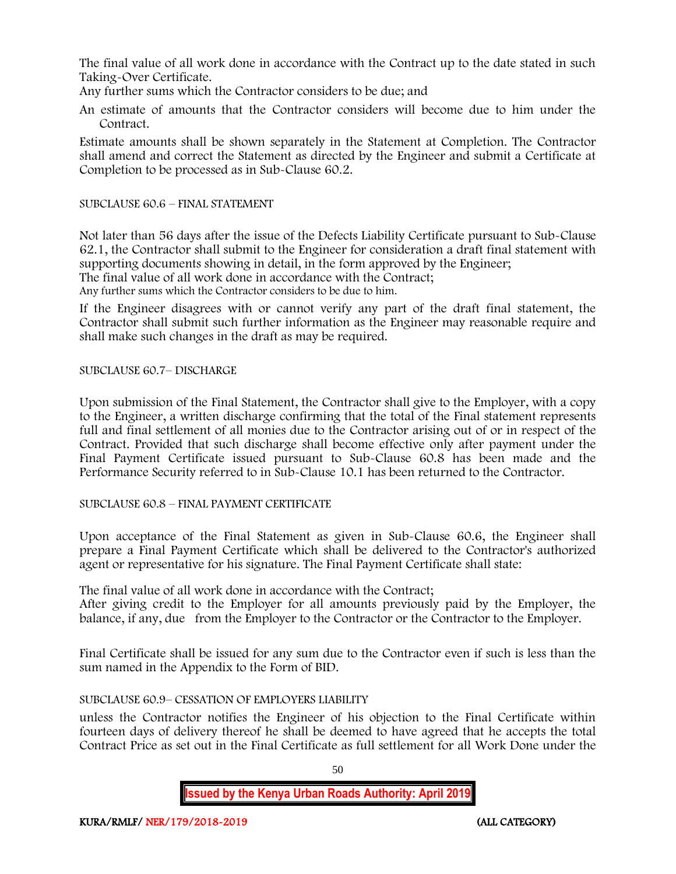The final value of all work done in accordance with the Contract up to the date stated in such Taking-Over Certificate.

Any further sums which the Contractor considers to be due; and

An estimate of amounts that the Contractor considers will become due to him under the Contract.

Estimate amounts shall be shown separately in the Statement at Completion. The Contractor shall amend and correct the Statement as directed by the Engineer and submit a Certificate at Completion to be processed as in Sub-Clause 60.2.

#### SUBCLAUSE 60.6 – FINAL STATEMENT

Not later than 56 days after the issue of the Defects Liability Certificate pursuant to Sub-Clause 62.1, the Contractor shall submit to the Engineer for consideration a draft final statement with supporting documents showing in detail, in the form approved by the Engineer; The final value of all work done in accordance with the Contract;

Any further sums which the Contractor considers to be due to him.

If the Engineer disagrees with or cannot verify any part of the draft final statement, the Contractor shall submit such further information as the Engineer may reasonable require and shall make such changes in the draft as may be required.

SUBCLAUSE 60.7– DISCHARGE

Upon submission of the Final Statement, the Contractor shall give to the Employer, with a copy to the Engineer, a written discharge confirming that the total of the Final statement represents full and final settlement of all monies due to the Contractor arising out of or in respect of the Contract. Provided that such discharge shall become effective only after payment under the Final Payment Certificate issued pursuant to Sub-Clause 60.8 has been made and the Performance Security referred to in Sub-Clause 10.1 has been returned to the Contractor.

SUBCLAUSE 60.8 – FINAL PAYMENT CERTIFICATE

Upon acceptance of the Final Statement as given in Sub-Clause 60.6, the Engineer shall prepare a Final Payment Certificate which shall be delivered to the Contractor's authorized agent or representative for his signature. The Final Payment Certificate shall state:

The final value of all work done in accordance with the Contract;

After giving credit to the Employer for all amounts previously paid by the Employer, the balance, if any, due from the Employer to the Contractor or the Contractor to the Employer.

Final Certificate shall be issued for any sum due to the Contractor even if such is less than the sum named in the Appendix to the Form of BID.

# SUBCLAUSE 60.9– CESSATION OF EMPLOYERS LIABILITY

unless the Contractor notifies the Engineer of his objection to the Final Certificate within fourteen days of delivery thereof he shall be deemed to have agreed that he accepts the total Contract Price as set out in the Final Certificate as full settlement for all Work Done under the

50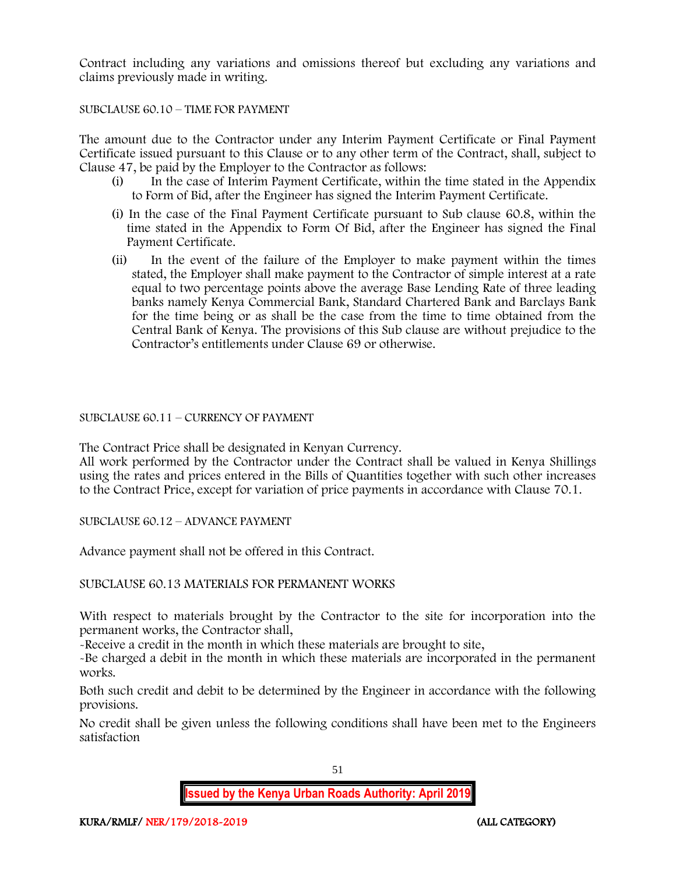Contract including any variations and omissions thereof but excluding any variations and claims previously made in writing.

### SUBCLAUSE 60.10 – TIME FOR PAYMENT

The amount due to the Contractor under any Interim Payment Certificate or Final Payment Certificate issued pursuant to this Clause or to any other term of the Contract, shall, subject to Clause 47, be paid by the Employer to the Contractor as follows:

- (i) In the case of Interim Payment Certificate, within the time stated in the Appendix to Form of Bid, after the Engineer has signed the Interim Payment Certificate.
- (i) In the case of the Final Payment Certificate pursuant to Sub clause 60.8, within the time stated in the Appendix to Form Of Bid, after the Engineer has signed the Final Payment Certificate.
- (ii) In the event of the failure of the Employer to make payment within the times stated, the Employer shall make payment to the Contractor of simple interest at a rate equal to two percentage points above the average Base Lending Rate of three leading banks namely Kenya Commercial Bank, Standard Chartered Bank and Barclays Bank for the time being or as shall be the case from the time to time obtained from the Central Bank of Kenya. The provisions of this Sub clause are without prejudice to the Contractor's entitlements under Clause 69 or otherwise.

#### SUBCLAUSE 60.11 – CURRENCY OF PAYMENT

The Contract Price shall be designated in Kenyan Currency.

All work performed by the Contractor under the Contract shall be valued in Kenya Shillings using the rates and prices entered in the Bills of Quantities together with such other increases to the Contract Price, except for variation of price payments in accordance with Clause 70.1.

SUBCLAUSE 60.12 – ADVANCE PAYMENT

Advance payment shall not be offered in this Contract.

# SUBCLAUSE 60.13 MATERIALS FOR PERMANENT WORKS

With respect to materials brought by the Contractor to the site for incorporation into the permanent works, the Contractor shall,

-Receive a credit in the month in which these materials are brought to site,

-Be charged a debit in the month in which these materials are incorporated in the permanent works.

Both such credit and debit to be determined by the Engineer in accordance with the following provisions.

No credit shall be given unless the following conditions shall have been met to the Engineers satisfaction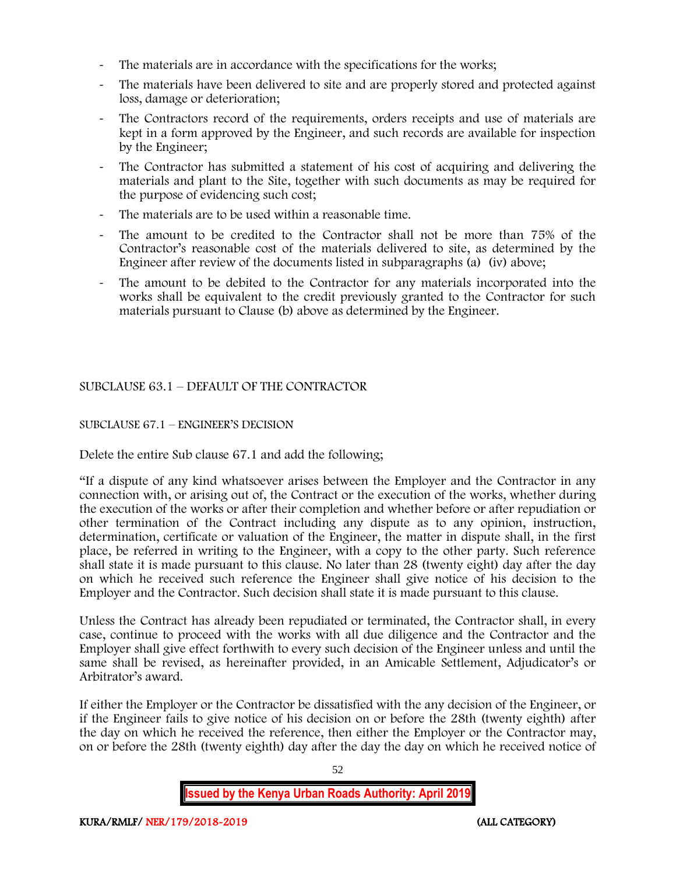- The materials are in accordance with the specifications for the works;
- The materials have been delivered to site and are properly stored and protected against loss, damage or deterioration;
- The Contractors record of the requirements, orders receipts and use of materials are kept in a form approved by the Engineer, and such records are available for inspection by the Engineer;
- The Contractor has submitted a statement of his cost of acquiring and delivering the materials and plant to the Site, together with such documents as may be required for the purpose of evidencing such cost;
- The materials are to be used within a reasonable time.
- The amount to be credited to the Contractor shall not be more than 75% of the Contractor's reasonable cost of the materials delivered to site, as determined by the Engineer after review of the documents listed in subparagraphs (a) (iv) above;
- The amount to be debited to the Contractor for any materials incorporated into the works shall be equivalent to the credit previously granted to the Contractor for such materials pursuant to Clause (b) above as determined by the Engineer.

# SUBCLAUSE 63.1 – DEFAULT OF THE CONTRACTOR

# SUBCLAUSE 67.1 – ENGINEER'S DECISION

Delete the entire Sub clause 67.1 and add the following;

"If a dispute of any kind whatsoever arises between the Employer and the Contractor in any connection with, or arising out of, the Contract or the execution of the works, whether during the execution of the works or after their completion and whether before or after repudiation or other termination of the Contract including any dispute as to any opinion, instruction, determination, certificate or valuation of the Engineer, the matter in dispute shall, in the first place, be referred in writing to the Engineer, with a copy to the other party. Such reference shall state it is made pursuant to this clause. No later than 28 (twenty eight) day after the day on which he received such reference the Engineer shall give notice of his decision to the Employer and the Contractor. Such decision shall state it is made pursuant to this clause.

Unless the Contract has already been repudiated or terminated, the Contractor shall, in every case, continue to proceed with the works with all due diligence and the Contractor and the Employer shall give effect forthwith to every such decision of the Engineer unless and until the same shall be revised, as hereinafter provided, in an Amicable Settlement, Adjudicator's or Arbitrator's award.

If either the Employer or the Contractor be dissatisfied with the any decision of the Engineer, or if the Engineer fails to give notice of his decision on or before the 28th (twenty eighth) after the day on which he received the reference, then either the Employer or the Contractor may, on or before the 28th (twenty eighth) day after the day the day on which he received notice of

52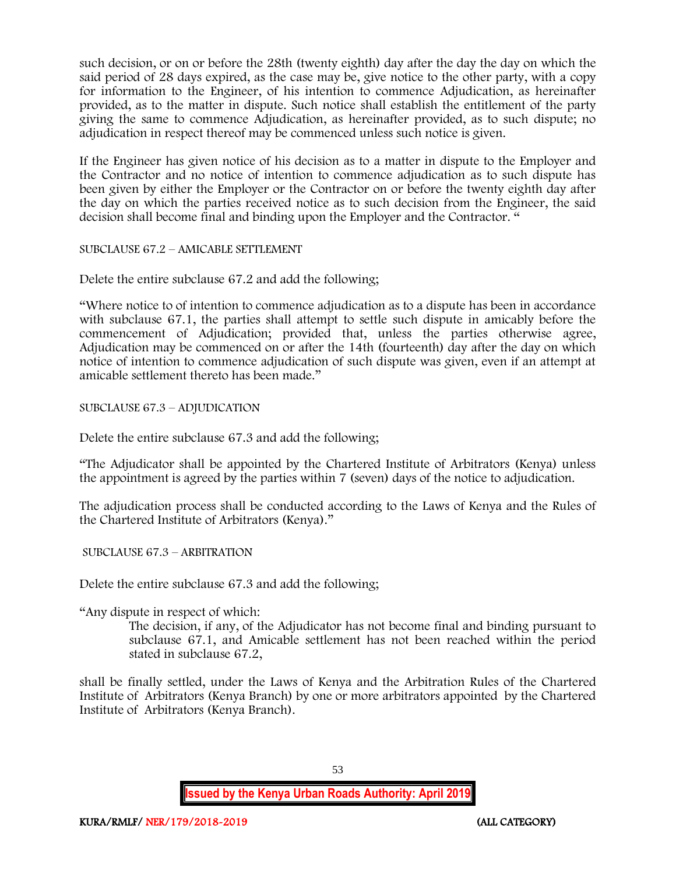such decision, or on or before the 28th (twenty eighth) day after the day the day on which the said period of 28 days expired, as the case may be, give notice to the other party, with a copy for information to the Engineer, of his intention to commence Adjudication, as hereinafter provided, as to the matter in dispute. Such notice shall establish the entitlement of the party giving the same to commence Adjudication, as hereinafter provided, as to such dispute; no adjudication in respect thereof may be commenced unless such notice is given.

If the Engineer has given notice of his decision as to a matter in dispute to the Employer and the Contractor and no notice of intention to commence adjudication as to such dispute has been given by either the Employer or the Contractor on or before the twenty eighth day after the day on which the parties received notice as to such decision from the Engineer, the said decision shall become final and binding upon the Employer and the Contractor. "

SUBCLAUSE 67.2 – AMICABLE SETTLEMENT

Delete the entire subclause 67.2 and add the following;

"Where notice to of intention to commence adjudication as to a dispute has been in accordance with subclause 67.1, the parties shall attempt to settle such dispute in amicably before the commencement of Adjudication; provided that, unless the parties otherwise agree, Adjudication may be commenced on or after the 14th (fourteenth) day after the day on which notice of intention to commence adjudication of such dispute was given, even if an attempt at amicable settlement thereto has been made."

SUBCLAUSE 67.3 – ADJUDICATION

Delete the entire subclause 67.3 and add the following;

"The Adjudicator shall be appointed by the Chartered Institute of Arbitrators (Kenya) unless the appointment is agreed by the parties within 7 (seven) days of the notice to adjudication.

The adjudication process shall be conducted according to the Laws of Kenya and the Rules of the Chartered Institute of Arbitrators (Kenya)."

SUBCLAUSE 67.3 – ARBITRATION

Delete the entire subclause 67.3 and add the following;

"Any dispute in respect of which:

The decision, if any, of the Adjudicator has not become final and binding pursuant to subclause 67.1, and Amicable settlement has not been reached within the period stated in subclause 67.2,

shall be finally settled, under the Laws of Kenya and the Arbitration Rules of the Chartered Institute of Arbitrators (Kenya Branch) by one or more arbitrators appointed by the Chartered Institute of Arbitrators (Kenya Branch).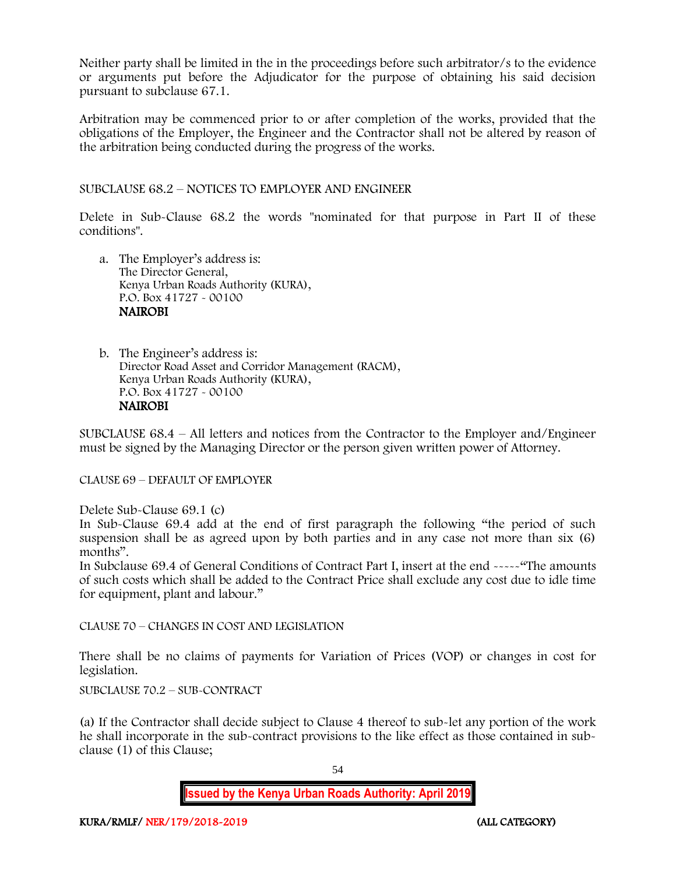Neither party shall be limited in the in the proceedings before such arbitrator/s to the evidence or arguments put before the Adjudicator for the purpose of obtaining his said decision pursuant to subclause 67.1.

Arbitration may be commenced prior to or after completion of the works, provided that the obligations of the Employer, the Engineer and the Contractor shall not be altered by reason of the arbitration being conducted during the progress of the works.

SUBCLAUSE 68.2 – NOTICES TO EMPLOYER AND ENGINEER

Delete in Sub-Clause 68.2 the words "nominated for that purpose in Part II of these conditions".

- a. The Employer's address is: The Director General, Kenya Urban Roads Authority (KURA), P.O. Box 41727 - 00100 NAIROBI
- b. The Engineer's address is: Director Road Asset and Corridor Management (RACM), Kenya Urban Roads Authority (KURA), P.O. Box 41727 - 00100 NAIROBI

SUBCLAUSE 68.4 – All letters and notices from the Contractor to the Employer and/Engineer must be signed by the Managing Director or the person given written power of Attorney.

CLAUSE 69 – DEFAULT OF EMPLOYER

Delete Sub-Clause 69.1 (c)

In Sub-Clause 69.4 add at the end of first paragraph the following "the period of such suspension shall be as agreed upon by both parties and in any case not more than six (6) months".

In Subclause 69.4 of General Conditions of Contract Part I, insert at the end -----"The amounts of such costs which shall be added to the Contract Price shall exclude any cost due to idle time for equipment, plant and labour."

CLAUSE 70 – CHANGES IN COST AND LEGISLATION

There shall be no claims of payments for Variation of Prices (VOP) or changes in cost for legislation.

SUBCLAUSE 70.2 – SUB-CONTRACT

(a) If the Contractor shall decide subject to Clause 4 thereof to sub-let any portion of the work he shall incorporate in the sub-contract provisions to the like effect as those contained in subclause (1) of this Clause;

54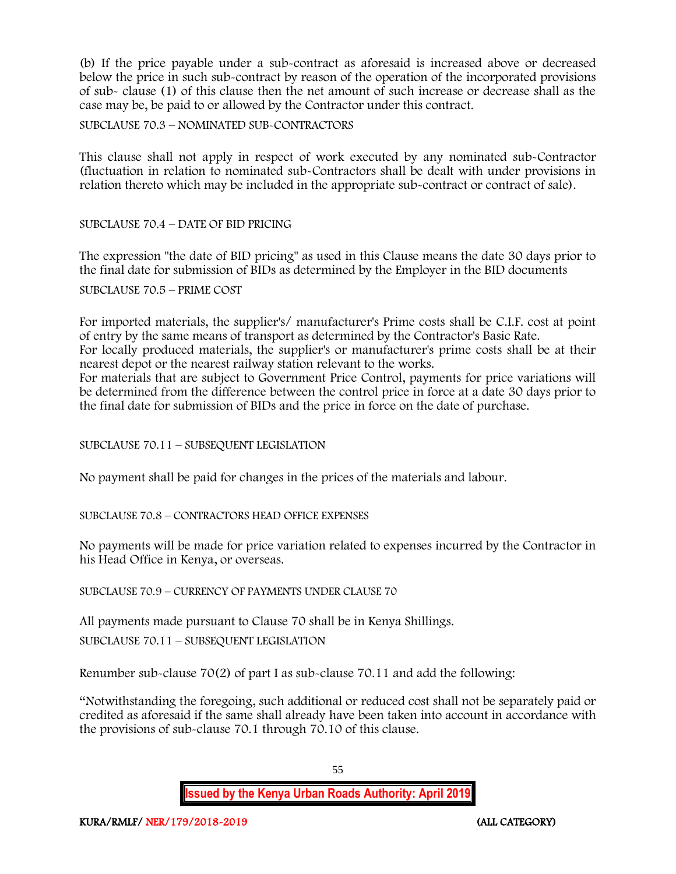(b) If the price payable under a sub-contract as aforesaid is increased above or decreased below the price in such sub-contract by reason of the operation of the incorporated provisions of sub- clause (1) of this clause then the net amount of such increase or decrease shall as the case may be, be paid to or allowed by the Contractor under this contract.

SUBCLAUSE 70.3 – NOMINATED SUB-CONTRACTORS

This clause shall not apply in respect of work executed by any nominated sub-Contractor (fluctuation in relation to nominated sub-Contractors shall be dealt with under provisions in relation thereto which may be included in the appropriate sub-contract or contract of sale).

SUBCLAUSE 70.4 – DATE OF BID PRICING

The expression "the date of BID pricing" as used in this Clause means the date 30 days prior to the final date for submission of BIDs as determined by the Employer in the BID documents

SUBCLAUSE 70.5 – PRIME COST

For imported materials, the supplier's/ manufacturer's Prime costs shall be C.I.F. cost at point of entry by the same means of transport as determined by the Contractor's Basic Rate. For locally produced materials, the supplier's or manufacturer's prime costs shall be at their

nearest depot or the nearest railway station relevant to the works.

For materials that are subject to Government Price Control, payments for price variations will be determined from the difference between the control price in force at a date 30 days prior to the final date for submission of BIDs and the price in force on the date of purchase.

SUBCLAUSE 70.11 – SUBSEQUENT LEGISLATION

No payment shall be paid for changes in the prices of the materials and labour.

SUBCLAUSE 70.8 – CONTRACTORS HEAD OFFICE EXPENSES

No payments will be made for price variation related to expenses incurred by the Contractor in his Head Office in Kenya, or overseas.

SUBCLAUSE 70.9 – CURRENCY OF PAYMENTS UNDER CLAUSE 70

All payments made pursuant to Clause 70 shall be in Kenya Shillings. SUBCLAUSE 70.11 – SUBSEQUENT LEGISLATION

Renumber sub-clause 70(2) of part I as sub-clause 70.11 and add the following:

"Notwithstanding the foregoing, such additional or reduced cost shall not be separately paid or credited as aforesaid if the same shall already have been taken into account in accordance with the provisions of sub-clause 70.1 through 70.10 of this clause.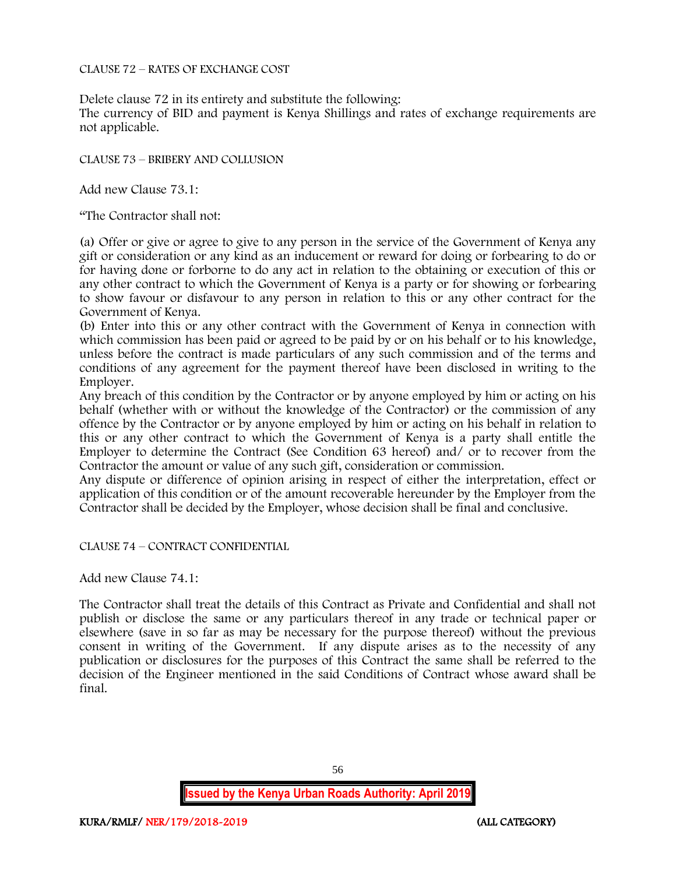#### CLAUSE 72 – RATES OF EXCHANGE COST

Delete clause 72 in its entirety and substitute the following:

The currency of BID and payment is Kenya Shillings and rates of exchange requirements are not applicable.

CLAUSE 73 – BRIBERY AND COLLUSION

Add new Clause 73.1:

"The Contractor shall not:

(a) Offer or give or agree to give to any person in the service of the Government of Kenya any gift or consideration or any kind as an inducement or reward for doing or forbearing to do or for having done or forborne to do any act in relation to the obtaining or execution of this or any other contract to which the Government of Kenya is a party or for showing or forbearing to show favour or disfavour to any person in relation to this or any other contract for the Government of Kenya.

(b) Enter into this or any other contract with the Government of Kenya in connection with which commission has been paid or agreed to be paid by or on his behalf or to his knowledge, unless before the contract is made particulars of any such commission and of the terms and conditions of any agreement for the payment thereof have been disclosed in writing to the Employer.

Any breach of this condition by the Contractor or by anyone employed by him or acting on his behalf (whether with or without the knowledge of the Contractor) or the commission of any offence by the Contractor or by anyone employed by him or acting on his behalf in relation to this or any other contract to which the Government of Kenya is a party shall entitle the Employer to determine the Contract (See Condition 63 hereof) and/ or to recover from the Contractor the amount or value of any such gift, consideration or commission.

Any dispute or difference of opinion arising in respect of either the interpretation, effect or application of this condition or of the amount recoverable hereunder by the Employer from the Contractor shall be decided by the Employer, whose decision shall be final and conclusive.

CLAUSE 74 – CONTRACT CONFIDENTIAL

Add new Clause 74.1:

The Contractor shall treat the details of this Contract as Private and Confidential and shall not publish or disclose the same or any particulars thereof in any trade or technical paper or elsewhere (save in so far as may be necessary for the purpose thereof) without the previous consent in writing of the Government. If any dispute arises as to the necessity of any publication or disclosures for the purposes of this Contract the same shall be referred to the decision of the Engineer mentioned in the said Conditions of Contract whose award shall be final.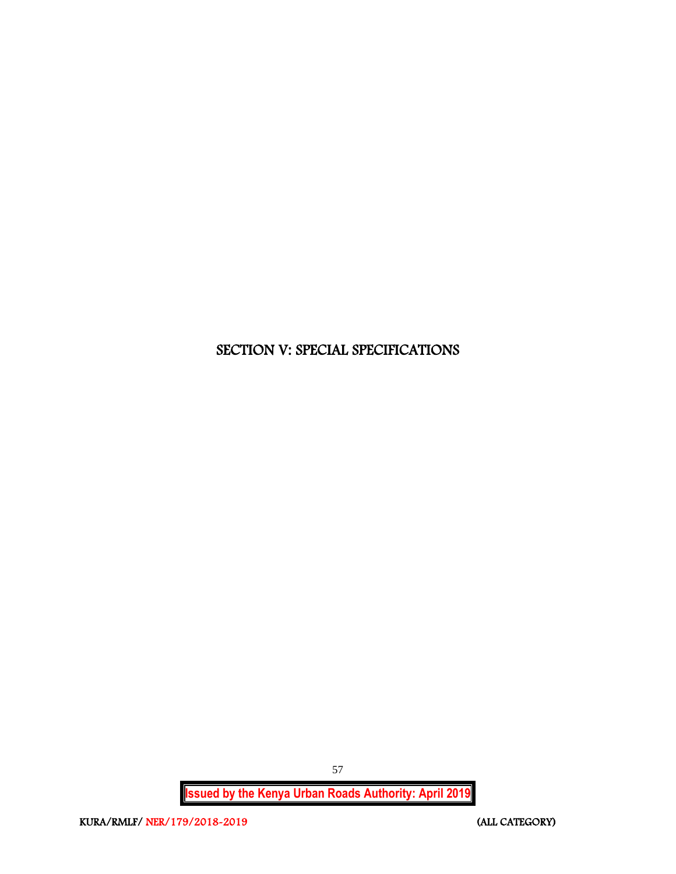# SECTION V: SPECIAL SPECIFICATIONS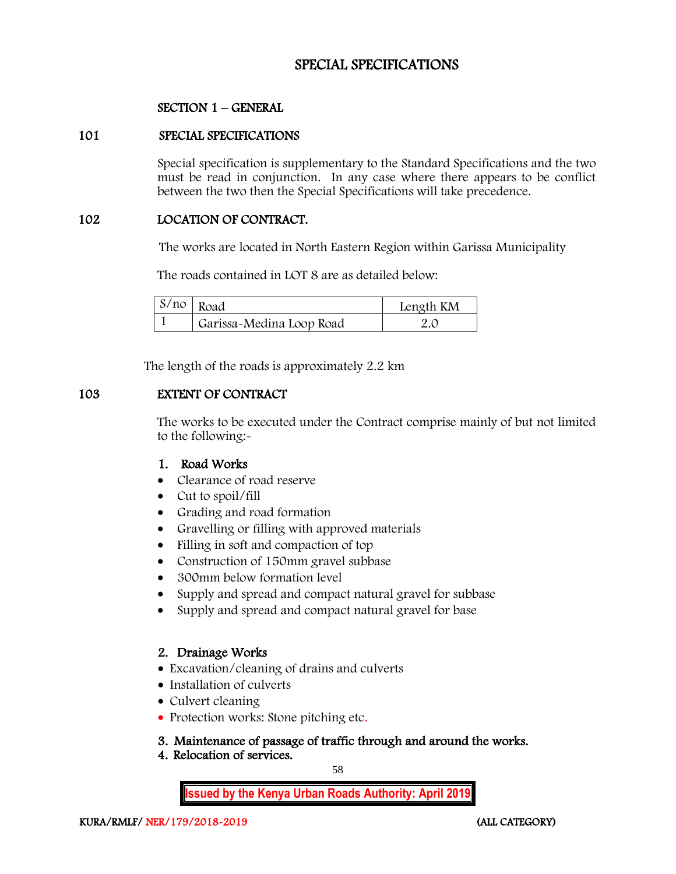# SPECIAL SPECIFICATIONS

# SECTION 1 – GENERAL

#### 101 SPECIAL SPECIFICATIONS

Special specification is supplementary to the Standard Specifications and the two must be read in conjunction. In any case where there appears to be conflict between the two then the Special Specifications will take precedence.

#### 102 LOCATION OF CONTRACT.

The works are located in North Eastern Region within Garissa Municipality

The roads contained in LOT 8 are as detailed below:

| $S/no$ Road              | Length KM |
|--------------------------|-----------|
| Garissa-Medina Loop Road |           |

The length of the roads is approximately 2.2 km

# 103 EXTENT OF CONTRACT

The works to be executed under the Contract comprise mainly of but not limited to the following:-

# 1. Road Works

- Clearance of road reserve
- Cut to spoil/fill
- Grading and road formation
- Gravelling or filling with approved materials
- Filling in soft and compaction of top
- Construction of 150mm gravel subbase
- 300mm below formation level
- Supply and spread and compact natural gravel for subbase
- Supply and spread and compact natural gravel for base

# 2. Drainage Works

- Excavation/cleaning of drains and culverts
- Installation of culverts
- Culvert cleaning
- Protection works: Stone pitching etc.

# 3. Maintenance of passage of traffic through and around the works.

4. Relocation of services.

58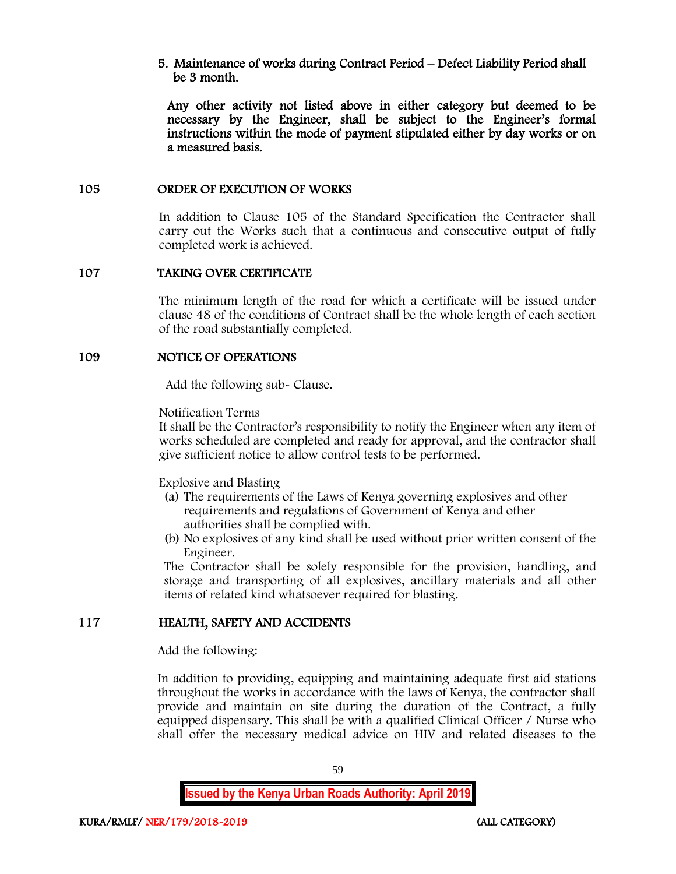5. Maintenance of works during Contract Period – Defect Liability Period shall be 3 month.

Any other activity not listed above in either category but deemed to be necessary by the Engineer, shall be subject to the Engineer's formal instructions within the mode of payment stipulated either by day works or on a measured basis.

#### 105 ORDER OF EXECUTION OF WORKS

In addition to Clause 105 of the Standard Specification the Contractor shall carry out the Works such that a continuous and consecutive output of fully completed work is achieved.

# 107 TAKING OVER CERTIFICATE

The minimum length of the road for which a certificate will be issued under clause 48 of the conditions of Contract shall be the whole length of each section of the road substantially completed.

#### 109 NOTICE OF OPERATIONS

Add the following sub- Clause.

Notification Terms

It shall be the Contractor's responsibility to notify the Engineer when any item of works scheduled are completed and ready for approval, and the contractor shall give sufficient notice to allow control tests to be performed.

Explosive and Blasting

- (a) The requirements of the Laws of Kenya governing explosives and other requirements and regulations of Government of Kenya and other authorities shall be complied with.
- (b) No explosives of any kind shall be used without prior written consent of the Engineer.

The Contractor shall be solely responsible for the provision, handling, and storage and transporting of all explosives, ancillary materials and all other items of related kind whatsoever required for blasting.

# 117 HEALTH, SAFETY AND ACCIDENTS

Add the following:

In addition to providing, equipping and maintaining adequate first aid stations throughout the works in accordance with the laws of Kenya, the contractor shall provide and maintain on site during the duration of the Contract, a fully equipped dispensary. This shall be with a qualified Clinical Officer / Nurse who shall offer the necessary medical advice on HIV and related diseases to the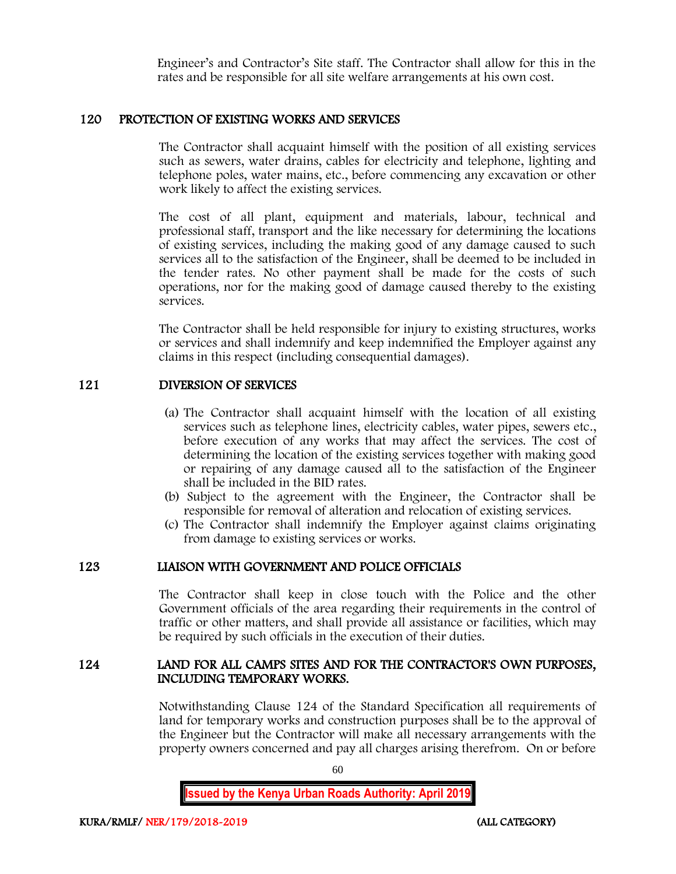Engineer's and Contractor's Site staff. The Contractor shall allow for this in the rates and be responsible for all site welfare arrangements at his own cost.

### 120 PROTECTION OF EXISTING WORKS AND SERVICES

The Contractor shall acquaint himself with the position of all existing services such as sewers, water drains, cables for electricity and telephone, lighting and telephone poles, water mains, etc., before commencing any excavation or other work likely to affect the existing services.

The cost of all plant, equipment and materials, labour, technical and professional staff, transport and the like necessary for determining the locations of existing services, including the making good of any damage caused to such services all to the satisfaction of the Engineer, shall be deemed to be included in the tender rates. No other payment shall be made for the costs of such operations, nor for the making good of damage caused thereby to the existing services.

The Contractor shall be held responsible for injury to existing structures, works or services and shall indemnify and keep indemnified the Employer against any claims in this respect (including consequential damages).

#### 121 DIVERSION OF SERVICES

- (a) The Contractor shall acquaint himself with the location of all existing services such as telephone lines, electricity cables, water pipes, sewers etc., before execution of any works that may affect the services. The cost of determining the location of the existing services together with making good or repairing of any damage caused all to the satisfaction of the Engineer shall be included in the BID rates.
- (b) Subject to the agreement with the Engineer, the Contractor shall be responsible for removal of alteration and relocation of existing services.
- (c) The Contractor shall indemnify the Employer against claims originating from damage to existing services or works.

#### 123 LIAISON WITH GOVERNMENT AND POLICE OFFICIALS

The Contractor shall keep in close touch with the Police and the other Government officials of the area regarding their requirements in the control of traffic or other matters, and shall provide all assistance or facilities, which may be required by such officials in the execution of their duties.

#### 124 LAND FOR ALL CAMPS SITES AND FOR THE CONTRACTOR'S OWN PURPOSES, INCLUDING TEMPORARY WORKS.

Notwithstanding Clause 124 of the Standard Specification all requirements of land for temporary works and construction purposes shall be to the approval of the Engineer but the Contractor will make all necessary arrangements with the property owners concerned and pay all charges arising therefrom. On or before

60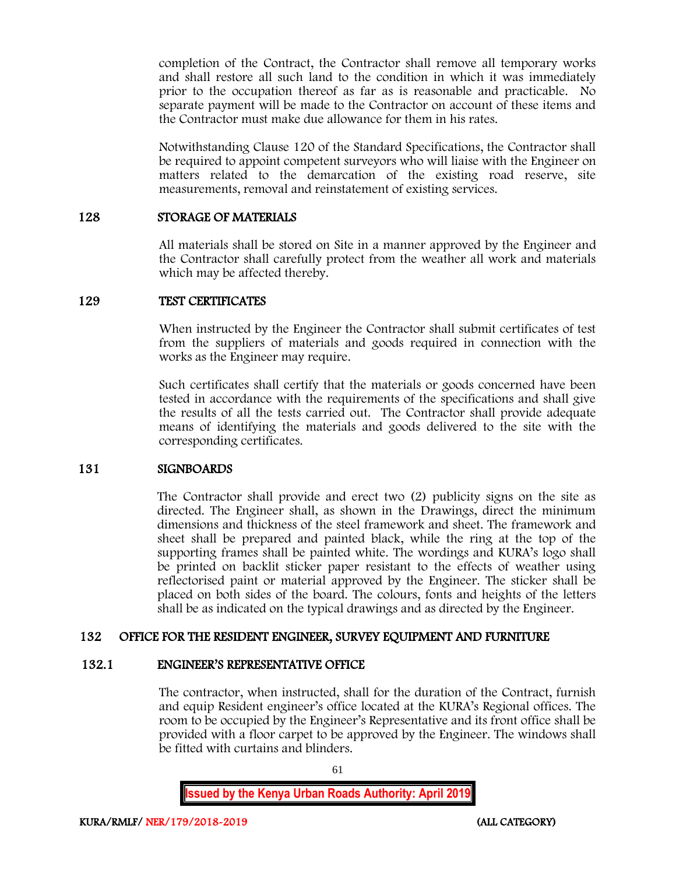completion of the Contract, the Contractor shall remove all temporary works and shall restore all such land to the condition in which it was immediately prior to the occupation thereof as far as is reasonable and practicable. No separate payment will be made to the Contractor on account of these items and the Contractor must make due allowance for them in his rates.

Notwithstanding Clause 120 of the Standard Specifications, the Contractor shall be required to appoint competent surveyors who will liaise with the Engineer on matters related to the demarcation of the existing road reserve, site measurements, removal and reinstatement of existing services.

#### 128 STORAGE OF MATERIALS

All materials shall be stored on Site in a manner approved by the Engineer and the Contractor shall carefully protect from the weather all work and materials which may be affected thereby.

#### 129 TEST CERTIFICATES

When instructed by the Engineer the Contractor shall submit certificates of test from the suppliers of materials and goods required in connection with the works as the Engineer may require.

Such certificates shall certify that the materials or goods concerned have been tested in accordance with the requirements of the specifications and shall give the results of all the tests carried out. The Contractor shall provide adequate means of identifying the materials and goods delivered to the site with the corresponding certificates.

#### 131 SIGNBOARDS

The Contractor shall provide and erect two (2) publicity signs on the site as directed. The Engineer shall, as shown in the Drawings, direct the minimum dimensions and thickness of the steel framework and sheet. The framework and sheet shall be prepared and painted black, while the ring at the top of the supporting frames shall be painted white. The wordings and KURA's logo shall be printed on backlit sticker paper resistant to the effects of weather using reflectorised paint or material approved by the Engineer. The sticker shall be placed on both sides of the board. The colours, fonts and heights of the letters shall be as indicated on the typical drawings and as directed by the Engineer.

# 132 OFFICE FOR THE RESIDENT ENGINEER, SURVEY EQUIPMENT AND FURNITURE

#### 132.1 ENGINEER'S REPRESENTATIVE OFFICE

The contractor, when instructed, shall for the duration of the Contract, furnish and equip Resident engineer's office located at the KURA's Regional offices. The room to be occupied by the Engineer's Representative and its front office shall be provided with a floor carpet to be approved by the Engineer. The windows shall be fitted with curtains and blinders.

61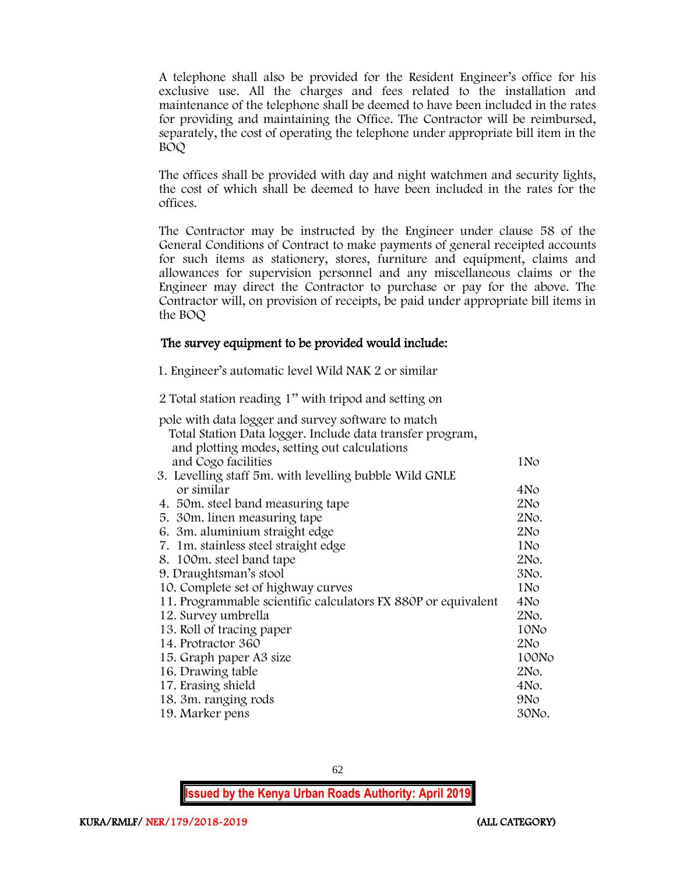A telephone shall also be provided for the Resident Engineer's office for his exclusive use. All the charges and fees related to the installation and maintenance of the telephone shall be deemed to have been included in the rates for providing and maintaining the Office. The Contractor will be reimbursed, separately, the cost of operating the telephone under appropriate bill item in the BOQ

The offices shall be provided with day and night watchmen and security lights, the cost of which shall be deemed to have been included in the rates for the offices.

The Contractor may be instructed by the Engineer under clause 58 of the General Conditions of Contract to make payments of general receipted accounts for such items as stationery, stores, furniture and equipment, claims and allowances for supervision personnel and any miscellaneous claims or the Engineer may direct the Contractor to purchase or pay for the above. The Contractor will, on provision of receipts, be paid under appropriate bill items in the BOQ

# The survey equipment to be provided would include:

1. Engineer's automatic level Wild NAK 2 or similar

2 Total station reading 1'' with tripod and setting on

| pole with data logger and survey software to match<br>Total Station Data logger. Include data transfer program,<br>and plotting modes, setting out calculations |                 |
|-----------------------------------------------------------------------------------------------------------------------------------------------------------------|-----------------|
| and Cogo facilities                                                                                                                                             | 1No             |
| 3. Levelling staff 5m. with levelling bubble Wild GNLE                                                                                                          |                 |
| or similar                                                                                                                                                      | 4No             |
| 4. 50 m. steel band measuring tape                                                                                                                              | 2N <sub>O</sub> |
| 5. 30m. linen measuring tape                                                                                                                                    | 2No.            |
| 6. 3m. aluminium straight edge                                                                                                                                  | 2N <sub>O</sub> |
| 7. 1m. stainless steel straight edge                                                                                                                            | 1No             |
| 8. 100m. steel band tape                                                                                                                                        | 2No.            |
| 9. Draughtsman's stool                                                                                                                                          | 3No.            |
| 10. Complete set of highway curves                                                                                                                              | 1 No            |
| 11. Programmable scientific calculators FX 880P or equivalent                                                                                                   | 4No             |
| 12. Survey umbrella                                                                                                                                             | 2No.            |
| 13. Roll of tracing paper                                                                                                                                       | 10No            |
| 14. Protractor 360                                                                                                                                              | 2N <sub>O</sub> |
| 15. Graph paper A3 size                                                                                                                                         | 100No           |
| 16. Drawing table                                                                                                                                               | 2No.            |
| 17. Erasing shield                                                                                                                                              | 4No.            |
| 18. 3m. ranging rods                                                                                                                                            | 9N <sub>o</sub> |
| 19. Marker pens                                                                                                                                                 | 30No.           |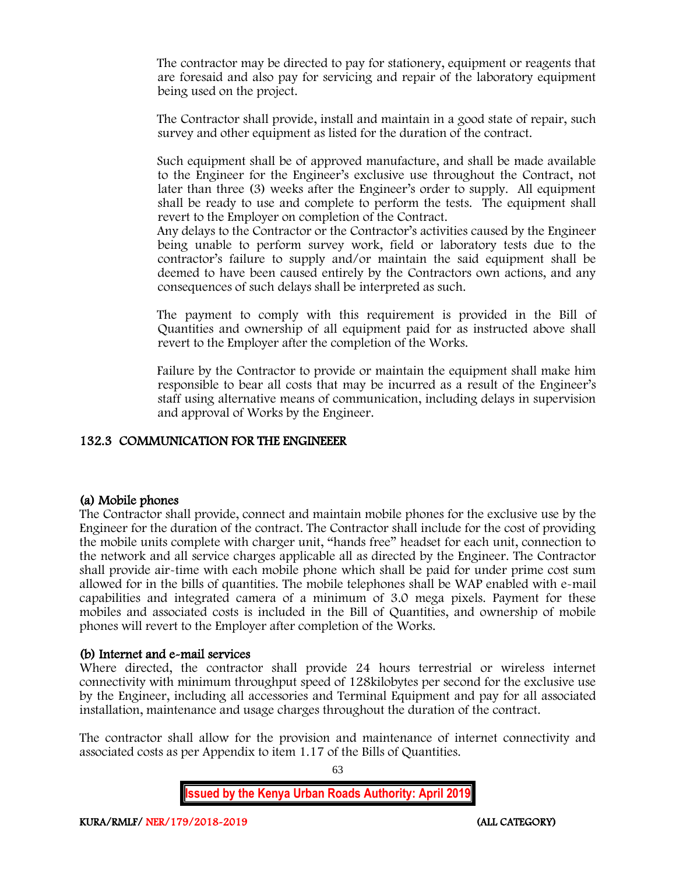The contractor may be directed to pay for stationery, equipment or reagents that are foresaid and also pay for servicing and repair of the laboratory equipment being used on the project.

The Contractor shall provide, install and maintain in a good state of repair, such survey and other equipment as listed for the duration of the contract.

Such equipment shall be of approved manufacture, and shall be made available to the Engineer for the Engineer's exclusive use throughout the Contract, not later than three (3) weeks after the Engineer's order to supply. All equipment shall be ready to use and complete to perform the tests. The equipment shall revert to the Employer on completion of the Contract.

Any delays to the Contractor or the Contractor's activities caused by the Engineer being unable to perform survey work, field or laboratory tests due to the contractor's failure to supply and/or maintain the said equipment shall be deemed to have been caused entirely by the Contractors own actions, and any consequences of such delays shall be interpreted as such.

The payment to comply with this requirement is provided in the Bill of Quantities and ownership of all equipment paid for as instructed above shall revert to the Employer after the completion of the Works.

Failure by the Contractor to provide or maintain the equipment shall make him responsible to bear all costs that may be incurred as a result of the Engineer's staff using alternative means of communication, including delays in supervision and approval of Works by the Engineer.

# 132.3 COMMUNICATION FOR THE ENGINEEER

# (a) Mobile phones

The Contractor shall provide, connect and maintain mobile phones for the exclusive use by the Engineer for the duration of the contract. The Contractor shall include for the cost of providing the mobile units complete with charger unit, "hands free" headset for each unit, connection to the network and all service charges applicable all as directed by the Engineer. The Contractor shall provide air-time with each mobile phone which shall be paid for under prime cost sum allowed for in the bills of quantities. The mobile telephones shall be WAP enabled with e-mail capabilities and integrated camera of a minimum of 3.0 mega pixels. Payment for these mobiles and associated costs is included in the Bill of Quantities, and ownership of mobile phones will revert to the Employer after completion of the Works.

# (b) Internet and e-mail services

Where directed, the contractor shall provide 24 hours terrestrial or wireless internet connectivity with minimum throughput speed of 128kilobytes per second for the exclusive use by the Engineer, including all accessories and Terminal Equipment and pay for all associated installation, maintenance and usage charges throughout the duration of the contract.

The contractor shall allow for the provision and maintenance of internet connectivity and associated costs as per Appendix to item 1.17 of the Bills of Quantities.

63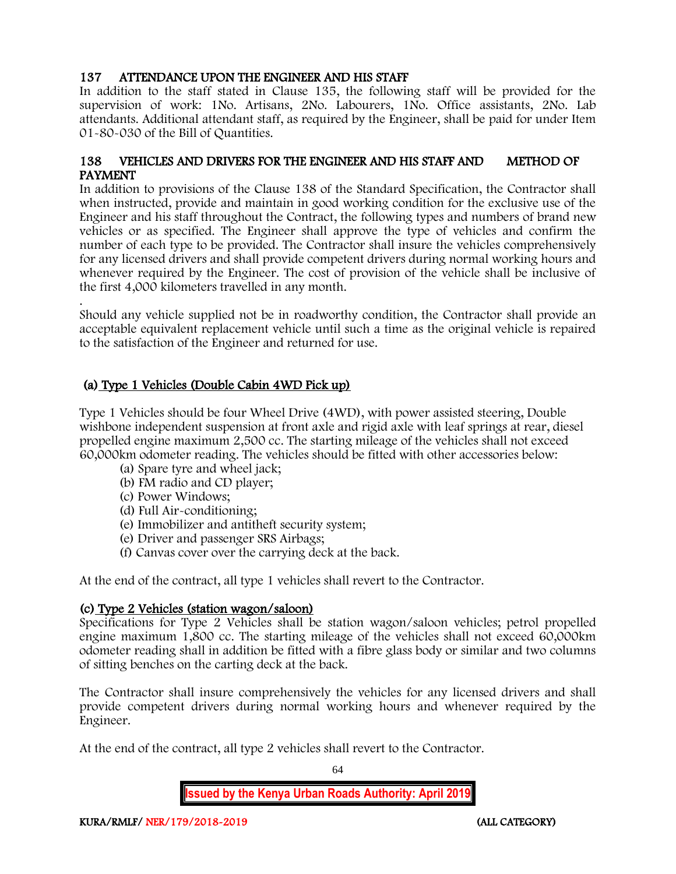# 137 ATTENDANCE UPON THE ENGINEER AND HIS STAFF

In addition to the staff stated in Clause 135, the following staff will be provided for the supervision of work: 1No. Artisans, 2No. Labourers, 1No. Office assistants, 2No. Lab attendants. Additional attendant staff, as required by the Engineer, shall be paid for under Item 01-80-030 of the Bill of Quantities.

# 138 VEHICLES AND DRIVERS FOR THE ENGINEER AND HIS STAFF AND METHOD OF PAYMENT

In addition to provisions of the Clause 138 of the Standard Specification, the Contractor shall when instructed, provide and maintain in good working condition for the exclusive use of the Engineer and his staff throughout the Contract, the following types and numbers of brand new vehicles or as specified. The Engineer shall approve the type of vehicles and confirm the number of each type to be provided. The Contractor shall insure the vehicles comprehensively for any licensed drivers and shall provide competent drivers during normal working hours and whenever required by the Engineer. The cost of provision of the vehicle shall be inclusive of the first 4,000 kilometers travelled in any month.

. Should any vehicle supplied not be in roadworthy condition, the Contractor shall provide an acceptable equivalent replacement vehicle until such a time as the original vehicle is repaired to the satisfaction of the Engineer and returned for use.

# (a) Type 1 Vehicles (Double Cabin 4WD Pick up)

Type 1 Vehicles should be four Wheel Drive (4WD), with power assisted steering, Double wishbone independent suspension at front axle and rigid axle with leaf springs at rear, diesel propelled engine maximum 2,500 cc. The starting mileage of the vehicles shall not exceed 60,000km odometer reading. The vehicles should be fitted with other accessories below:

- (a) Spare tyre and wheel jack;
- (b) FM radio and CD player;
- (c) Power Windows;
- (d) Full Air-conditioning;
- (e) Immobilizer and antitheft security system;
- (e) Driver and passenger SRS Airbags;
- (f) Canvas cover over the carrying deck at the back.

At the end of the contract, all type 1 vehicles shall revert to the Contractor.

# (c) Type 2 Vehicles (station wagon/saloon)

Specifications for Type 2 Vehicles shall be station wagon/saloon vehicles; petrol propelled engine maximum 1,800 cc. The starting mileage of the vehicles shall not exceed 60,000km odometer reading shall in addition be fitted with a fibre glass body or similar and two columns of sitting benches on the carting deck at the back.

The Contractor shall insure comprehensively the vehicles for any licensed drivers and shall provide competent drivers during normal working hours and whenever required by the Engineer.

At the end of the contract, all type 2 vehicles shall revert to the Contractor.

64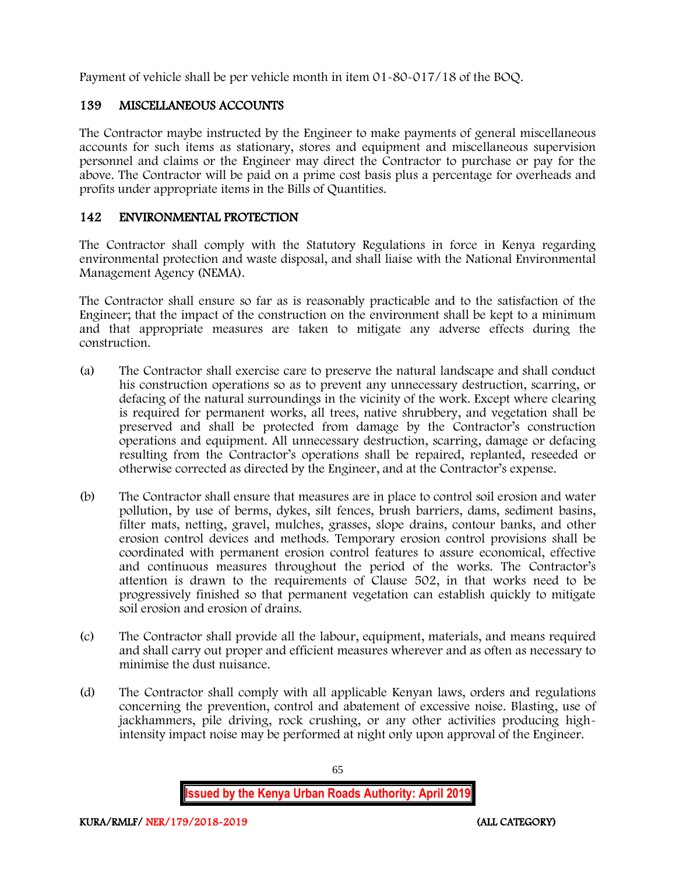Payment of vehicle shall be per vehicle month in item 01-80-017/18 of the BOQ.

# 139 MISCELLANEOUS ACCOUNTS

The Contractor maybe instructed by the Engineer to make payments of general miscellaneous accounts for such items as stationary, stores and equipment and miscellaneous supervision personnel and claims or the Engineer may direct the Contractor to purchase or pay for the above. The Contractor will be paid on a prime cost basis plus a percentage for overheads and profits under appropriate items in the Bills of Quantities.

# 142 ENVIRONMENTAL PROTECTION

The Contractor shall comply with the Statutory Regulations in force in Kenya regarding environmental protection and waste disposal, and shall liaise with the National Environmental Management Agency (NEMA).

The Contractor shall ensure so far as is reasonably practicable and to the satisfaction of the Engineer; that the impact of the construction on the environment shall be kept to a minimum and that appropriate measures are taken to mitigate any adverse effects during the construction.

- (a) The Contractor shall exercise care to preserve the natural landscape and shall conduct his construction operations so as to prevent any unnecessary destruction, scarring, or defacing of the natural surroundings in the vicinity of the work. Except where clearing is required for permanent works, all trees, native shrubbery, and vegetation shall be preserved and shall be protected from damage by the Contractor's construction operations and equipment. All unnecessary destruction, scarring, damage or defacing resulting from the Contractor's operations shall be repaired, replanted, reseeded or otherwise corrected as directed by the Engineer, and at the Contractor's expense.
- (b) The Contractor shall ensure that measures are in place to control soil erosion and water pollution, by use of berms, dykes, silt fences, brush barriers, dams, sediment basins, filter mats, netting, gravel, mulches, grasses, slope drains, contour banks, and other erosion control devices and methods. Temporary erosion control provisions shall be coordinated with permanent erosion control features to assure economical, effective and continuous measures throughout the period of the works. The Contractor's attention is drawn to the requirements of Clause 502, in that works need to be progressively finished so that permanent vegetation can establish quickly to mitigate soil erosion and erosion of drains.
- (c) The Contractor shall provide all the labour, equipment, materials, and means required and shall carry out proper and efficient measures wherever and as often as necessary to minimise the dust nuisance.
- (d) The Contractor shall comply with all applicable Kenyan laws, orders and regulations concerning the prevention, control and abatement of excessive noise. Blasting, use of jackhammers, pile driving, rock crushing, or any other activities producing highintensity impact noise may be performed at night only upon approval of the Engineer.

65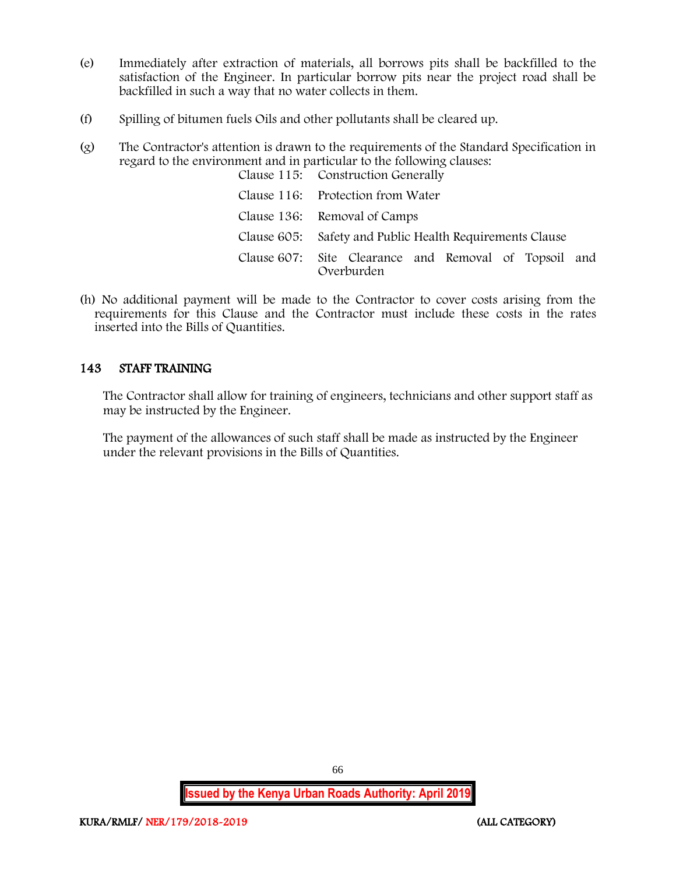- (e) Immediately after extraction of materials, all borrows pits shall be backfilled to the satisfaction of the Engineer. In particular borrow pits near the project road shall be backfilled in such a way that no water collects in them.
- (f) Spilling of bitumen fuels Oils and other pollutants shall be cleared up.
- (g) The Contractor's attention is drawn to the requirements of the Standard Specification in regard to the environment and in particular to the following clauses: Clause 115: Construction Generally

| Claude 110. Conditability denotally                                 |
|---------------------------------------------------------------------|
| Clause 116: Protection from Water                                   |
| Clause 136: Removal of Camps                                        |
| Clause 605: Safety and Public Health Requirements Clause            |
| Clause 607: Site Clearance and Removal of Topsoil and<br>Overburden |

(h) No additional payment will be made to the Contractor to cover costs arising from the requirements for this Clause and the Contractor must include these costs in the rates inserted into the Bills of Quantities.

# 143 STAFF TRAINING

The Contractor shall allow for training of engineers, technicians and other support staff as may be instructed by the Engineer.

The payment of the allowances of such staff shall be made as instructed by the Engineer under the relevant provisions in the Bills of Quantities.

66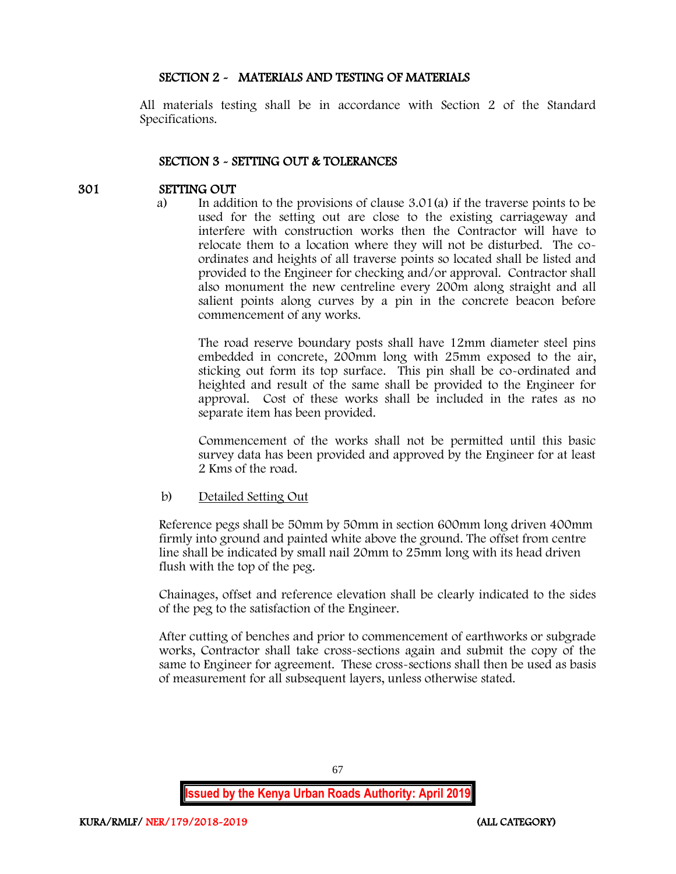# SECTION 2 - MATERIALS AND TESTING OF MATERIALS

All materials testing shall be in accordance with Section 2 of the Standard Specifications.

### SECTION 3 - SETTING OUT & TOLERANCES

### 301 SETTING OUT

a) In addition to the provisions of clause 3.01(a) if the traverse points to be used for the setting out are close to the existing carriageway and interfere with construction works then the Contractor will have to relocate them to a location where they will not be disturbed. The coordinates and heights of all traverse points so located shall be listed and provided to the Engineer for checking and/or approval. Contractor shall also monument the new centreline every 200m along straight and all salient points along curves by a pin in the concrete beacon before commencement of any works.

The road reserve boundary posts shall have 12mm diameter steel pins embedded in concrete, 200mm long with 25mm exposed to the air, sticking out form its top surface. This pin shall be co-ordinated and heighted and result of the same shall be provided to the Engineer for approval. Cost of these works shall be included in the rates as no separate item has been provided.

Commencement of the works shall not be permitted until this basic survey data has been provided and approved by the Engineer for at least 2 Kms of the road.

#### b) Detailed Setting Out

Reference pegs shall be 50mm by 50mm in section 600mm long driven 400mm firmly into ground and painted white above the ground. The offset from centre line shall be indicated by small nail 20mm to 25mm long with its head driven flush with the top of the peg.

Chainages, offset and reference elevation shall be clearly indicated to the sides of the peg to the satisfaction of the Engineer.

After cutting of benches and prior to commencement of earthworks or subgrade works, Contractor shall take cross-sections again and submit the copy of the same to Engineer for agreement. These cross-sections shall then be used as basis of measurement for all subsequent layers, unless otherwise stated.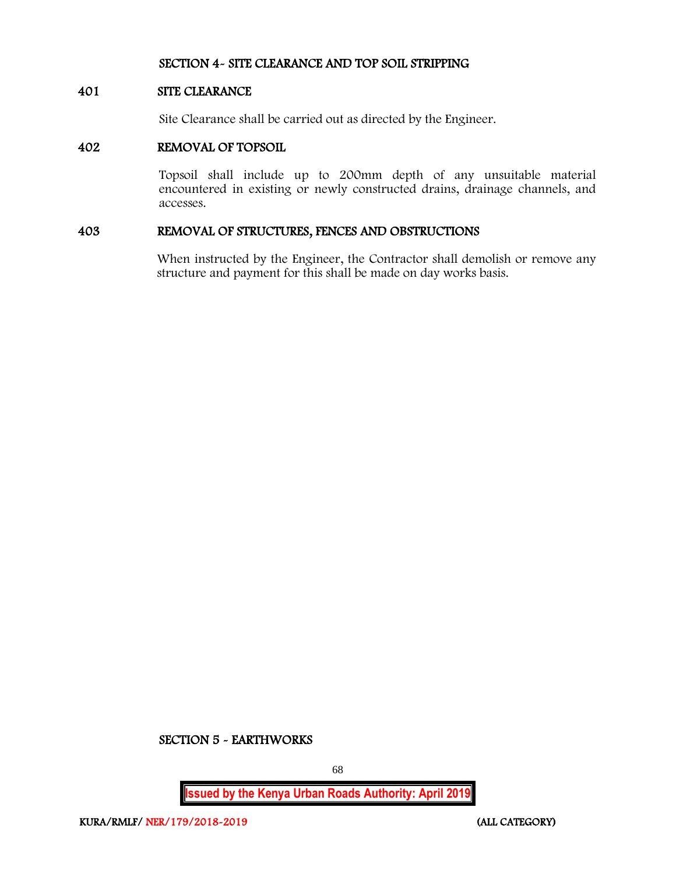#### SECTION 4- SITE CLEARANCE AND TOP SOIL STRIPPING

#### 401 SITE CLEARANCE

Site Clearance shall be carried out as directed by the Engineer.

#### 402 REMOVAL OF TOPSOIL

Topsoil shall include up to 200mm depth of any unsuitable material encountered in existing or newly constructed drains, drainage channels, and accesses.

# 403 REMOVAL OF STRUCTURES, FENCES AND OBSTRUCTIONS

When instructed by the Engineer, the Contractor shall demolish or remove any structure and payment for this shall be made on day works basis.

#### SECTION 5 - EARTHWORKS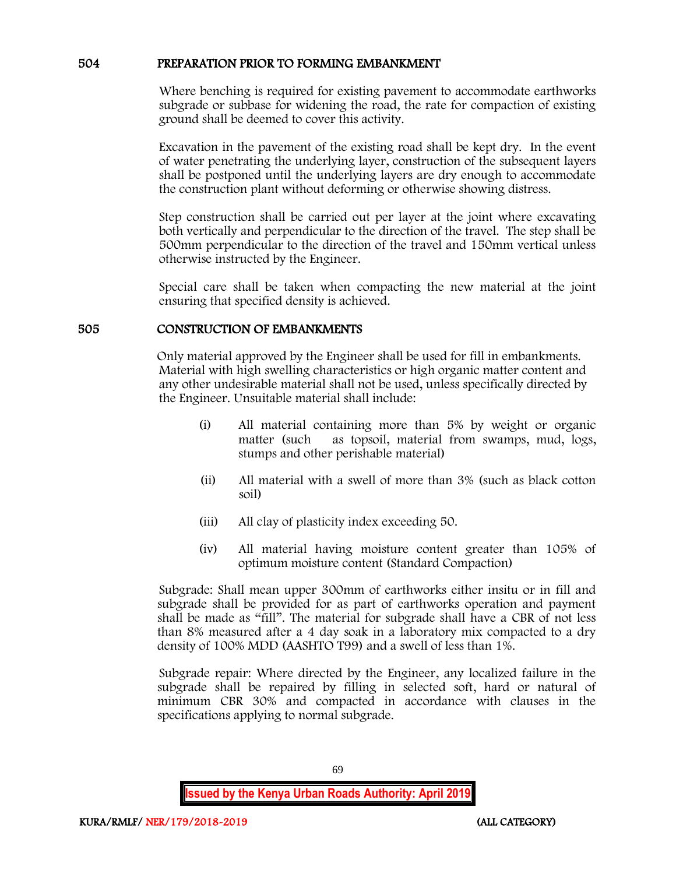### 504 PREPARATION PRIOR TO FORMING EMBANKMENT

Where benching is required for existing pavement to accommodate earthworks subgrade or subbase for widening the road, the rate for compaction of existing ground shall be deemed to cover this activity.

Excavation in the pavement of the existing road shall be kept dry. In the event of water penetrating the underlying layer, construction of the subsequent layers shall be postponed until the underlying layers are dry enough to accommodate the construction plant without deforming or otherwise showing distress.

Step construction shall be carried out per layer at the joint where excavating both vertically and perpendicular to the direction of the travel. The step shall be 500mm perpendicular to the direction of the travel and 150mm vertical unless otherwise instructed by the Engineer.

Special care shall be taken when compacting the new material at the joint ensuring that specified density is achieved.

#### 505 CONSTRUCTION OF EMBANKMENTS

Only material approved by the Engineer shall be used for fill in embankments. Material with high swelling characteristics or high organic matter content and any other undesirable material shall not be used, unless specifically directed by the Engineer. Unsuitable material shall include:

- (i) All material containing more than 5% by weight or organic matter (such as topsoil, material from swamps, mud, logs, stumps and other perishable material)
- (ii) All material with a swell of more than 3% (such as black cotton soil)
- (iii) All clay of plasticity index exceeding 50.
- (iv) All material having moisture content greater than 105% of optimum moisture content (Standard Compaction)

Subgrade: Shall mean upper 300mm of earthworks either insitu or in fill and subgrade shall be provided for as part of earthworks operation and payment shall be made as "fill". The material for subgrade shall have a CBR of not less than 8% measured after a 4 day soak in a laboratory mix compacted to a dry density of 100% MDD (AASHTO T99) and a swell of less than 1%.

Subgrade repair: Where directed by the Engineer, any localized failure in the subgrade shall be repaired by filling in selected soft, hard or natural of minimum CBR 30% and compacted in accordance with clauses in the specifications applying to normal subgrade.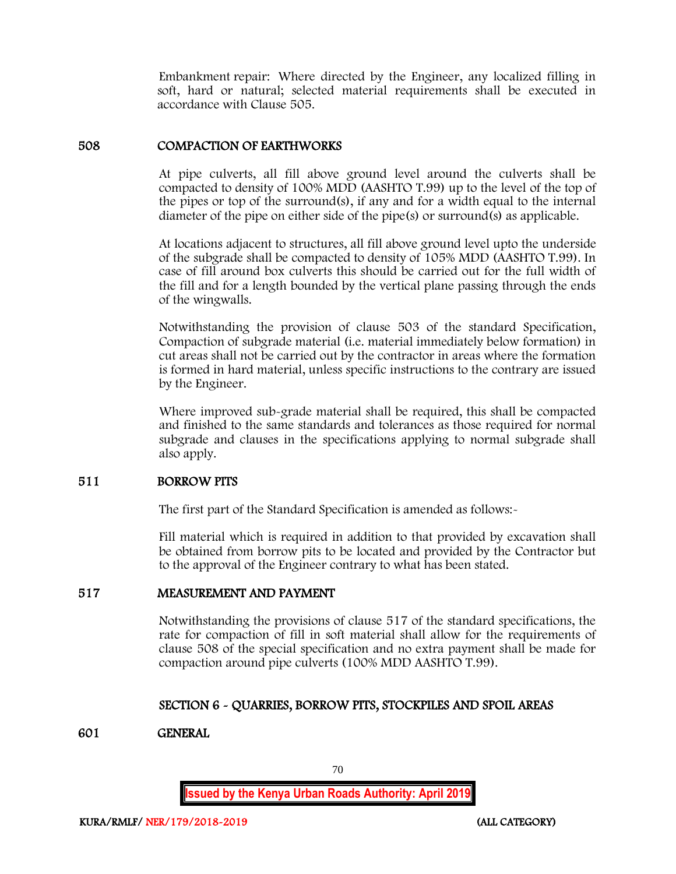Embankment repair: Where directed by the Engineer, any localized filling in soft, hard or natural; selected material requirements shall be executed in accordance with Clause 505.

### 508 COMPACTION OF EARTHWORKS

At pipe culverts, all fill above ground level around the culverts shall be compacted to density of 100% MDD (AASHTO T.99) up to the level of the top of the pipes or top of the surround(s), if any and for a width equal to the internal diameter of the pipe on either side of the pipe(s) or surround(s) as applicable.

At locations adjacent to structures, all fill above ground level upto the underside of the subgrade shall be compacted to density of 105% MDD (AASHTO T.99). In case of fill around box culverts this should be carried out for the full width of the fill and for a length bounded by the vertical plane passing through the ends of the wingwalls.

Notwithstanding the provision of clause 503 of the standard Specification, Compaction of subgrade material (i.e. material immediately below formation) in cut areas shall not be carried out by the contractor in areas where the formation is formed in hard material, unless specific instructions to the contrary are issued by the Engineer.

Where improved sub-grade material shall be required, this shall be compacted and finished to the same standards and tolerances as those required for normal subgrade and clauses in the specifications applying to normal subgrade shall also apply.

#### 511 BORROW PITS

The first part of the Standard Specification is amended as follows:-

Fill material which is required in addition to that provided by excavation shall be obtained from borrow pits to be located and provided by the Contractor but to the approval of the Engineer contrary to what has been stated.

#### 517 MEASUREMENT AND PAYMENT

Notwithstanding the provisions of clause 517 of the standard specifications, the rate for compaction of fill in soft material shall allow for the requirements of clause 508 of the special specification and no extra payment shall be made for compaction around pipe culverts (100% MDD AASHTO T.99).

# SECTION 6 - QUARRIES, BORROW PITS, STOCKPILES AND SPOIL AREAS

# 601 GENERAL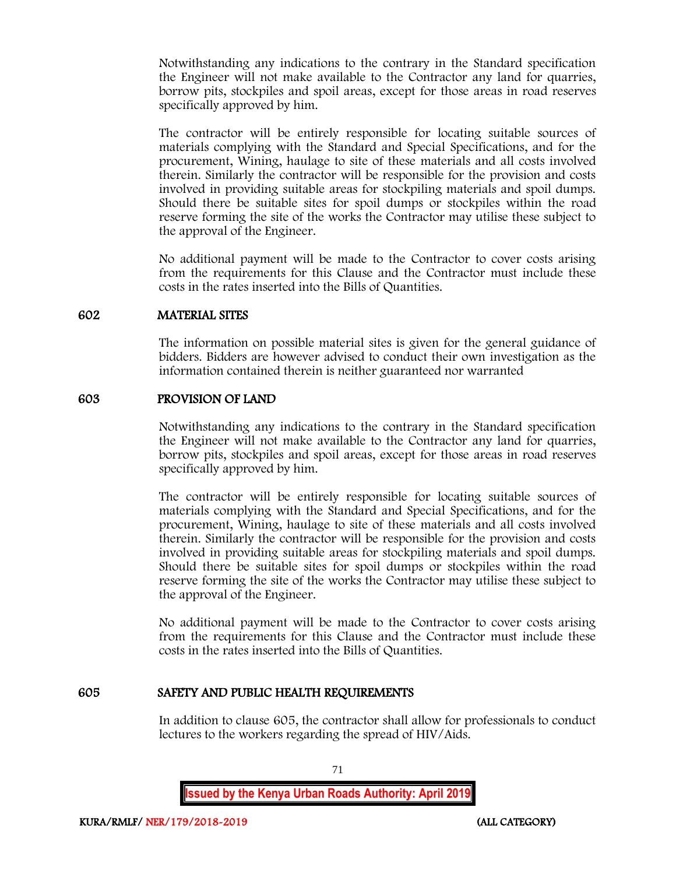Notwithstanding any indications to the contrary in the Standard specification the Engineer will not make available to the Contractor any land for quarries, borrow pits, stockpiles and spoil areas, except for those areas in road reserves specifically approved by him.

The contractor will be entirely responsible for locating suitable sources of materials complying with the Standard and Special Specifications, and for the procurement, Wining, haulage to site of these materials and all costs involved therein. Similarly the contractor will be responsible for the provision and costs involved in providing suitable areas for stockpiling materials and spoil dumps. Should there be suitable sites for spoil dumps or stockpiles within the road reserve forming the site of the works the Contractor may utilise these subject to the approval of the Engineer.

No additional payment will be made to the Contractor to cover costs arising from the requirements for this Clause and the Contractor must include these costs in the rates inserted into the Bills of Quantities.

#### 602 MATERIAL SITES

The information on possible material sites is given for the general guidance of bidders. Bidders are however advised to conduct their own investigation as the information contained therein is neither guaranteed nor warranted

# 603 PROVISION OF LAND

Notwithstanding any indications to the contrary in the Standard specification the Engineer will not make available to the Contractor any land for quarries, borrow pits, stockpiles and spoil areas, except for those areas in road reserves specifically approved by him.

The contractor will be entirely responsible for locating suitable sources of materials complying with the Standard and Special Specifications, and for the procurement, Wining, haulage to site of these materials and all costs involved therein. Similarly the contractor will be responsible for the provision and costs involved in providing suitable areas for stockpiling materials and spoil dumps. Should there be suitable sites for spoil dumps or stockpiles within the road reserve forming the site of the works the Contractor may utilise these subject to the approval of the Engineer.

No additional payment will be made to the Contractor to cover costs arising from the requirements for this Clause and the Contractor must include these costs in the rates inserted into the Bills of Quantities.

# 605 SAFETY AND PUBLIC HEALTH REQUIREMENTS

In addition to clause 605, the contractor shall allow for professionals to conduct lectures to the workers regarding the spread of HIV/Aids.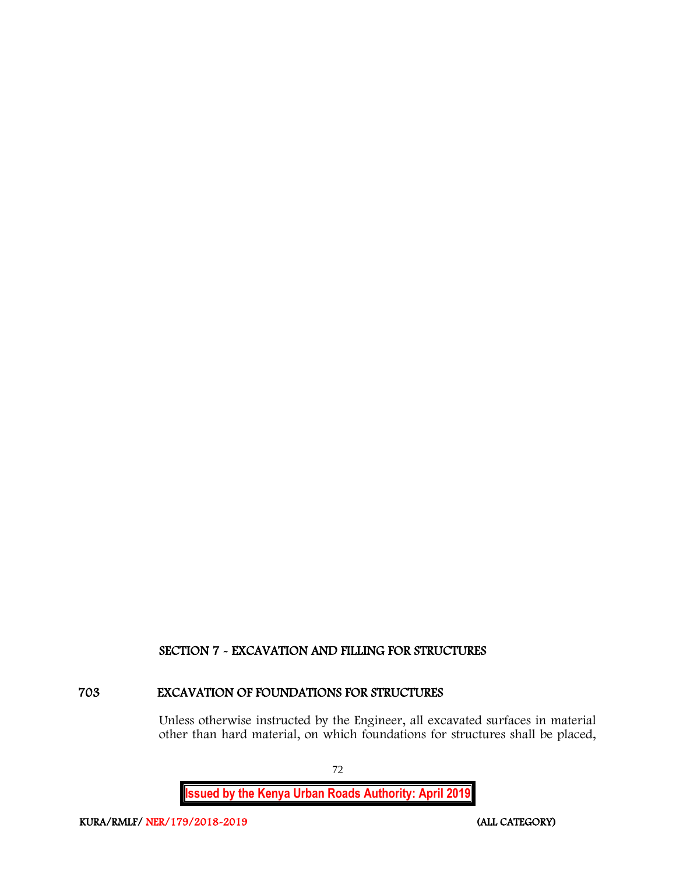## SECTION 7 - EXCAVATION AND FILLING FOR STRUCTURES

## 703 EXCAVATION OF FOUNDATIONS FOR STRUCTURES

Unless otherwise instructed by the Engineer, all excavated surfaces in material other than hard material, on which foundations for structures shall be placed,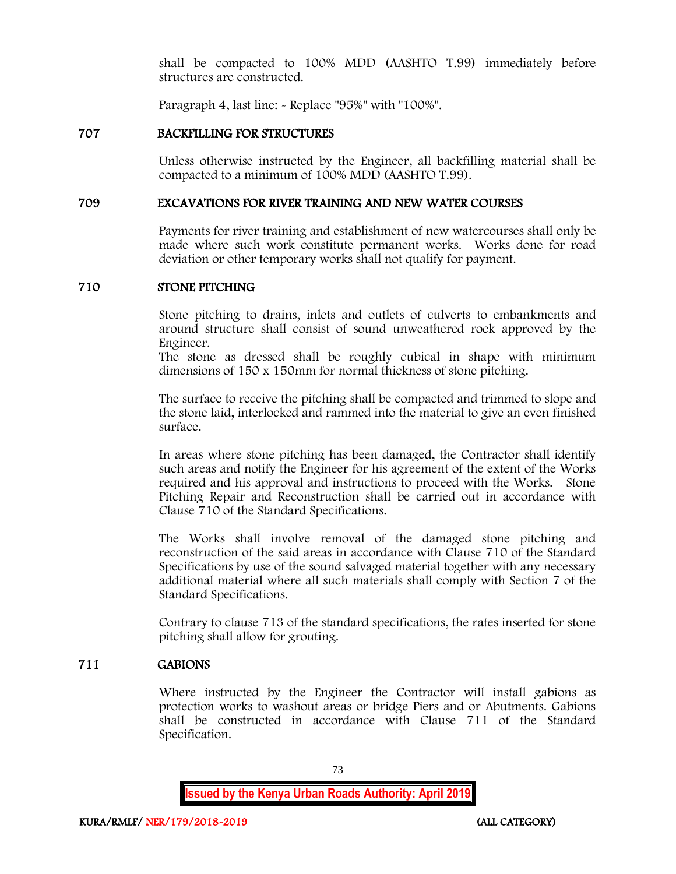shall be compacted to 100% MDD (AASHTO T.99) immediately before structures are constructed.

Paragraph 4, last line: - Replace "95%" with "100%".

## 707 BACKFILLING FOR STRUCTURES

Unless otherwise instructed by the Engineer, all backfilling material shall be compacted to a minimum of 100% MDD (AASHTO T.99).

### 709 EXCAVATIONS FOR RIVER TRAINING AND NEW WATER COURSES

Payments for river training and establishment of new watercourses shall only be made where such work constitute permanent works. Works done for road deviation or other temporary works shall not qualify for payment.

## 710 STONE PITCHING

Stone pitching to drains, inlets and outlets of culverts to embankments and around structure shall consist of sound unweathered rock approved by the Engineer.

The stone as dressed shall be roughly cubical in shape with minimum dimensions of 150 x 150mm for normal thickness of stone pitching.

The surface to receive the pitching shall be compacted and trimmed to slope and the stone laid, interlocked and rammed into the material to give an even finished surface.

In areas where stone pitching has been damaged, the Contractor shall identify such areas and notify the Engineer for his agreement of the extent of the Works required and his approval and instructions to proceed with the Works. Stone Pitching Repair and Reconstruction shall be carried out in accordance with Clause 710 of the Standard Specifications.

The Works shall involve removal of the damaged stone pitching and reconstruction of the said areas in accordance with Clause 710 of the Standard Specifications by use of the sound salvaged material together with any necessary additional material where all such materials shall comply with Section 7 of the Standard Specifications.

Contrary to clause 713 of the standard specifications, the rates inserted for stone pitching shall allow for grouting.

## 711 GABIONS

Where instructed by the Engineer the Contractor will install gabions as protection works to washout areas or bridge Piers and or Abutments. Gabions shall be constructed in accordance with Clause 711 of the Standard Specification.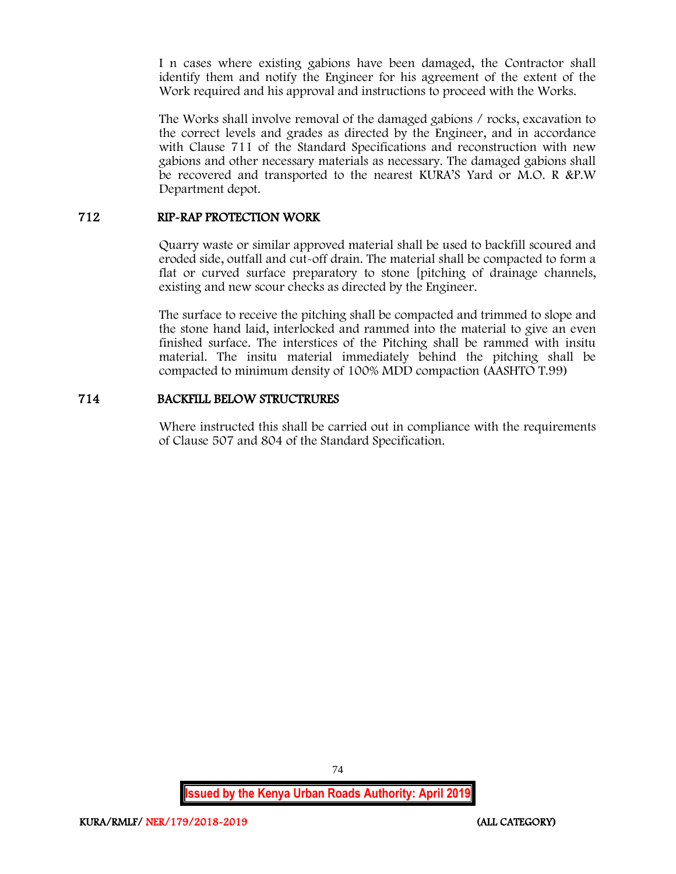I n cases where existing gabions have been damaged, the Contractor shall identify them and notify the Engineer for his agreement of the extent of the Work required and his approval and instructions to proceed with the Works.

The Works shall involve removal of the damaged gabions / rocks, excavation to the correct levels and grades as directed by the Engineer, and in accordance with Clause 711 of the Standard Specifications and reconstruction with new gabions and other necessary materials as necessary. The damaged gabions shall be recovered and transported to the nearest KURA'S Yard or M.O. R &P.W Department depot.

## 712 RIP-RAP PROTECTION WORK

Quarry waste or similar approved material shall be used to backfill scoured and eroded side, outfall and cut-off drain. The material shall be compacted to form a flat or curved surface preparatory to stone [pitching of drainage channels, existing and new scour checks as directed by the Engineer.

The surface to receive the pitching shall be compacted and trimmed to slope and the stone hand laid, interlocked and rammed into the material to give an even finished surface. The interstices of the Pitching shall be rammed with insitu material. The insitu material immediately behind the pitching shall be compacted to minimum density of 100% MDD compaction (AASHTO T.99)

## 714 BACKFILL BELOW STRUCTRURES

Where instructed this shall be carried out in compliance with the requirements of Clause 507 and 804 of the Standard Specification.

74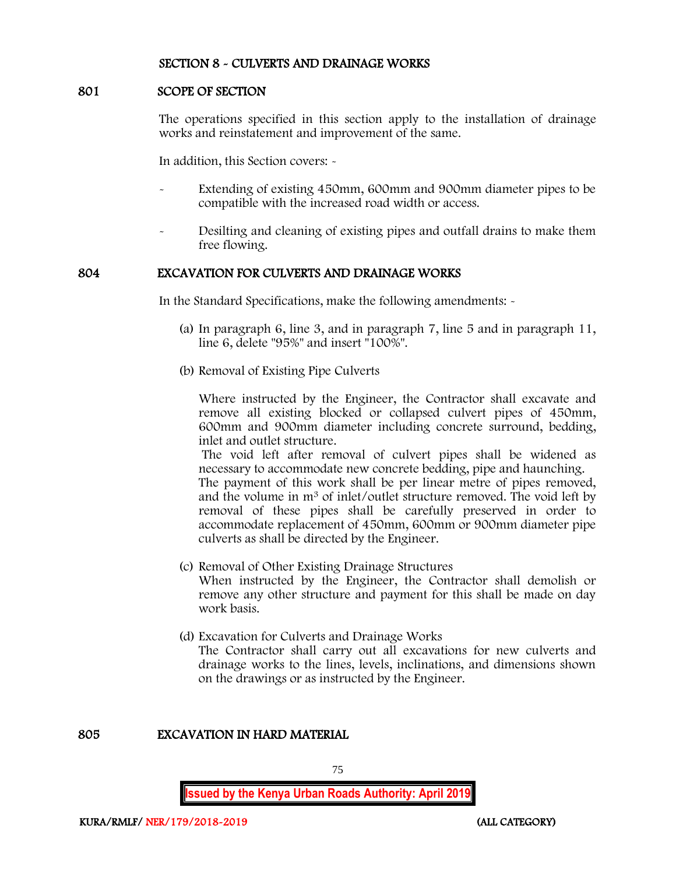### SECTION 8 - CULVERTS AND DRAINAGE WORKS

### 801 SCOPE OF SECTION

The operations specified in this section apply to the installation of drainage works and reinstatement and improvement of the same.

In addition, this Section covers: -

- Extending of existing 450mm, 600mm and 900mm diameter pipes to be compatible with the increased road width or access.
- Desilting and cleaning of existing pipes and outfall drains to make them free flowing.

## 804 EXCAVATION FOR CULVERTS AND DRAINAGE WORKS

In the Standard Specifications, make the following amendments: -

- (a) In paragraph 6, line 3, and in paragraph 7, line 5 and in paragraph 11, line 6, delete "95%" and insert "100%".
- (b) Removal of Existing Pipe Culverts

Where instructed by the Engineer, the Contractor shall excavate and remove all existing blocked or collapsed culvert pipes of 450mm, 600mm and 900mm diameter including concrete surround, bedding, inlet and outlet structure.

The void left after removal of culvert pipes shall be widened as necessary to accommodate new concrete bedding, pipe and haunching.

The payment of this work shall be per linear metre of pipes removed, and the volume in m<sup>3</sup> of inlet/outlet structure removed. The void left by removal of these pipes shall be carefully preserved in order to accommodate replacement of 450mm, 600mm or 900mm diameter pipe culverts as shall be directed by the Engineer.

- (c) Removal of Other Existing Drainage Structures When instructed by the Engineer, the Contractor shall demolish or remove any other structure and payment for this shall be made on day work basis.
- (d) Excavation for Culverts and Drainage Works The Contractor shall carry out all excavations for new culverts and drainage works to the lines, levels, inclinations, and dimensions shown on the drawings or as instructed by the Engineer.

### 805 EXCAVATION IN HARD MATERIAL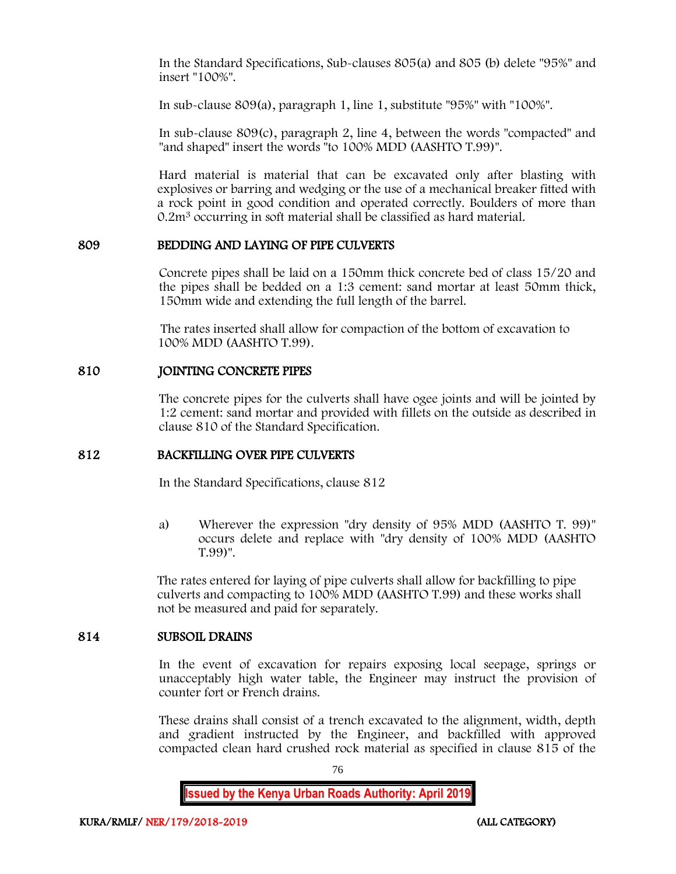In the Standard Specifications, Sub-clauses 805(a) and 805 (b) delete "95%" and insert "100%".

In sub-clause 809(a), paragraph 1, line 1, substitute "95%" with "100%".

In sub-clause 809(c), paragraph 2, line 4, between the words "compacted" and "and shaped" insert the words "to 100% MDD (AASHTO T.99)".

Hard material is material that can be excavated only after blasting with explosives or barring and wedging or the use of a mechanical breaker fitted with a rock point in good condition and operated correctly. Boulders of more than 0.2m<sup>3</sup> occurring in soft material shall be classified as hard material.

### 809 BEDDING AND LAYING OF PIPE CULVERTS

Concrete pipes shall be laid on a 150mm thick concrete bed of class 15/20 and the pipes shall be bedded on a 1:3 cement: sand mortar at least 50mm thick, 150mm wide and extending the full length of the barrel.

The rates inserted shall allow for compaction of the bottom of excavation to 100% MDD (AASHTO T.99).

### 810 JOINTING CONCRETE PIPES

The concrete pipes for the culverts shall have ogee joints and will be jointed by 1:2 cement: sand mortar and provided with fillets on the outside as described in clause 810 of the Standard Specification.

## 812 BACKFILLING OVER PIPE CULVERTS

In the Standard Specifications, clause 812

a) Wherever the expression "dry density of 95% MDD (AASHTO T. 99)" occurs delete and replace with "dry density of 100% MDD (AASHTO T.99)".

The rates entered for laying of pipe culverts shall allow for backfilling to pipe culverts and compacting to 100% MDD (AASHTO T.99) and these works shall not be measured and paid for separately.

### 814 SUBSOIL DRAINS

In the event of excavation for repairs exposing local seepage, springs or unacceptably high water table, the Engineer may instruct the provision of counter fort or French drains.

These drains shall consist of a trench excavated to the alignment, width, depth and gradient instructed by the Engineer, and backfilled with approved compacted clean hard crushed rock material as specified in clause 815 of the

76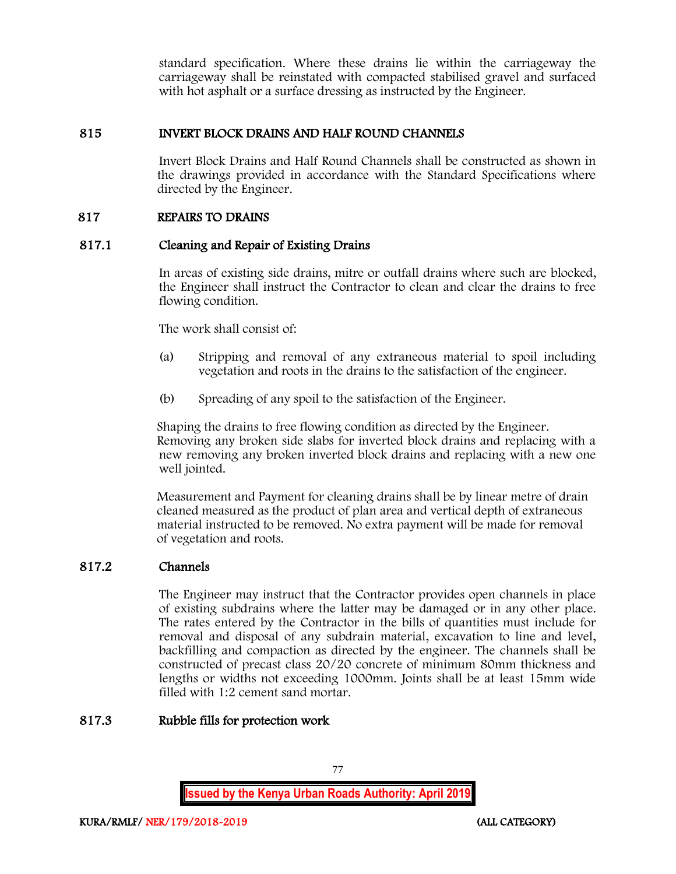standard specification. Where these drains lie within the carriageway the carriageway shall be reinstated with compacted stabilised gravel and surfaced with hot asphalt or a surface dressing as instructed by the Engineer.

## 815 INVERT BLOCK DRAINS AND HALF ROUND CHANNELS

Invert Block Drains and Half Round Channels shall be constructed as shown in the drawings provided in accordance with the Standard Specifications where directed by the Engineer.

## 817 REPAIRS TO DRAINS

## 817.1 Cleaning and Repair of Existing Drains

In areas of existing side drains, mitre or outfall drains where such are blocked, the Engineer shall instruct the Contractor to clean and clear the drains to free flowing condition.

The work shall consist of:

- (a) Stripping and removal of any extraneous material to spoil including vegetation and roots in the drains to the satisfaction of the engineer.
- (b) Spreading of any spoil to the satisfaction of the Engineer.

Shaping the drains to free flowing condition as directed by the Engineer. Removing any broken side slabs for inverted block drains and replacing with a new removing any broken inverted block drains and replacing with a new one well jointed.

Measurement and Payment for cleaning drains shall be by linear metre of drain cleaned measured as the product of plan area and vertical depth of extraneous material instructed to be removed. No extra payment will be made for removal of vegetation and roots.

## 817.2 Channels

The Engineer may instruct that the Contractor provides open channels in place of existing subdrains where the latter may be damaged or in any other place. The rates entered by the Contractor in the bills of quantities must include for removal and disposal of any subdrain material, excavation to line and level, backfilling and compaction as directed by the engineer. The channels shall be constructed of precast class 20/20 concrete of minimum 80mm thickness and lengths or widths not exceeding 1000mm. Joints shall be at least 15mm wide filled with 1:2 cement sand mortar.

## 817.3 Rubble fills for protection work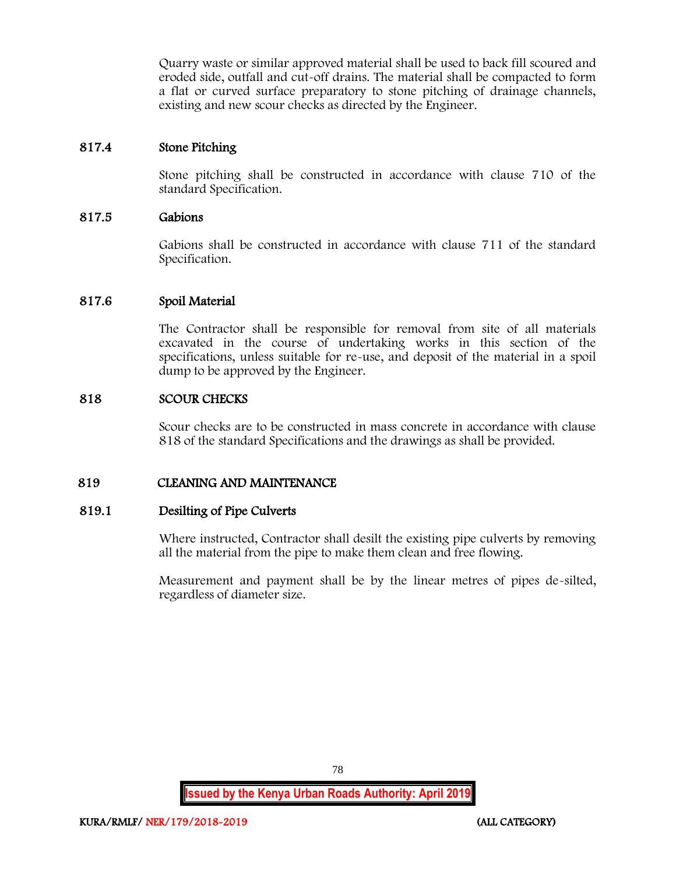Quarry waste or similar approved material shall be used to back fill scoured and eroded side, outfall and cut-off drains. The material shall be compacted to form a flat or curved surface preparatory to stone pitching of drainage channels, existing and new scour checks as directed by the Engineer.

## 817.4 Stone Pitching

Stone pitching shall be constructed in accordance with clause 710 of the standard Specification.

## 817.5 Gabions

Gabions shall be constructed in accordance with clause 711 of the standard Specification.

### 817.6 Spoil Material

The Contractor shall be responsible for removal from site of all materials excavated in the course of undertaking works in this section of the specifications, unless suitable for re-use, and deposit of the material in a spoil dump to be approved by the Engineer.

### 818 SCOUR CHECKS

Scour checks are to be constructed in mass concrete in accordance with clause 818 of the standard Specifications and the drawings as shall be provided.

## 819 CLEANING AND MAINTENANCE

### 819.1 Desilting of Pipe Culverts

Where instructed, Contractor shall desilt the existing pipe culverts by removing all the material from the pipe to make them clean and free flowing.

Measurement and payment shall be by the linear metres of pipes de-silted, regardless of diameter size.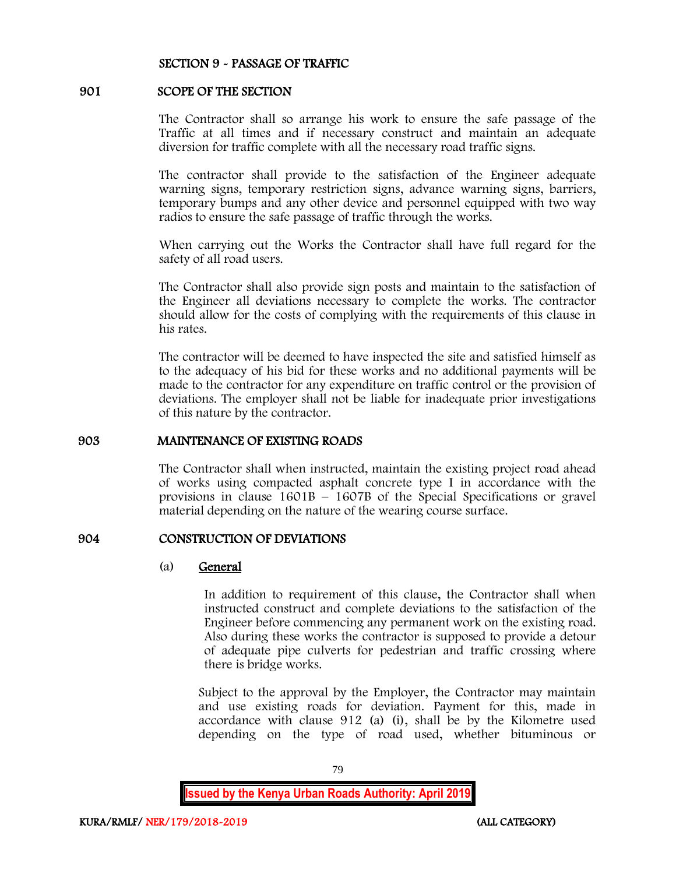### SECTION 9 - PASSAGE OF TRAFFIC

### 901 SCOPE OF THE SECTION

The Contractor shall so arrange his work to ensure the safe passage of the Traffic at all times and if necessary construct and maintain an adequate diversion for traffic complete with all the necessary road traffic signs.

The contractor shall provide to the satisfaction of the Engineer adequate warning signs, temporary restriction signs, advance warning signs, barriers, temporary bumps and any other device and personnel equipped with two way radios to ensure the safe passage of traffic through the works.

When carrying out the Works the Contractor shall have full regard for the safety of all road users.

The Contractor shall also provide sign posts and maintain to the satisfaction of the Engineer all deviations necessary to complete the works. The contractor should allow for the costs of complying with the requirements of this clause in his rates.

The contractor will be deemed to have inspected the site and satisfied himself as to the adequacy of his bid for these works and no additional payments will be made to the contractor for any expenditure on traffic control or the provision of deviations. The employer shall not be liable for inadequate prior investigations of this nature by the contractor.

#### 903 MAINTENANCE OF EXISTING ROADS

The Contractor shall when instructed, maintain the existing project road ahead of works using compacted asphalt concrete type I in accordance with the provisions in clause 1601B – 1607B of the Special Specifications or gravel material depending on the nature of the wearing course surface.

### 904 CONSTRUCTION OF DEVIATIONS

#### (a) General

In addition to requirement of this clause, the Contractor shall when instructed construct and complete deviations to the satisfaction of the Engineer before commencing any permanent work on the existing road. Also during these works the contractor is supposed to provide a detour of adequate pipe culverts for pedestrian and traffic crossing where there is bridge works.

Subject to the approval by the Employer, the Contractor may maintain and use existing roads for deviation. Payment for this, made in accordance with clause 912 (a) (i), shall be by the Kilometre used depending on the type of road used, whether bituminous or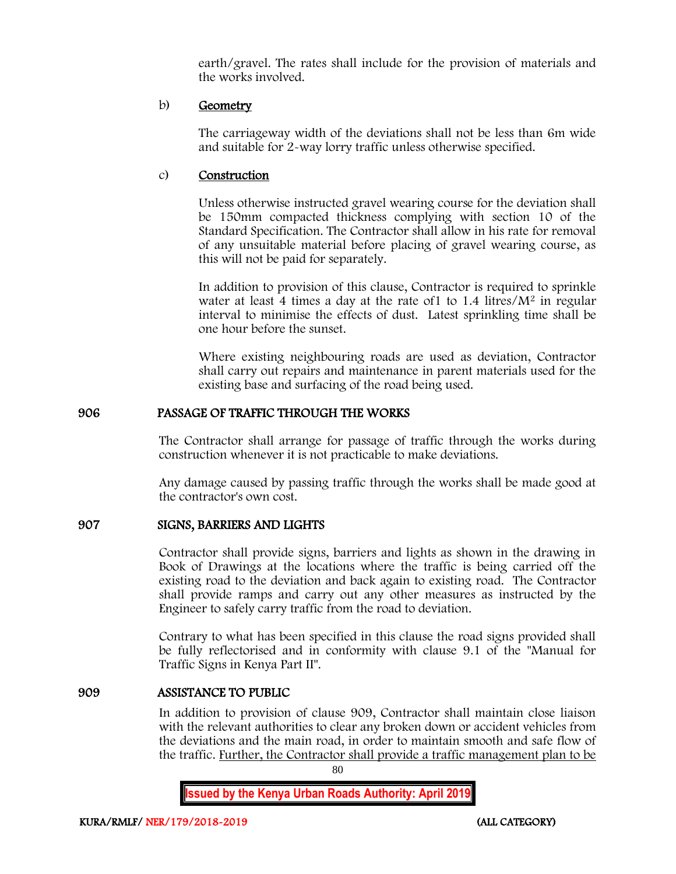earth/gravel. The rates shall include for the provision of materials and the works involved.

## b) Geometry

The carriageway width of the deviations shall not be less than 6m wide and suitable for 2-way lorry traffic unless otherwise specified.

## c) Construction

Unless otherwise instructed gravel wearing course for the deviation shall be 150mm compacted thickness complying with section 10 of the Standard Specification. The Contractor shall allow in his rate for removal of any unsuitable material before placing of gravel wearing course, as this will not be paid for separately.

In addition to provision of this clause, Contractor is required to sprinkle water at least 4 times a day at the rate of  $1$  to  $1.4$  litres/ $M<sup>2</sup>$  in regular interval to minimise the effects of dust. Latest sprinkling time shall be one hour before the sunset.

Where existing neighbouring roads are used as deviation, Contractor shall carry out repairs and maintenance in parent materials used for the existing base and surfacing of the road being used.

## 906 PASSAGE OF TRAFFIC THROUGH THE WORKS

The Contractor shall arrange for passage of traffic through the works during construction whenever it is not practicable to make deviations.

Any damage caused by passing traffic through the works shall be made good at the contractor's own cost.

## 907 SIGNS, BARRIERS AND LIGHTS

Contractor shall provide signs, barriers and lights as shown in the drawing in Book of Drawings at the locations where the traffic is being carried off the existing road to the deviation and back again to existing road. The Contractor shall provide ramps and carry out any other measures as instructed by the Engineer to safely carry traffic from the road to deviation.

Contrary to what has been specified in this clause the road signs provided shall be fully reflectorised and in conformity with clause 9.1 of the "Manual for Traffic Signs in Kenya Part II".

## 909 ASSISTANCE TO PUBLIC

In addition to provision of clause 909, Contractor shall maintain close liaison with the relevant authorities to clear any broken down or accident vehicles from the deviations and the main road, in order to maintain smooth and safe flow of the traffic. Further, the Contractor shall provide a traffic management plan to be

80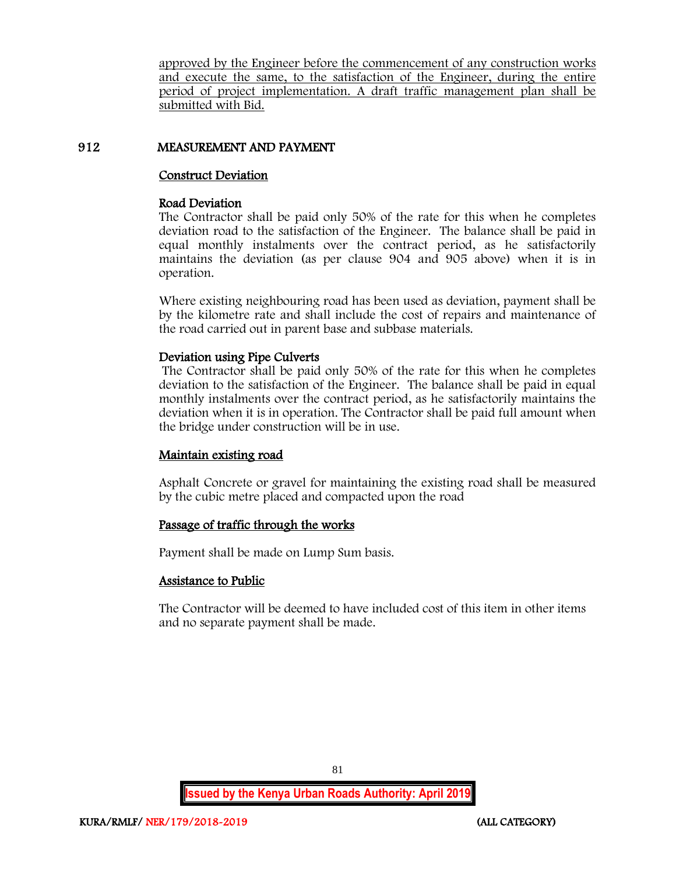approved by the Engineer before the commencement of any construction works and execute the same, to the satisfaction of the Engineer, during the entire period of project implementation. A draft traffic management plan shall be submitted with Bid.

## 912 MEASUREMENT AND PAYMENT

## Construct Deviation

### Road Deviation

The Contractor shall be paid only 50% of the rate for this when he completes deviation road to the satisfaction of the Engineer. The balance shall be paid in equal monthly instalments over the contract period, as he satisfactorily maintains the deviation (as per clause 904 and 905 above) when it is in operation.

Where existing neighbouring road has been used as deviation, payment shall be by the kilometre rate and shall include the cost of repairs and maintenance of the road carried out in parent base and subbase materials.

### Deviation using Pipe Culverts

The Contractor shall be paid only 50% of the rate for this when he completes deviation to the satisfaction of the Engineer. The balance shall be paid in equal monthly instalments over the contract period, as he satisfactorily maintains the deviation when it is in operation. The Contractor shall be paid full amount when the bridge under construction will be in use.

## Maintain existing road

Asphalt Concrete or gravel for maintaining the existing road shall be measured by the cubic metre placed and compacted upon the road

## Passage of traffic through the works

Payment shall be made on Lump Sum basis.

## Assistance to Public

The Contractor will be deemed to have included cost of this item in other items and no separate payment shall be made.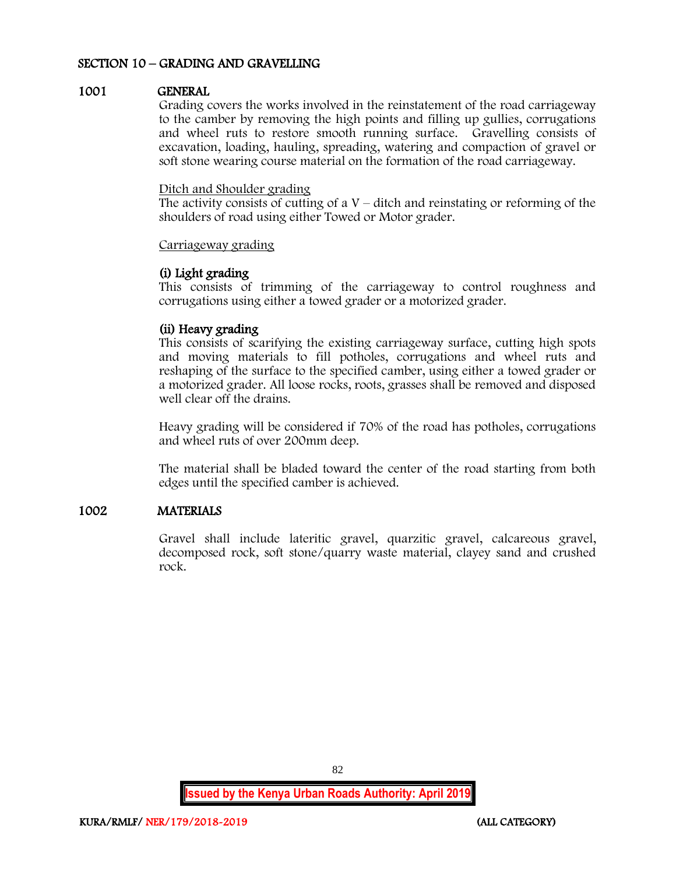## SECTION 10 – GRADING AND GRAVELLING

### 1001 GENERAL

Grading covers the works involved in the reinstatement of the road carriageway to the camber by removing the high points and filling up gullies, corrugations and wheel ruts to restore smooth running surface. Gravelling consists of excavation, loading, hauling, spreading, watering and compaction of gravel or soft stone wearing course material on the formation of the road carriageway.

#### Ditch and Shoulder grading

The activity consists of cutting of a  $V$  – ditch and reinstating or reforming of the shoulders of road using either Towed or Motor grader.

### Carriageway grading

### (i) Light grading

This consists of trimming of the carriageway to control roughness and corrugations using either a towed grader or a motorized grader.

### (ii) Heavy grading

This consists of scarifying the existing carriageway surface, cutting high spots and moving materials to fill potholes, corrugations and wheel ruts and reshaping of the surface to the specified camber, using either a towed grader or a motorized grader. All loose rocks, roots, grasses shall be removed and disposed well clear off the drains.

Heavy grading will be considered if 70% of the road has potholes, corrugations and wheel ruts of over 200mm deep.

The material shall be bladed toward the center of the road starting from both edges until the specified camber is achieved.

## 1002 MATERIALS

Gravel shall include lateritic gravel, quarzitic gravel, calcareous gravel, decomposed rock, soft stone/quarry waste material, clayey sand and crushed rock.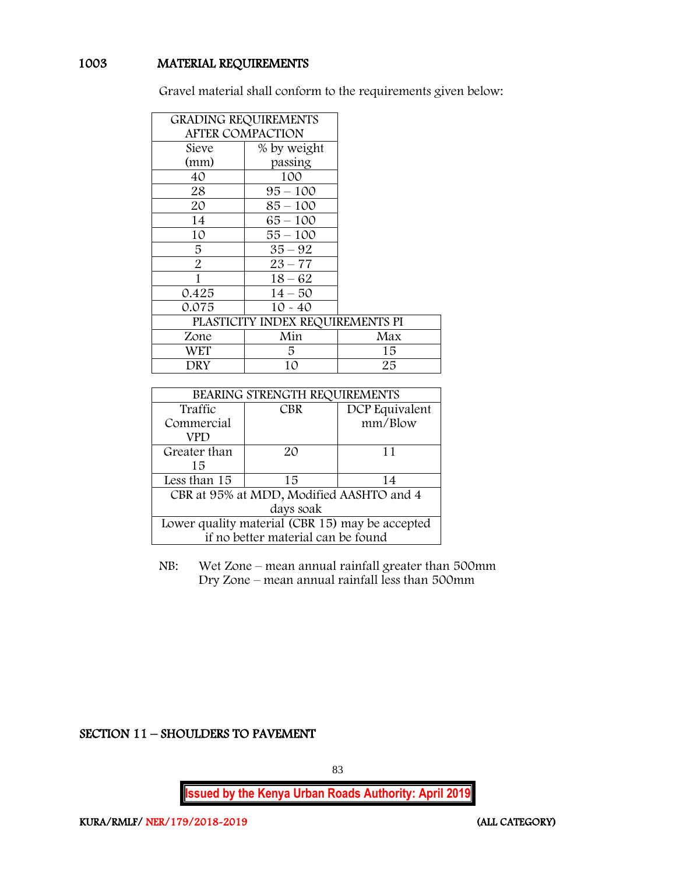## 1003 MATERIAL REQUIREMENTS

Gravel material shall conform to the requirements given below:

| <b>GRADING REQUIREMENTS</b> |                                  |     |
|-----------------------------|----------------------------------|-----|
| <b>AFTER COMPACTION</b>     |                                  |     |
| Sieve                       | % by weight                      |     |
| (mm)                        | passing                          |     |
| 40                          | 100                              |     |
| 28                          | $95 - 100$                       |     |
| 20                          | $85 - 100$                       |     |
| 14                          | $65 - 100$                       |     |
| 10                          | 55 – 100                         |     |
| 5                           | $35 - 92$                        |     |
| $\overline{2}$              | $23 - 77$                        |     |
| 1                           | $18 - 62$                        |     |
| 0.425                       | $14 - 50$                        |     |
| 0.075                       | $10 - 40$                        |     |
|                             | PLASTICITY INDEX REQUIREMENTS PI |     |
| Zone                        | Min                              | Max |
| WET                         | 5.                               | 15  |
| DRY                         | 10                               | 25  |

| BEARING STRENGTH REQUIREMENTS                   |                |         |  |  |
|-------------------------------------------------|----------------|---------|--|--|
| Traffic                                         | DCP Equivalent |         |  |  |
| Commercial                                      |                | mm/Blow |  |  |
| VPD                                             |                |         |  |  |
| Greater than                                    | $2\Omega$      | 11      |  |  |
| 15                                              |                |         |  |  |
| Less than 15                                    | 15             | 14      |  |  |
| CBR at 95% at MDD, Modified AASHTO and 4        |                |         |  |  |
| days soak                                       |                |         |  |  |
| Lower quality material (CBR 15) may be accepted |                |         |  |  |
| if no better material can be found              |                |         |  |  |

NB: Wet Zone – mean annual rainfall greater than 500mm Dry Zone – mean annual rainfall less than 500mm

SECTION 11 – SHOULDERS TO PAVEMENT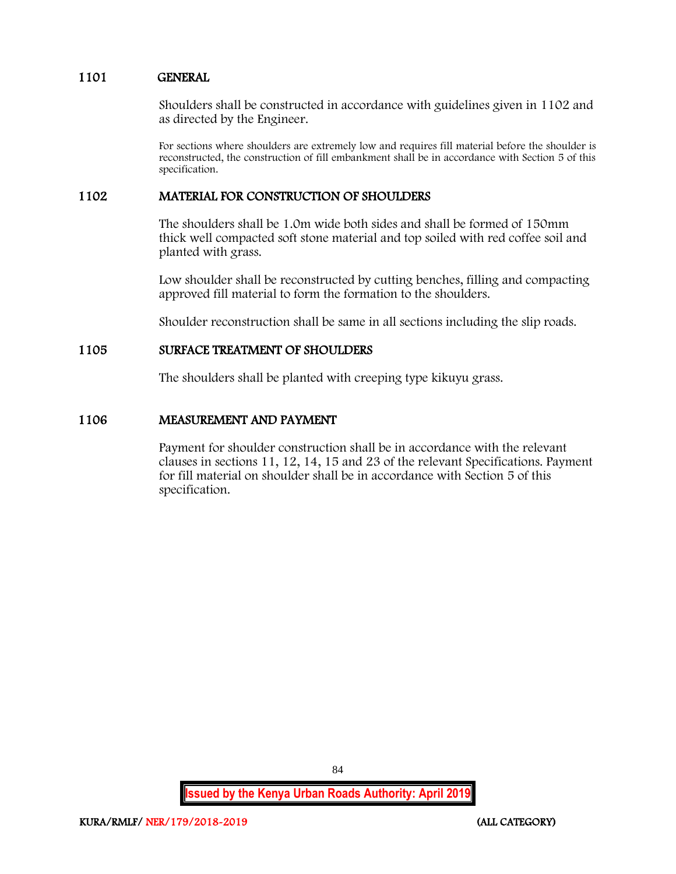## 1101 GENERAL

Shoulders shall be constructed in accordance with guidelines given in 1102 and as directed by the Engineer.

For sections where shoulders are extremely low and requires fill material before the shoulder is reconstructed, the construction of fill embankment shall be in accordance with Section 5 of this specification.

### 1102 MATERIAL FOR CONSTRUCTION OF SHOULDERS

The shoulders shall be 1.0m wide both sides and shall be formed of 150mm thick well compacted soft stone material and top soiled with red coffee soil and planted with grass.

Low shoulder shall be reconstructed by cutting benches, filling and compacting approved fill material to form the formation to the shoulders.

Shoulder reconstruction shall be same in all sections including the slip roads.

### 1105 SURFACE TREATMENT OF SHOULDERS

The shoulders shall be planted with creeping type kikuyu grass.

### 1106 MEASUREMENT AND PAYMENT

Payment for shoulder construction shall be in accordance with the relevant clauses in sections 11, 12, 14, 15 and 23 of the relevant Specifications. Payment for fill material on shoulder shall be in accordance with Section 5 of this specification.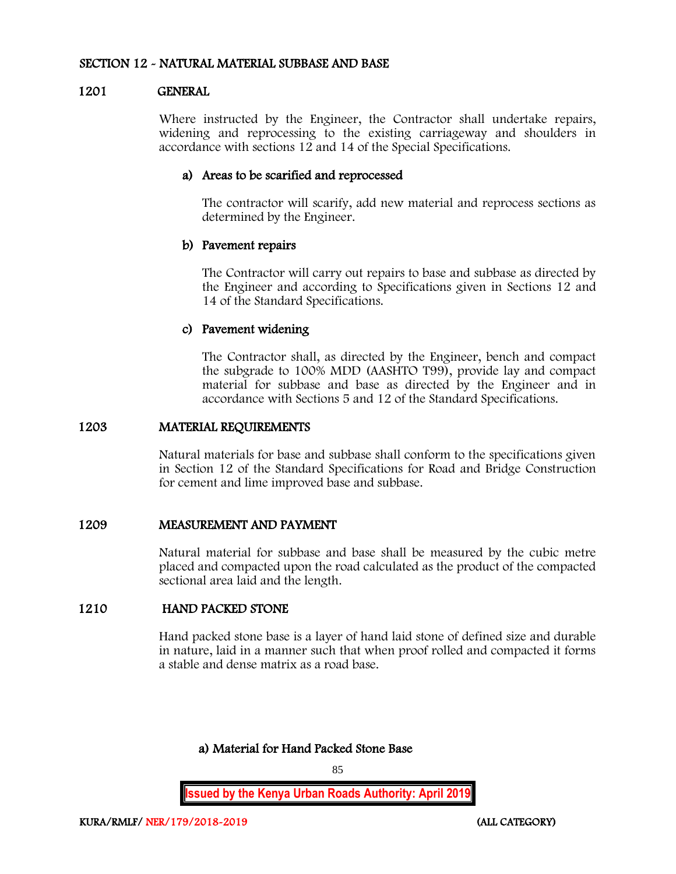### SECTION 12 - NATURAL MATERIAL SUBBASE AND BASE

### 1201 GENERAL

Where instructed by the Engineer, the Contractor shall undertake repairs, widening and reprocessing to the existing carriageway and shoulders in accordance with sections 12 and 14 of the Special Specifications.

### a) Areas to be scarified and reprocessed

The contractor will scarify, add new material and reprocess sections as determined by the Engineer.

### b) Pavement repairs

The Contractor will carry out repairs to base and subbase as directed by the Engineer and according to Specifications given in Sections 12 and 14 of the Standard Specifications.

### c) Pavement widening

The Contractor shall, as directed by the Engineer, bench and compact the subgrade to 100% MDD (AASHTO T99), provide lay and compact material for subbase and base as directed by the Engineer and in accordance with Sections 5 and 12 of the Standard Specifications.

### 1203 MATERIAL REQUIREMENTS

Natural materials for base and subbase shall conform to the specifications given in Section 12 of the Standard Specifications for Road and Bridge Construction for cement and lime improved base and subbase.

### 1209 MEASUREMENT AND PAYMENT

Natural material for subbase and base shall be measured by the cubic metre placed and compacted upon the road calculated as the product of the compacted sectional area laid and the length.

## 1210 HAND PACKED STONE

Hand packed stone base is a layer of hand laid stone of defined size and durable in nature, laid in a manner such that when proof rolled and compacted it forms a stable and dense matrix as a road base.

a) Material for Hand Packed Stone Base

85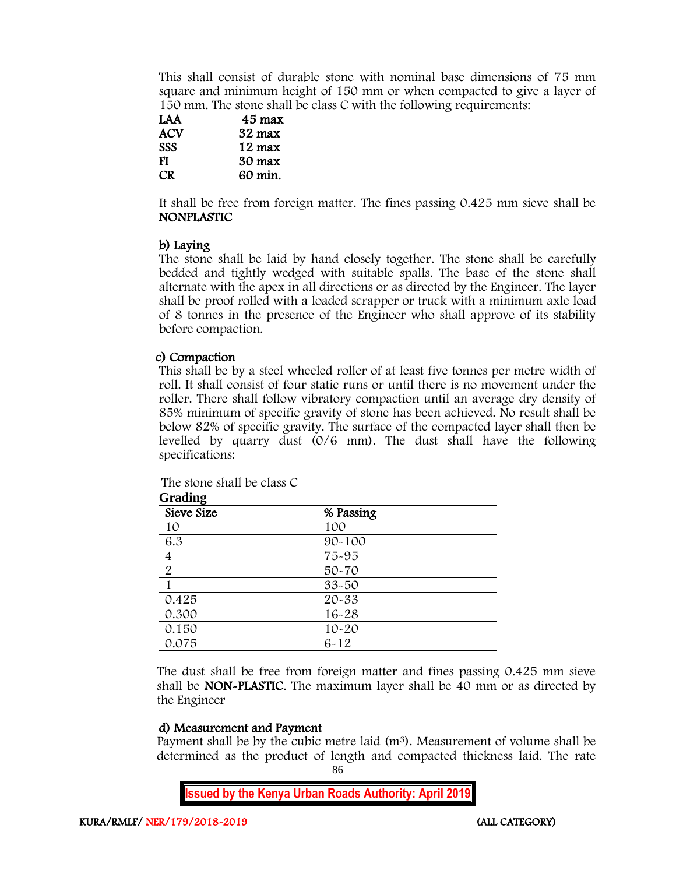This shall consist of durable stone with nominal base dimensions of 75 mm square and minimum height of 150 mm or when compacted to give a layer of 150 mm. The stone shall be class C with the following requirements:

| LAA        | 45 max  |
|------------|---------|
| ACV        | 32 max  |
| <b>SSS</b> | 12 max  |
| FI         | 30 max  |
| CR.        | 60 min. |

It shall be free from foreign matter. The fines passing 0.425 mm sieve shall be NONPLASTIC

## b) Laying

The stone shall be laid by hand closely together. The stone shall be carefully bedded and tightly wedged with suitable spalls. The base of the stone shall alternate with the apex in all directions or as directed by the Engineer. The layer shall be proof rolled with a loaded scrapper or truck with a minimum axle load of 8 tonnes in the presence of the Engineer who shall approve of its stability before compaction.

## c) Compaction

This shall be by a steel wheeled roller of at least five tonnes per metre width of roll. It shall consist of four static runs or until there is no movement under the roller. There shall follow vibratory compaction until an average dry density of 85% minimum of specific gravity of stone has been achieved. No result shall be below 82% of specific gravity. The surface of the compacted layer shall then be levelled by quarry dust (0/6 mm). The dust shall have the following specifications:

The stone shall be class C

| Sieve Size     | % Passing  |  |
|----------------|------------|--|
| 10             | 100        |  |
| 6.3            | $90 - 100$ |  |
| $\overline{4}$ | 75-95      |  |
| $\overline{2}$ | 50-70      |  |
|                | 33-50      |  |
| 0.425          | 20-33      |  |
| 0.300          | $16 - 28$  |  |
| 0.150          | $10 - 20$  |  |
| 0.075          | $6 - 12$   |  |

**Grading**

The dust shall be free from foreign matter and fines passing 0.425 mm sieve shall be NON-PLASTIC. The maximum layer shall be 40 mm or as directed by the Engineer

## d) Measurement and Payment

86 Payment shall be by the cubic metre laid  $(m^3)$ . Measurement of volume shall be determined as the product of length and compacted thickness laid. The rate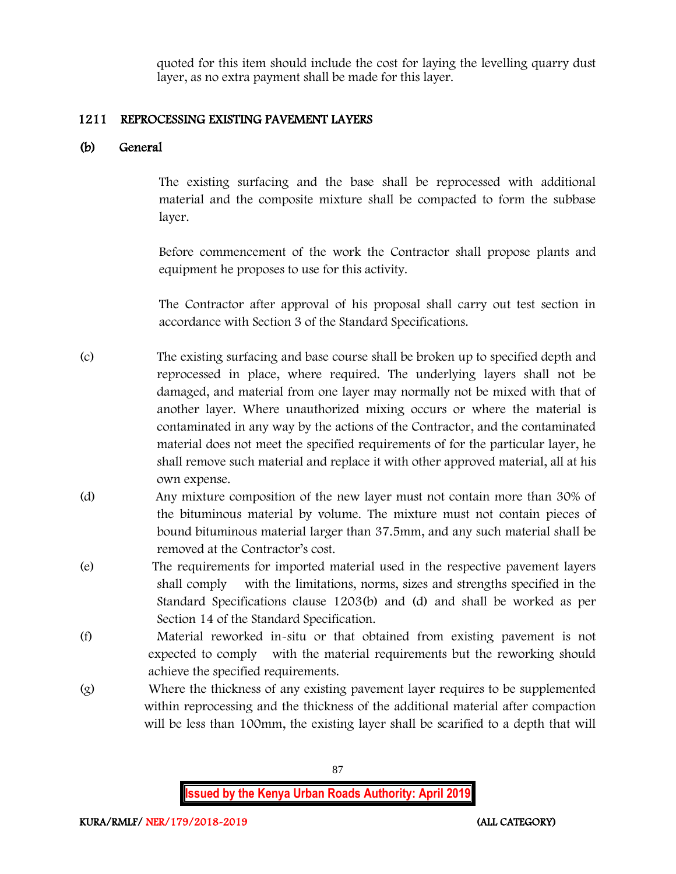quoted for this item should include the cost for laying the levelling quarry dust layer, as no extra payment shall be made for this layer.

## 1211 REPROCESSING EXISTING PAVEMENT LAYERS

## (b) General

The existing surfacing and the base shall be reprocessed with additional material and the composite mixture shall be compacted to form the subbase layer.

Before commencement of the work the Contractor shall propose plants and equipment he proposes to use for this activity.

The Contractor after approval of his proposal shall carry out test section in accordance with Section 3 of the Standard Specifications.

- (c) The existing surfacing and base course shall be broken up to specified depth and reprocessed in place, where required. The underlying layers shall not be damaged, and material from one layer may normally not be mixed with that of another layer. Where unauthorized mixing occurs or where the material is contaminated in any way by the actions of the Contractor, and the contaminated material does not meet the specified requirements of for the particular layer, he shall remove such material and replace it with other approved material, all at his own expense.
- (d) Any mixture composition of the new layer must not contain more than 30% of the bituminous material by volume. The mixture must not contain pieces of bound bituminous material larger than 37.5mm, and any such material shall be removed at the Contractor's cost.
- (e) The requirements for imported material used in the respective pavement layers shall comply with the limitations, norms, sizes and strengths specified in the Standard Specifications clause 1203(b) and (d) and shall be worked as per Section 14 of the Standard Specification.
- (f) Material reworked in-situ or that obtained from existing pavement is not expected to comply with the material requirements but the reworking should achieve the specified requirements.
- (g) Where the thickness of any existing pavement layer requires to be supplemented within reprocessing and the thickness of the additional material after compaction will be less than 100mm, the existing layer shall be scarified to a depth that will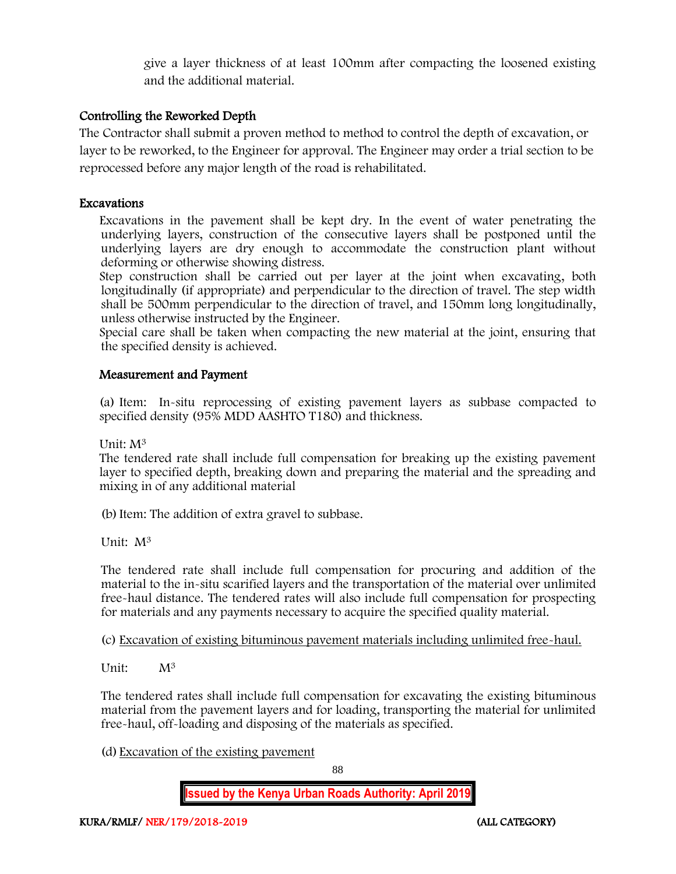give a layer thickness of at least 100mm after compacting the loosened existing and the additional material.

## Controlling the Reworked Depth

The Contractor shall submit a proven method to method to control the depth of excavation, or layer to be reworked, to the Engineer for approval. The Engineer may order a trial section to be reprocessed before any major length of the road is rehabilitated.

## Excavations

Excavations in the pavement shall be kept dry. In the event of water penetrating the underlying layers, construction of the consecutive layers shall be postponed until the underlying layers are dry enough to accommodate the construction plant without deforming or otherwise showing distress.

Step construction shall be carried out per layer at the joint when excavating, both longitudinally (if appropriate) and perpendicular to the direction of travel. The step width shall be 500mm perpendicular to the direction of travel, and 150mm long longitudinally, unless otherwise instructed by the Engineer.

Special care shall be taken when compacting the new material at the joint, ensuring that the specified density is achieved.

## Measurement and Payment

(a) Item: In-situ reprocessing of existing pavement layers as subbase compacted to specified density (95% MDD AASHTO T180) and thickness.

Unit: M<sup>3</sup>

The tendered rate shall include full compensation for breaking up the existing pavement layer to specified depth, breaking down and preparing the material and the spreading and mixing in of any additional material

(b)Item: The addition of extra gravel to subbase.

Unit: M<sup>3</sup>

The tendered rate shall include full compensation for procuring and addition of the material to the in-situ scarified layers and the transportation of the material over unlimited free-haul distance. The tendered rates will also include full compensation for prospecting for materials and any payments necessary to acquire the specified quality material.

(c) Excavation of existing bituminous pavement materials including unlimited free-haul.

Unit: M<sup>3</sup>

The tendered rates shall include full compensation for excavating the existing bituminous material from the pavement layers and for loading, transporting the material for unlimited free-haul, off-loading and disposing of the materials as specified.

(d) Excavation of the existing pavement

88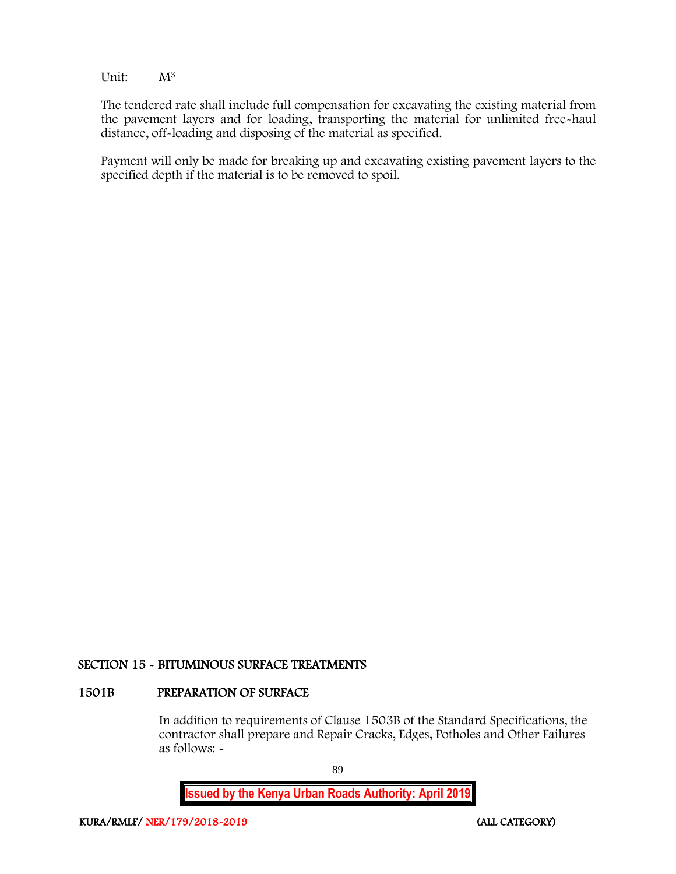Unit: M<sup>3</sup>

The tendered rate shall include full compensation for excavating the existing material from the pavement layers and for loading, transporting the material for unlimited free-haul distance, off-loading and disposing of the material as specified.

Payment will only be made for breaking up and excavating existing pavement layers to the specified depth if the material is to be removed to spoil.

### SECTION 15 - BITUMINOUS SURFACE TREATMENTS

### 1501B PREPARATION OF SURFACE

In addition to requirements of Clause 1503B of the Standard Specifications, the contractor shall prepare and Repair Cracks, Edges, Potholes and Other Failures as follows: -

89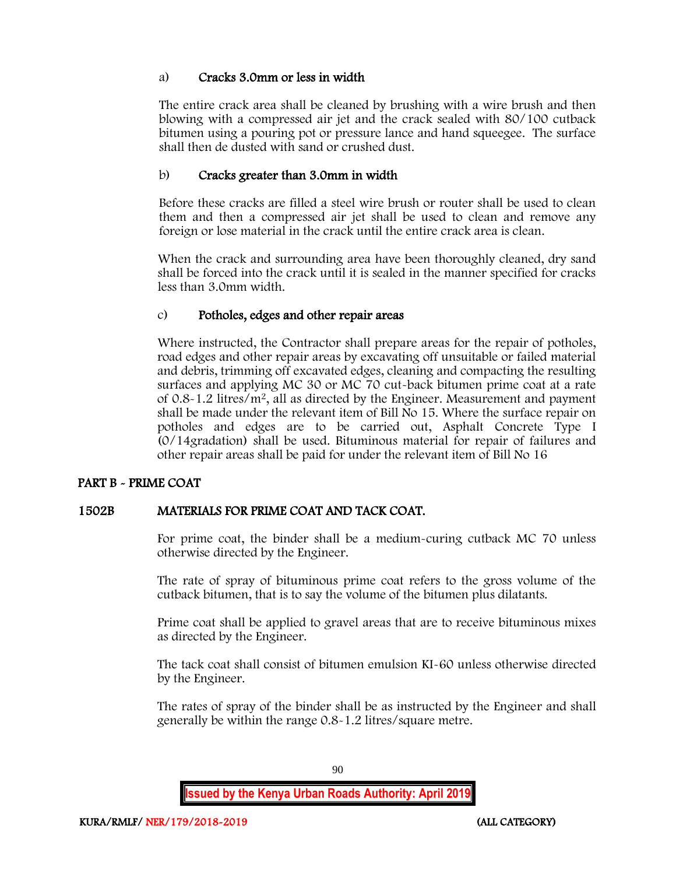## a) Cracks 3.0mm or less in width

The entire crack area shall be cleaned by brushing with a wire brush and then blowing with a compressed air jet and the crack sealed with 80/100 cutback bitumen using a pouring pot or pressure lance and hand squeegee. The surface shall then de dusted with sand or crushed dust.

## b) Cracks greater than 3.0mm in width

Before these cracks are filled a steel wire brush or router shall be used to clean them and then a compressed air jet shall be used to clean and remove any foreign or lose material in the crack until the entire crack area is clean.

When the crack and surrounding area have been thoroughly cleaned, dry sand shall be forced into the crack until it is sealed in the manner specified for cracks less than 3.0mm width.

## c) Potholes, edges and other repair areas

Where instructed, the Contractor shall prepare areas for the repair of potholes, road edges and other repair areas by excavating off unsuitable or failed material and debris, trimming off excavated edges, cleaning and compacting the resulting surfaces and applying MC 30 or MC 70 cut-back bitumen prime coat at a rate of  $0.8 - 1.2$  litres/m<sup>2</sup>, all as directed by the Engineer. Measurement and payment shall be made under the relevant item of Bill No 15. Where the surface repair on potholes and edges are to be carried out, Asphalt Concrete Type I (0/14gradation) shall be used. Bituminous material for repair of failures and other repair areas shall be paid for under the relevant item of Bill No 16

## PART B - PRIME COAT

## 1502B MATERIALS FOR PRIME COAT AND TACK COAT.

For prime coat, the binder shall be a medium-curing cutback MC 70 unless otherwise directed by the Engineer.

The rate of spray of bituminous prime coat refers to the gross volume of the cutback bitumen, that is to say the volume of the bitumen plus dilatants.

Prime coat shall be applied to gravel areas that are to receive bituminous mixes as directed by the Engineer.

The tack coat shall consist of bitumen emulsion KI-60 unless otherwise directed by the Engineer.

The rates of spray of the binder shall be as instructed by the Engineer and shall generally be within the range 0.8-1.2 litres/square metre.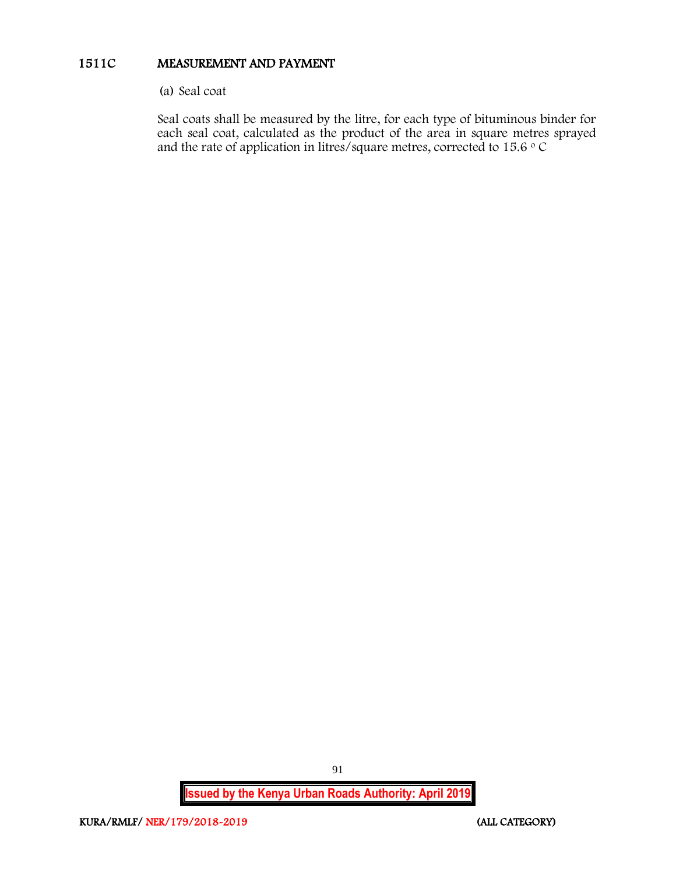## 1511C MEASUREMENT AND PAYMENT

(a) Seal coat

Seal coats shall be measured by the litre, for each type of bituminous binder for each seal coat, calculated as the product of the area in square metres sprayed and the rate of application in litres/square metres, corrected to 15.6  $\circ$  C

**Issued by the Kenya Urban Roads Authority: April 2019**

91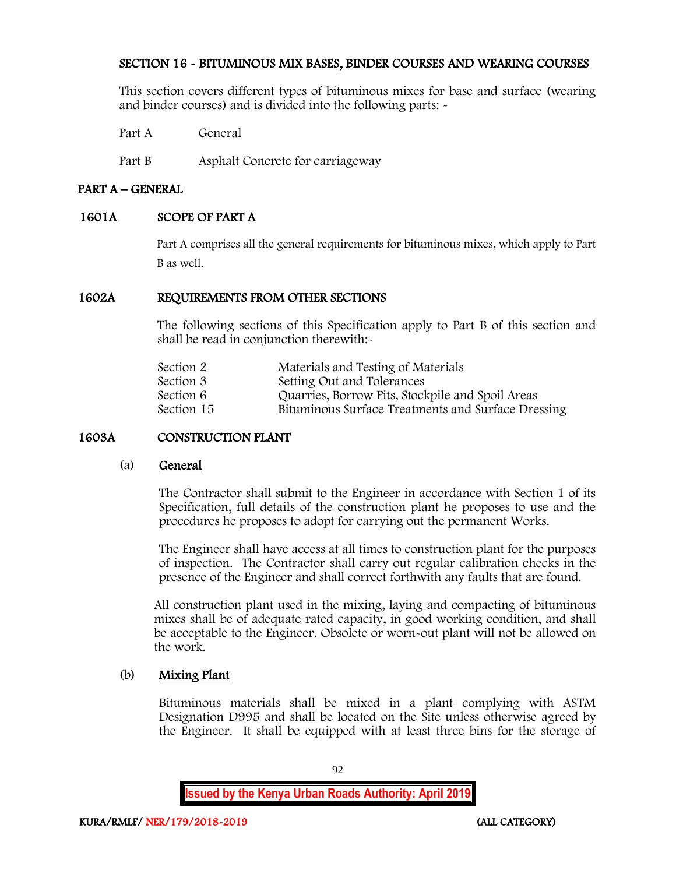## SECTION 16 - BITUMINOUS MIX BASES, BINDER COURSES AND WEARING COURSES

This section covers different types of bituminous mixes for base and surface (wearing and binder courses) and is divided into the following parts: -

Part A General

Part B Asphalt Concrete for carriageway

## PART A – GENERAL

## 1601A SCOPE OF PART A

Part A comprises all the general requirements for bituminous mixes, which apply to Part B as well.

## 1602A REQUIREMENTS FROM OTHER SECTIONS

The following sections of this Specification apply to Part B of this section and shall be read in conjunction therewith:-

| Section 2  | Materials and Testing of Materials                 |
|------------|----------------------------------------------------|
| Section 3  | Setting Out and Tolerances                         |
| Section 6  | Quarries, Borrow Pits, Stockpile and Spoil Areas   |
| Section 15 | Bituminous Surface Treatments and Surface Dressing |
|            |                                                    |

## 1603A CONSTRUCTION PLANT

### (a) General

The Contractor shall submit to the Engineer in accordance with Section 1 of its Specification, full details of the construction plant he proposes to use and the procedures he proposes to adopt for carrying out the permanent Works.

The Engineer shall have access at all times to construction plant for the purposes of inspection. The Contractor shall carry out regular calibration checks in the presence of the Engineer and shall correct forthwith any faults that are found.

All construction plant used in the mixing, laying and compacting of bituminous mixes shall be of adequate rated capacity, in good working condition, and shall be acceptable to the Engineer. Obsolete or worn-out plant will not be allowed on the work.

### (b) Mixing Plant

Bituminous materials shall be mixed in a plant complying with ASTM Designation D995 and shall be located on the Site unless otherwise agreed by the Engineer. It shall be equipped with at least three bins for the storage of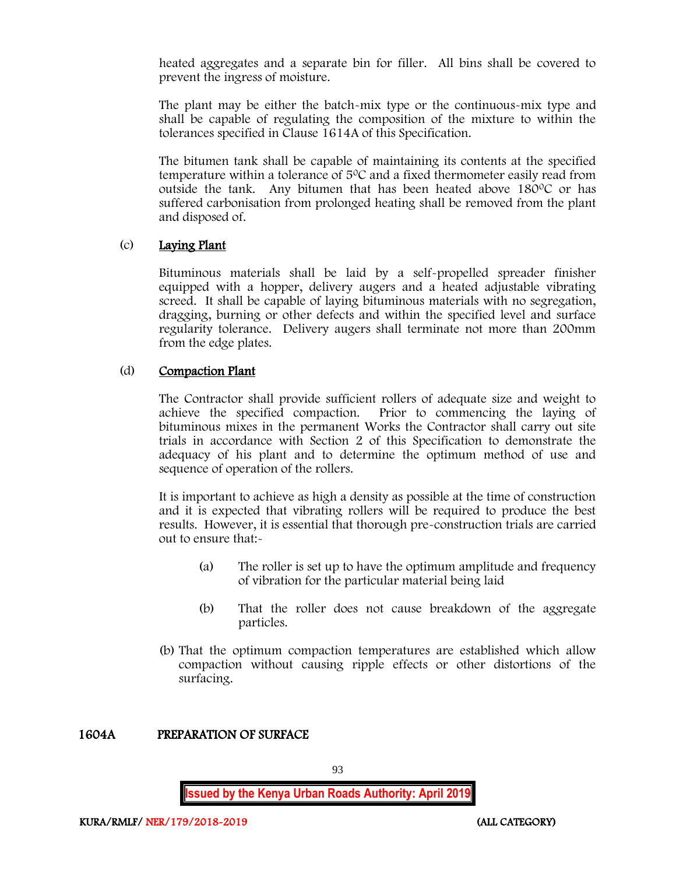heated aggregates and a separate bin for filler. All bins shall be covered to prevent the ingress of moisture.

The plant may be either the batch-mix type or the continuous-mix type and shall be capable of regulating the composition of the mixture to within the tolerances specified in Clause 1614A of this Specification.

The bitumen tank shall be capable of maintaining its contents at the specified temperature within a tolerance of 5<sup>0</sup>C and a fixed thermometer easily read from outside the tank. Any bitumen that has been heated above 180°C or has suffered carbonisation from prolonged heating shall be removed from the plant and disposed of.

## (c) Laying Plant

Bituminous materials shall be laid by a self-propelled spreader finisher equipped with a hopper, delivery augers and a heated adjustable vibrating screed. It shall be capable of laying bituminous materials with no segregation, dragging, burning or other defects and within the specified level and surface regularity tolerance. Delivery augers shall terminate not more than 200mm from the edge plates.

## (d) Compaction Plant

The Contractor shall provide sufficient rollers of adequate size and weight to achieve the specified compaction. Prior to commencing the laying of bituminous mixes in the permanent Works the Contractor shall carry out site trials in accordance with Section 2 of this Specification to demonstrate the adequacy of his plant and to determine the optimum method of use and sequence of operation of the rollers.

It is important to achieve as high a density as possible at the time of construction and it is expected that vibrating rollers will be required to produce the best results. However, it is essential that thorough pre-construction trials are carried out to ensure that:-

- (a) The roller is set up to have the optimum amplitude and frequency of vibration for the particular material being laid
- (b) That the roller does not cause breakdown of the aggregate particles.
- (b) That the optimum compaction temperatures are established which allow compaction without causing ripple effects or other distortions of the surfacing.

### 1604A PREPARATION OF SURFACE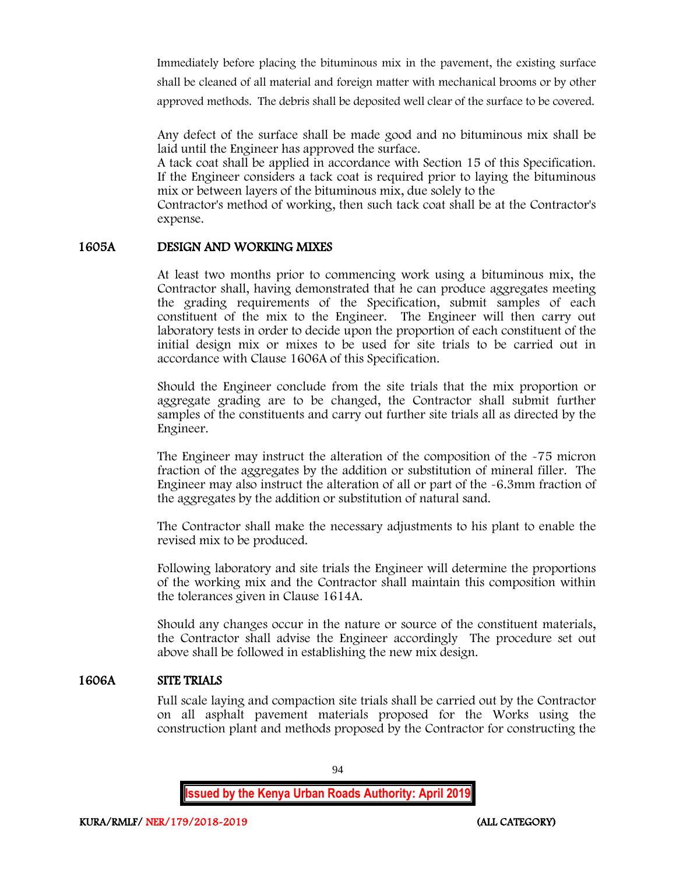Immediately before placing the bituminous mix in the pavement, the existing surface shall be cleaned of all material and foreign matter with mechanical brooms or by other approved methods. The debris shall be deposited well clear of the surface to be covered.

Any defect of the surface shall be made good and no bituminous mix shall be laid until the Engineer has approved the surface.

A tack coat shall be applied in accordance with Section 15 of this Specification. If the Engineer considers a tack coat is required prior to laying the bituminous mix or between layers of the bituminous mix, due solely to the

Contractor's method of working, then such tack coat shall be at the Contractor's expense.

### 1605A DESIGN AND WORKING MIXES

At least two months prior to commencing work using a bituminous mix, the Contractor shall, having demonstrated that he can produce aggregates meeting the grading requirements of the Specification, submit samples of each constituent of the mix to the Engineer. The Engineer will then carry out laboratory tests in order to decide upon the proportion of each constituent of the initial design mix or mixes to be used for site trials to be carried out in accordance with Clause 1606A of this Specification.

Should the Engineer conclude from the site trials that the mix proportion or aggregate grading are to be changed, the Contractor shall submit further samples of the constituents and carry out further site trials all as directed by the Engineer.

The Engineer may instruct the alteration of the composition of the -75 micron fraction of the aggregates by the addition or substitution of mineral filler. The Engineer may also instruct the alteration of all or part of the -6.3mm fraction of the aggregates by the addition or substitution of natural sand.

The Contractor shall make the necessary adjustments to his plant to enable the revised mix to be produced.

Following laboratory and site trials the Engineer will determine the proportions of the working mix and the Contractor shall maintain this composition within the tolerances given in Clause 1614A.

Should any changes occur in the nature or source of the constituent materials, the Contractor shall advise the Engineer accordingly The procedure set out above shall be followed in establishing the new mix design.

## 1606A SITE TRIALS

Full scale laying and compaction site trials shall be carried out by the Contractor on all asphalt pavement materials proposed for the Works using the construction plant and methods proposed by the Contractor for constructing the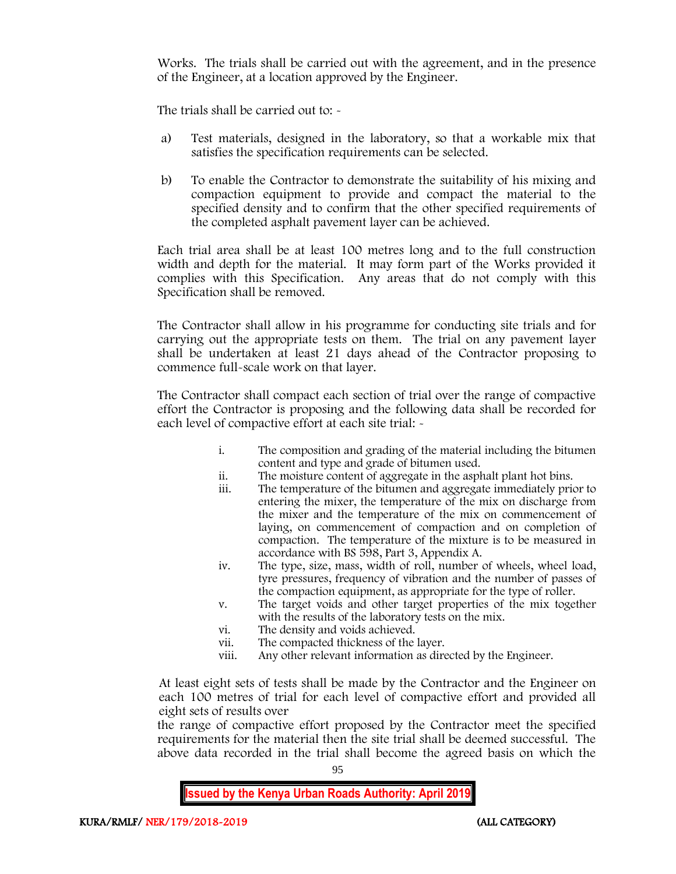Works. The trials shall be carried out with the agreement, and in the presence of the Engineer, at a location approved by the Engineer.

The trials shall be carried out to: -

- a) Test materials, designed in the laboratory, so that a workable mix that satisfies the specification requirements can be selected.
- b) To enable the Contractor to demonstrate the suitability of his mixing and compaction equipment to provide and compact the material to the specified density and to confirm that the other specified requirements of the completed asphalt pavement layer can be achieved.

Each trial area shall be at least 100 metres long and to the full construction width and depth for the material. It may form part of the Works provided it complies with this Specification. Any areas that do not comply with this Specification shall be removed.

The Contractor shall allow in his programme for conducting site trials and for carrying out the appropriate tests on them. The trial on any pavement layer shall be undertaken at least 21 days ahead of the Contractor proposing to commence full-scale work on that layer.

The Contractor shall compact each section of trial over the range of compactive effort the Contractor is proposing and the following data shall be recorded for each level of compactive effort at each site trial:  $\sim$ 

- i. The composition and grading of the material including the bitumen content and type and grade of bitumen used.
- ii. The moisture content of aggregate in the asphalt plant hot bins.
- iii. The temperature of the bitumen and aggregate immediately prior to entering the mixer, the temperature of the mix on discharge from the mixer and the temperature of the mix on commencement of laying, on commencement of compaction and on completion of compaction. The temperature of the mixture is to be measured in accordance with BS 598, Part 3, Appendix A.
- iv. The type, size, mass, width of roll, number of wheels, wheel load, tyre pressures, frequency of vibration and the number of passes of the compaction equipment, as appropriate for the type of roller.
- v. The target voids and other target properties of the mix together with the results of the laboratory tests on the mix.
- vi. The density and voids achieved.<br>vii. The compacted thickness of the
- The compacted thickness of the layer.
- viii. Any other relevant information as directed by the Engineer.

At least eight sets of tests shall be made by the Contractor and the Engineer on each 100 metres of trial for each level of compactive effort and provided all eight sets of results over

the range of compactive effort proposed by the Contractor meet the specified requirements for the material then the site trial shall be deemed successful. The above data recorded in the trial shall become the agreed basis on which the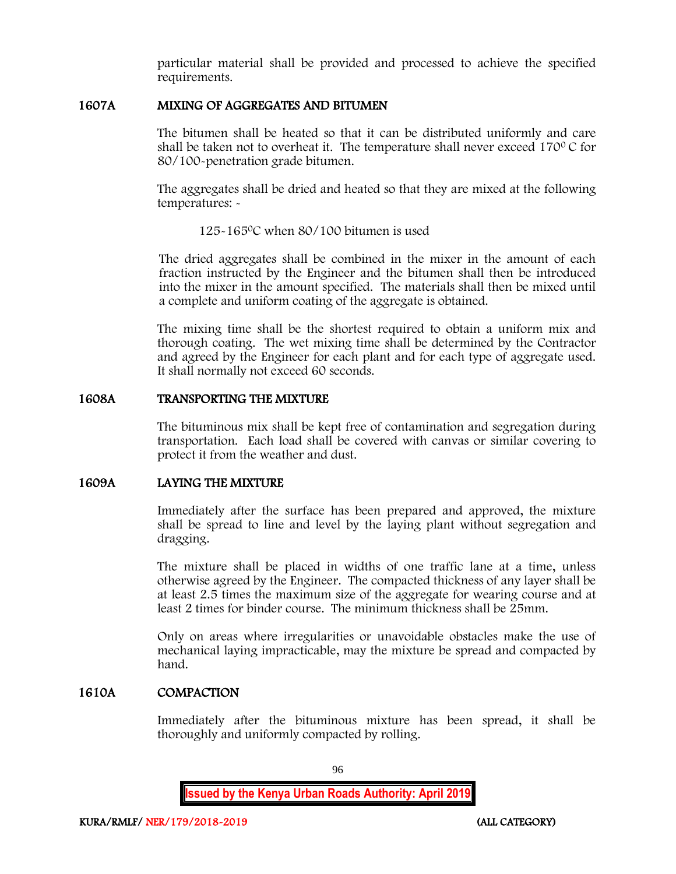particular material shall be provided and processed to achieve the specified requirements.

## 1607A MIXING OF AGGREGATES AND BITUMEN

The bitumen shall be heated so that it can be distributed uniformly and care shall be taken not to overheat it. The temperature shall never exceed  $170^{\circ}$ C for 80/100-penetration grade bitumen.

The aggregates shall be dried and heated so that they are mixed at the following temperatures: -

125-165<sup>0</sup>C when 80/100 bitumen is used

The dried aggregates shall be combined in the mixer in the amount of each fraction instructed by the Engineer and the bitumen shall then be introduced into the mixer in the amount specified. The materials shall then be mixed until a complete and uniform coating of the aggregate is obtained.

The mixing time shall be the shortest required to obtain a uniform mix and thorough coating. The wet mixing time shall be determined by the Contractor and agreed by the Engineer for each plant and for each type of aggregate used. It shall normally not exceed 60 seconds.

### 1608A TRANSPORTING THE MIXTURE

The bituminous mix shall be kept free of contamination and segregation during transportation. Each load shall be covered with canvas or similar covering to protect it from the weather and dust.

## 1609A LAYING THE MIXTURE

Immediately after the surface has been prepared and approved, the mixture shall be spread to line and level by the laying plant without segregation and dragging.

The mixture shall be placed in widths of one traffic lane at a time, unless otherwise agreed by the Engineer. The compacted thickness of any layer shall be at least 2.5 times the maximum size of the aggregate for wearing course and at least 2 times for binder course. The minimum thickness shall be 25mm.

Only on areas where irregularities or unavoidable obstacles make the use of mechanical laying impracticable, may the mixture be spread and compacted by hand.

## 1610A COMPACTION

Immediately after the bituminous mixture has been spread, it shall be thoroughly and uniformly compacted by rolling.

96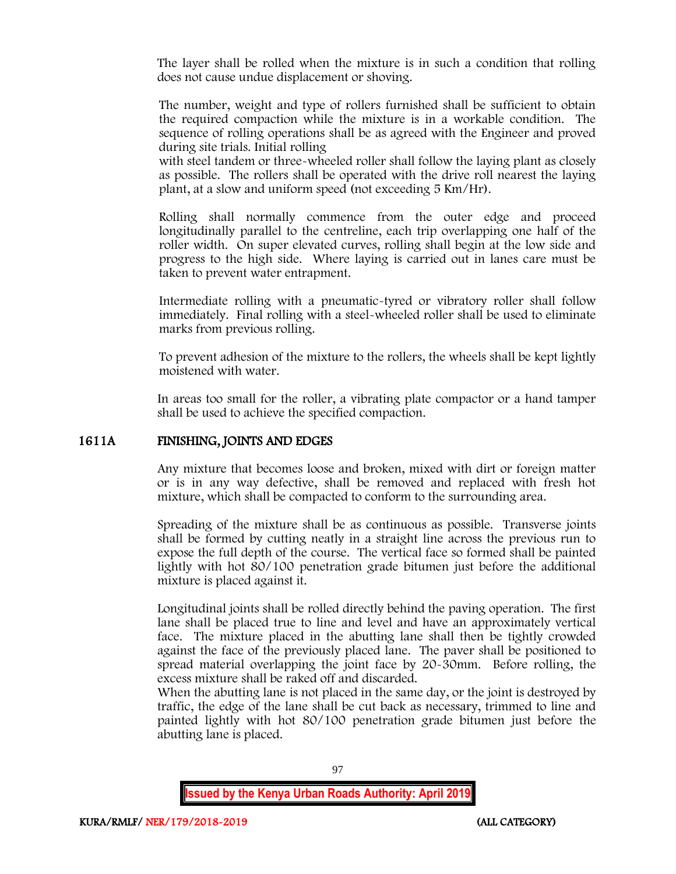The layer shall be rolled when the mixture is in such a condition that rolling does not cause undue displacement or shoving.

The number, weight and type of rollers furnished shall be sufficient to obtain the required compaction while the mixture is in a workable condition. The sequence of rolling operations shall be as agreed with the Engineer and proved during site trials. Initial rolling

with steel tandem or three-wheeled roller shall follow the laying plant as closely as possible. The rollers shall be operated with the drive roll nearest the laying plant, at a slow and uniform speed (not exceeding 5 Km/Hr).

Rolling shall normally commence from the outer edge and proceed longitudinally parallel to the centreline, each trip overlapping one half of the roller width. On super elevated curves, rolling shall begin at the low side and progress to the high side. Where laying is carried out in lanes care must be taken to prevent water entrapment.

Intermediate rolling with a pneumatic-tyred or vibratory roller shall follow immediately. Final rolling with a steel-wheeled roller shall be used to eliminate marks from previous rolling.

To prevent adhesion of the mixture to the rollers, the wheels shall be kept lightly moistened with water.

In areas too small for the roller, a vibrating plate compactor or a hand tamper shall be used to achieve the specified compaction.

### 1611A FINISHING, JOINTS AND EDGES

Any mixture that becomes loose and broken, mixed with dirt or foreign matter or is in any way defective, shall be removed and replaced with fresh hot mixture, which shall be compacted to conform to the surrounding area.

Spreading of the mixture shall be as continuous as possible. Transverse joints shall be formed by cutting neatly in a straight line across the previous run to expose the full depth of the course. The vertical face so formed shall be painted lightly with hot 80/100 penetration grade bitumen just before the additional mixture is placed against it.

Longitudinal joints shall be rolled directly behind the paving operation. The first lane shall be placed true to line and level and have an approximately vertical face. The mixture placed in the abutting lane shall then be tightly crowded against the face of the previously placed lane. The paver shall be positioned to spread material overlapping the joint face by 20-30mm. Before rolling, the excess mixture shall be raked off and discarded.

When the abutting lane is not placed in the same day, or the joint is destroyed by traffic, the edge of the lane shall be cut back as necessary, trimmed to line and painted lightly with hot 80/100 penetration grade bitumen just before the abutting lane is placed.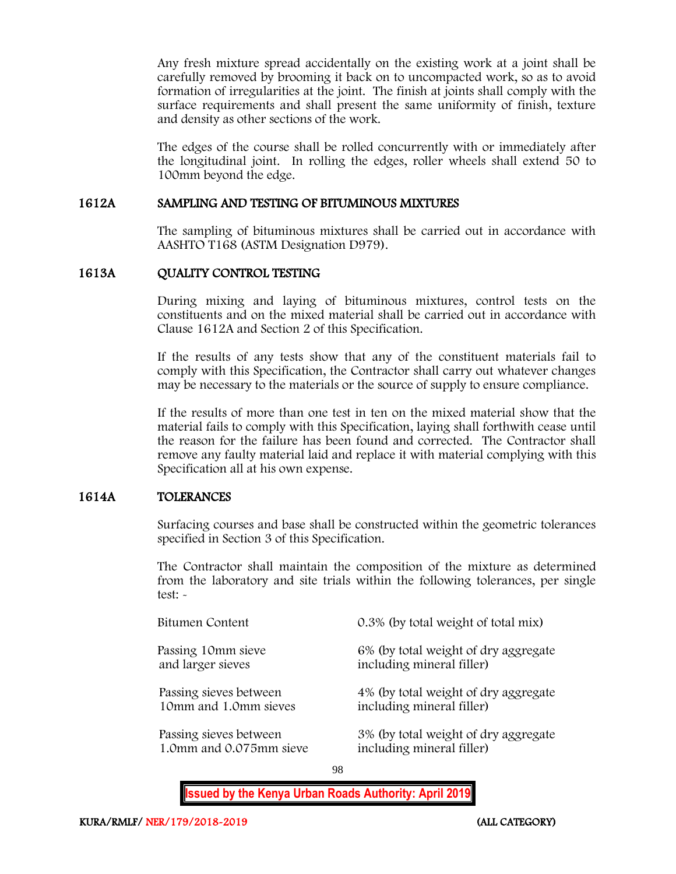Any fresh mixture spread accidentally on the existing work at a joint shall be carefully removed by brooming it back on to uncompacted work, so as to avoid formation of irregularities at the joint. The finish at joints shall comply with the surface requirements and shall present the same uniformity of finish, texture and density as other sections of the work.

The edges of the course shall be rolled concurrently with or immediately after the longitudinal joint. In rolling the edges, roller wheels shall extend 50 to 100mm beyond the edge.

## 1612A SAMPLING AND TESTING OF BITUMINOUS MIXTURES

The sampling of bituminous mixtures shall be carried out in accordance with AASHTO T168 (ASTM Designation D979).

### 1613A QUALITY CONTROL TESTING

During mixing and laying of bituminous mixtures, control tests on the constituents and on the mixed material shall be carried out in accordance with Clause 1612A and Section 2 of this Specification.

If the results of any tests show that any of the constituent materials fail to comply with this Specification, the Contractor shall carry out whatever changes may be necessary to the materials or the source of supply to ensure compliance.

If the results of more than one test in ten on the mixed material show that the material fails to comply with this Specification, laying shall forthwith cease until the reason for the failure has been found and corrected. The Contractor shall remove any faulty material laid and replace it with material complying with this Specification all at his own expense.

### 1614A TOLERANCES

Surfacing courses and base shall be constructed within the geometric tolerances specified in Section 3 of this Specification.

The Contractor shall maintain the composition of the mixture as determined from the laboratory and site trials within the following tolerances, per single test: -

| Bitumen Content         | 0.3% (by total weight of total mix)  |
|-------------------------|--------------------------------------|
| Passing 10mm sieve      | 6% (by total weight of dry aggregate |
| and larger sieves       | including mineral filler)            |
| Passing sieves between  | 4% (by total weight of dry aggregate |
| 10mm and 1.0mm sieves   | including mineral filler)            |
| Passing sieves between  | 3% (by total weight of dry aggregate |
| 1.0mm and 0.075mm sieve | including mineral filler)            |

98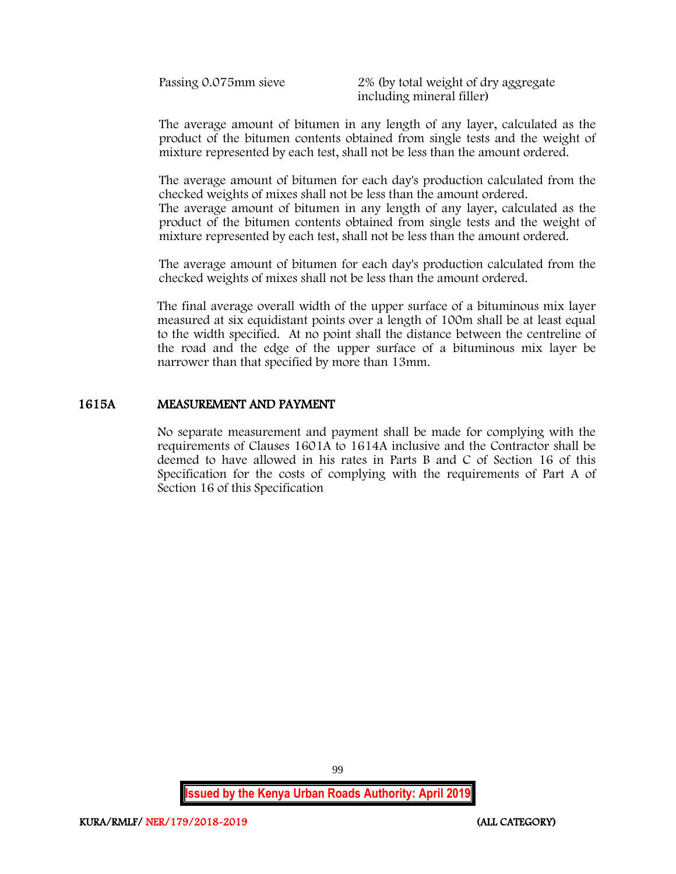Passing 0.075mm sieve 2% (by total weight of dry aggregate including mineral filler)

The average amount of bitumen in any length of any layer, calculated as the product of the bitumen contents obtained from single tests and the weight of mixture represented by each test, shall not be less than the amount ordered.

The average amount of bitumen for each day's production calculated from the checked weights of mixes shall not be less than the amount ordered.

The average amount of bitumen in any length of any layer, calculated as the product of the bitumen contents obtained from single tests and the weight of mixture represented by each test, shall not be less than the amount ordered.

The average amount of bitumen for each day's production calculated from the checked weights of mixes shall not be less than the amount ordered.

The final average overall width of the upper surface of a bituminous mix layer measured at six equidistant points over a length of 100m shall be at least equal to the width specified. At no point shall the distance between the centreline of the road and the edge of the upper surface of a bituminous mix layer be narrower than that specified by more than 13mm.

### 1615A MEASUREMENT AND PAYMENT

No separate measurement and payment shall be made for complying with the requirements of Clauses 1601A to 1614A inclusive and the Contractor shall be deemed to have allowed in his rates in Parts B and C of Section 16 of this Specification for the costs of complying with the requirements of Part A of Section 16 of this Specification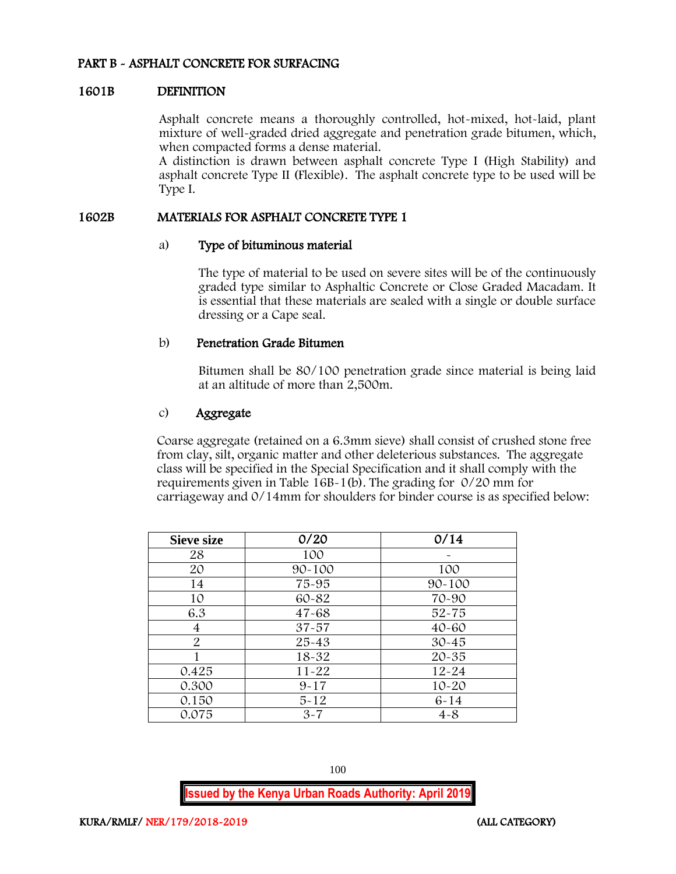## PART B - ASPHALT CONCRETE FOR SURFACING

### 1601B DEFINITION

Asphalt concrete means a thoroughly controlled, hot-mixed, hot-laid, plant mixture of well-graded dried aggregate and penetration grade bitumen, which, when compacted forms a dense material.

A distinction is drawn between asphalt concrete Type I (High Stability) and asphalt concrete Type II (Flexible). The asphalt concrete type to be used will be Type I.

### 1602B MATERIALS FOR ASPHALT CONCRETE TYPE 1

#### a) Type of bituminous material

The type of material to be used on severe sites will be of the continuously graded type similar to Asphaltic Concrete or Close Graded Macadam. It is essential that these materials are sealed with a single or double surface dressing or a Cape seal.

### b) Penetration Grade Bitumen

Bitumen shall be 80/100 penetration grade since material is being laid at an altitude of more than 2,500m.

### c) Aggregate

Coarse aggregate (retained on a 6.3mm sieve) shall consist of crushed stone free from clay, silt, organic matter and other deleterious substances. The aggregate class will be specified in the Special Specification and it shall comply with the requirements given in Table 16B-1(b). The grading for 0/20 mm for carriageway and 0/14mm for shoulders for binder course is as specified below:

| <b>Sieve size</b> | 0/20       | 0/14       |
|-------------------|------------|------------|
| 28                | 100        |            |
| 20                | $90 - 100$ | 100        |
| 14                | 75-95      | $90 - 100$ |
| 10                | 60-82      | 70-90      |
| 6.3               | $47 - 68$  | $52 - 75$  |
| 4                 | $37 - 57$  | $40 - 60$  |
| $\overline{2}$    | $25 - 43$  | $30 - 45$  |
|                   | $18 - 32$  | $20 - 35$  |
| 0.425             | $11 - 22$  | $12 - 24$  |
| 0.300             | $9 - 17$   | $10 - 20$  |
| 0.150             | $5 - 12$   | $6 - 14$   |
| 0.075             | $3 - 7$    | $4 - 8$    |

100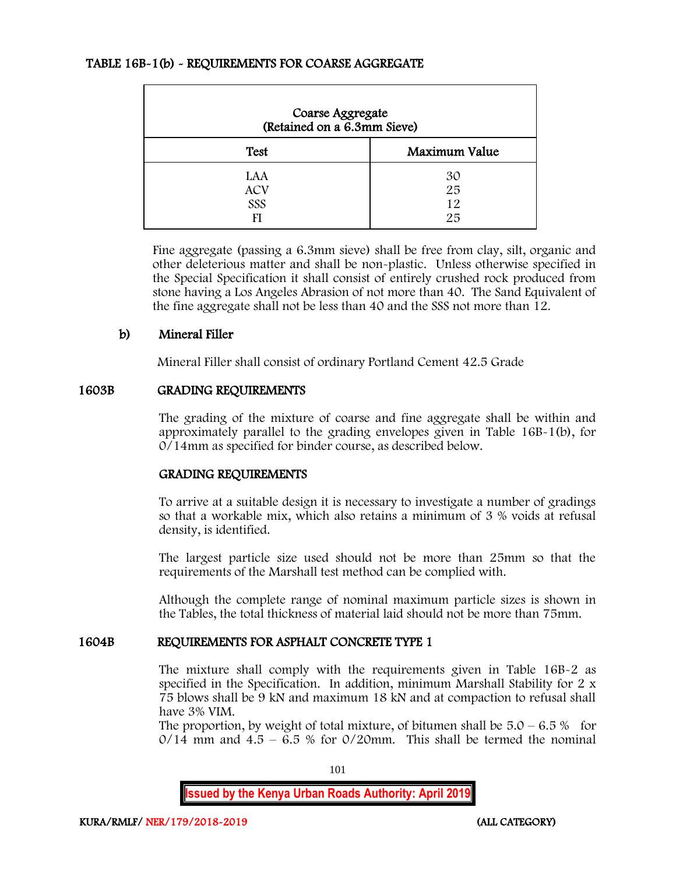## TABLE 16B-1(b) - REQUIREMENTS FOR COARSE AGGREGATE

| Coarse Aggregate<br>(Retained on a 6.3mm Sieve) |                      |  |  |  |
|-------------------------------------------------|----------------------|--|--|--|
| <b>Test</b>                                     | Maximum Value        |  |  |  |
| LAA<br><b>ACV</b><br>SSS<br>FI                  | 30<br>25<br>12<br>25 |  |  |  |

Fine aggregate (passing a 6.3mm sieve) shall be free from clay, silt, organic and other deleterious matter and shall be non-plastic. Unless otherwise specified in the Special Specification it shall consist of entirely crushed rock produced from stone having a Los Angeles Abrasion of not more than 40. The Sand Equivalent of the fine aggregate shall not be less than 40 and the SSS not more than 12.

### b) Mineral Filler

Mineral Filler shall consist of ordinary Portland Cement 42.5 Grade

### 1603B GRADING REQUIREMENTS

The grading of the mixture of coarse and fine aggregate shall be within and approximately parallel to the grading envelopes given in Table 16B-1(b), for 0/14mm as specified for binder course, as described below.

### GRADING REQUIREMENTS

To arrive at a suitable design it is necessary to investigate a number of gradings so that a workable mix, which also retains a minimum of 3 % voids at refusal density, is identified.

The largest particle size used should not be more than 25mm so that the requirements of the Marshall test method can be complied with.

Although the complete range of nominal maximum particle sizes is shown in the Tables, the total thickness of material laid should not be more than 75mm.

## 1604B REQUIREMENTS FOR ASPHALT CONCRETE TYPE 1

The mixture shall comply with the requirements given in Table 16B-2 as specified in the Specification. In addition, minimum Marshall Stability for 2 x 75 blows shall be 9 kN and maximum 18 kN and at compaction to refusal shall have 3% VIM.

The proportion, by weight of total mixture, of bitumen shall be  $5.0 - 6.5\%$  for  $0/14$  mm and  $4.5 - 6.5$  % for  $0/20$ mm. This shall be termed the nominal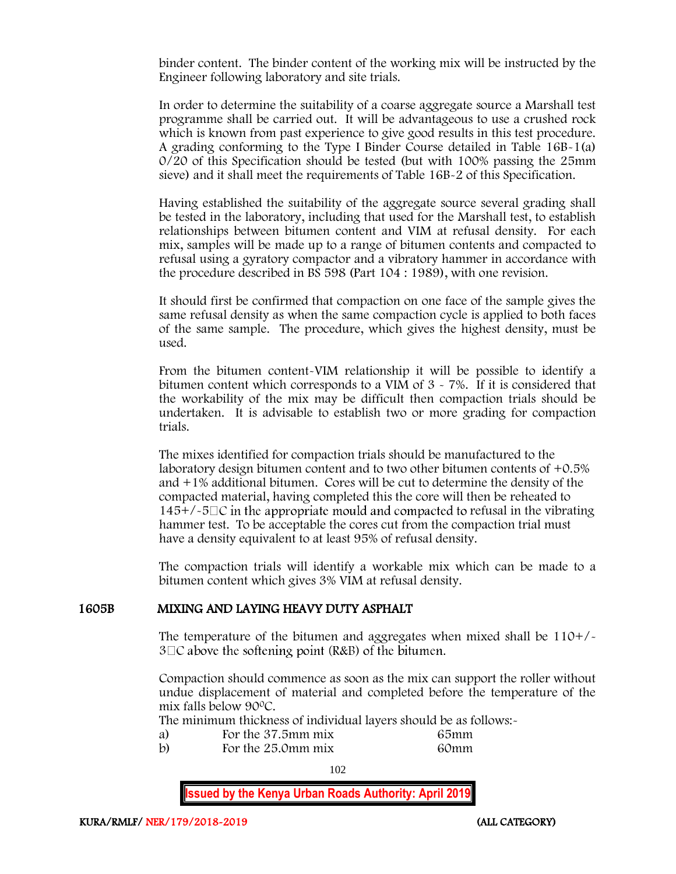binder content. The binder content of the working mix will be instructed by the Engineer following laboratory and site trials.

In order to determine the suitability of a coarse aggregate source a Marshall test programme shall be carried out. It will be advantageous to use a crushed rock which is known from past experience to give good results in this test procedure. A grading conforming to the Type I Binder Course detailed in Table 16B-1(a) 0/20 of this Specification should be tested (but with 100% passing the 25mm sieve) and it shall meet the requirements of Table 16B-2 of this Specification.

Having established the suitability of the aggregate source several grading shall be tested in the laboratory, including that used for the Marshall test, to establish relationships between bitumen content and VIM at refusal density. For each mix, samples will be made up to a range of bitumen contents and compacted to refusal using a gyratory compactor and a vibratory hammer in accordance with the procedure described in BS 598 (Part 104 : 1989), with one revision.

It should first be confirmed that compaction on one face of the sample gives the same refusal density as when the same compaction cycle is applied to both faces of the same sample. The procedure, which gives the highest density, must be used.

From the bitumen content-VIM relationship it will be possible to identify a bitumen content which corresponds to a VIM of  $3 \times 7\%$ . If it is considered that the workability of the mix may be difficult then compaction trials should be undertaken. It is advisable to establish two or more grading for compaction trials.

The mixes identified for compaction trials should be manufactured to the laboratory design bitumen content and to two other bitumen contents of +0.5% and +1% additional bitumen. Cores will be cut to determine the density of the compacted material, having completed this the core will then be reheated to  $145+/-5\degree$  in the appropriate mould and compacted to refusal in the vibrating hammer test. To be acceptable the cores cut from the compaction trial must have a density equivalent to at least 95% of refusal density.

The compaction trials will identify a workable mix which can be made to a bitumen content which gives 3% VIM at refusal density.

### 1605B MIXING AND LAYING HEAVY DUTY ASPHALT

The temperature of the bitumen and aggregates when mixed shall be 110+/-  $3\Box C$  above the softening point (R&B) of the bitumen.

Compaction should commence as soon as the mix can support the roller without undue displacement of material and completed before the temperature of the mix falls below 90<sup>0</sup>C.

The minimum thickness of individual layers should be as follows:-

- a) For the 37.5mm mix 65mm<br>b) For the 25.0mm mix 60mm
- For the 25.0mm mix 60mm

102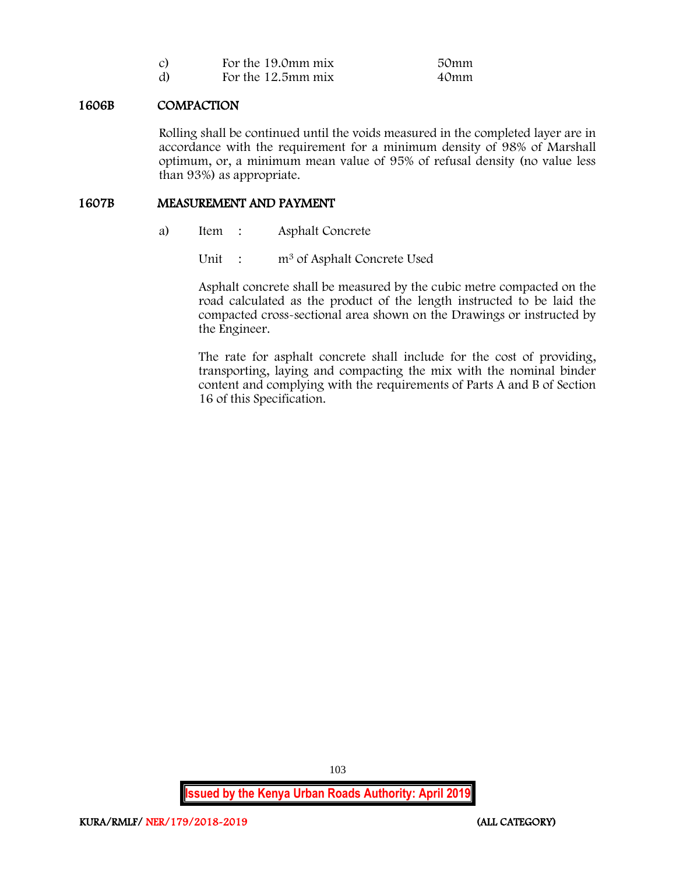| C) | For the 19.0mm mix | 50mm |
|----|--------------------|------|
| d) | For the 12.5mm mix | 40mm |

### 1606B COMPACTION

Rolling shall be continued until the voids measured in the completed layer are in accordance with the requirement for a minimum density of 98% of Marshall optimum, or, a minimum mean value of 95% of refusal density (no value less than 93%) as appropriate.

### 1607B MEASUREMENT AND PAYMENT

a) Item : Asphalt Concrete

Unit : m<sup>3</sup> of Asphalt Concrete Used

Asphalt concrete shall be measured by the cubic metre compacted on the road calculated as the product of the length instructed to be laid the compacted cross-sectional area shown on the Drawings or instructed by the Engineer.

The rate for asphalt concrete shall include for the cost of providing, transporting, laying and compacting the mix with the nominal binder content and complying with the requirements of Parts A and B of Section 16 of this Specification.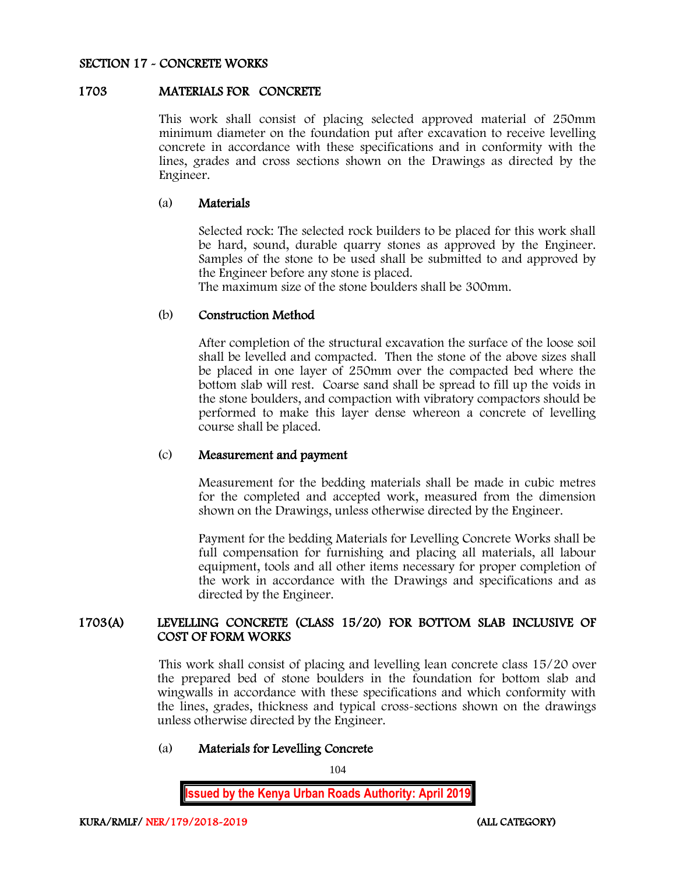### SECTION 17 - CONCRETE WORKS

### 1703 MATERIALS FOR CONCRETE

This work shall consist of placing selected approved material of 250mm minimum diameter on the foundation put after excavation to receive levelling concrete in accordance with these specifications and in conformity with the lines, grades and cross sections shown on the Drawings as directed by the Engineer.

### (a) Materials

Selected rock: The selected rock builders to be placed for this work shall be hard, sound, durable quarry stones as approved by the Engineer. Samples of the stone to be used shall be submitted to and approved by the Engineer before any stone is placed.

The maximum size of the stone boulders shall be 300mm.

### (b) Construction Method

After completion of the structural excavation the surface of the loose soil shall be levelled and compacted. Then the stone of the above sizes shall be placed in one layer of 250mm over the compacted bed where the bottom slab will rest. Coarse sand shall be spread to fill up the voids in the stone boulders, and compaction with vibratory compactors should be performed to make this layer dense whereon a concrete of levelling course shall be placed.

### (c) Measurement and payment

Measurement for the bedding materials shall be made in cubic metres for the completed and accepted work, measured from the dimension shown on the Drawings, unless otherwise directed by the Engineer.

Payment for the bedding Materials for Levelling Concrete Works shall be full compensation for furnishing and placing all materials, all labour equipment, tools and all other items necessary for proper completion of the work in accordance with the Drawings and specifications and as directed by the Engineer.

### 1703(A) LEVELLING CONCRETE (CLASS 15/20) FOR BOTTOM SLAB INCLUSIVE OF COST OF FORM WORKS

This work shall consist of placing and levelling lean concrete class 15/20 over the prepared bed of stone boulders in the foundation for bottom slab and wingwalls in accordance with these specifications and which conformity with the lines, grades, thickness and typical cross-sections shown on the drawings unless otherwise directed by the Engineer.

## (a) Materials for Levelling Concrete

104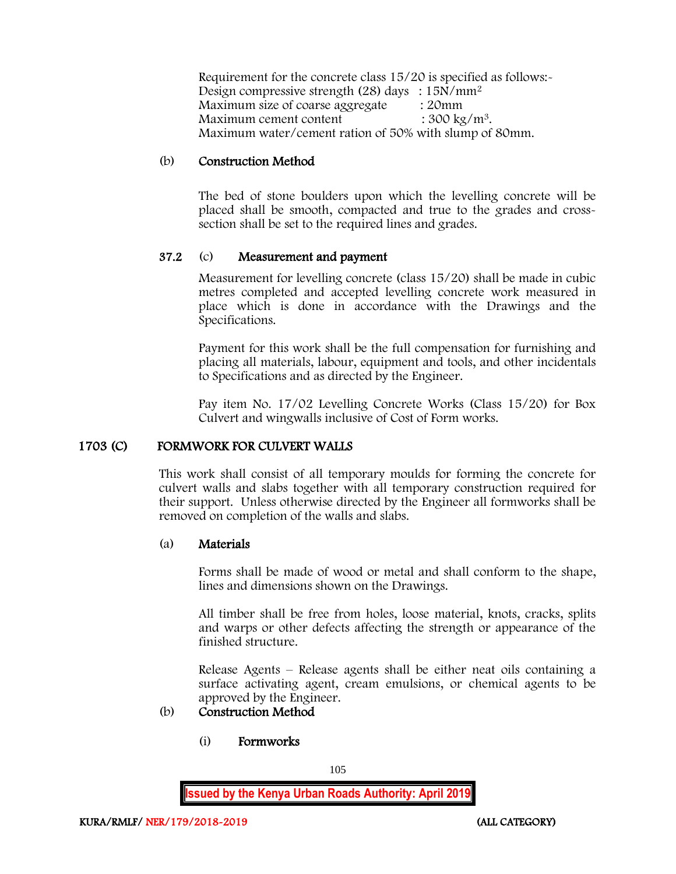Requirement for the concrete class 15/20 is specified as follows:- Design compressive strength (28) days : 15N/mm<sup>2</sup> Maximum size of coarse aggregate : 20mm Maximum cement content  $: 300 \text{ kg/m}^3$ . Maximum water/cement ration of 50% with slump of 80mm.

## (b) Construction Method

The bed of stone boulders upon which the levelling concrete will be placed shall be smooth, compacted and true to the grades and crosssection shall be set to the required lines and grades.

### 37.2 (c) Measurement and payment

Measurement for levelling concrete (class 15/20) shall be made in cubic metres completed and accepted levelling concrete work measured in place which is done in accordance with the Drawings and the Specifications.

Payment for this work shall be the full compensation for furnishing and placing all materials, labour, equipment and tools, and other incidentals to Specifications and as directed by the Engineer.

Pay item No. 17/02 Levelling Concrete Works (Class 15/20) for Box Culvert and wingwalls inclusive of Cost of Form works.

### 1703 (C) FORMWORK FOR CULVERT WALLS

This work shall consist of all temporary moulds for forming the concrete for culvert walls and slabs together with all temporary construction required for their support. Unless otherwise directed by the Engineer all formworks shall be removed on completion of the walls and slabs.

### (a) Materials

Forms shall be made of wood or metal and shall conform to the shape, lines and dimensions shown on the Drawings.

All timber shall be free from holes, loose material, knots, cracks, splits and warps or other defects affecting the strength or appearance of the finished structure.

Release Agents – Release agents shall be either neat oils containing a surface activating agent, cream emulsions, or chemical agents to be approved by the Engineer.

## (b) Construction Method

(i) Formworks

105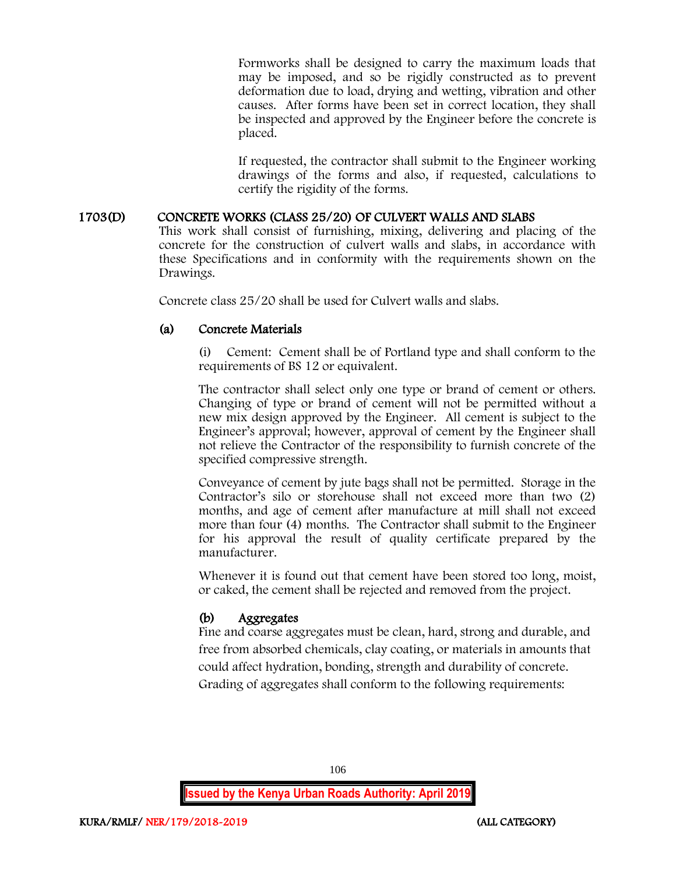Formworks shall be designed to carry the maximum loads that may be imposed, and so be rigidly constructed as to prevent deformation due to load, drying and wetting, vibration and other causes. After forms have been set in correct location, they shall be inspected and approved by the Engineer before the concrete is placed.

If requested, the contractor shall submit to the Engineer working drawings of the forms and also, if requested, calculations to certify the rigidity of the forms.

## 1703(D) CONCRETE WORKS (CLASS 25/20) OF CULVERT WALLS AND SLABS

This work shall consist of furnishing, mixing, delivering and placing of the concrete for the construction of culvert walls and slabs, in accordance with these Specifications and in conformity with the requirements shown on the Drawings.

Concrete class 25/20 shall be used for Culvert walls and slabs.

## (a) Concrete Materials

(i) Cement: Cement shall be of Portland type and shall conform to the requirements of BS 12 or equivalent.

The contractor shall select only one type or brand of cement or others. Changing of type or brand of cement will not be permitted without a new mix design approved by the Engineer. All cement is subject to the Engineer's approval; however, approval of cement by the Engineer shall not relieve the Contractor of the responsibility to furnish concrete of the specified compressive strength.

Conveyance of cement by jute bags shall not be permitted. Storage in the Contractor's silo or storehouse shall not exceed more than two (2) months, and age of cement after manufacture at mill shall not exceed more than four (4) months. The Contractor shall submit to the Engineer for his approval the result of quality certificate prepared by the manufacturer.

Whenever it is found out that cement have been stored too long, moist, or caked, the cement shall be rejected and removed from the project.

## (b) Aggregates

Fine and coarse aggregates must be clean, hard, strong and durable, and free from absorbed chemicals, clay coating, or materials in amounts that could affect hydration, bonding, strength and durability of concrete. Grading of aggregates shall conform to the following requirements: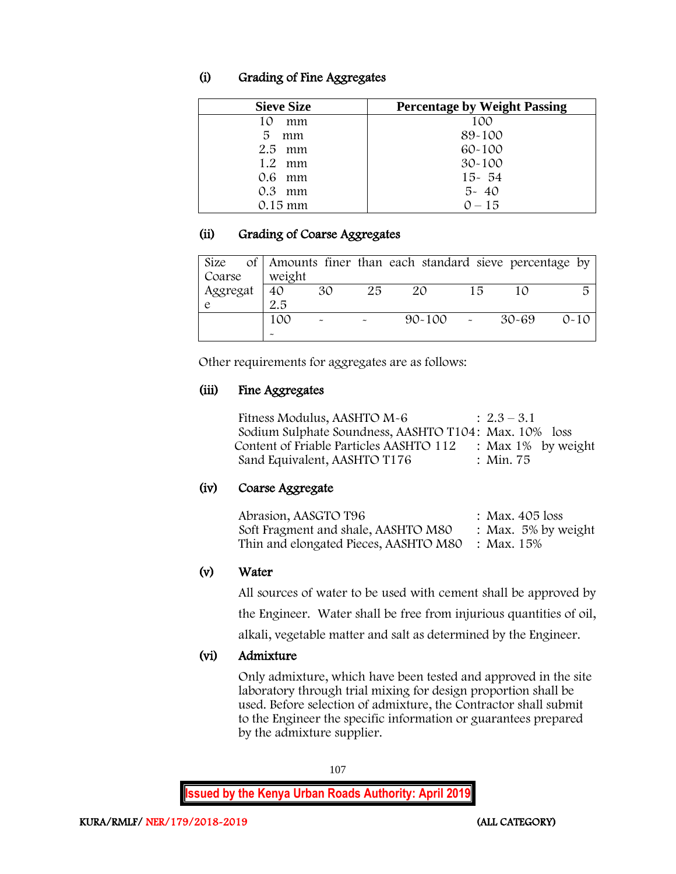## (i) Grading of Fine Aggregates

| <b>Sieve Size</b> | <b>Percentage by Weight Passing</b> |
|-------------------|-------------------------------------|
| mm<br>10          | 100                                 |
| 5<br>mm           | 89-100                              |
| $2.5$ mm          | $60 - 100$                          |
| $1.2 \cdot mm$    | $30 - 100$                          |
| 0.6 mm            | $15 - 54$                           |
| $0.3$ mm          | $5 - 40$                            |
| $0.15$ mm         | $0 - 15$                            |

## (ii) Grading of Coarse Aggregates

| Size     |        |    |    | of Amounts finer than each standard sieve percentage by |    |           |          |
|----------|--------|----|----|---------------------------------------------------------|----|-----------|----------|
| Coarse   | weight |    |    |                                                         |    |           |          |
| Aggregat | 40     | 30 | 25 | 20                                                      | 15 | 10        |          |
|          | 2.5    |    |    |                                                         |    |           |          |
|          | 100    |    |    | $90 - 100$                                              |    | $30 - 69$ | $0 - 10$ |
|          |        |    |    |                                                         |    |           |          |

Other requirements for aggregates are as follows:

## (iii) Fine Aggregates

| Fitness Modulus, AASHTO M-6                           | $: 2.3 - 3.1$         |
|-------------------------------------------------------|-----------------------|
| Sodium Sulphate Soundness, AASHTO T104: Max. 10% loss |                       |
| Content of Friable Particles AASHTO 112               | : Max $1\%$ by weight |
| Sand Equivalent, AASHTO T176                          | : Min. 75             |

## (iv) Coarse Aggregate

| Abrasion, AASGTO T96                                 | : Max. 405 loss        |
|------------------------------------------------------|------------------------|
| Soft Fragment and shale, AASHTO M80                  | : Max. $5\%$ by weight |
| Thin and elongated Pieces, AASHTO M80     : Max. 15% |                        |

## (v) Water

All sources of water to be used with cement shall be approved by

the Engineer. Water shall be free from injurious quantities of oil,

alkali, vegetable matter and salt as determined by the Engineer.

# (vi) Admixture

Only admixture, which have been tested and approved in the site laboratory through trial mixing for design proportion shall be used. Before selection of admixture, the Contractor shall submit to the Engineer the specific information or guarantees prepared by the admixture supplier.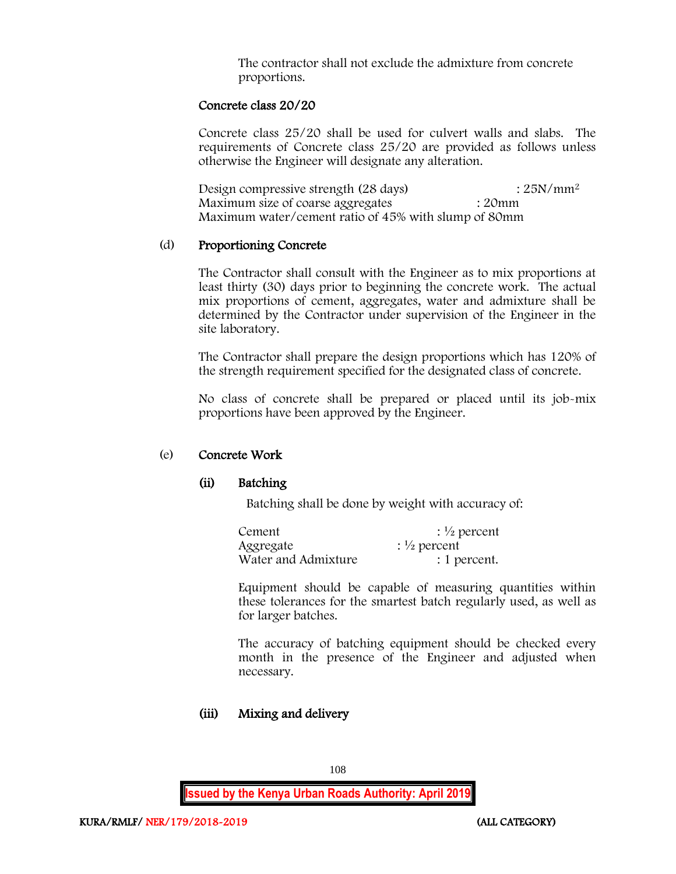The contractor shall not exclude the admixture from concrete proportions.

#### Concrete class 20/20

Concrete class 25/20 shall be used for culvert walls and slabs. The requirements of Concrete class 25/20 are provided as follows unless otherwise the Engineer will designate any alteration.

Design compressive strength  $(28 \text{ days})$  :  $25N/mm^2$ Maximum size of coarse aggregates : 20mm Maximum water/cement ratio of 45% with slump of 80mm

#### (d) Proportioning Concrete

The Contractor shall consult with the Engineer as to mix proportions at least thirty (30) days prior to beginning the concrete work. The actual mix proportions of cement, aggregates, water and admixture shall be determined by the Contractor under supervision of the Engineer in the site laboratory.

The Contractor shall prepare the design proportions which has 120% of the strength requirement specified for the designated class of concrete.

No class of concrete shall be prepared or placed until its job-mix proportions have been approved by the Engineer.

#### (e) Concrete Work

#### (ii) Batching

Batching shall be done by weight with accuracy of:

| Cement              | $\frac{1}{2}$ percent |
|---------------------|-----------------------|
| Aggregate           | $\frac{1}{2}$ percent |
| Water and Admixture | : 1 percent.          |

Equipment should be capable of measuring quantities within these tolerances for the smartest batch regularly used, as well as for larger batches.

The accuracy of batching equipment should be checked every month in the presence of the Engineer and adjusted when necessary.

#### (iii) Mixing and delivery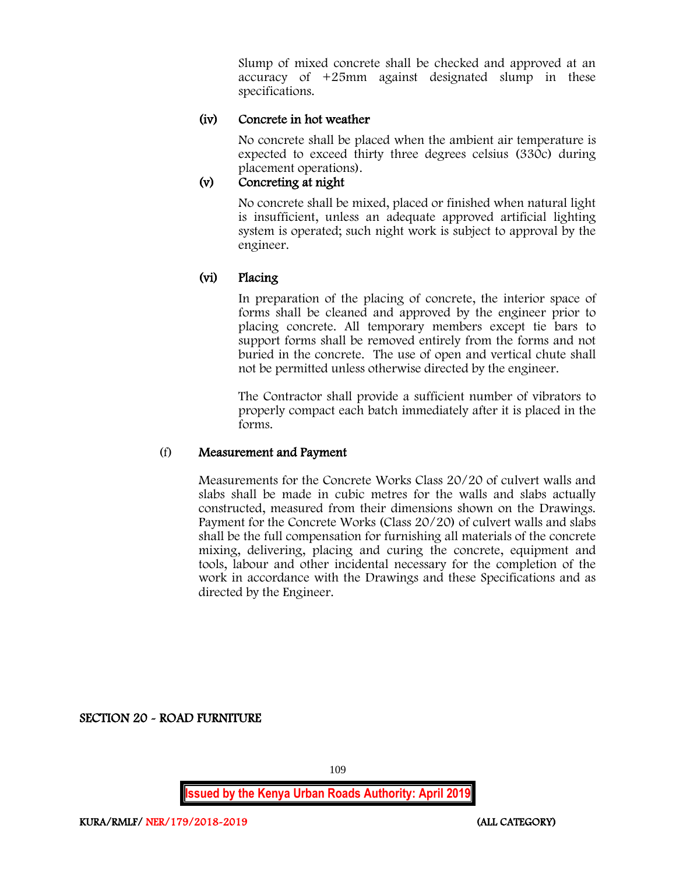Slump of mixed concrete shall be checked and approved at an accuracy of +25mm against designated slump in these specifications.

### (iv) Concrete in hot weather

No concrete shall be placed when the ambient air temperature is expected to exceed thirty three degrees celsius (330c) during placement operations).

# (v) Concreting at night

No concrete shall be mixed, placed or finished when natural light is insufficient, unless an adequate approved artificial lighting system is operated; such night work is subject to approval by the engineer.

## (vi) Placing

In preparation of the placing of concrete, the interior space of forms shall be cleaned and approved by the engineer prior to placing concrete. All temporary members except tie bars to support forms shall be removed entirely from the forms and not buried in the concrete. The use of open and vertical chute shall not be permitted unless otherwise directed by the engineer.

The Contractor shall provide a sufficient number of vibrators to properly compact each batch immediately after it is placed in the forms.

#### (f) Measurement and Payment

Measurements for the Concrete Works Class 20/20 of culvert walls and slabs shall be made in cubic metres for the walls and slabs actually constructed, measured from their dimensions shown on the Drawings. Payment for the Concrete Works (Class 20/20) of culvert walls and slabs shall be the full compensation for furnishing all materials of the concrete mixing, delivering, placing and curing the concrete, equipment and tools, labour and other incidental necessary for the completion of the work in accordance with the Drawings and these Specifications and as directed by the Engineer.

SECTION 20 - ROAD FURNITURE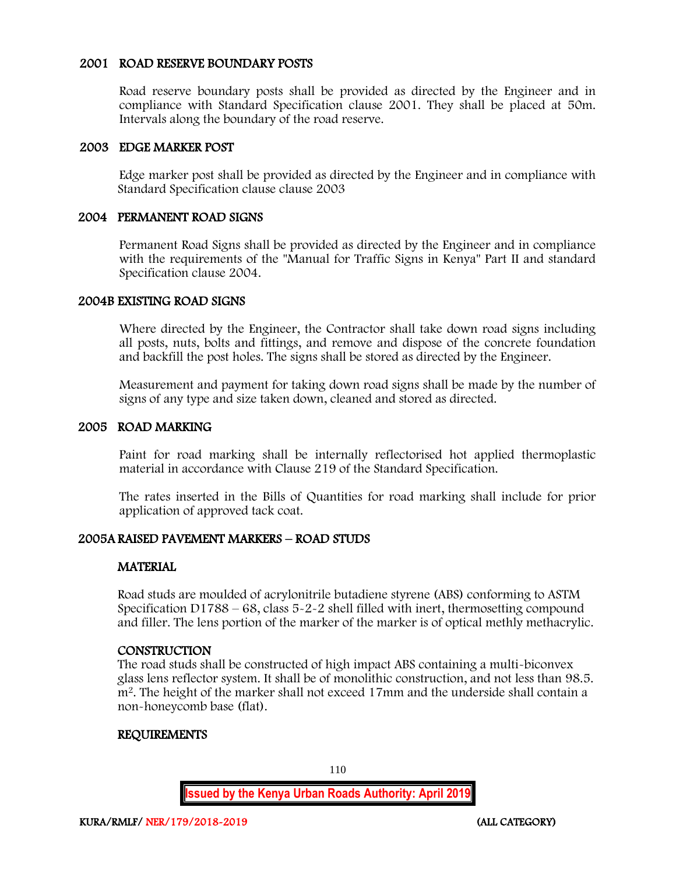#### 2001 ROAD RESERVE BOUNDARY POSTS

Road reserve boundary posts shall be provided as directed by the Engineer and in compliance with Standard Specification clause 2001. They shall be placed at 50m. Intervals along the boundary of the road reserve.

#### 2003 EDGE MARKER POST

Edge marker post shall be provided as directed by the Engineer and in compliance with Standard Specification clause clause 2003

### 2004 PERMANENT ROAD SIGNS

Permanent Road Signs shall be provided as directed by the Engineer and in compliance with the requirements of the "Manual for Traffic Signs in Kenya" Part II and standard Specification clause 2004.

#### 2004B EXISTING ROAD SIGNS

Where directed by the Engineer, the Contractor shall take down road signs including all posts, nuts, bolts and fittings, and remove and dispose of the concrete foundation and backfill the post holes. The signs shall be stored as directed by the Engineer.

Measurement and payment for taking down road signs shall be made by the number of signs of any type and size taken down, cleaned and stored as directed.

#### 2005 ROAD MARKING

Paint for road marking shall be internally reflectorised hot applied thermoplastic material in accordance with Clause 219 of the Standard Specification.

The rates inserted in the Bills of Quantities for road marking shall include for prior application of approved tack coat.

#### 2005A RAISED PAVEMENT MARKERS – ROAD STUDS

#### MATERIAL

Road studs are moulded of acrylonitrile butadiene styrene (ABS) conforming to ASTM Specification D1788 – 68, class 5-2-2 shell filled with inert, thermosetting compound and filler. The lens portion of the marker of the marker is of optical methly methacrylic.

#### **CONSTRUCTION**

The road studs shall be constructed of high impact ABS containing a multi-biconvex glass lens reflector system. It shall be of monolithic construction, and not less than 98.5. m<sup>2</sup>. The height of the marker shall not exceed 17mm and the underside shall contain a non-honeycomb base (flat).

#### REQUIREMENTS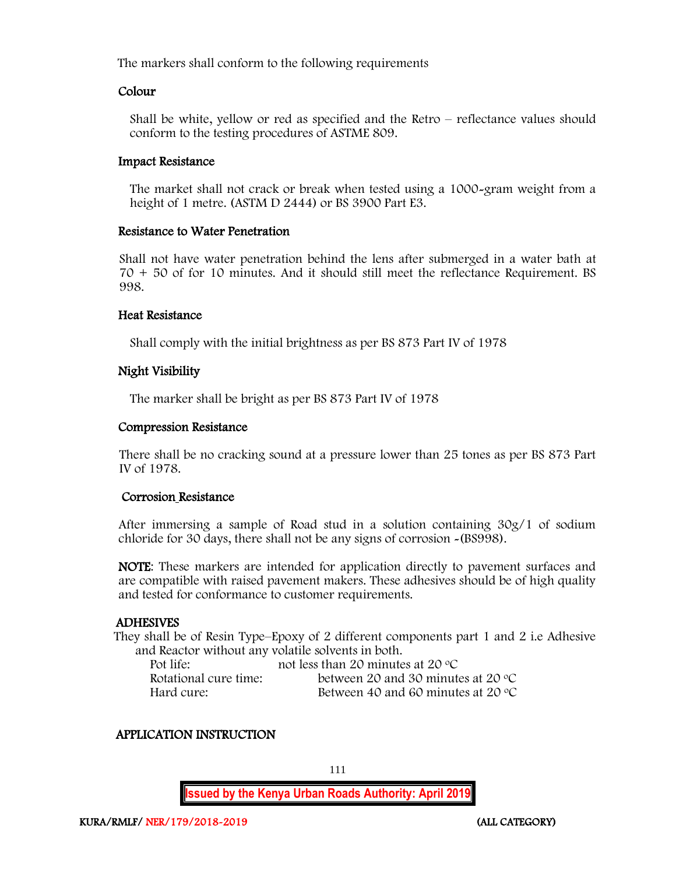The markers shall conform to the following requirements

#### Colour

Shall be white, yellow or red as specified and the Retro – reflectance values should conform to the testing procedures of ASTME 809.

#### Impact Resistance

The market shall not crack or break when tested using a 1000-gram weight from a height of 1 metre. (ASTM D 2444) or BS 3900 Part E3.

#### Resistance to Water Penetration

Shall not have water penetration behind the lens after submerged in a water bath at 70 + 50 of for 10 minutes. And it should still meet the reflectance Requirement. BS 998.

#### Heat Resistance

Shall comply with the initial brightness as per BS 873 Part IV of 1978

#### Night Visibility

The marker shall be bright as per BS 873 Part IV of 1978

#### Compression Resistance

There shall be no cracking sound at a pressure lower than 25 tones as per BS 873 Part IV of 1978.

#### Corrosion Resistance

After immersing a sample of Road stud in a solution containing 30g/1 of sodium chloride for 30 days, there shall not be any signs of corrosion -(BS998).

NOTE: These markers are intended for application directly to pavement surfaces and are compatible with raised pavement makers. These adhesives should be of high quality and tested for conformance to customer requirements.

#### ADHESIVES

They shall be of Resin Type–Epoxy of 2 different components part 1 and 2 i.e Adhesive and Reactor without any volatile solvents in both.

| Pot life:             | not less than 20 minutes at 20 $\degree$ C  |
|-----------------------|---------------------------------------------|
| Rotational cure time: | between 20 and 30 minutes at 20 $\degree$ C |
| Hard cure:-           | Between 40 and 60 minutes at 20 $\degree$ C |

#### APPLICATION INSTRUCTION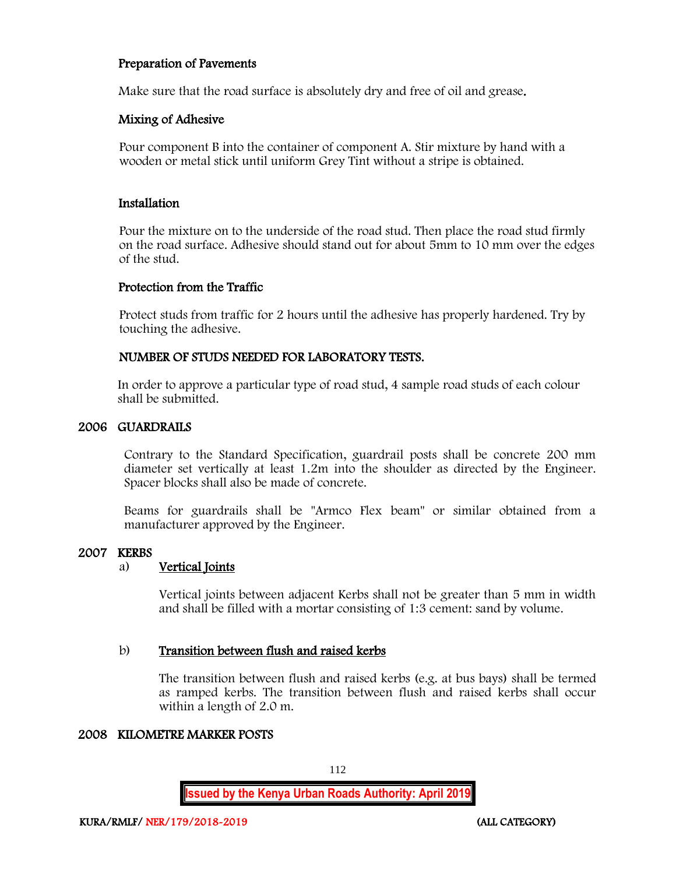#### Preparation of Pavements

Make sure that the road surface is absolutely dry and free of oil and grease.

#### Mixing of Adhesive

Pour component B into the container of component A. Stir mixture by hand with a wooden or metal stick until uniform Grey Tint without a stripe is obtained.

#### Installation

Pour the mixture on to the underside of the road stud. Then place the road stud firmly on the road surface. Adhesive should stand out for about 5mm to 10 mm over the edges of the stud.

#### Protection from the Traffic

Protect studs from traffic for 2 hours until the adhesive has properly hardened. Try by touching the adhesive.

#### NUMBER OF STUDS NEEDED FOR LABORATORY TESTS.

In order to approve a particular type of road stud, 4 sample road studs of each colour shall be submitted.

#### 2006 GUARDRAILS

Contrary to the Standard Specification, guardrail posts shall be concrete 200 mm diameter set vertically at least 1.2m into the shoulder as directed by the Engineer. Spacer blocks shall also be made of concrete.

Beams for guardrails shall be "Armco Flex beam" or similar obtained from a manufacturer approved by the Engineer.

#### 2007 KERBS

#### a) Vertical Joints

Vertical joints between adjacent Kerbs shall not be greater than 5 mm in width and shall be filled with a mortar consisting of 1:3 cement: sand by volume.

#### b) Transition between flush and raised kerbs

The transition between flush and raised kerbs (e.g. at bus bays) shall be termed as ramped kerbs. The transition between flush and raised kerbs shall occur within a length of 2.0 m.

#### 2008 KILOMETRE MARKER POSTS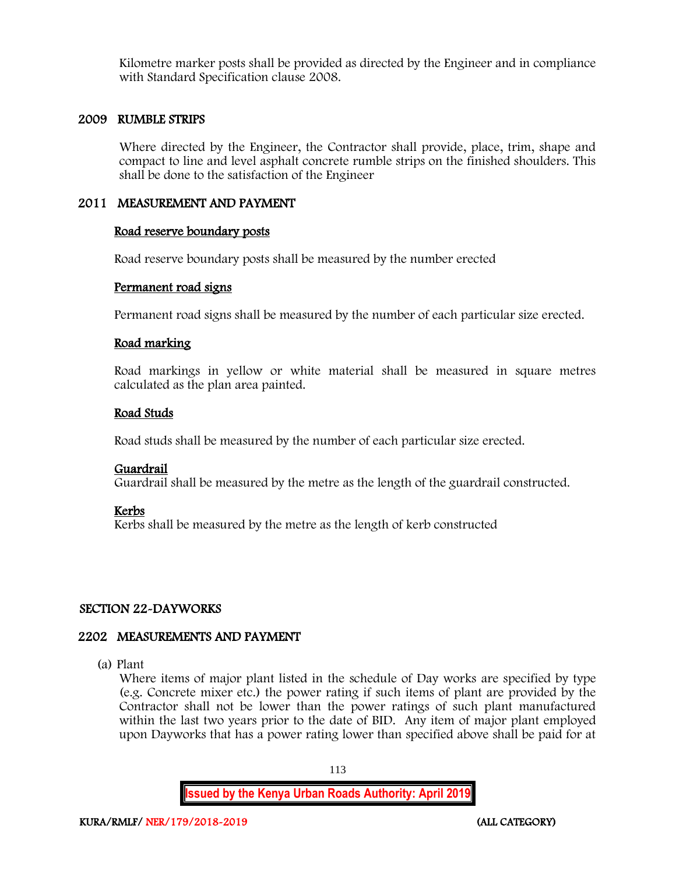Kilometre marker posts shall be provided as directed by the Engineer and in compliance with Standard Specification clause 2008.

#### 2009 RUMBLE STRIPS

Where directed by the Engineer, the Contractor shall provide, place, trim, shape and compact to line and level asphalt concrete rumble strips on the finished shoulders. This shall be done to the satisfaction of the Engineer

#### 2011 MEASUREMENT AND PAYMENT

#### Road reserve boundary posts

Road reserve boundary posts shall be measured by the number erected

#### Permanent road signs

Permanent road signs shall be measured by the number of each particular size erected.

#### Road marking

Road markings in yellow or white material shall be measured in square metres calculated as the plan area painted.

#### Road Studs

Road studs shall be measured by the number of each particular size erected.

#### Guardrail

Guardrail shall be measured by the metre as the length of the guardrail constructed.

#### Kerbs

Kerbs shall be measured by the metre as the length of kerb constructed

#### SECTION 22-DAYWORKS

#### 2202 MEASUREMENTS AND PAYMENT

(a) Plant

Where items of major plant listed in the schedule of Day works are specified by type (e.g. Concrete mixer etc.) the power rating if such items of plant are provided by the Contractor shall not be lower than the power ratings of such plant manufactured within the last two years prior to the date of BID. Any item of major plant employed upon Dayworks that has a power rating lower than specified above shall be paid for at

113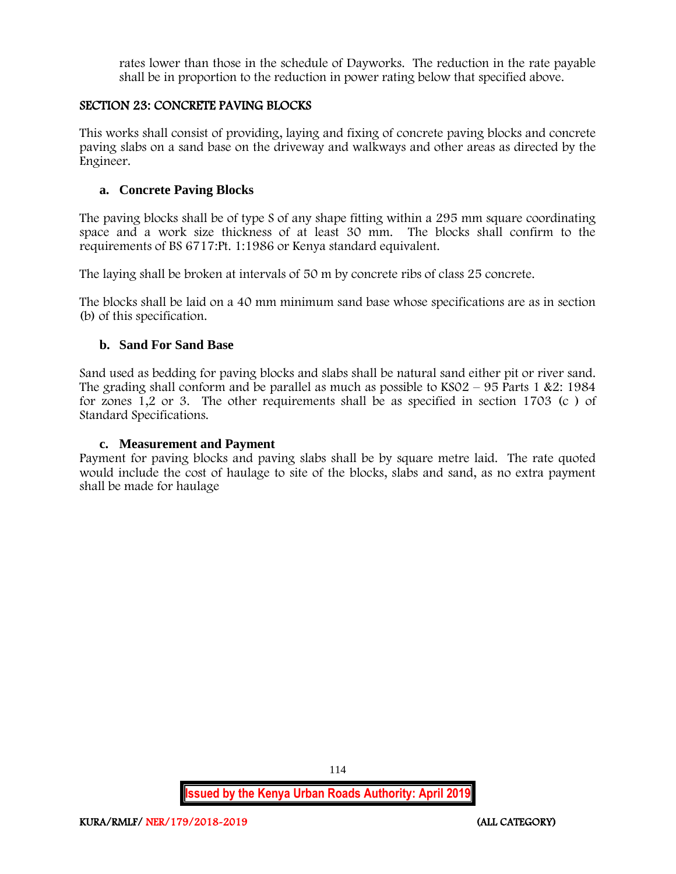rates lower than those in the schedule of Dayworks. The reduction in the rate payable shall be in proportion to the reduction in power rating below that specified above.

### SECTION 23: CONCRETE PAVING BLOCKS

This works shall consist of providing, laying and fixing of concrete paving blocks and concrete paving slabs on a sand base on the driveway and walkways and other areas as directed by the Engineer.

### **a. Concrete Paving Blocks**

The paving blocks shall be of type S of any shape fitting within a 295 mm square coordinating space and a work size thickness of at least 30 mm. The blocks shall confirm to the requirements of BS 6717:Pt. 1:1986 or Kenya standard equivalent.

The laying shall be broken at intervals of 50 m by concrete ribs of class 25 concrete.

The blocks shall be laid on a 40 mm minimum sand base whose specifications are as in section (b) of this specification.

#### **b. Sand For Sand Base**

Sand used as bedding for paving blocks and slabs shall be natural sand either pit or river sand. The grading shall conform and be parallel as much as possible to  $KSO2 - 95$  Parts 1 &2: 1984 for zones 1,2 or 3. The other requirements shall be as specified in section 1703 (c ) of Standard Specifications.

#### **c. Measurement and Payment**

Payment for paving blocks and paving slabs shall be by square metre laid. The rate quoted would include the cost of haulage to site of the blocks, slabs and sand, as no extra payment shall be made for haulage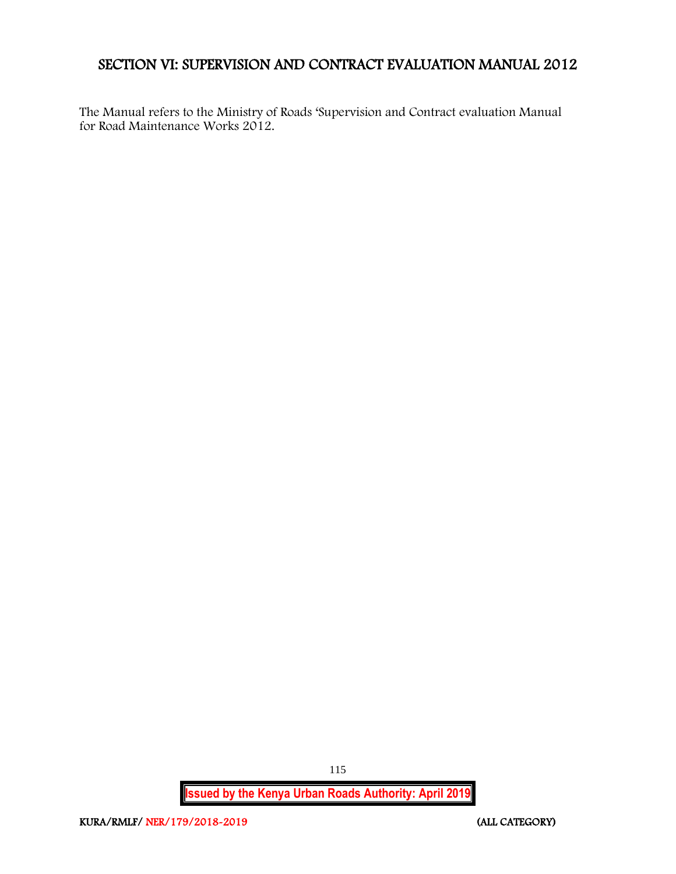# SECTION VI: SUPERVISION AND CONTRACT EVALUATION MANUAL 2012

The Manual refers to the Ministry of Roads 'Supervision and Contract evaluation Manual for Road Maintenance Works 2012.

**Issued by the Kenya Urban Roads Authority: April 2019**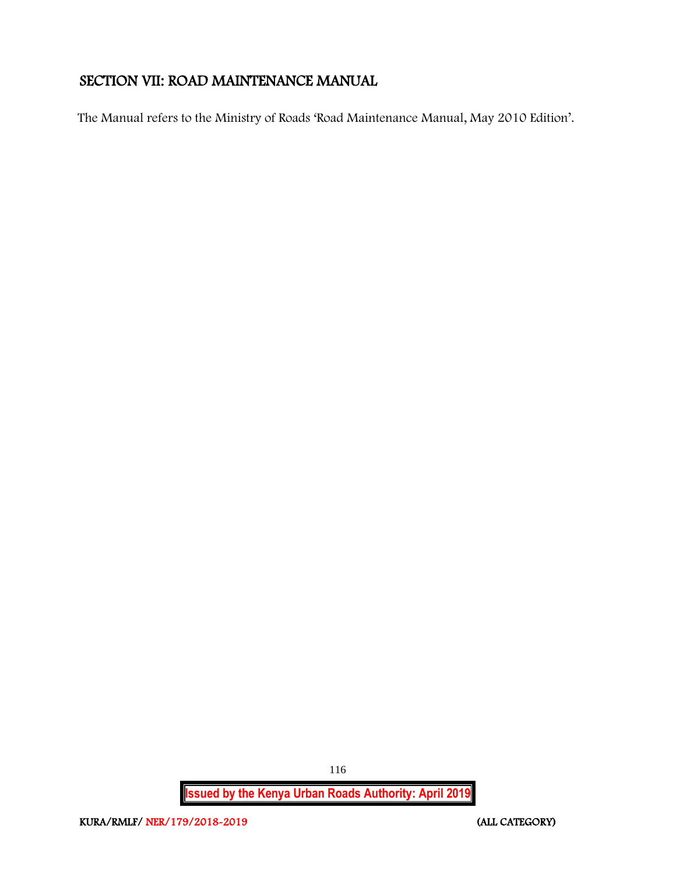# SECTION VII: ROAD MAINTENANCE MANUAL

The Manual refers to the Ministry of Roads 'Road Maintenance Manual, May 2010 Edition'.

**Issued by the Kenya Urban Roads Authority: April 2019**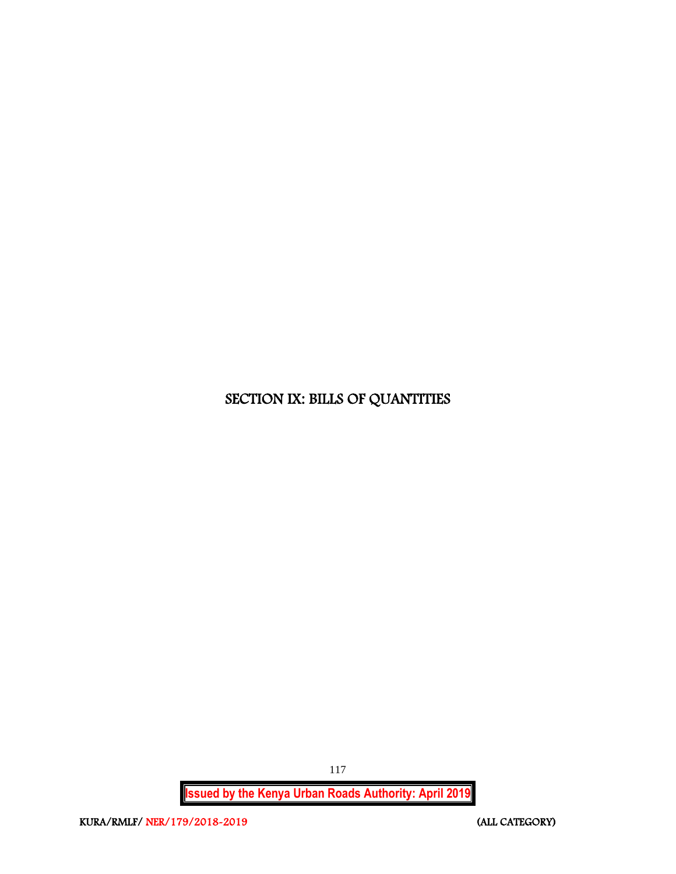# SECTION IX: BILLS OF QUANTITIES

**Issued by the Kenya Urban Roads Authority: April 2019**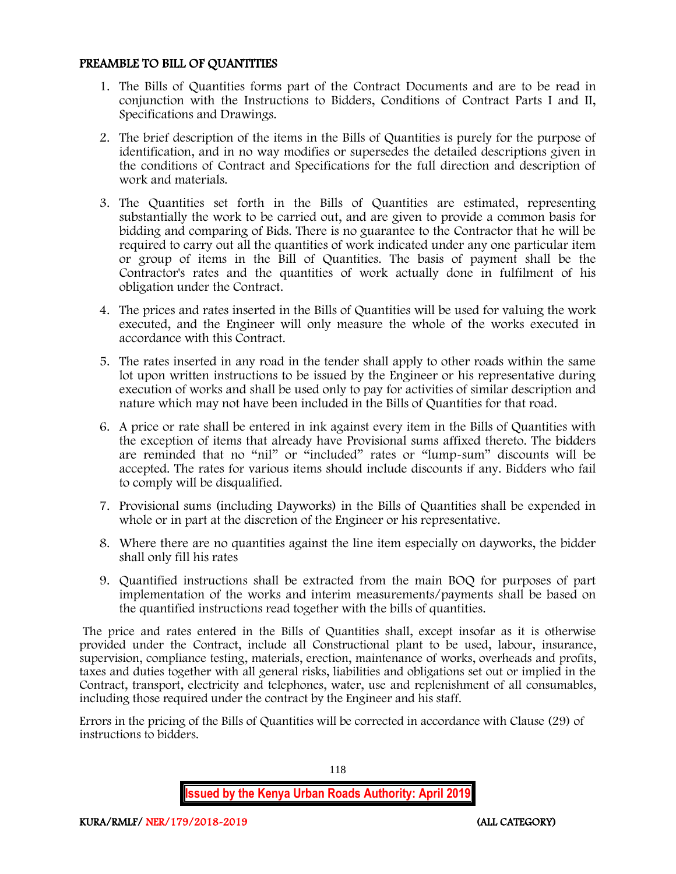#### PREAMBLE TO BILL OF QUANTITIES

- 1. The Bills of Quantities forms part of the Contract Documents and are to be read in conjunction with the Instructions to Bidders, Conditions of Contract Parts I and II, Specifications and Drawings.
- 2. The brief description of the items in the Bills of Quantities is purely for the purpose of identification, and in no way modifies or supersedes the detailed descriptions given in the conditions of Contract and Specifications for the full direction and description of work and materials.
- 3. The Quantities set forth in the Bills of Quantities are estimated, representing substantially the work to be carried out, and are given to provide a common basis for bidding and comparing of Bids. There is no guarantee to the Contractor that he will be required to carry out all the quantities of work indicated under any one particular item or group of items in the Bill of Quantities. The basis of payment shall be the Contractor's rates and the quantities of work actually done in fulfilment of his obligation under the Contract.
- 4. The prices and rates inserted in the Bills of Quantities will be used for valuing the work executed, and the Engineer will only measure the whole of the works executed in accordance with this Contract.
- 5. The rates inserted in any road in the tender shall apply to other roads within the same lot upon written instructions to be issued by the Engineer or his representative during execution of works and shall be used only to pay for activities of similar description and nature which may not have been included in the Bills of Quantities for that road.
- 6. A price or rate shall be entered in ink against every item in the Bills of Quantities with the exception of items that already have Provisional sums affixed thereto. The bidders are reminded that no "nil" or "included" rates or "lump-sum" discounts will be accepted. The rates for various items should include discounts if any. Bidders who fail to comply will be disqualified.
- 7. Provisional sums (including Dayworks) in the Bills of Quantities shall be expended in whole or in part at the discretion of the Engineer or his representative.
- 8. Where there are no quantities against the line item especially on dayworks, the bidder shall only fill his rates
- 9. Quantified instructions shall be extracted from the main BOQ for purposes of part implementation of the works and interim measurements/payments shall be based on the quantified instructions read together with the bills of quantities.

The price and rates entered in the Bills of Quantities shall, except insofar as it is otherwise provided under the Contract, include all Constructional plant to be used, labour, insurance, supervision, compliance testing, materials, erection, maintenance of works, overheads and profits, taxes and duties together with all general risks, liabilities and obligations set out or implied in the Contract, transport, electricity and telephones, water, use and replenishment of all consumables, including those required under the contract by the Engineer and his staff.

Errors in the pricing of the Bills of Quantities will be corrected in accordance with Clause (29) of instructions to bidders.

118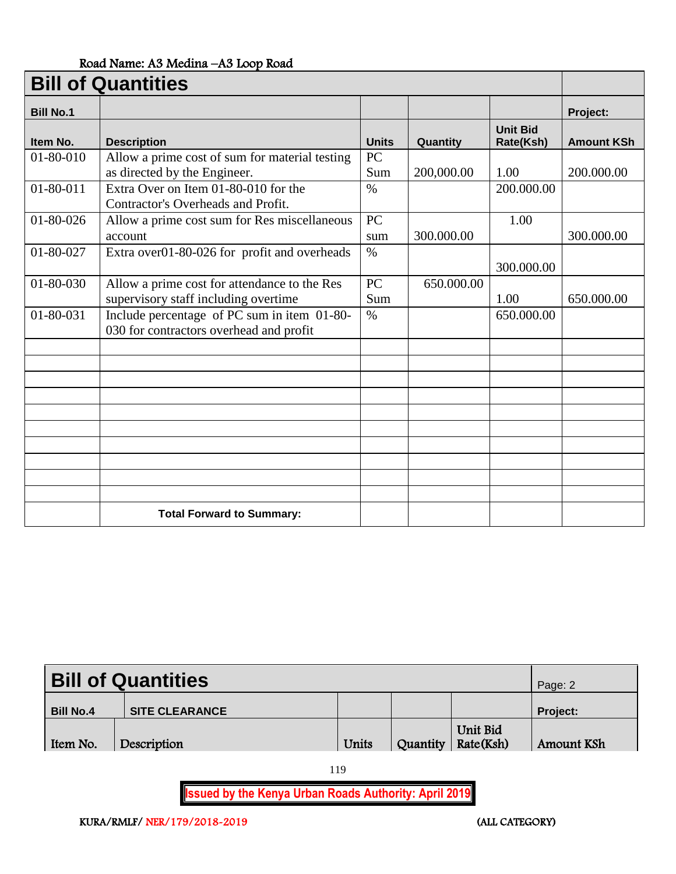# Road Name: A3 Medina –A3 Loop Road

| <b>Bill of Quantities</b> |                                                                                        |              |            |                              |                   |  |
|---------------------------|----------------------------------------------------------------------------------------|--------------|------------|------------------------------|-------------------|--|
| <b>Bill No.1</b>          |                                                                                        |              |            |                              | Project:          |  |
| Item No.                  | <b>Description</b>                                                                     | <b>Units</b> | Quantity   | <b>Unit Bid</b><br>Rate(Ksh) | <b>Amount KSh</b> |  |
| $01 - 80 - 010$           | Allow a prime cost of sum for material testing<br>as directed by the Engineer.         | PC<br>Sum    | 200,000.00 | 1.00                         | 200.000.00        |  |
| $01 - 80 - 011$           | Extra Over on Item 01-80-010 for the<br>Contractor's Overheads and Profit.             | $\%$         |            | 200.000.00                   |                   |  |
| 01-80-026                 | Allow a prime cost sum for Res miscellaneous<br>account                                | PC<br>sum    | 300.000.00 | 1.00                         | 300.000.00        |  |
| 01-80-027                 | Extra over01-80-026 for profit and overheads                                           | $\%$         |            | 300.000.00                   |                   |  |
| 01-80-030                 | Allow a prime cost for attendance to the Res<br>supervisory staff including overtime   | PC<br>Sum    | 650.000.00 | 1.00                         | 650.000.00        |  |
| 01-80-031                 | Include percentage of PC sum in item 01-80-<br>030 for contractors overhead and profit | $\%$         |            | 650.000.00                   |                   |  |
|                           |                                                                                        |              |            |                              |                   |  |
|                           |                                                                                        |              |            |                              |                   |  |
|                           |                                                                                        |              |            |                              |                   |  |
|                           |                                                                                        |              |            |                              |                   |  |
|                           |                                                                                        |              |            |                              |                   |  |
|                           |                                                                                        |              |            |                              |                   |  |
|                           |                                                                                        |              |            |                              |                   |  |
|                           | <b>Total Forward to Summary:</b>                                                       |              |            |                              |                   |  |

| <b>Bill of Quantities</b> | Page: 2               |       |                                  |                 |
|---------------------------|-----------------------|-------|----------------------------------|-----------------|
| <b>Bill No.4</b>          | <b>SITE CLEARANCE</b> |       |                                  | <b>Project:</b> |
| Item No.                  | Description           | Units | Unit Bid<br>Quantity   Rate(Ksh) | Amount KSh      |

119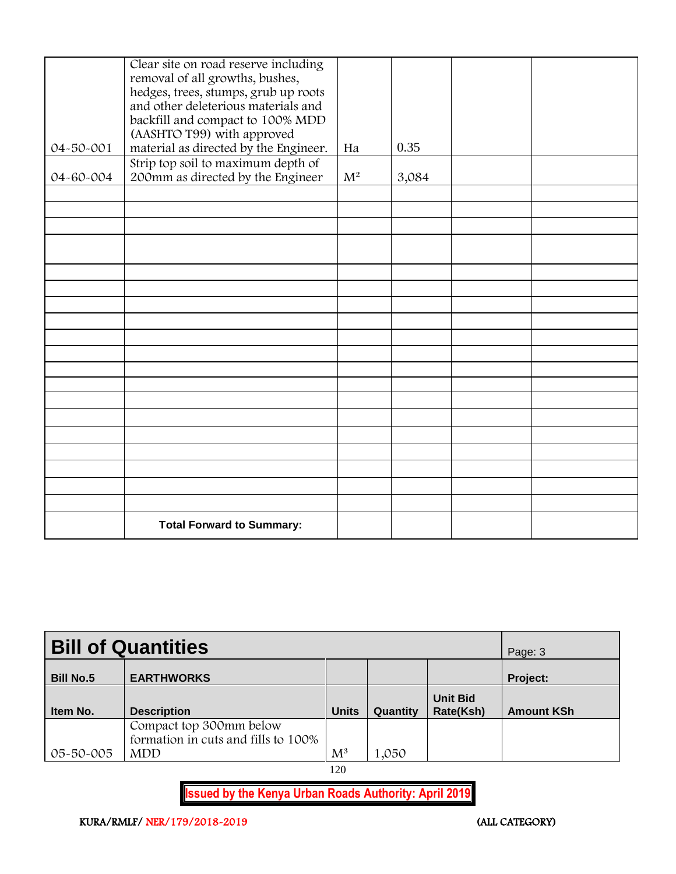|           | Clear site on road reserve including<br>removal of all growths, bushes,<br>hedges, trees, stumps, grub up roots<br>and other deleterious materials and |       |       |  |
|-----------|--------------------------------------------------------------------------------------------------------------------------------------------------------|-------|-------|--|
|           | backfill and compact to 100% MDD<br>(AASHTO T99) with approved                                                                                         |       |       |  |
| 04-50-001 | material as directed by the Engineer.                                                                                                                  | Ha    | 0.35  |  |
| 04-60-004 | Strip top soil to maximum depth of<br>200mm as directed by the Engineer                                                                                | $M^2$ | 3,084 |  |
|           |                                                                                                                                                        |       |       |  |
|           |                                                                                                                                                        |       |       |  |
|           |                                                                                                                                                        |       |       |  |
|           |                                                                                                                                                        |       |       |  |
|           |                                                                                                                                                        |       |       |  |
|           |                                                                                                                                                        |       |       |  |
|           |                                                                                                                                                        |       |       |  |
|           |                                                                                                                                                        |       |       |  |
|           |                                                                                                                                                        |       |       |  |
|           |                                                                                                                                                        |       |       |  |
|           |                                                                                                                                                        |       |       |  |
|           |                                                                                                                                                        |       |       |  |
|           |                                                                                                                                                        |       |       |  |
|           |                                                                                                                                                        |       |       |  |
|           |                                                                                                                                                        |       |       |  |
|           |                                                                                                                                                        |       |       |  |
|           |                                                                                                                                                        |       |       |  |
|           |                                                                                                                                                        |       |       |  |
|           | <b>Total Forward to Summary:</b>                                                                                                                       |       |       |  |

| <b>Bill of Quantities</b> | Page: 3                                                                      |                |          |                              |                   |
|---------------------------|------------------------------------------------------------------------------|----------------|----------|------------------------------|-------------------|
| <b>Bill No.5</b>          | <b>EARTHWORKS</b>                                                            |                |          |                              | Project:          |
| Item No.                  | <b>Description</b>                                                           | <b>Units</b>   | Quantity | <b>Unit Bid</b><br>Rate(Ksh) | <b>Amount KSh</b> |
| 05-50-005                 | Compact top 300mm below<br>formation in cuts and fills to 100%<br><b>MDD</b> | $\mathrm{M}^3$ | 1,050    |                              |                   |

120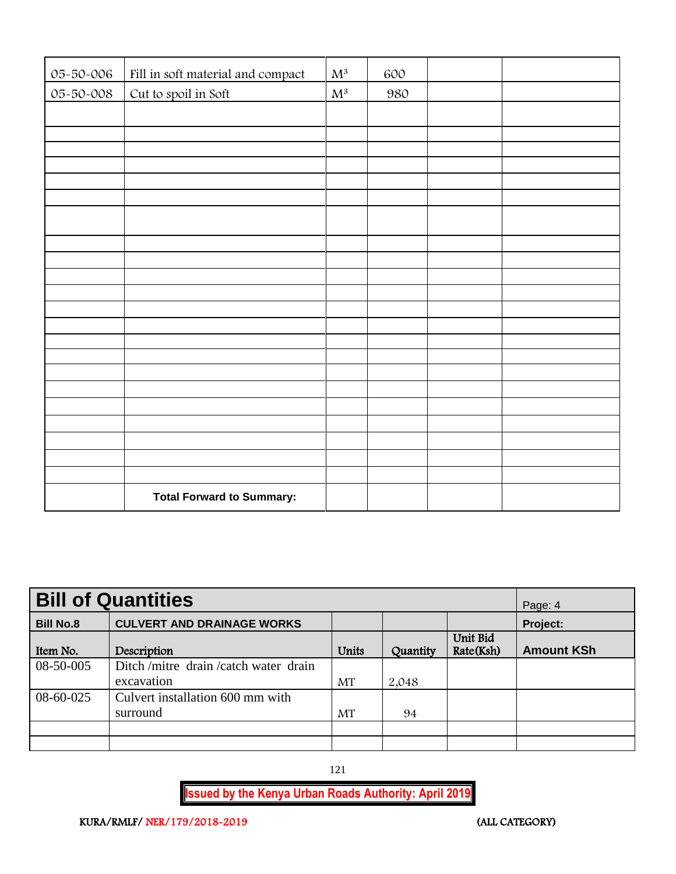| 05-50-006 | Fill in soft material and compact | $\mathbf{M}^3$ | 600 |  |
|-----------|-----------------------------------|----------------|-----|--|
| 05-50-008 | Cut to spoil in Soft              | $\mathbf{M}^3$ | 980 |  |
|           |                                   |                |     |  |
|           |                                   |                |     |  |
|           |                                   |                |     |  |
|           |                                   |                |     |  |
|           |                                   |                |     |  |
|           |                                   |                |     |  |
|           |                                   |                |     |  |
|           |                                   |                |     |  |
|           |                                   |                |     |  |
|           |                                   |                |     |  |
|           |                                   |                |     |  |
|           |                                   |                |     |  |
|           |                                   |                |     |  |
|           |                                   |                |     |  |
|           |                                   |                |     |  |
|           |                                   |                |     |  |
|           |                                   |                |     |  |
|           |                                   |                |     |  |
|           |                                   |                |     |  |
|           |                                   |                |     |  |
|           |                                   |                |     |  |
|           |                                   |                |     |  |
|           | <b>Total Forward to Summary:</b>  |                |     |  |

| <b>Bill of Quantities</b> | Page: 4                             |       |          |                       |                   |
|---------------------------|-------------------------------------|-------|----------|-----------------------|-------------------|
| <b>Bill No.8</b>          | <b>CULVERT AND DRAINAGE WORKS</b>   |       |          |                       | Project:          |
| Item No.                  | Description                         | Units | Quantity | Unit Bid<br>Rate(Ksh) | <b>Amount KSh</b> |
| 08-50-005                 | Ditch/mitre drain/catch water drain |       |          |                       |                   |
|                           | excavation                          | MT    | 2,048    |                       |                   |
| 08-60-025                 | Culvert installation 600 mm with    |       |          |                       |                   |
|                           | surround                            | MT    | 94       |                       |                   |
|                           |                                     |       |          |                       |                   |
|                           |                                     |       |          |                       |                   |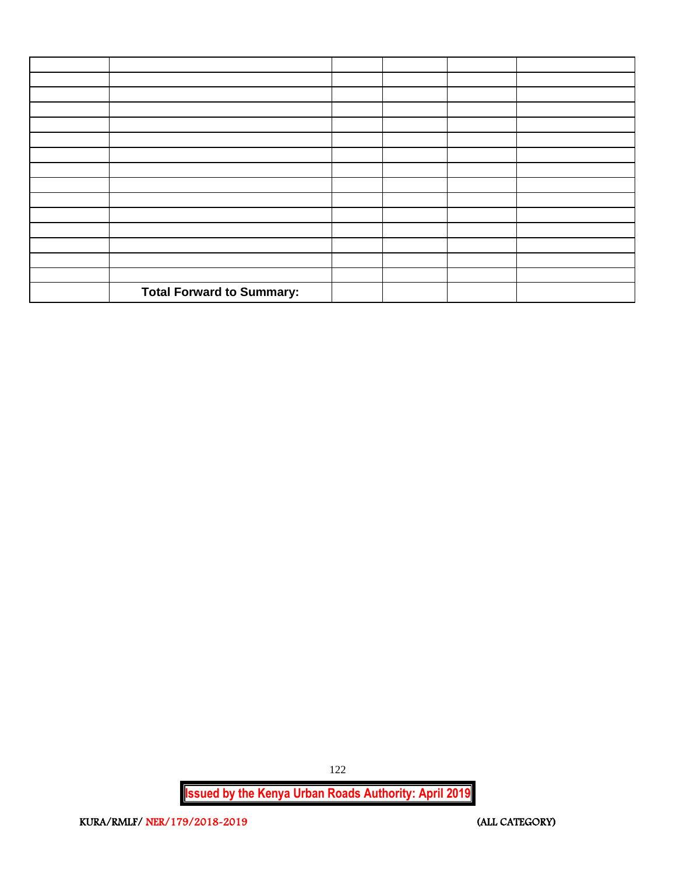| <b>Total Forward to Summary:</b> |  |  |
|----------------------------------|--|--|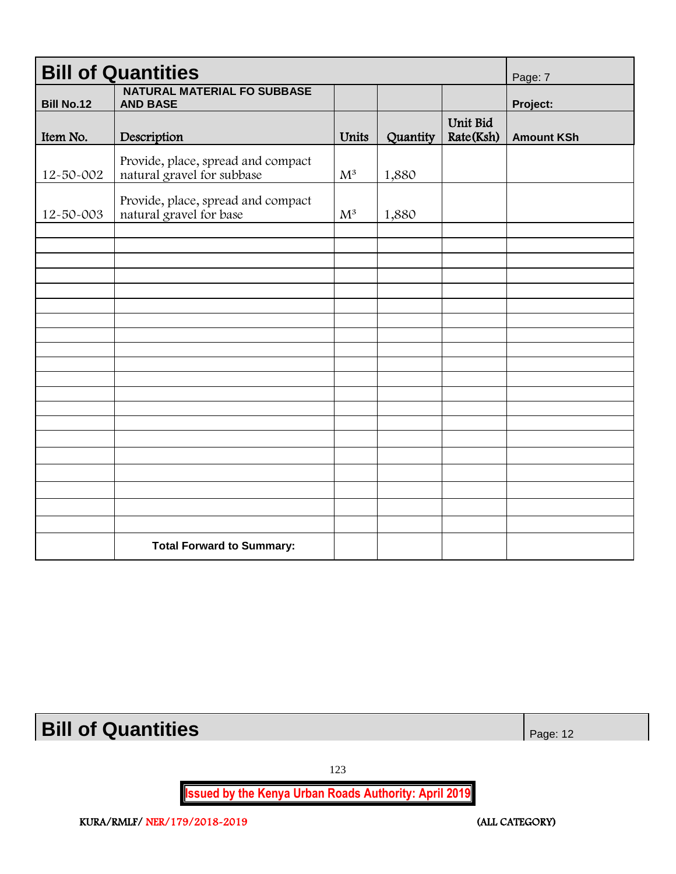| <b>Bill of Quantities</b> | Page: 7                                                          |                |          |                       |                   |
|---------------------------|------------------------------------------------------------------|----------------|----------|-----------------------|-------------------|
| <b>Bill No.12</b>         | <b>NATURAL MATERIAL FO SUBBASE</b><br><b>AND BASE</b>            |                |          |                       | Project:          |
| Item No.                  | Description                                                      | Units          | Quantity | Unit Bid<br>Rate(Ksh) | <b>Amount KSh</b> |
| 12-50-002                 | Provide, place, spread and compact<br>natural gravel for subbase | $\mathrm{M}^3$ | 1,880    |                       |                   |
| 12-50-003                 | Provide, place, spread and compact<br>natural gravel for base    | $\mathrm{M}^3$ | 1,880    |                       |                   |
|                           |                                                                  |                |          |                       |                   |
|                           |                                                                  |                |          |                       |                   |
|                           |                                                                  |                |          |                       |                   |
|                           |                                                                  |                |          |                       |                   |
|                           |                                                                  |                |          |                       |                   |
|                           |                                                                  |                |          |                       |                   |
|                           |                                                                  |                |          |                       |                   |
|                           |                                                                  |                |          |                       |                   |
|                           |                                                                  |                |          |                       |                   |
|                           |                                                                  |                |          |                       |                   |
|                           |                                                                  |                |          |                       |                   |
|                           |                                                                  |                |          |                       |                   |
|                           |                                                                  |                |          |                       |                   |
|                           |                                                                  |                |          |                       |                   |
|                           |                                                                  |                |          |                       |                   |
|                           |                                                                  |                |          |                       |                   |
|                           |                                                                  |                |          |                       |                   |
|                           |                                                                  |                |          |                       |                   |
|                           | <b>Total Forward to Summary:</b>                                 |                |          |                       |                   |

| <b>Bill of Quantities</b>                                    | Page: 12 |
|--------------------------------------------------------------|----------|
| 123                                                          |          |
| <b>Issued by the Kenya Urban Roads Authority: April 2019</b> |          |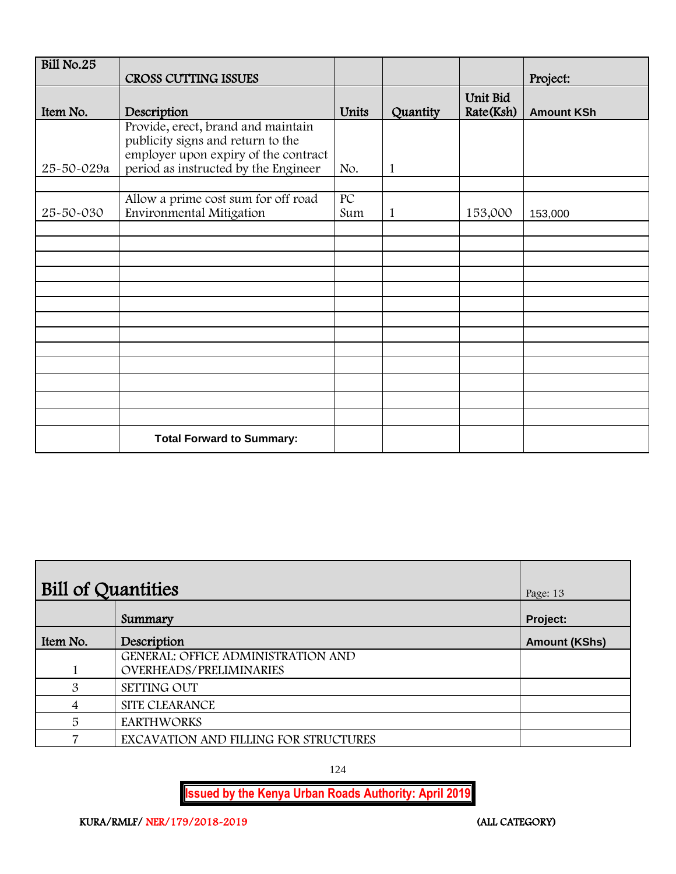| Bill No.25 |                                                                                                                                                         |                        |          |                       |                   |
|------------|---------------------------------------------------------------------------------------------------------------------------------------------------------|------------------------|----------|-----------------------|-------------------|
|            | <b>CROSS CUTTING ISSUES</b>                                                                                                                             |                        |          |                       | Project:          |
| Item No.   | Description                                                                                                                                             | Units                  | Quantity | Unit Bid<br>Rate(Ksh) | <b>Amount KSh</b> |
| 25-50-029a | Provide, erect, brand and maintain<br>publicity signs and return to the<br>employer upon expiry of the contract<br>period as instructed by the Engineer | No.                    | 1        |                       |                   |
|            |                                                                                                                                                         |                        |          |                       |                   |
| 25-50-030  | Allow a prime cost sum for off road<br>Environmental Mitigation                                                                                         | $\overline{PC}$<br>Sum | 1        | 153,000               | 153,000           |
|            |                                                                                                                                                         |                        |          |                       |                   |
|            |                                                                                                                                                         |                        |          |                       |                   |
|            |                                                                                                                                                         |                        |          |                       |                   |
|            |                                                                                                                                                         |                        |          |                       |                   |
|            |                                                                                                                                                         |                        |          |                       |                   |
|            |                                                                                                                                                         |                        |          |                       |                   |
|            |                                                                                                                                                         |                        |          |                       |                   |
|            |                                                                                                                                                         |                        |          |                       |                   |
|            |                                                                                                                                                         |                        |          |                       |                   |
|            |                                                                                                                                                         |                        |          |                       |                   |
|            |                                                                                                                                                         |                        |          |                       |                   |
|            |                                                                                                                                                         |                        |          |                       |                   |
|            |                                                                                                                                                         |                        |          |                       |                   |
|            | <b>Total Forward to Summary:</b>                                                                                                                        |                        |          |                       |                   |

| Bill of Quantities | Page: 13                                                                    |                      |
|--------------------|-----------------------------------------------------------------------------|----------------------|
|                    | Summary                                                                     | Project:             |
| Item No.           | Description                                                                 | <b>Amount (KShs)</b> |
|                    | <b>GENERAL: OFFICE ADMINISTRATION AND</b><br><b>OVERHEADS/PRELIMINARIES</b> |                      |
| 3                  | SETTING OUT                                                                 |                      |
| 4                  | SITE CLEARANCE                                                              |                      |
| 5                  | <b>EARTHWORKS</b>                                                           |                      |
|                    | EXCAVATION AND FILLING FOR STRUCTURES                                       |                      |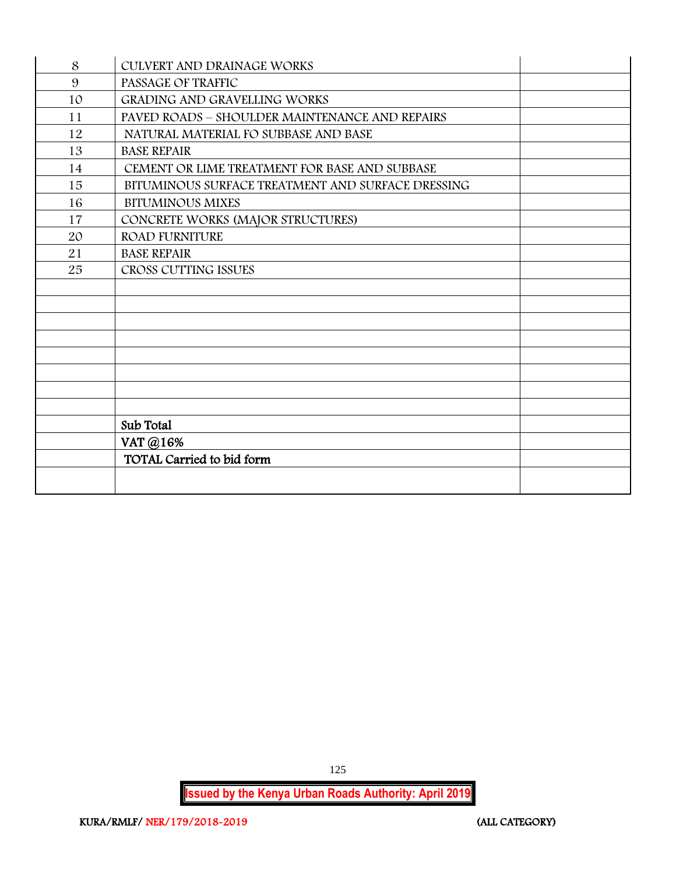| 8  | CULVERT AND DRAINAGE WORKS                        |  |
|----|---------------------------------------------------|--|
| 9  | PASSAGE OF TRAFFIC                                |  |
| 10 | <b>GRADING AND GRAVELLING WORKS</b>               |  |
| 11 | PAVED ROADS - SHOULDER MAINTENANCE AND REPAIRS    |  |
| 12 | NATURAL MATERIAL FO SUBBASE AND BASE              |  |
| 13 | <b>BASE REPAIR</b>                                |  |
| 14 | CEMENT OR LIME TREATMENT FOR BASE AND SUBBASE     |  |
| 15 | BITUMINOUS SURFACE TREATMENT AND SURFACE DRESSING |  |
| 16 | <b>BITUMINOUS MIXES</b>                           |  |
| 17 | CONCRETE WORKS (MAJOR STRUCTURES)                 |  |
| 20 | <b>ROAD FURNITURE</b>                             |  |
| 21 | <b>BASE REPAIR</b>                                |  |
| 25 | CROSS CUTTING ISSUES                              |  |
|    |                                                   |  |
|    |                                                   |  |
|    |                                                   |  |
|    |                                                   |  |
|    |                                                   |  |
|    |                                                   |  |
|    |                                                   |  |
|    |                                                   |  |
|    | Sub Total                                         |  |
|    | VAT @16%                                          |  |
|    | TOTAL Carried to bid form                         |  |
|    |                                                   |  |
|    |                                                   |  |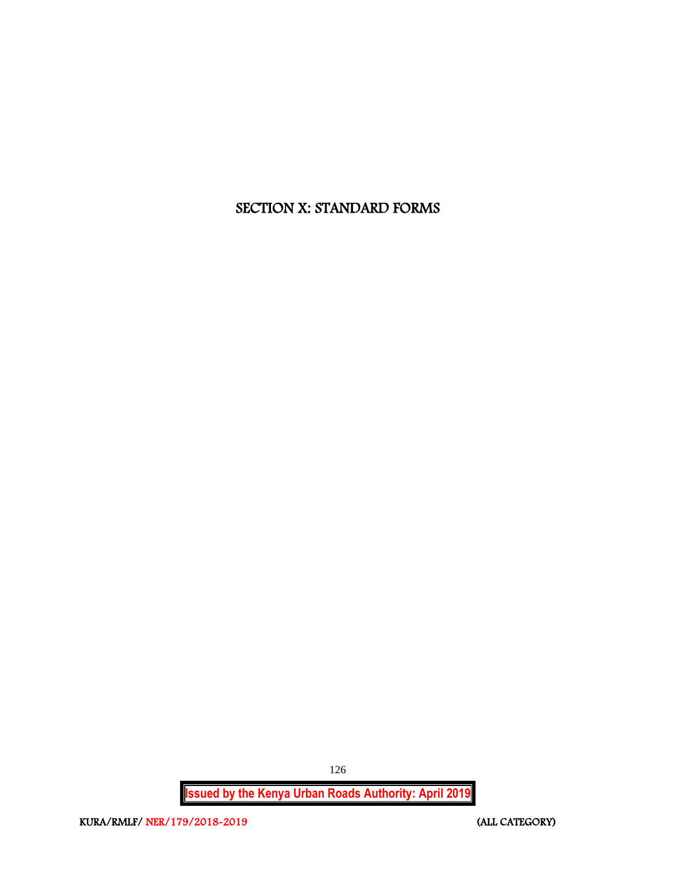# SECTION X: STANDARD FORMS

**Issued by the Kenya Urban Roads Authority: April 2019**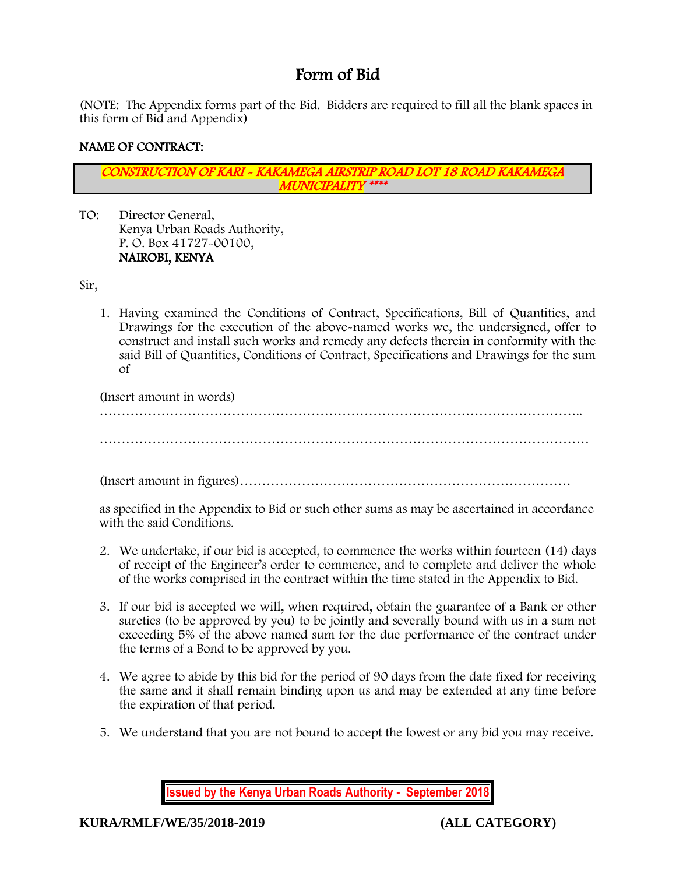# Form of Bid

(NOTE: The Appendix forms part of the Bid. Bidders are required to fill all the blank spaces in this form of Bid and Appendix)

## NAME OF CONTRACT:

CONSTRUCTION OF KARI - KAKAMEGA AIRSTRIP ROAD LOT 18 ROAD KAKAMEGA MUNICIPALITY \*\*\*\*

TO: Director General, Kenya Urban Roads Authority, P. O. Box 41727-00100, NAIROBI, KENYA

Sir,

1. Having examined the Conditions of Contract, Specifications, Bill of Quantities, and Drawings for the execution of the above-named works we, the undersigned, offer to construct and install such works and remedy any defects therein in conformity with the said Bill of Quantities, Conditions of Contract, Specifications and Drawings for the sum of

(Insert amount in words)

…………………………………………………………………………………………………

(Insert amount in figures)…………………………………………………………………

as specified in the Appendix to Bid or such other sums as may be ascertained in accordance with the said Conditions.

- 2. We undertake, if our bid is accepted, to commence the works within fourteen (14) days of receipt of the Engineer's order to commence, and to complete and deliver the whole of the works comprised in the contract within the time stated in the Appendix to Bid.
- 3. If our bid is accepted we will, when required, obtain the guarantee of a Bank or other sureties (to be approved by you) to be jointly and severally bound with us in a sum not exceeding 5% of the above named sum for the due performance of the contract under the terms of a Bond to be approved by you.
- 4. We agree to abide by this bid for the period of 90 days from the date fixed for receiving the same and it shall remain binding upon us and may be extended at any time before the expiration of that period.
- 5. We understand that you are not bound to accept the lowest or any bid you may receive.

**Issued by the Kenya Urban Roads Authority - September 2018**

**KURA/RMLF/WE/35/2018-2019 (ALL CATEGORY)**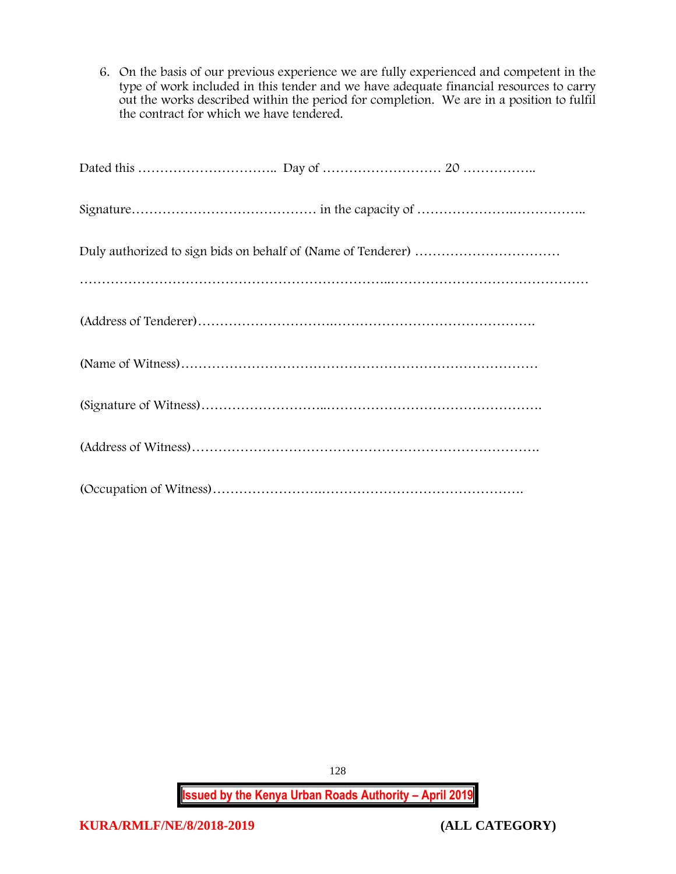6. On the basis of our previous experience we are fully experienced and competent in the type of work included in this tender and we have adequate financial resources to carry out the works described within the period for completion. We are in a position to fulfil the contract for which we have tendered.

**Issued by the Kenya Urban Roads Authority – April 2019**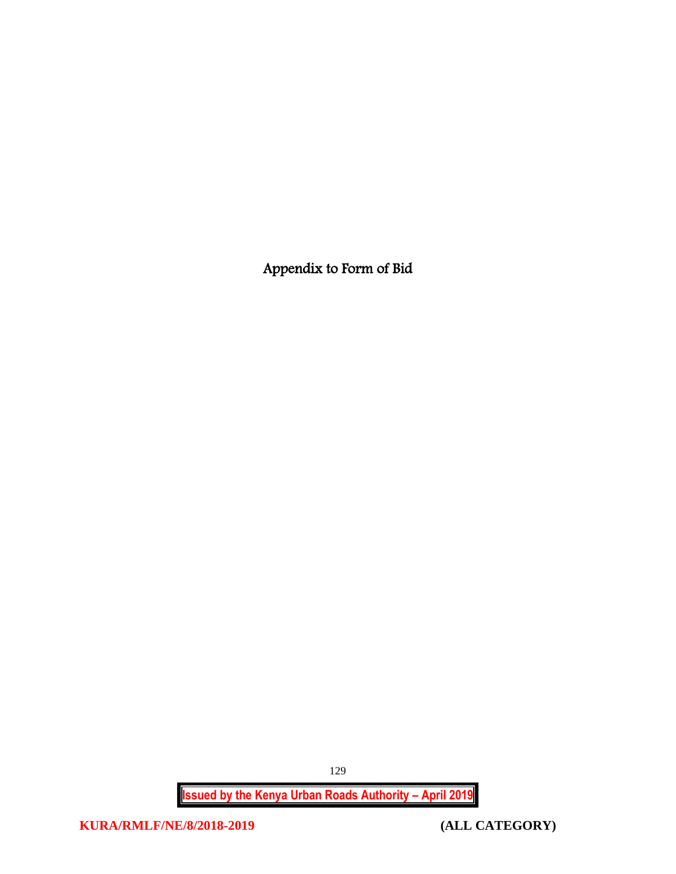Appendix to Form of Bid

**Issued by the Kenya Urban Roads Authority – April 2019**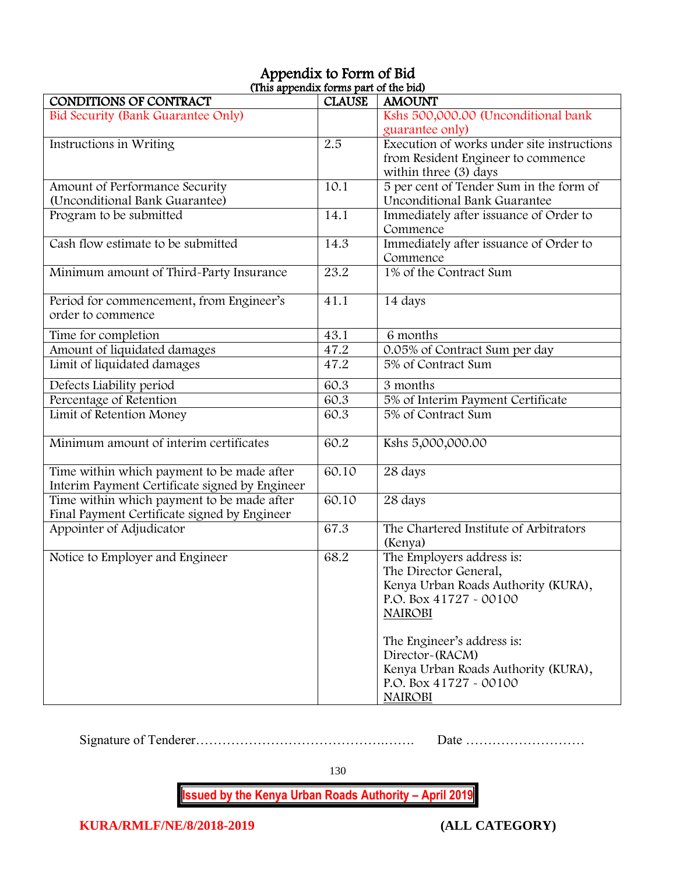# Appendix to Form of Bid (This appendix forms part of the bid)

| <b>CONDITIONS OF CONTRACT</b>                  | <b>CLAUSE</b> | <b>AMOUNT</b>                                                 |
|------------------------------------------------|---------------|---------------------------------------------------------------|
| Bid Security (Bank Guarantee Only)             |               | Kshs 500,000.00 (Unconditional bank                           |
|                                                |               | guarantee only)                                               |
| Instructions in Writing                        | 2.5           | Execution of works under site instructions                    |
|                                                |               | from Resident Engineer to commence                            |
|                                                |               | within three (3) days                                         |
| Amount of Performance Security                 | 10.1          | 5 per cent of Tender Sum in the form of                       |
| (Unconditional Bank Guarantee)                 |               | Unconditional Bank Guarantee                                  |
| Program to be submitted                        | 14.1          | Immediately after issuance of Order to                        |
|                                                |               | Commence                                                      |
| Cash flow estimate to be submitted             | 14.3          | Immediately after issuance of Order to                        |
|                                                |               | Commence                                                      |
| Minimum amount of Third-Party Insurance        | 23.2          | 1% of the Contract Sum                                        |
| Period for commencement, from Engineer's       | 41.1          | 14 days                                                       |
| order to commence                              |               |                                                               |
| Time for completion                            | 43.1          | 6 months                                                      |
| Amount of liquidated damages                   | 47.2          | 0.05% of Contract Sum per day                                 |
| Limit of liquidated damages                    | 47.2          | 5% of Contract Sum                                            |
| Defects Liability period                       | 60.3          | 3 months                                                      |
| Percentage of Retention                        | 60.3          | 5% of Interim Payment Certificate                             |
| Limit of Retention Money                       | 60.3          | 5% of Contract Sum                                            |
| Minimum amount of interim certificates         | 60.2          | Kshs 5,000,000.00                                             |
|                                                |               |                                                               |
| Time within which payment to be made after     | 60.10         | 28 days                                                       |
| Interim Payment Certificate signed by Engineer |               |                                                               |
| Time within which payment to be made after     | 60.10         | 28 days                                                       |
| Final Payment Certificate signed by Engineer   |               |                                                               |
| Appointer of Adjudicator                       | 67.3          | The Chartered Institute of Arbitrators<br>(Kenya)             |
| Notice to Employer and Engineer                | 68.2          | The Employers address is:                                     |
|                                                |               | The Director General,                                         |
|                                                |               | Kenya Urban Roads Authority (KURA),                           |
|                                                |               | P.O. Box 41727 - 00100                                        |
|                                                |               | <b>NAIROBI</b>                                                |
|                                                |               | The Engineer's address is:                                    |
|                                                |               | Director-(RACM)                                               |
|                                                |               |                                                               |
|                                                |               | Kenya Urban Roads Authority (KURA),<br>P.O. Box 41727 - 00100 |
|                                                |               | <b>NAIROBI</b>                                                |
|                                                |               |                                                               |

Signature of Tenderer…………………………………….……. Date ………………………

130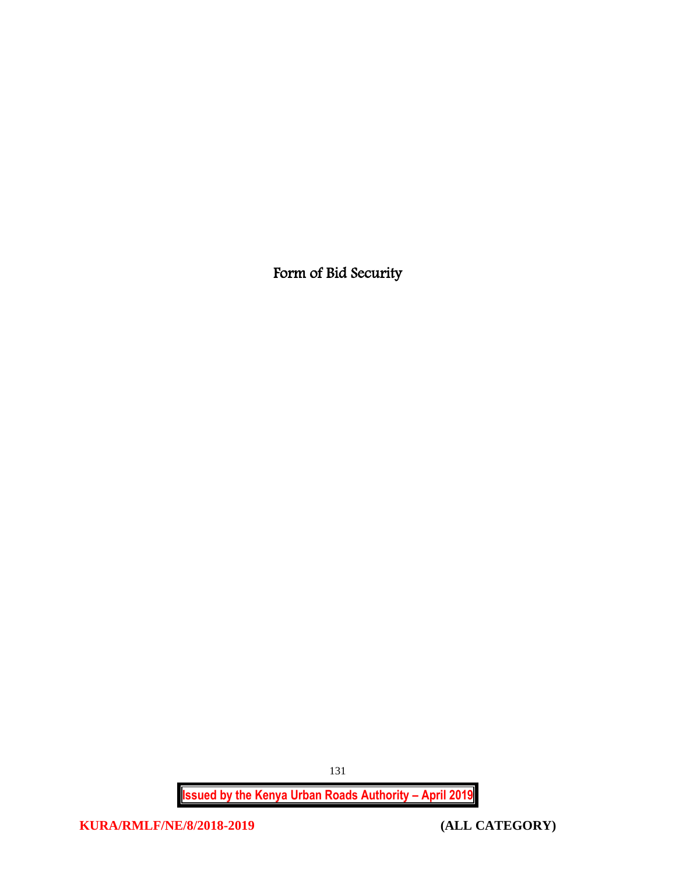Form of Bid Security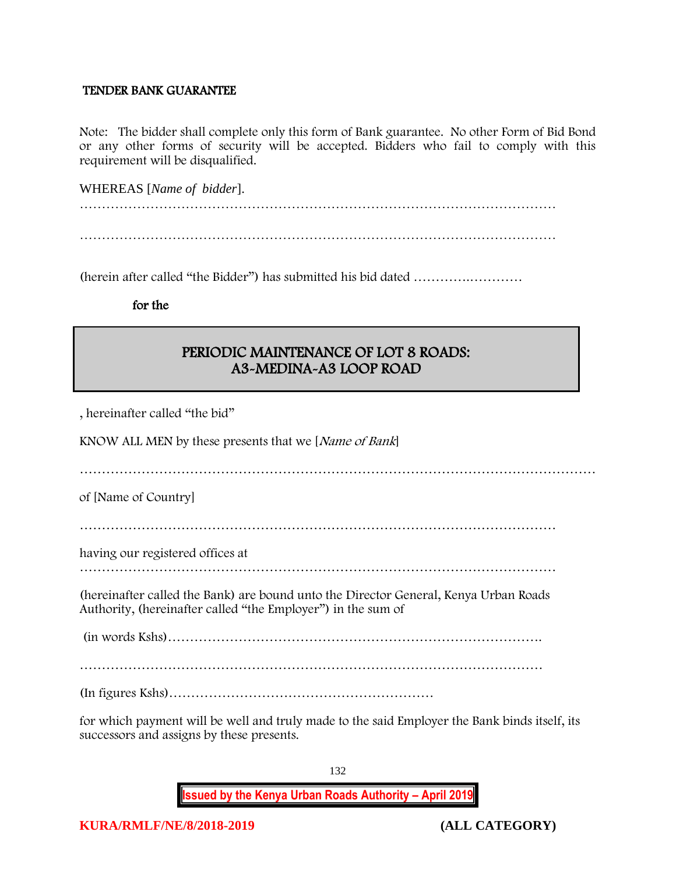#### TENDER BANK GUARANTEE

Note: The bidder shall complete only this form of Bank guarantee. No other Form of Bid Bond or any other forms of security will be accepted. Bidders who fail to comply with this requirement will be disqualified.

WHEREAS [*Name of bidder*].

(herein after called "the Bidder") has submitted his bid dated ………….…………

for the

# PERIODIC MAINTENANCE OF LOT 8 ROADS: A3-MEDINA-A3 LOOP ROAD

, hereinafter called "the bid"

KNOW ALL MEN by these presents that we [Name of Bank]

………………………………………………………………………………………………………

of [Name of Country]

………………………………………………………………………………………………

having our registered offices at

………………………………………………………………………………………………

(hereinafter called the Bank) are bound unto the Director General, Kenya Urban Roads Authority, (hereinafter called "the Employer") in the sum of

(in words Kshs)………………………………………………………………………….

(In figures Kshs)……………………………………………………

for which payment will be well and truly made to the said Employer the Bank binds itself, its successors and assigns by these presents.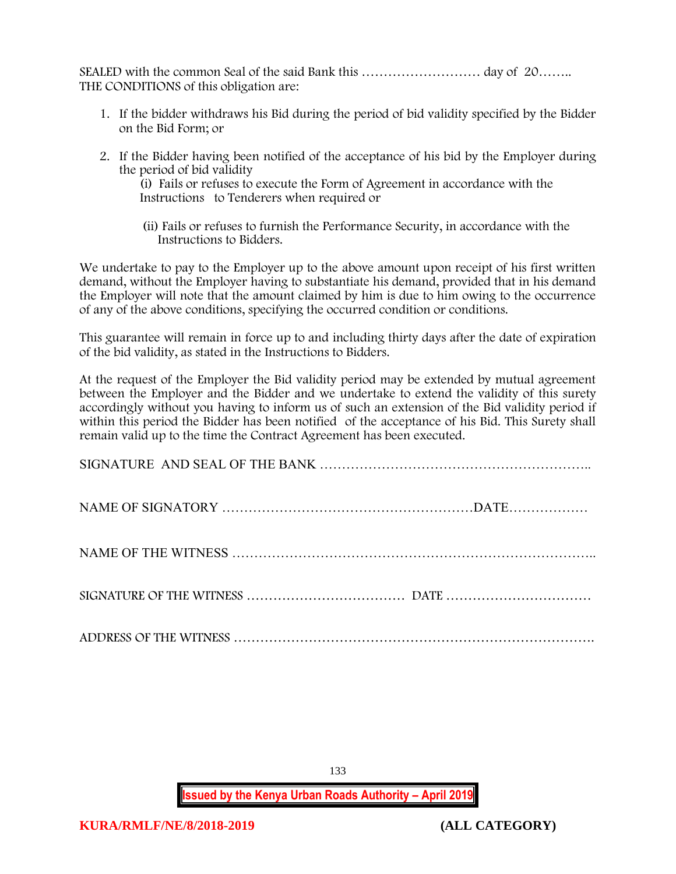SEALED with the common Seal of the said Bank this ……………………… day of 20…….. THE CONDITIONS of this obligation are:

- 1. If the bidder withdraws his Bid during the period of bid validity specified by the Bidder on the Bid Form; or
- 2. If the Bidder having been notified of the acceptance of his bid by the Employer during the period of bid validity

(i) Fails or refuses to execute the Form of Agreement in accordance with the Instructions to Tenderers when required or

 (ii) Fails or refuses to furnish the Performance Security, in accordance with the Instructions to Bidders.

We undertake to pay to the Employer up to the above amount upon receipt of his first written demand, without the Employer having to substantiate his demand, provided that in his demand the Employer will note that the amount claimed by him is due to him owing to the occurrence of any of the above conditions, specifying the occurred condition or conditions.

This guarantee will remain in force up to and including thirty days after the date of expiration of the bid validity, as stated in the Instructions to Bidders.

At the request of the Employer the Bid validity period may be extended by mutual agreement between the Employer and the Bidder and we undertake to extend the validity of this surety accordingly without you having to inform us of such an extension of the Bid validity period if within this period the Bidder has been notified of the acceptance of his Bid. This Surety shall remain valid up to the time the Contract Agreement has been executed.

133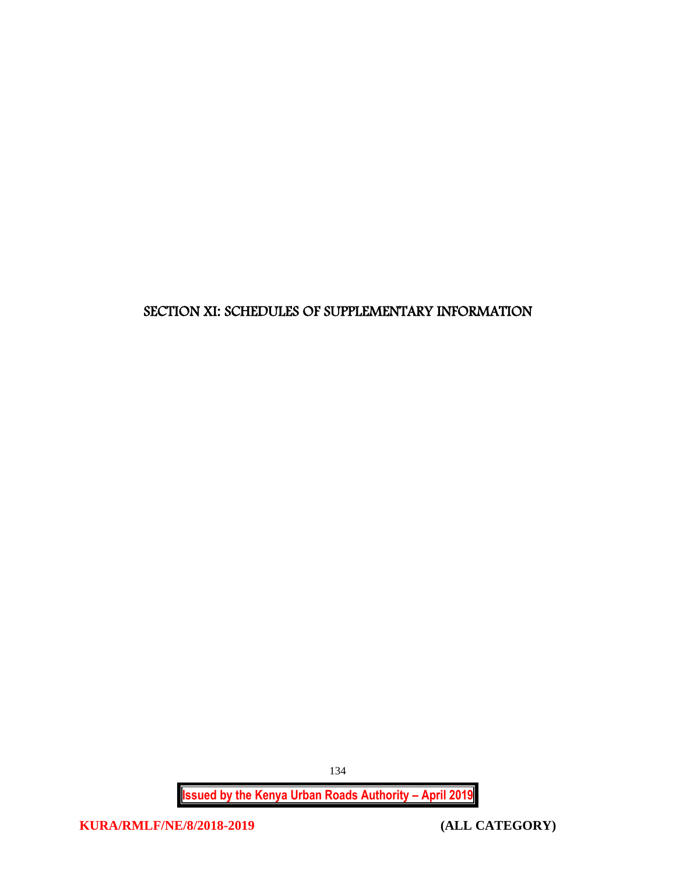# SECTION XI: SCHEDULES OF SUPPLEMENTARY INFORMATION

**Issued by the Kenya Urban Roads Authority – April 2019**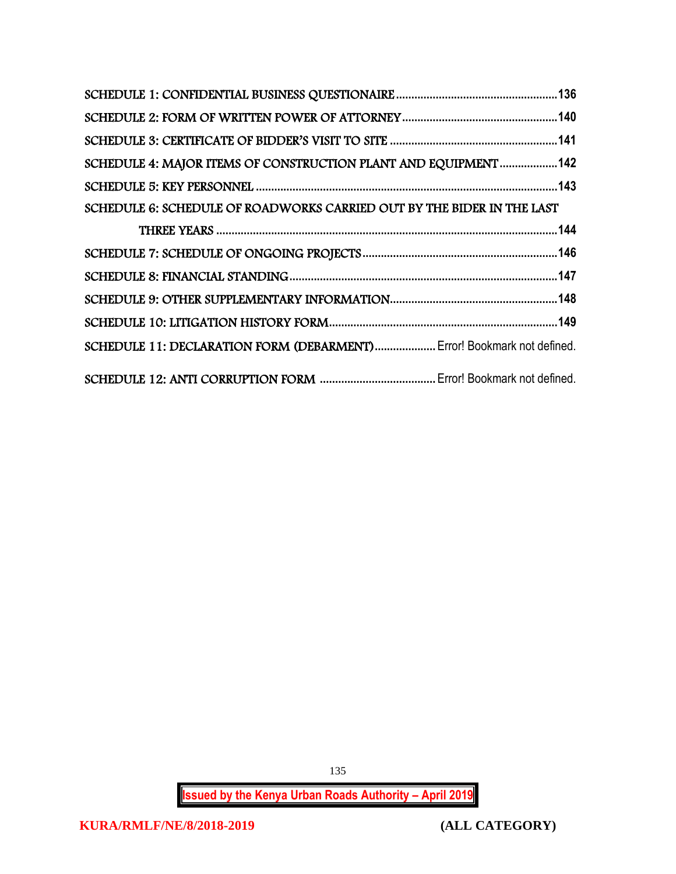| SCHEDULE 4: MAJOR ITEMS OF CONSTRUCTION PLANT AND EQUIPMENT142         |  |
|------------------------------------------------------------------------|--|
|                                                                        |  |
| SCHEDULE 6: SCHEDULE OF ROADWORKS CARRIED OUT BY THE BIDER IN THE LAST |  |
|                                                                        |  |
|                                                                        |  |
|                                                                        |  |
|                                                                        |  |
|                                                                        |  |
| SCHEDULE 11: DECLARATION FORM (DEBARMENT) Error! Bookmark not defined. |  |
|                                                                        |  |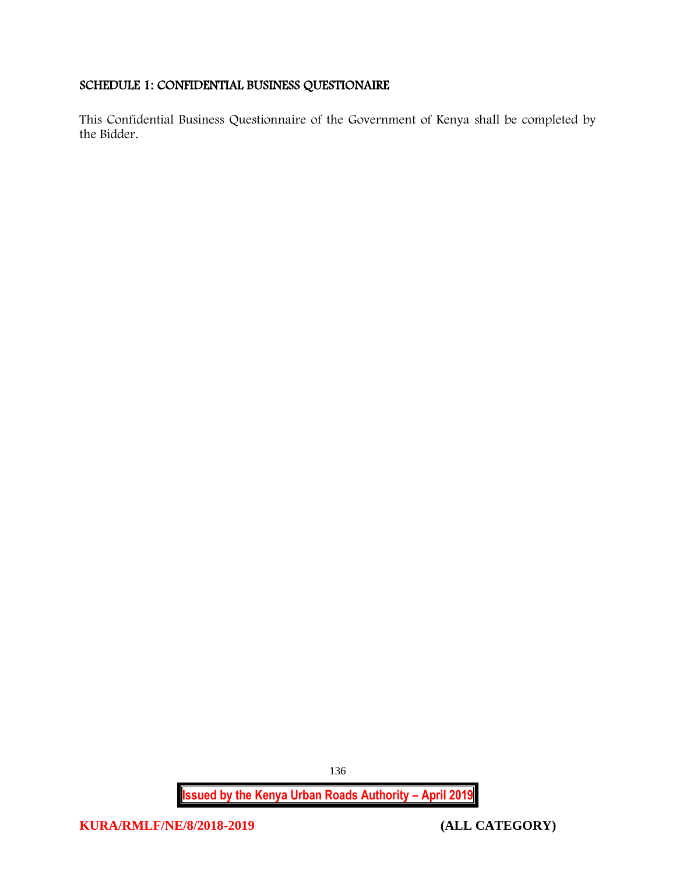## <span id="page-136-0"></span>SCHEDULE 1: CONFIDENTIAL BUSINESS QUESTIONAIRE

This Confidential Business Questionnaire of the Government of Kenya shall be completed by the Bidder.

**Issued by the Kenya Urban Roads Authority – April 2019**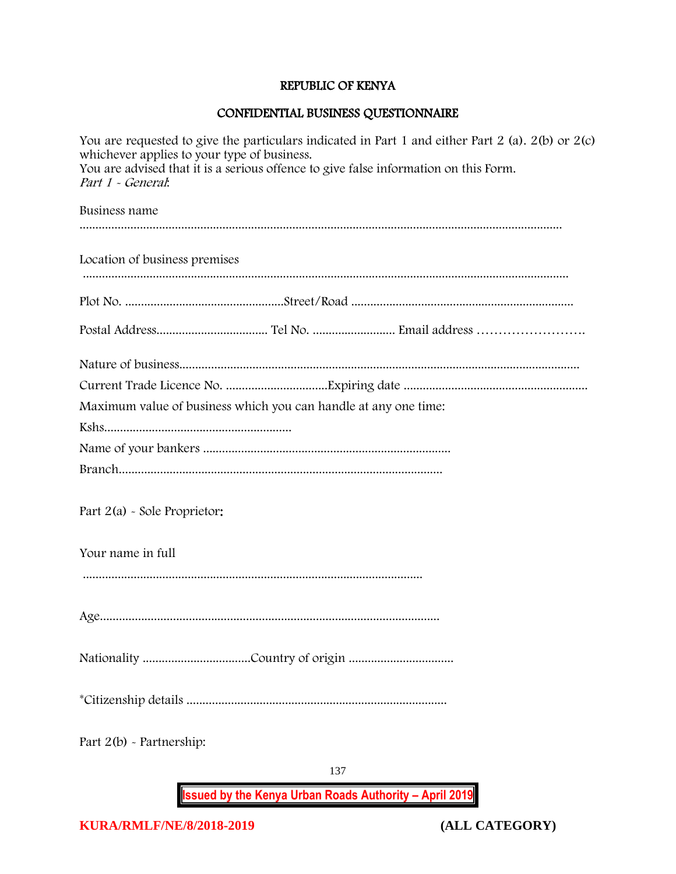# REPUBLIC OF KENYA

# CONFIDENTIAL BUSINESS QUESTIONNAIRE

| You are requested to give the particulars indicated in Part 1 and either Part 2 (a). $2(b)$ or $2(c)$<br>whichever applies to your type of business.<br>You are advised that it is a serious offence to give false information on this Form.<br>Part 1 - General: |
|-------------------------------------------------------------------------------------------------------------------------------------------------------------------------------------------------------------------------------------------------------------------|
| Business name                                                                                                                                                                                                                                                     |
| Location of business premises                                                                                                                                                                                                                                     |
|                                                                                                                                                                                                                                                                   |
|                                                                                                                                                                                                                                                                   |
| Maximum value of business which you can handle at any one time:                                                                                                                                                                                                   |
|                                                                                                                                                                                                                                                                   |
|                                                                                                                                                                                                                                                                   |
| Part $2(a)$ - Sole Proprietor:                                                                                                                                                                                                                                    |
| Your name in full                                                                                                                                                                                                                                                 |
|                                                                                                                                                                                                                                                                   |
|                                                                                                                                                                                                                                                                   |
|                                                                                                                                                                                                                                                                   |
| Part $2(b)$ - Partnership:                                                                                                                                                                                                                                        |
| 137                                                                                                                                                                                                                                                               |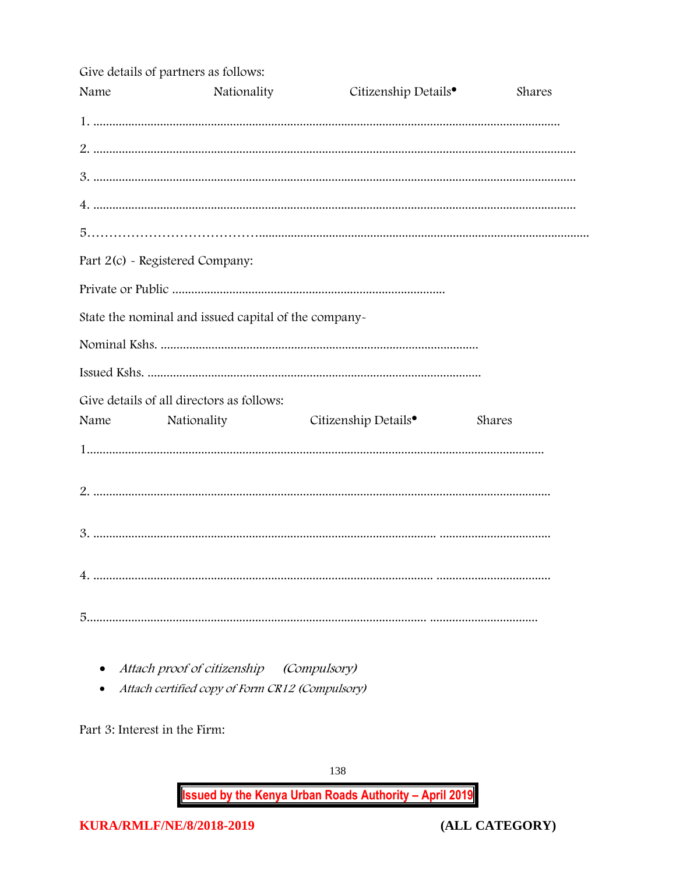|      | Give details of partners as follows:                 |                                                                                                     |        |
|------|------------------------------------------------------|-----------------------------------------------------------------------------------------------------|--------|
| Name | Nationality                                          | Citizenship Details <sup>•</sup>                                                                    | Shares |
|      |                                                      |                                                                                                     |        |
|      |                                                      |                                                                                                     |        |
|      |                                                      | 2<br>3. maanuuta maanaa maanaa maanaa maanaa maanaa maanaa maanaa maanaa maanaa maanaa maanaa maana |        |
|      |                                                      |                                                                                                     |        |
|      |                                                      |                                                                                                     |        |
|      | Part 2(c) - Registered Company:                      |                                                                                                     |        |
|      |                                                      |                                                                                                     |        |
|      | State the nominal and issued capital of the company- |                                                                                                     |        |
|      |                                                      |                                                                                                     |        |
|      |                                                      |                                                                                                     |        |
|      | Give details of all directors as follows:            |                                                                                                     |        |
| Name | Nationality                                          | Citizenship Details <sup>•</sup>                                                                    | Shares |
|      |                                                      |                                                                                                     |        |
|      |                                                      |                                                                                                     |        |
|      |                                                      |                                                                                                     |        |
|      |                                                      |                                                                                                     |        |
|      |                                                      |                                                                                                     |        |

- Attach proof of citizenship (Compulsory)
- Attach certified copy of Form CR12 (Compulsory)

Part 3: Interest in the Firm:

138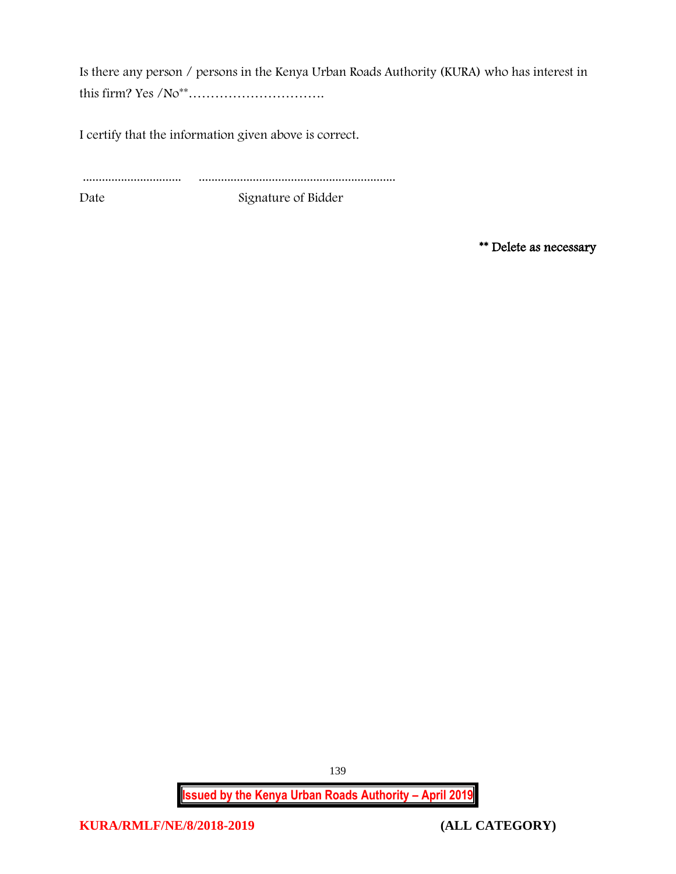Is there any person / persons in the Kenya Urban Roads Authority (KURA) who has interest in this firm? Yes /No\*\*………………………….

I certify that the information given above is correct.

............................... ..............................................................

Date Signature of Bidder

\*\* Delete as necessary

**Issued by the Kenya Urban Roads Authority – April 2019**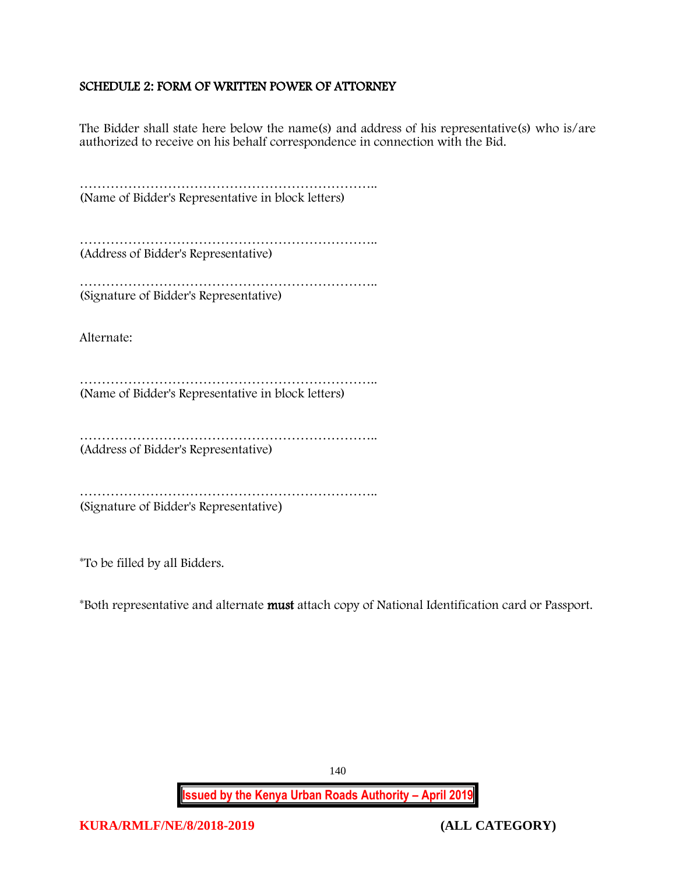### <span id="page-140-0"></span>SCHEDULE 2: FORM OF WRITTEN POWER OF ATTORNEY

The Bidder shall state here below the name(s) and address of his representative(s) who is/are authorized to receive on his behalf correspondence in connection with the Bid.

………………………………………………………….. (Name of Bidder's Representative in block letters)

………………………………………………………….. (Address of Bidder's Representative)

…………………………………………………………………………… (Signature of Bidder's Representative)

Alternate:

………………………………………………………….. (Name of Bidder's Representative in block letters)

………………………………………………………….. (Address of Bidder's Representative)

………………………………………………………….. (Signature of Bidder's Representative)

\*To be filled by all Bidders.

\*Both representative and alternate must attach copy of National Identification card or Passport.

**Issued by the Kenya Urban Roads Authority – April 2019**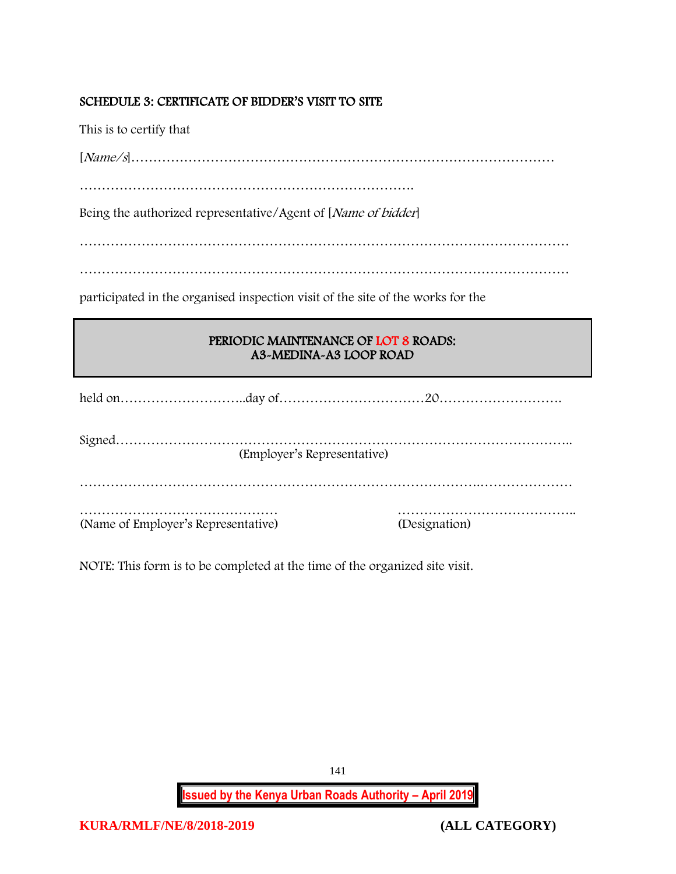## <span id="page-141-0"></span>SCHEDULE 3: CERTIFICATE OF BIDDER'S VISIT TO SITE

This is to certify that

[Name/s]……………………………………………………………………………………

………………………………………………………………….

Being the authorized representative/Agent of [Name of bidder]

…………………………………………………………………………………………………

…………………………………………………………………………………………………

participated in the organised inspection visit of the site of the works for the

# PERIODIC MAINTENANCE OF LOT 8 ROADS: A3-MEDINA-A3 LOOP ROAD

|                                     | (Employer's Representative) |               |
|-------------------------------------|-----------------------------|---------------|
|                                     |                             |               |
| (Name of Employer's Representative) |                             | (Designation) |

NOTE: This form is to be completed at the time of the organized site visit.

**Issued by the Kenya Urban Roads Authority – April 2019**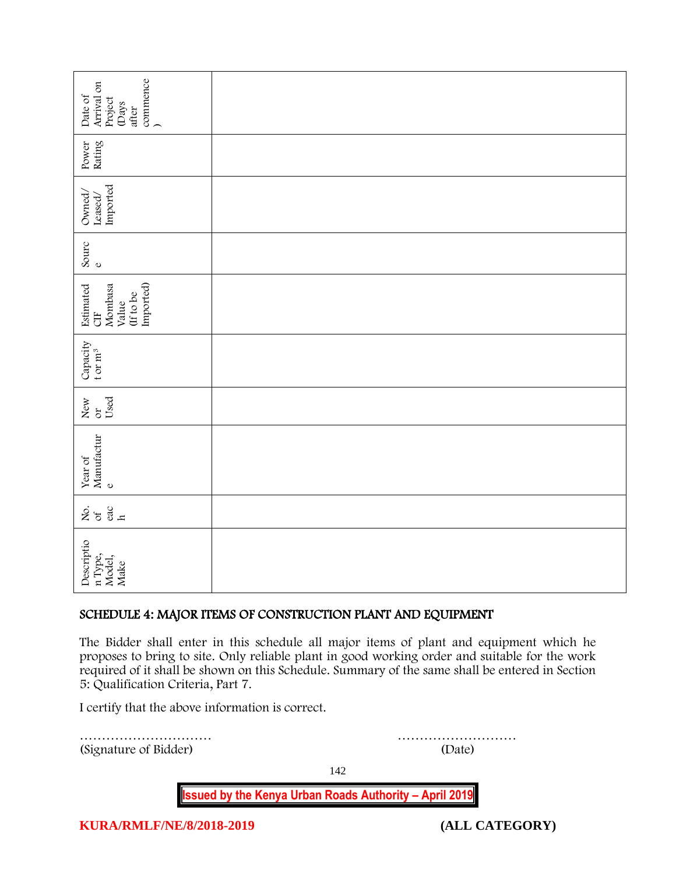| commence<br>)<br>Arrival on<br>Date of<br>Project<br>(Days<br>after                                                                                                                                                                                                                                                                |        |  |  |
|------------------------------------------------------------------------------------------------------------------------------------------------------------------------------------------------------------------------------------------------------------------------------------------------------------------------------------|--------|--|--|
| Power<br>Rating                                                                                                                                                                                                                                                                                                                    |        |  |  |
| Imported<br>Owned,<br>$\mathtt{Leased}/$                                                                                                                                                                                                                                                                                           |        |  |  |
| Sourc<br>$\circ$                                                                                                                                                                                                                                                                                                                   |        |  |  |
| Imported)<br>Estimated<br>Mombasa<br>(If to be<br>Value<br><b>UE</b>                                                                                                                                                                                                                                                               |        |  |  |
| Capacity<br>t or $m^3$                                                                                                                                                                                                                                                                                                             |        |  |  |
| Used<br>New<br>or                                                                                                                                                                                                                                                                                                                  |        |  |  |
| Manufactur<br>Year of<br>$\mathbf{o}$                                                                                                                                                                                                                                                                                              |        |  |  |
| $rac{60}{h}$<br>ιό<br>Σά                                                                                                                                                                                                                                                                                                           |        |  |  |
| Descriptio<br>n Type,<br>Model,<br>Make                                                                                                                                                                                                                                                                                            |        |  |  |
| SCHEDULE 4: MAJOR ITEMS OF CONSTRUCTION PLANT AND EQUIPMENT                                                                                                                                                                                                                                                                        |        |  |  |
| The Bidder shall enter in this schedule all major items of plant and equipment which he<br>proposes to bring to site. Only reliable plant in good working order and suitable for the work<br>required of it shall be shown on this Schedule. Summary of the same shall be entered in Section<br>5: Qualification Criteria, Part 7. |        |  |  |
| I certify that the above information is correct.                                                                                                                                                                                                                                                                                   |        |  |  |
| (Signature of Bidder)                                                                                                                                                                                                                                                                                                              | (Date) |  |  |

## <span id="page-142-0"></span>SCHEDULE 4: MAJOR ITEMS OF CONSTRUCTION PLANT AND EQUIPMENT

142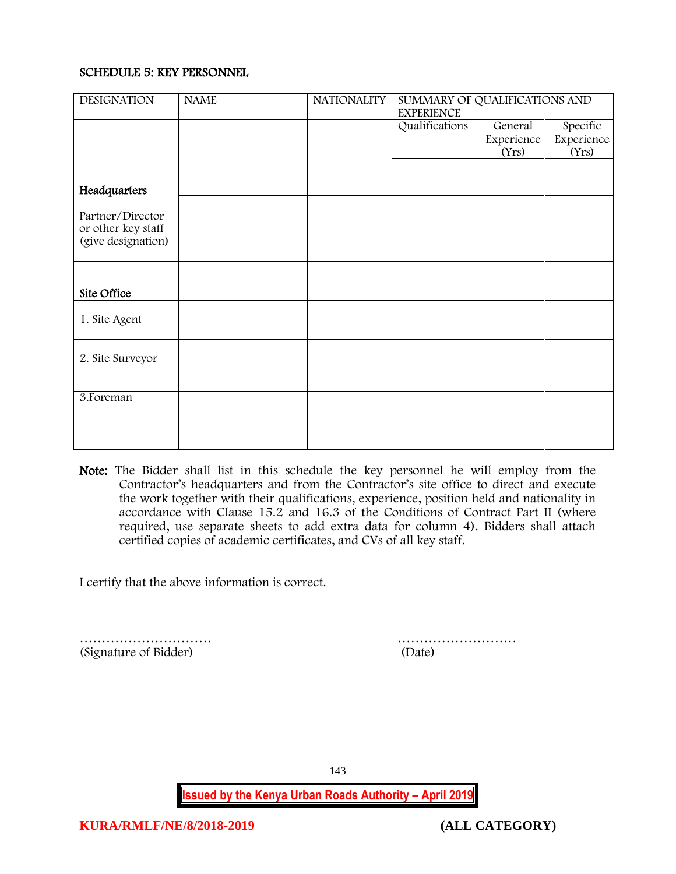### <span id="page-143-0"></span>SCHEDULE 5: KEY PERSONNEL

| <b>DESIGNATION</b>                                           | <b>NAME</b> | <b>NATIONALITY</b> | SUMMARY OF QUALIFICATIONS AND<br><b>EXPERIENCE</b> |                     |                     |
|--------------------------------------------------------------|-------------|--------------------|----------------------------------------------------|---------------------|---------------------|
|                                                              |             |                    | Qualifications                                     | General             | Specific            |
|                                                              |             |                    |                                                    | Experience<br>(Yrs) | Experience<br>(Yrs) |
|                                                              |             |                    |                                                    |                     |                     |
| Headquarters                                                 |             |                    |                                                    |                     |                     |
| Partner/Director<br>or other key staff<br>(give designation) |             |                    |                                                    |                     |                     |
|                                                              |             |                    |                                                    |                     |                     |
|                                                              |             |                    |                                                    |                     |                     |
| Site Office                                                  |             |                    |                                                    |                     |                     |
| 1. Site Agent                                                |             |                    |                                                    |                     |                     |
| 2. Site Surveyor                                             |             |                    |                                                    |                     |                     |
| 3. Foreman                                                   |             |                    |                                                    |                     |                     |
|                                                              |             |                    |                                                    |                     |                     |
|                                                              |             |                    |                                                    |                     |                     |

Note: The Bidder shall list in this schedule the key personnel he will employ from the Contractor's headquarters and from the Contractor's site office to direct and execute the work together with their qualifications, experience, position held and nationality in accordance with Clause 15.2 and 16.3 of the Conditions of Contract Part II (where required, use separate sheets to add extra data for column 4). Bidders shall attach certified copies of academic certificates, and CVs of all key staff.

I certify that the above information is correct.

………………………… ……………………… (Signature of Bidder) (Date)

143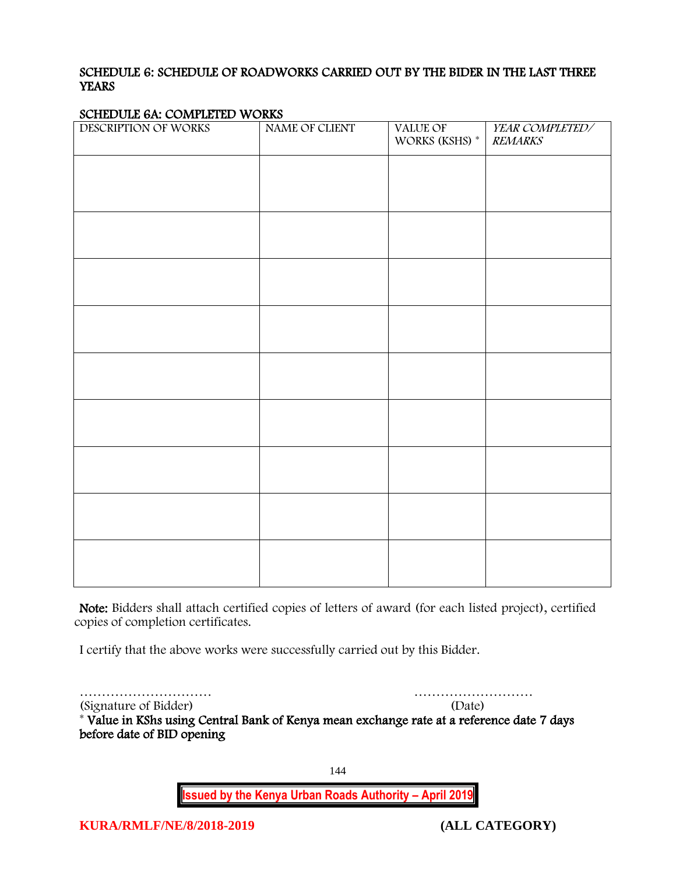### SCHEDULE 6: SCHEDULE OF ROADWORKS CARRIED OUT BY THE BIDER IN THE LAST THREE **YEARS**

#### SCHEDULE 6A: COMPLETED WORKS

| $\sum_{i=1}^{n}$<br>DESCRIPTION OF WORKS | NAME OF CLIENT | VALUE OF<br>WORKS (KSHS) * | YEAR COMPLETED/<br><b>REMARKS</b> |
|------------------------------------------|----------------|----------------------------|-----------------------------------|
|                                          |                |                            |                                   |
|                                          |                |                            |                                   |
|                                          |                |                            |                                   |
|                                          |                |                            |                                   |
|                                          |                |                            |                                   |
|                                          |                |                            |                                   |
|                                          |                |                            |                                   |
|                                          |                |                            |                                   |
|                                          |                |                            |                                   |
|                                          |                |                            |                                   |
|                                          |                |                            |                                   |
|                                          |                |                            |                                   |
|                                          |                |                            |                                   |
|                                          |                |                            |                                   |
|                                          |                |                            |                                   |
|                                          |                |                            |                                   |
|                                          |                |                            |                                   |
|                                          |                |                            |                                   |
|                                          |                |                            |                                   |

Note: Bidders shall attach certified copies of letters of award (for each listed project), certified copies of completion certificates.

I certify that the above works were successfully carried out by this Bidder.

………………………… ………………………

(Signature of Bidder)

\* Value in KShs using Central Bank of Kenya mean exchange rate at a reference date 7 days before date of BID opening

144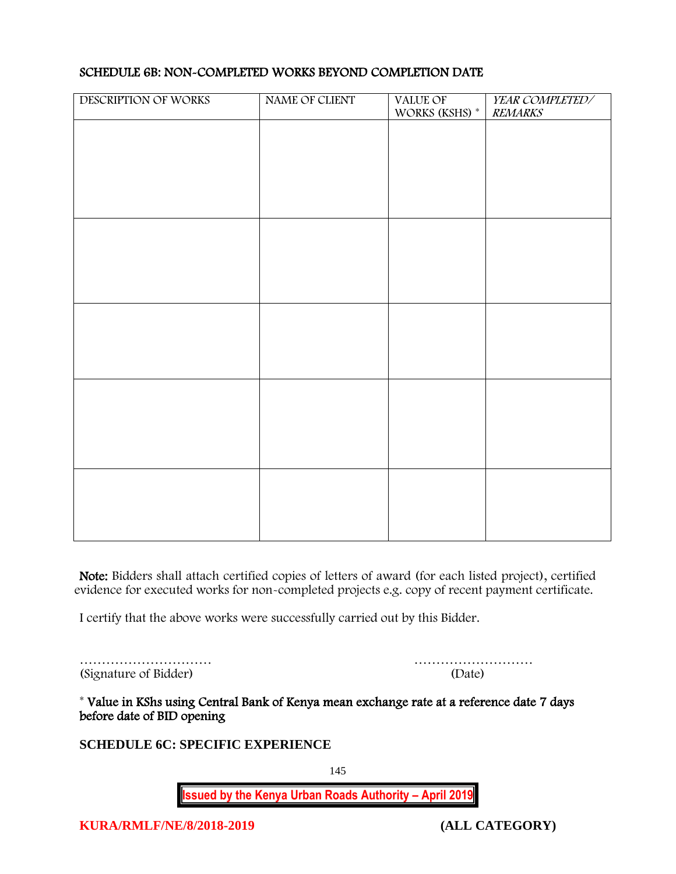| DESCRIPTION OF WORKS | NAME OF CLIENT | VALUE OF<br>WORKS (KSHS) $^\ast$ | YEAR COMPLETED/<br><b>REMARKS</b> |
|----------------------|----------------|----------------------------------|-----------------------------------|
|                      |                |                                  |                                   |
|                      |                |                                  |                                   |
|                      |                |                                  |                                   |
|                      |                |                                  |                                   |
|                      |                |                                  |                                   |
|                      |                |                                  |                                   |
|                      |                |                                  |                                   |
|                      |                |                                  |                                   |
|                      |                |                                  |                                   |
|                      |                |                                  |                                   |
|                      |                |                                  |                                   |
|                      |                |                                  |                                   |
|                      |                |                                  |                                   |
|                      |                |                                  |                                   |
|                      |                |                                  |                                   |
|                      |                |                                  |                                   |

### SCHEDULE 6B: NON-COMPLETED WORKS BEYOND COMPLETION DATE

Note: Bidders shall attach certified copies of letters of award (for each listed project), certified evidence for executed works for non-completed projects e.g. copy of recent payment certificate.

I certify that the above works were successfully carried out by this Bidder.

………………………… ……………………… (Signature of Bidder)

\* Value in KShs using Central Bank of Kenya mean exchange rate at a reference date 7 days before date of BID opening

**SCHEDULE 6C: SPECIFIC EXPERIENCE**

145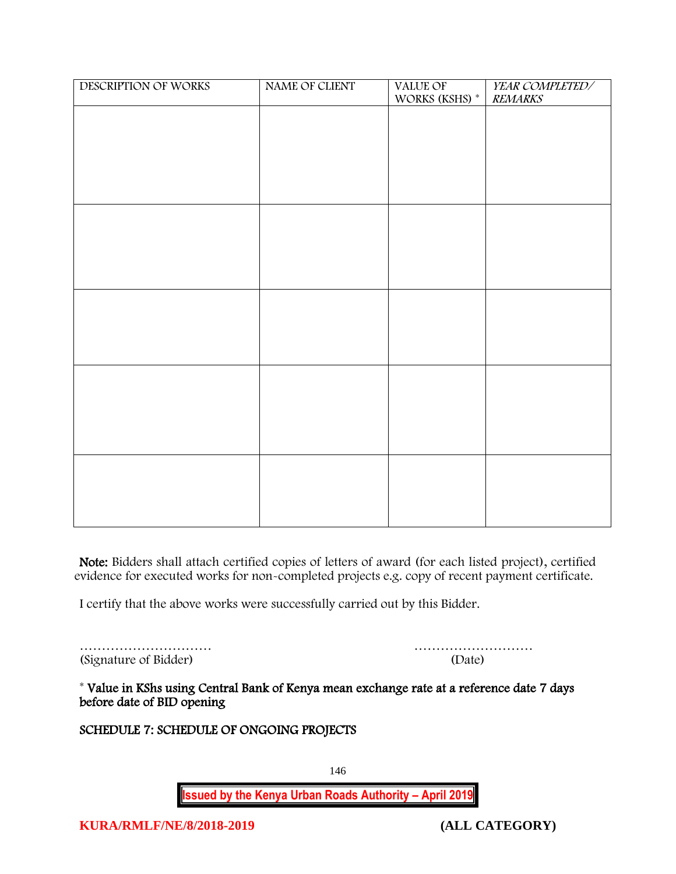| DESCRIPTION OF WORKS | NAME OF CLIENT | VALUE OF<br>WORKS (KSHS) * | YEAR COMPLETED/<br><b>REMARKS</b> |
|----------------------|----------------|----------------------------|-----------------------------------|
|                      |                |                            |                                   |
|                      |                |                            |                                   |
|                      |                |                            |                                   |
|                      |                |                            |                                   |
|                      |                |                            |                                   |
|                      |                |                            |                                   |
|                      |                |                            |                                   |
|                      |                |                            |                                   |
|                      |                |                            |                                   |
|                      |                |                            |                                   |
|                      |                |                            |                                   |
|                      |                |                            |                                   |
|                      |                |                            |                                   |
|                      |                |                            |                                   |
|                      |                |                            |                                   |
|                      |                |                            |                                   |
|                      |                |                            |                                   |
|                      |                |                            |                                   |
|                      |                |                            |                                   |
|                      |                |                            |                                   |
|                      |                |                            |                                   |
|                      |                |                            |                                   |
|                      |                |                            |                                   |

Note: Bidders shall attach certified copies of letters of award (for each listed project), certified evidence for executed works for non-completed projects e.g. copy of recent payment certificate.

I certify that the above works were successfully carried out by this Bidder.

………………………… ……………………… (Signature of Bidder)

\* Value in KShs using Central Bank of Kenya mean exchange rate at a reference date 7 days before date of BID opening

### SCHEDULE 7: SCHEDULE OF ONGOING PROJECTS

146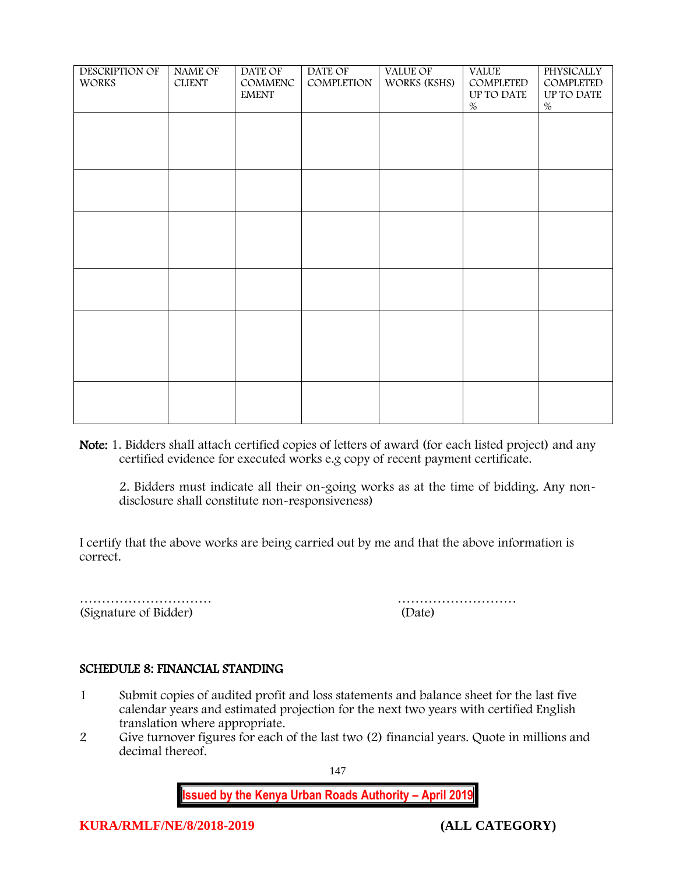| <b>DESCRIPTION OF</b><br><b>WORKS</b> | <b>NAME OF</b><br><b>CLIENT</b> | DATE OF<br>COMMENC<br><b>EMENT</b> | DATE OF<br>COMPLETION | VALUE OF<br>WORKS (KSHS) | <b>VALUE</b><br>COMPLETED<br>UP TO DATE<br>$\%$ | <b>PHYSICALLY</b><br>COMPLETED<br>UP TO DATE<br>$\%$ |
|---------------------------------------|---------------------------------|------------------------------------|-----------------------|--------------------------|-------------------------------------------------|------------------------------------------------------|
|                                       |                                 |                                    |                       |                          |                                                 |                                                      |
|                                       |                                 |                                    |                       |                          |                                                 |                                                      |
|                                       |                                 |                                    |                       |                          |                                                 |                                                      |
|                                       |                                 |                                    |                       |                          |                                                 |                                                      |
|                                       |                                 |                                    |                       |                          |                                                 |                                                      |
|                                       |                                 |                                    |                       |                          |                                                 |                                                      |

Note: 1. Bidders shall attach certified copies of letters of award (for each listed project) and any certified evidence for executed works e.g copy of recent payment certificate.

2. Bidders must indicate all their on-going works as at the time of bidding. Any nondisclosure shall constitute non-responsiveness)

I certify that the above works are being carried out by me and that the above information is correct.

(Signature of Bidder)

………………………… ………………………

### SCHEDULE 8: FINANCIAL STANDING

- 1 Submit copies of audited profit and loss statements and balance sheet for the last five calendar years and estimated projection for the next two years with certified English translation where appropriate.
- 2 Give turnover figures for each of the last two (2) financial years. Quote in millions and decimal thereof.

147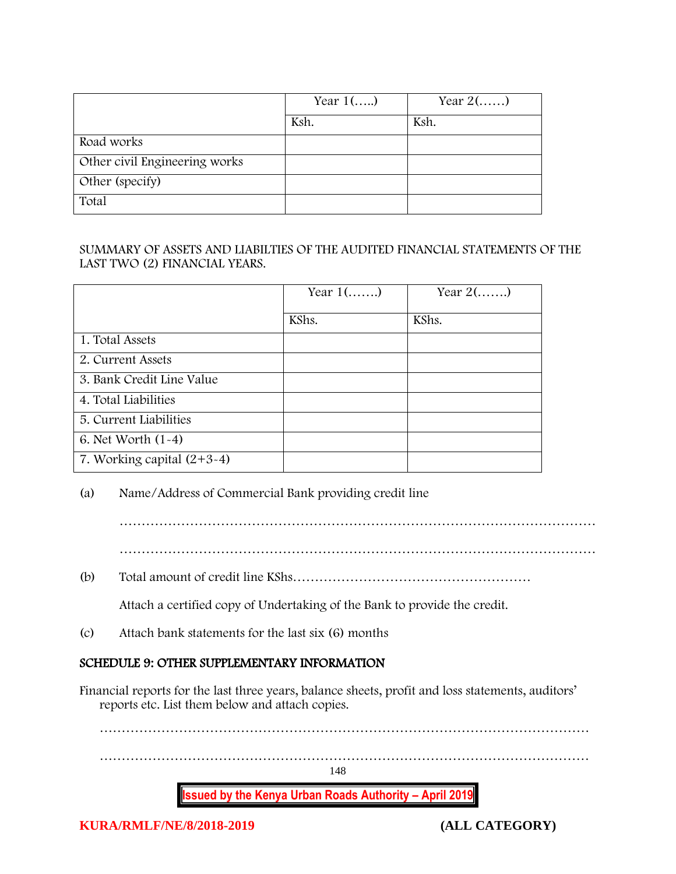|                               | Year $1$ () | Year $2(\ldots)$ |
|-------------------------------|-------------|------------------|
|                               | Ksh.        | Ksh.             |
| Road works                    |             |                  |
| Other civil Engineering works |             |                  |
| Other (specify)               |             |                  |
| Total                         |             |                  |

### SUMMARY OF ASSETS AND LIABILTIES OF THE AUDITED FINANCIAL STATEMENTS OF THE LAST TWO (2) FINANCIAL YEARS.

|                              | Year $1$ () | Year $2(\ldots)$ |
|------------------------------|-------------|------------------|
|                              | KShs.       | KShs.            |
| 1. Total Assets              |             |                  |
| 2. Current Assets            |             |                  |
| 3. Bank Credit Line Value    |             |                  |
| 4. Total Liabilities         |             |                  |
| 5. Current Liabilities       |             |                  |
| 6. Net Worth $(1-4)$         |             |                  |
| 7. Working capital $(2+3-4)$ |             |                  |

### (a) Name/Address of Commercial Bank providing credit line

………………………………………………………………………………………………

………………………………………………………………………………………………

(b) Total amount of credit line KShs………………………………………………

Attach a certified copy of Undertaking of the Bank to provide the credit.

(c) Attach bank statements for the last six (6) months

### SCHEDULE 9: OTHER SUPPLEMENTARY INFORMATION

Financial reports for the last three years, balance sheets, profit and loss statements, auditors' reports etc. List them below and attach copies.

**Issued by the Kenya Urban Roads Authority – April 2019** 148 ………………………………………………………………………………………………… …………………………………………………………………………………………………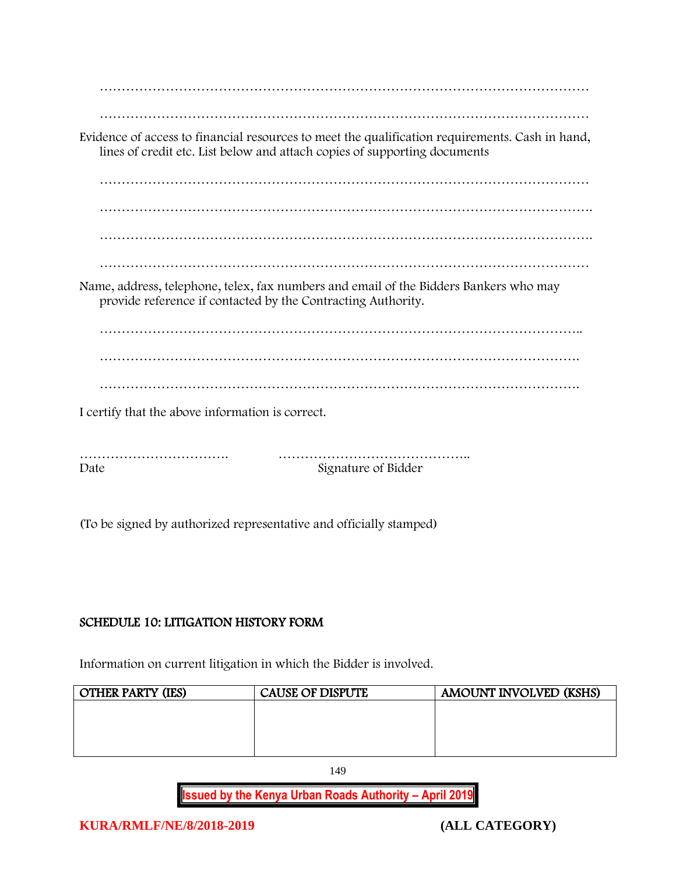| Evidence of access to financial resources to meet the qualification requirements. Cash in hand,<br>lines of credit etc. List below and attach copies of supporting documents |
|------------------------------------------------------------------------------------------------------------------------------------------------------------------------------|
|                                                                                                                                                                              |
|                                                                                                                                                                              |
|                                                                                                                                                                              |
|                                                                                                                                                                              |
| Name, address, telephone, telex, fax numbers and email of the Bidders Bankers who may<br>provide reference if contacted by the Contracting Authority.                        |
|                                                                                                                                                                              |
|                                                                                                                                                                              |
|                                                                                                                                                                              |
| I certify that the above information is correct.                                                                                                                             |
| Signature of Bidder<br>Date                                                                                                                                                  |

(To be signed by authorized representative and officially stamped)

## SCHEDULE 10: LITIGATION HISTORY FORM

Information on current litigation in which the Bidder is involved.

| <b>OTHER PARTY (IES)</b> | <b>CAUSE OF DISPUTE</b> | <b>AMOUNT INVOLVED (KSHS)</b> |
|--------------------------|-------------------------|-------------------------------|
|                          |                         |                               |
|                          |                         |                               |
|                          |                         |                               |
|                          |                         |                               |

149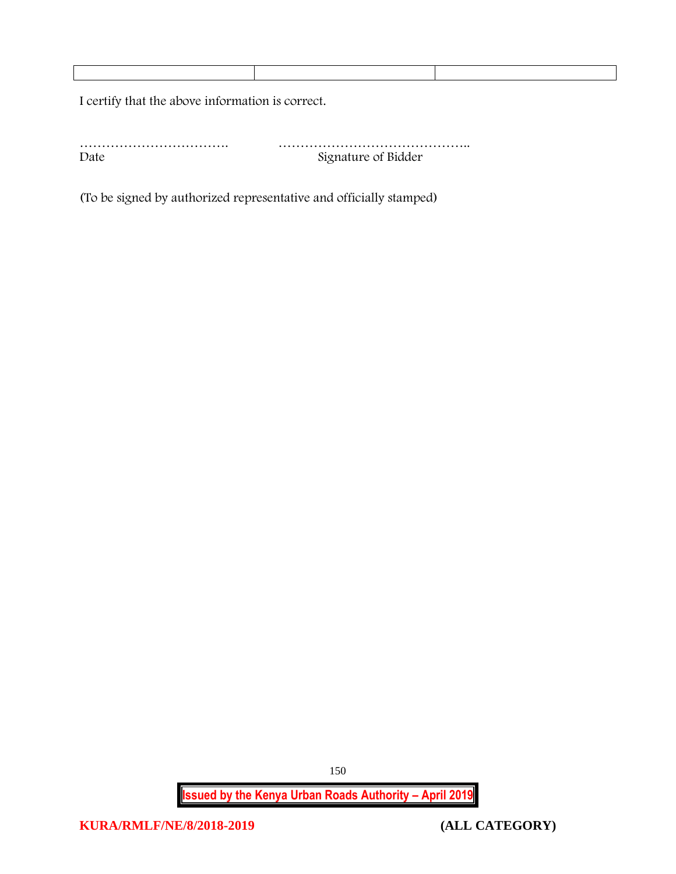I certify that the above information is correct.

……………………………. …………………………………….. Date Signature of Bidder

(To be signed by authorized representative and officially stamped)

**Issued by the Kenya Urban Roads Authority – April 2019**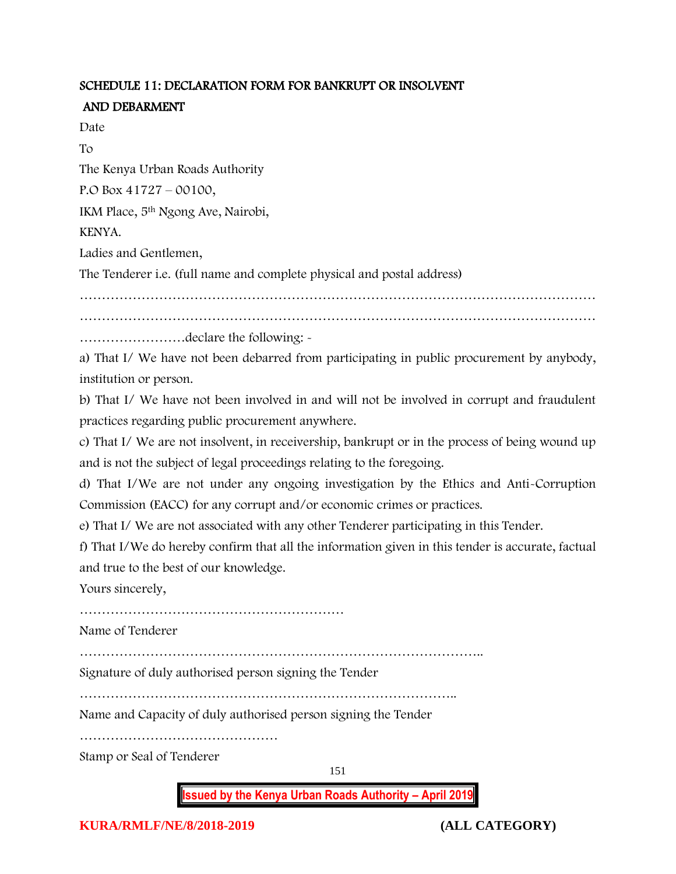## SCHEDULE 11: DECLARATION FORM FOR BANKRUPT OR INSOLVENT AND DEBARMENT

Date

To

The Kenya Urban Roads Authority

P.O Box 41727 – 00100,

IKM Place, 5th Ngong Ave, Nairobi,

KENYA.

Ladies and Gentlemen,

The Tenderer i.e. (full name and complete physical and postal address)

………………………………………………………………………………………………………

……………………declare the following: -

a) That I/ We have not been debarred from participating in public procurement by anybody, institution or person.

b) That I/ We have not been involved in and will not be involved in corrupt and fraudulent practices regarding public procurement anywhere.

c) That I/ We are not insolvent, in receivership, bankrupt or in the process of being wound up and is not the subject of legal proceedings relating to the foregoing.

d) That I/We are not under any ongoing investigation by the Ethics and Anti-Corruption Commission (EACC) for any corrupt and/or economic crimes or practices.

e) That I/ We are not associated with any other Tenderer participating in this Tender.

f) That I/We do hereby confirm that all the information given in this tender is accurate, factual and true to the best of our knowledge.

Yours sincerely,

……………………………………………………

Name of Tenderer

………………………………………………………………………………..

Signature of duly authorised person signing the Tender

…………………………………………………………………………..

Name and Capacity of duly authorised person signing the Tender

………………………………………

Stamp or Seal of Tenderer

151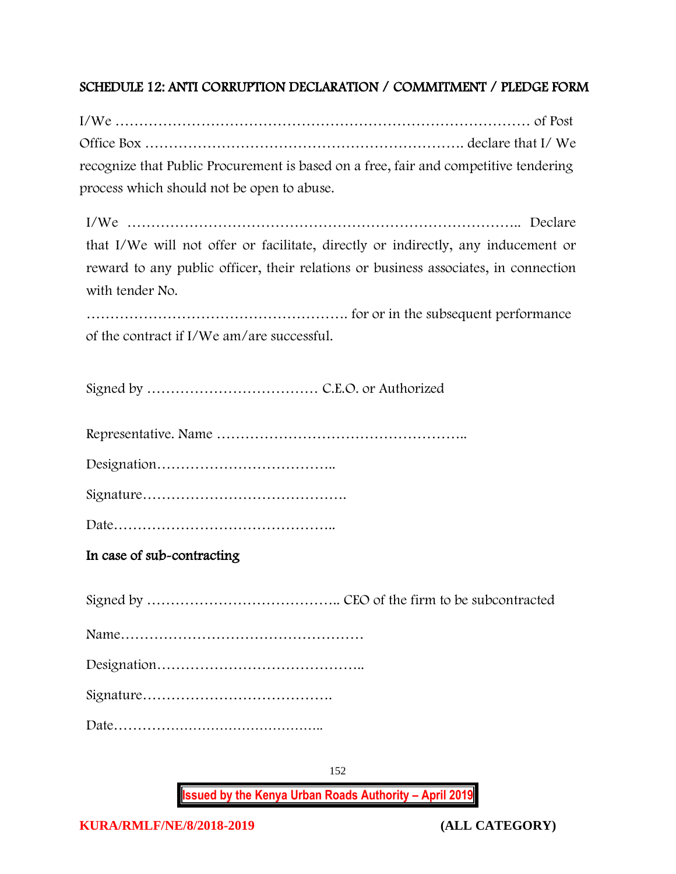## SCHEDULE 12: ANTI CORRUPTION DECLARATION / COMMITMENT / PLEDGE FORM

I/We …………………………………………………………………………… of Post Office Box …………………………………………………………. declare that I/ We recognize that Public Procurement is based on a free, fair and competitive tendering process which should not be open to abuse.

I/We ……………………………………………………………………….. Declare that I/We will not offer or facilitate, directly or indirectly, any inducement or reward to any public officer, their relations or business associates, in connection with tender No.

………………………………………………. for or in the subsequent performance of the contract if I/We am/are successful.

Signed by ……………………………… C.E.O. or Authorized

Representative. Name ……………………………………………..

Designation………………………………..

Signature…………………………………….

Date………………………………………..

In case of sub-contracting

**Issued by the Kenya Urban Roads Authority – April 2019**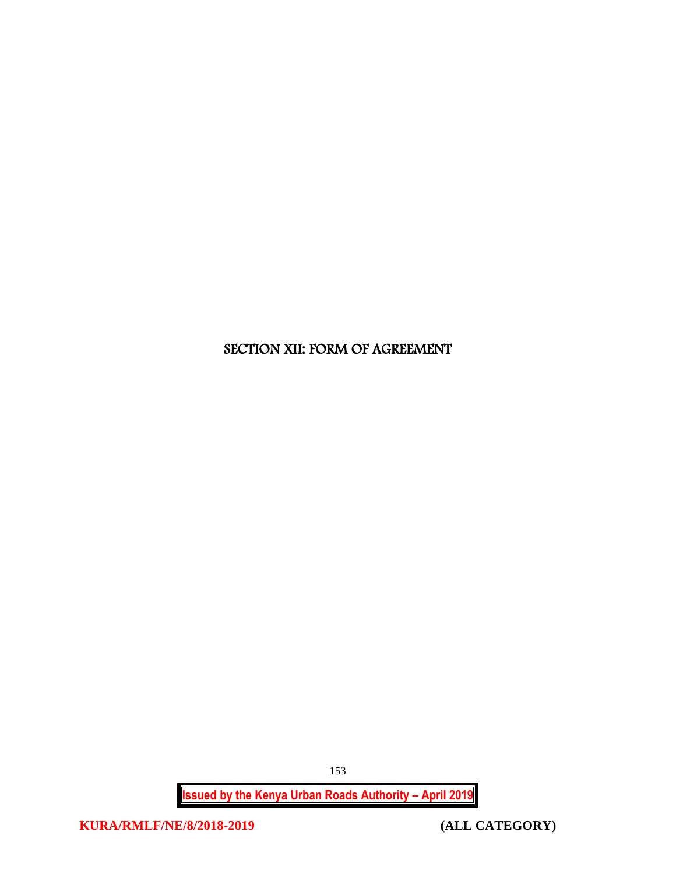# SECTION XII: FORM OF AGREEMENT

**Issued by the Kenya Urban Roads Authority – April 2019**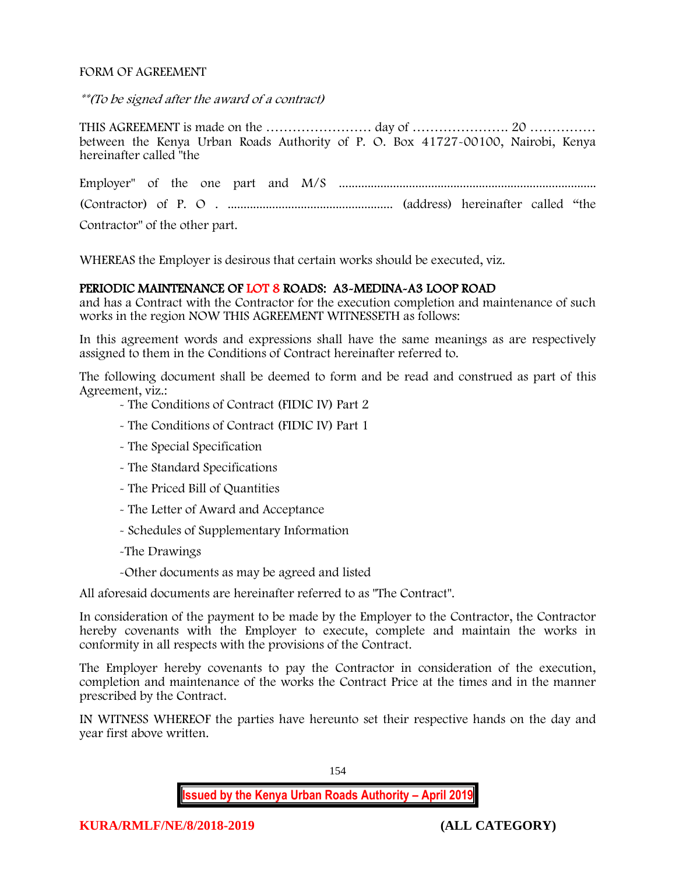#### FORM OF AGREEMENT

\*\*(To be signed after the award of a contract)

THIS AGREEMENT is made on the …………………… day of …………………. 20 …………… between the Kenya Urban Roads Authority of P. O. Box 41727-00100, Nairobi, Kenya hereinafter called "the

Employer" of the one part and M/S ................................................................................. (Contractor) of P. O . .................................................... (address) hereinafter called "the Contractor" of the other part.

WHEREAS the Employer is desirous that certain works should be executed, viz.

#### PERIODIC MAINTENANCE OF LOT 8 ROADS: A3-MEDINA-A3 LOOP ROAD

and has a Contract with the Contractor for the execution completion and maintenance of such works in the region NOW THIS AGREEMENT WITNESSETH as follows:

In this agreement words and expressions shall have the same meanings as are respectively assigned to them in the Conditions of Contract hereinafter referred to.

The following document shall be deemed to form and be read and construed as part of this Agreement, viz.:

- The Conditions of Contract (FIDIC IV) Part 2

- The Conditions of Contract (FIDIC IV) Part 1
- The Special Specification
- The Standard Specifications
- The Priced Bill of Quantities
- The Letter of Award and Acceptance
- Schedules of Supplementary Information
- -The Drawings
- -Other documents as may be agreed and listed

All aforesaid documents are hereinafter referred to as "The Contract".

In consideration of the payment to be made by the Employer to the Contractor, the Contractor hereby covenants with the Employer to execute, complete and maintain the works in conformity in all respects with the provisions of the Contract.

The Employer hereby covenants to pay the Contractor in consideration of the execution, completion and maintenance of the works the Contract Price at the times and in the manner prescribed by the Contract.

IN WITNESS WHEREOF the parties have hereunto set their respective hands on the day and year first above written.

154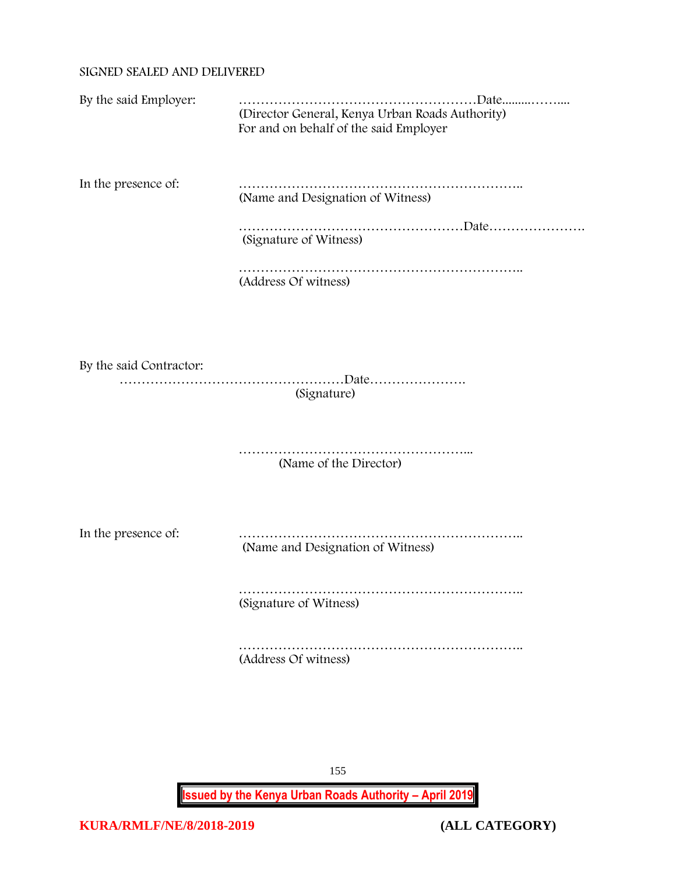### SIGNED SEALED AND DELIVERED

| By the said Employer:   | (Director General, Kenya Urban Roads Authority)<br>For and on behalf of the said Employer |
|-------------------------|-------------------------------------------------------------------------------------------|
| In the presence of:     | (Name and Designation of Witness)                                                         |
|                         | (Signature of Witness)                                                                    |
|                         | (Address Of witness)                                                                      |
|                         |                                                                                           |
| By the said Contractor: | (Signature)                                                                               |
|                         | (Name of the Director)                                                                    |
| In the presence of:     | (Name and Designation of Witness)                                                         |
|                         | (Signature of Witness)                                                                    |
|                         | (Address Of witness)                                                                      |

155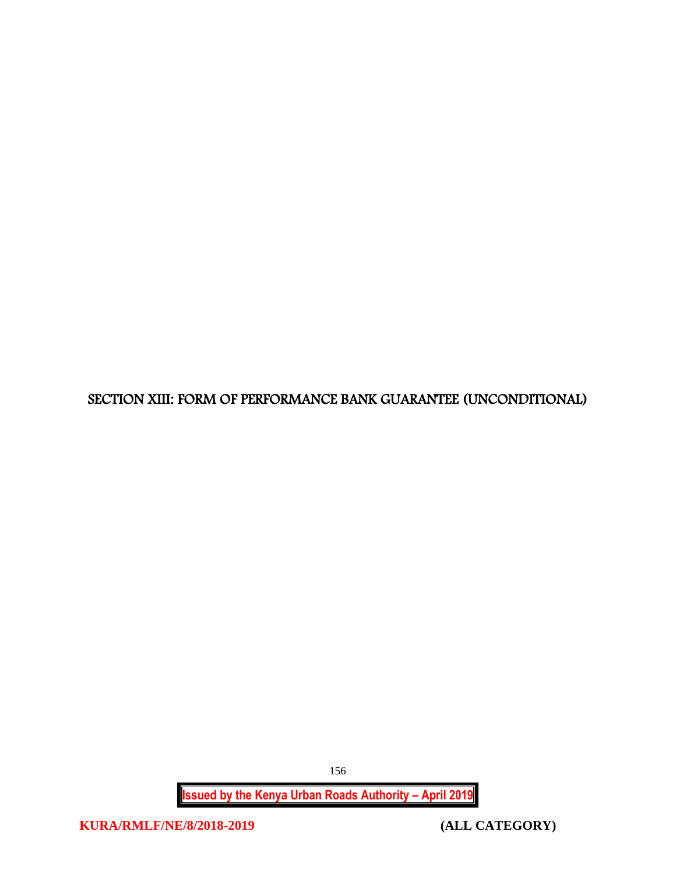SECTION XIII: FORM OF PERFORMANCE BANK GUARANTEE (UNCONDITIONAL)

**Issued by the Kenya Urban Roads Authority – April 2019**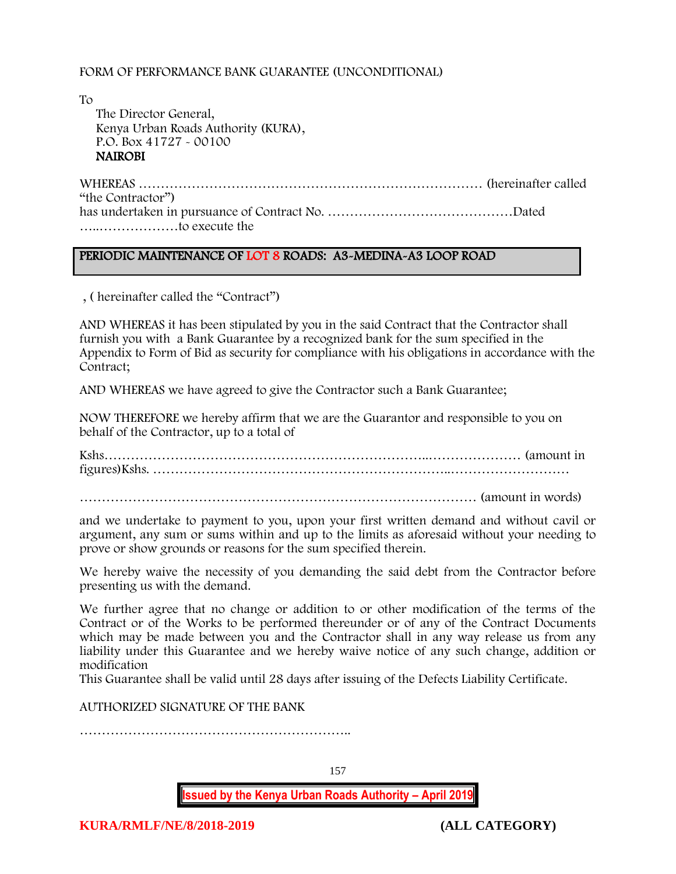#### FORM OF PERFORMANCE BANK GUARANTEE (UNCONDITIONAL)

To The Director General, Kenya Urban Roads Authority (KURA), P.O. Box 41727 - 00100 **NAIROBI** 

WHEREAS …………………………………………………………………… (hereinafter called "the Contractor") has undertaken in pursuance of Contract No. ……………………………………Dated …..………………to execute the

#### PERIODIC MAINTENANCE OF LOT 8 ROADS: A3-MEDINA-A3 LOOP ROAD

, ( hereinafter called the "Contract")

AND WHEREAS it has been stipulated by you in the said Contract that the Contractor shall furnish you with a Bank Guarantee by a recognized bank for the sum specified in the Appendix to Form of Bid as security for compliance with his obligations in accordance with the Contract;

AND WHEREAS we have agreed to give the Contractor such a Bank Guarantee;

NOW THEREFORE we hereby affirm that we are the Guarantor and responsible to you on behalf of the Contractor, up to a total of

Kshs………………………………………………………………..………………… (amount in figures)Kshs. …………………………………………………………..………………………

……………………………………………………………………………… (amount in words)

and we undertake to payment to you, upon your first written demand and without cavil or argument, any sum or sums within and up to the limits as aforesaid without your needing to prove or show grounds or reasons for the sum specified therein.

We hereby waive the necessity of you demanding the said debt from the Contractor before presenting us with the demand.

We further agree that no change or addition to or other modification of the terms of the Contract or of the Works to be performed thereunder or of any of the Contract Documents which may be made between you and the Contractor shall in any way release us from any liability under this Guarantee and we hereby waive notice of any such change, addition or modification

This Guarantee shall be valid until 28 days after issuing of the Defects Liability Certificate.

AUTHORIZED SIGNATURE OF THE BANK

……………………………………………………..

157